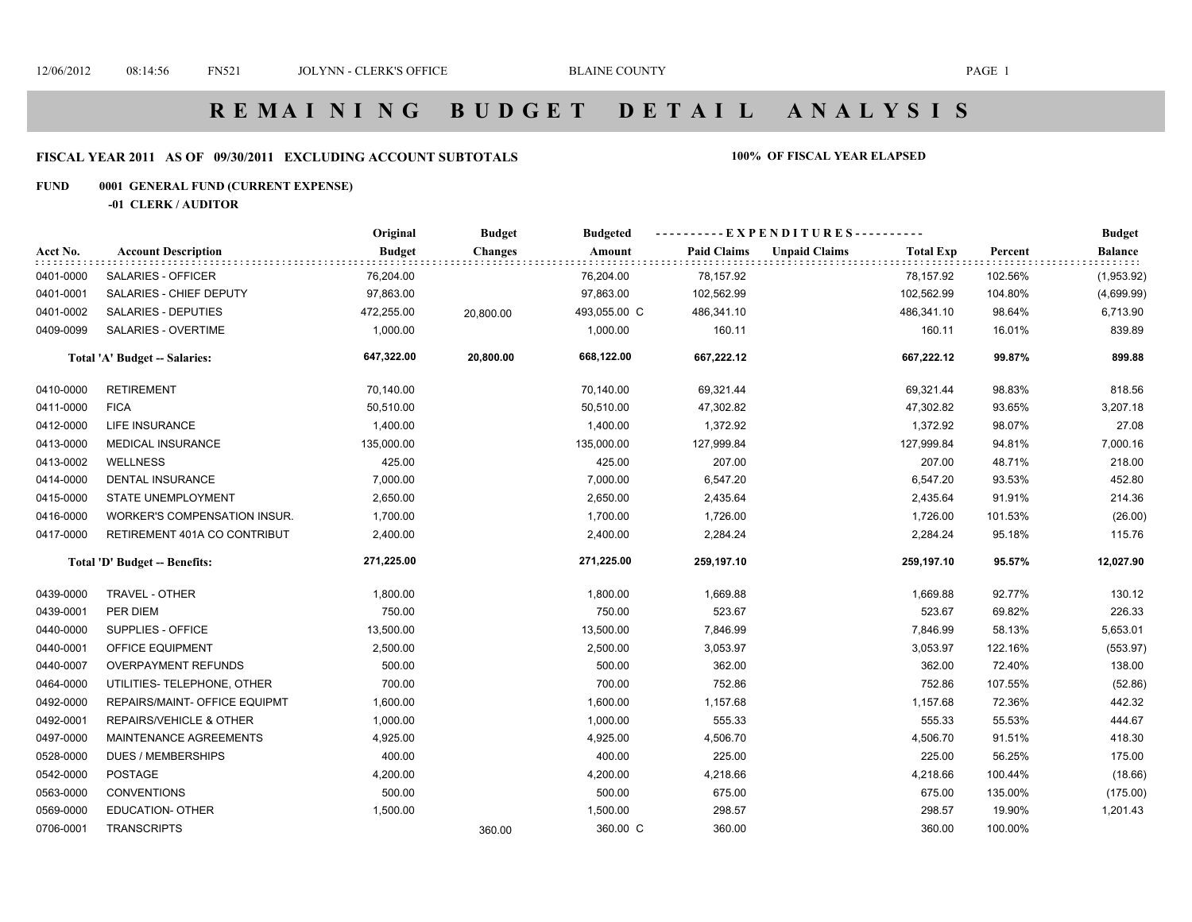### **FISCAL YEAR 2011 AS OF 09/30/2011 EXCLUDING ACCOUNT SUBTOTALS 100% OF FISCAL YEAR ELAPSED**

### **FUND 0001 GENERAL FUND (CURRENT EXPENSE)**

**-01 CLERK / AUDITOR**

|           |                                      | Original      | <b>Budget</b>  | <b>Budgeted</b> |                    | ----------EXPENDITURES---------- |                  |         | <b>Budget</b>          |
|-----------|--------------------------------------|---------------|----------------|-----------------|--------------------|----------------------------------|------------------|---------|------------------------|
| Acct No.  | <b>Account Description</b>           | <b>Budget</b> | <b>Changes</b> | Amount          | <b>Paid Claims</b> | <b>Unpaid Claims</b>             | <b>Total Exp</b> | Percent | Balance<br>: : : : : : |
| 0401-0000 | SALARIES - OFFICER                   | 76,204.00     |                | 76,204.00       | 78,157.92          |                                  | 78,157.92        | 102.56% | (1,953.92)             |
| 0401-0001 | SALARIES - CHIEF DEPUTY              | 97,863.00     |                | 97,863.00       | 102,562.99         |                                  | 102,562.99       | 104.80% | (4,699.99)             |
| 0401-0002 | <b>SALARIES - DEPUTIES</b>           | 472,255.00    | 20,800.00      | 493,055.00 C    | 486,341.10         |                                  | 486,341.10       | 98.64%  | 6,713.90               |
| 0409-0099 | SALARIES - OVERTIME                  | 1,000.00      |                | 1,000.00        | 160.11             |                                  | 160.11           | 16.01%  | 839.89                 |
|           | <b>Total 'A' Budget -- Salaries:</b> | 647,322.00    | 20,800.00      | 668,122.00      | 667,222.12         |                                  | 667,222.12       | 99.87%  | 899.88                 |
| 0410-0000 | <b>RETIREMENT</b>                    | 70,140.00     |                | 70,140.00       | 69,321.44          |                                  | 69,321.44        | 98.83%  | 818.56                 |
| 0411-0000 | <b>FICA</b>                          | 50,510.00     |                | 50,510.00       | 47,302.82          |                                  | 47,302.82        | 93.65%  | 3,207.18               |
| 0412-0000 | <b>LIFE INSURANCE</b>                | 1,400.00      |                | 1,400.00        | 1,372.92           |                                  | 1,372.92         | 98.07%  | 27.08                  |
| 0413-0000 | <b>MEDICAL INSURANCE</b>             | 135,000.00    |                | 135,000.00      | 127,999.84         |                                  | 127,999.84       | 94.81%  | 7,000.16               |
| 0413-0002 | <b>WELLNESS</b>                      | 425.00        |                | 425.00          | 207.00             |                                  | 207.00           | 48.71%  | 218.00                 |
| 0414-0000 | <b>DENTAL INSURANCE</b>              | 7,000.00      |                | 7,000.00        | 6,547.20           |                                  | 6,547.20         | 93.53%  | 452.80                 |
| 0415-0000 | <b>STATE UNEMPLOYMENT</b>            | 2,650.00      |                | 2,650.00        | 2,435.64           |                                  | 2,435.64         | 91.91%  | 214.36                 |
| 0416-0000 | WORKER'S COMPENSATION INSUR.         | 1,700.00      |                | 1,700.00        | 1,726.00           |                                  | 1,726.00         | 101.53% | (26.00)                |
| 0417-0000 | RETIREMENT 401A CO CONTRIBUT         | 2,400.00      |                | 2,400.00        | 2,284.24           |                                  | 2,284.24         | 95.18%  | 115.76                 |
|           | Total 'D' Budget -- Benefits:        | 271,225.00    |                | 271,225.00      | 259,197.10         |                                  | 259,197.10       | 95.57%  | 12,027.90              |
| 0439-0000 | <b>TRAVEL - OTHER</b>                | 1,800.00      |                | 1,800.00        | 1,669.88           |                                  | 1,669.88         | 92.77%  | 130.12                 |
| 0439-0001 | PER DIEM                             | 750.00        |                | 750.00          | 523.67             |                                  | 523.67           | 69.82%  | 226.33                 |
| 0440-0000 | SUPPLIES - OFFICE                    | 13,500.00     |                | 13,500.00       | 7,846.99           |                                  | 7,846.99         | 58.13%  | 5,653.01               |
| 0440-0001 | OFFICE EQUIPMENT                     | 2,500.00      |                | 2,500.00        | 3,053.97           |                                  | 3,053.97         | 122.16% | (553.97)               |
| 0440-0007 | <b>OVERPAYMENT REFUNDS</b>           | 500.00        |                | 500.00          | 362.00             |                                  | 362.00           | 72.40%  | 138.00                 |
| 0464-0000 | UTILITIES- TELEPHONE, OTHER          | 700.00        |                | 700.00          | 752.86             |                                  | 752.86           | 107.55% | (52.86)                |
| 0492-0000 | REPAIRS/MAINT- OFFICE EQUIPMT        | 1,600.00      |                | 1,600.00        | 1,157.68           |                                  | 1,157.68         | 72.36%  | 442.32                 |
| 0492-0001 | REPAIRS/VEHICLE & OTHER              | 1,000.00      |                | 1,000.00        | 555.33             |                                  | 555.33           | 55.53%  | 444.67                 |
| 0497-0000 | MAINTENANCE AGREEMENTS               | 4,925.00      |                | 4,925.00        | 4,506.70           |                                  | 4,506.70         | 91.51%  | 418.30                 |
| 0528-0000 | <b>DUES / MEMBERSHIPS</b>            | 400.00        |                | 400.00          | 225.00             |                                  | 225.00           | 56.25%  | 175.00                 |
| 0542-0000 | POSTAGE                              | 4,200.00      |                | 4,200.00        | 4,218.66           |                                  | 4,218.66         | 100.44% | (18.66)                |
| 0563-0000 | <b>CONVENTIONS</b>                   | 500.00        |                | 500.00          | 675.00             |                                  | 675.00           | 135.00% | (175.00)               |
| 0569-0000 | <b>EDUCATION- OTHER</b>              | 1,500.00      |                | 1,500.00        | 298.57             |                                  | 298.57           | 19.90%  | 1,201.43               |
| 0706-0001 | <b>TRANSCRIPTS</b>                   |               | 360.00         | 360.00 C        | 360.00             |                                  | 360.00           | 100.00% |                        |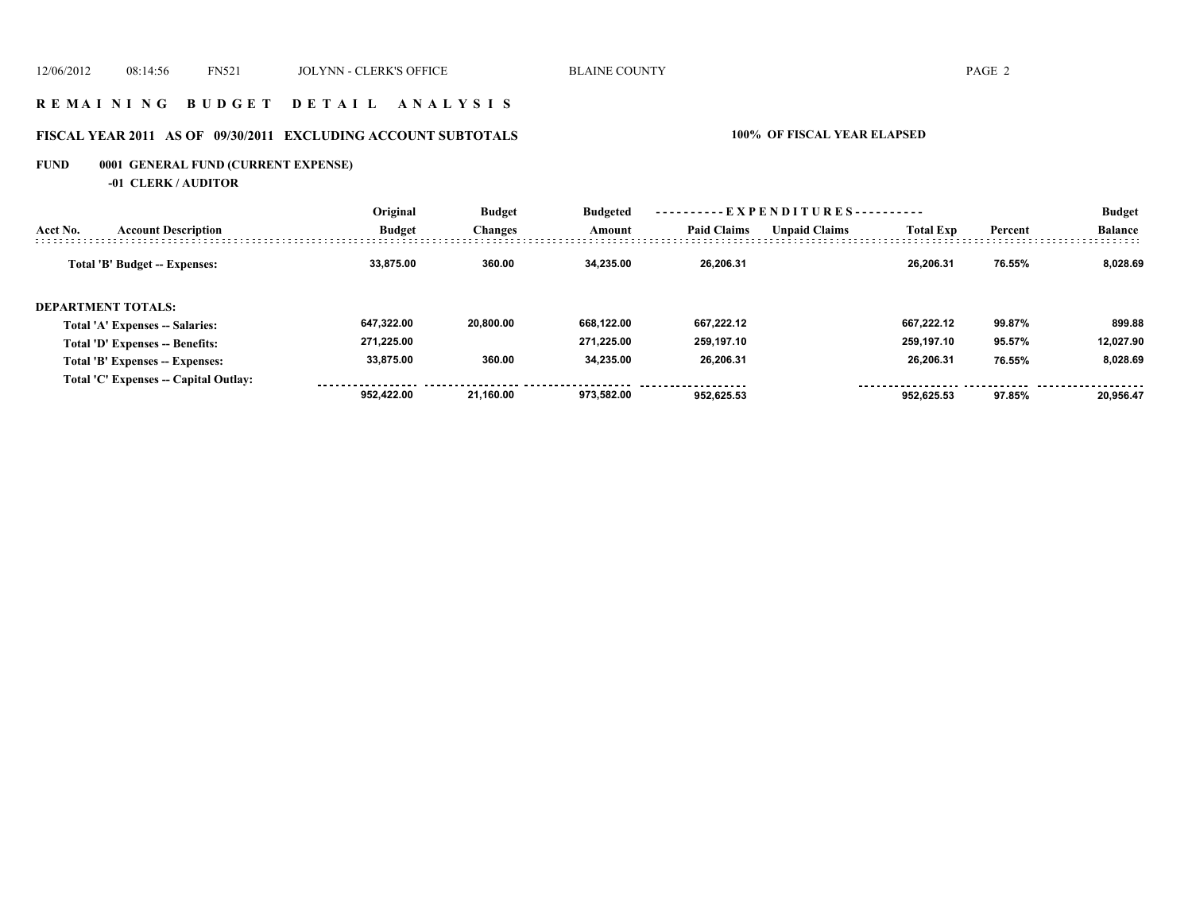### **R E M A I N I N G B U D G E T D E T A I L A N A L Y S I S**

# **FISCAL YEAR 2011 AS OF 09/30/2011 EXCLUDING ACCOUNT SUBTOTALS 100% OF FISCAL YEAR ELAPSED**

# **FUND 0001 GENERAL FUND (CURRENT EXPENSE)**

**-01 CLERK / AUDITOR**

|                                        | Original      | <b>Budget</b><br><b>Changes</b> | <b>Budgeted</b><br>Amount | ----------EXPENDITURES---------- |                      |                  |         | <b>Budget</b>  |
|----------------------------------------|---------------|---------------------------------|---------------------------|----------------------------------|----------------------|------------------|---------|----------------|
| <b>Account Description</b><br>Acct No. | <b>Budget</b> |                                 |                           | <b>Paid Claims</b>               | <b>Unpaid Claims</b> | <b>Total Exp</b> | Percent | <b>Balance</b> |
| Total 'B' Budget -- Expenses:          | 33.875.00     | 360.00                          | 34.235.00                 | 26.206.31                        |                      | 26.206.31        | 76.55%  | 8.028.69       |
| <b>DEPARTMENT TOTALS:</b>              |               |                                 |                           |                                  |                      |                  |         |                |
| Total 'A' Expenses -- Salaries:        | 647.322.00    | 20.800.00                       | 668.122.00                | 667.222.12                       |                      | 667.222.12       | 99.87%  | 899.88         |
| Total 'D' Expenses -- Benefits:        | 271.225.00    |                                 | 271.225.00                | 259.197.10                       |                      | 259.197.10       | 95.57%  | 12.027.90      |
| Total 'B' Expenses -- Expenses:        | 33.875.00     | 360.00                          | 34.235.00                 | 26,206.31                        |                      | 26.206.31        | 76.55%  | 8,028.69       |
| Total 'C' Expenses -- Capital Outlay:  |               |                                 |                           |                                  |                      |                  |         |                |
|                                        | 952.422.00    | 21.160.00                       | 973.582.00                | 952.625.53                       |                      | 952.625.53       | 97.85%  | 20.956.47      |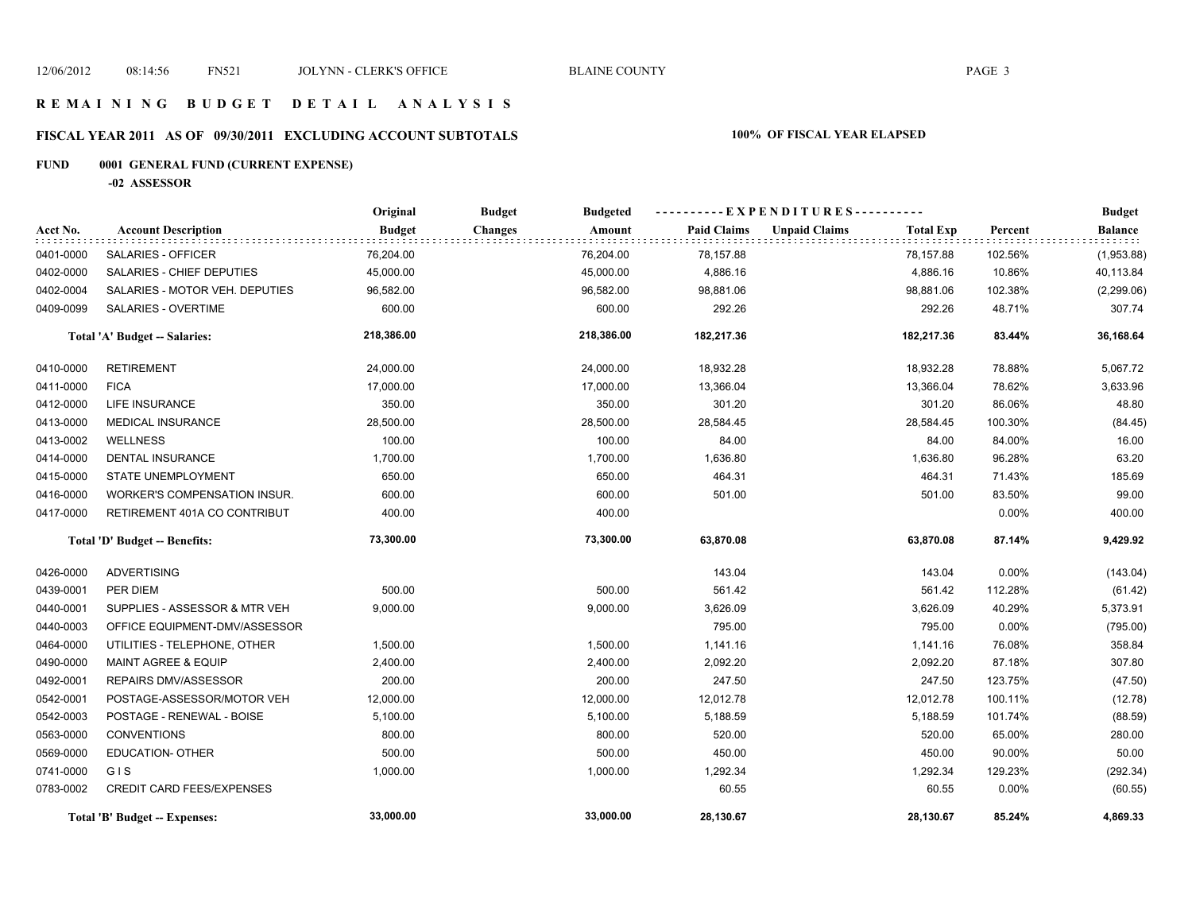### **R E M A I N I N G B U D G E T D E T A I L A N A L Y S I S**

# **FISCAL YEAR 2011 AS OF 09/30/2011 EXCLUDING ACCOUNT SUBTOTALS 100% OF FISCAL YEAR ELAPSED**

# **FUND 0001 GENERAL FUND (CURRENT EXPENSE)**

**-02 ASSESSOR**

|           |                                  | Original      | <b>Budget</b><br><b>Budgeted</b> |                    | ----------EXPENDITURES----------         |          | <b>Budget</b>  |
|-----------|----------------------------------|---------------|----------------------------------|--------------------|------------------------------------------|----------|----------------|
| Acct No.  | <b>Account Description</b>       | <b>Budget</b> | <b>Changes</b><br>Amount         | <b>Paid Claims</b> | <b>Unpaid Claims</b><br><b>Total Exp</b> | Percent  | <b>Balance</b> |
| 0401-0000 | SALARIES - OFFICER               | 76,204.00     | 76,204.00                        | 78,157.88          | 78,157.88                                | 102.56%  | (1,953.88)     |
| 0402-0000 | SALARIES - CHIEF DEPUTIES        | 45,000.00     | 45,000.00                        | 4,886.16           | 4,886.16                                 | 10.86%   | 40,113.84      |
| 0402-0004 | SALARIES - MOTOR VEH. DEPUTIES   | 96,582.00     | 96,582.00                        | 98,881.06          | 98,881.06                                | 102.38%  | (2, 299.06)    |
| 0409-0099 | SALARIES - OVERTIME              | 600.00        | 600.00                           | 292.26             | 292.26                                   | 48.71%   | 307.74         |
|           | Total 'A' Budget -- Salaries:    | 218,386.00    | 218,386.00                       | 182,217.36         | 182,217.36                               | 83.44%   | 36,168.64      |
| 0410-0000 | <b>RETIREMENT</b>                | 24,000.00     | 24,000.00                        | 18,932.28          | 18,932.28                                | 78.88%   | 5,067.72       |
| 0411-0000 | <b>FICA</b>                      | 17,000.00     | 17,000.00                        | 13,366.04          | 13,366.04                                | 78.62%   | 3,633.96       |
| 0412-0000 | <b>LIFE INSURANCE</b>            | 350.00        | 350.00                           | 301.20             | 301.20                                   | 86.06%   | 48.80          |
| 0413-0000 | <b>MEDICAL INSURANCE</b>         | 28,500.00     | 28,500.00                        | 28,584.45          | 28,584.45                                | 100.30%  | (84.45)        |
| 0413-0002 | <b>WELLNESS</b>                  | 100.00        | 100.00                           | 84.00              | 84.00                                    | 84.00%   | 16.00          |
| 0414-0000 | DENTAL INSURANCE                 | 1,700.00      | 1,700.00                         | 1,636.80           | 1,636.80                                 | 96.28%   | 63.20          |
| 0415-0000 | <b>STATE UNEMPLOYMENT</b>        | 650.00        | 650.00                           | 464.31             | 464.31                                   | 71.43%   | 185.69         |
| 0416-0000 | WORKER'S COMPENSATION INSUR.     | 600.00        | 600.00                           | 501.00             | 501.00                                   | 83.50%   | 99.00          |
| 0417-0000 | RETIREMENT 401A CO CONTRIBUT     | 400.00        | 400.00                           |                    |                                          | 0.00%    | 400.00         |
|           | Total 'D' Budget -- Benefits:    | 73,300.00     | 73,300.00                        | 63,870.08          | 63,870.08                                | 87.14%   | 9,429.92       |
| 0426-0000 | <b>ADVERTISING</b>               |               |                                  | 143.04             | 143.04                                   | $0.00\%$ | (143.04)       |
| 0439-0001 | PER DIEM                         | 500.00        | 500.00                           | 561.42             | 561.42                                   | 112.28%  | (61.42)        |
| 0440-0001 | SUPPLIES - ASSESSOR & MTR VEH    | 9,000.00      | 9,000.00                         | 3,626.09           | 3,626.09                                 | 40.29%   | 5,373.91       |
| 0440-0003 | OFFICE EQUIPMENT-DMV/ASSESSOR    |               |                                  | 795.00             | 795.00                                   | 0.00%    | (795.00)       |
| 0464-0000 | UTILITIES - TELEPHONE, OTHER     | 1,500.00      | 1,500.00                         | 1,141.16           | 1,141.16                                 | 76.08%   | 358.84         |
| 0490-0000 | <b>MAINT AGREE &amp; EQUIP</b>   | 2,400.00      | 2,400.00                         | 2,092.20           | 2,092.20                                 | 87.18%   | 307.80         |
| 0492-0001 | REPAIRS DMV/ASSESSOR             | 200.00        | 200.00                           | 247.50             | 247.50                                   | 123.75%  | (47.50)        |
| 0542-0001 | POSTAGE-ASSESSOR/MOTOR VEH       | 12,000.00     | 12,000.00                        | 12,012.78          | 12,012.78                                | 100.11%  | (12.78)        |
| 0542-0003 | POSTAGE - RENEWAL - BOISE        | 5,100.00      | 5,100.00                         | 5,188.59           | 5,188.59                                 | 101.74%  | (88.59)        |
| 0563-0000 | <b>CONVENTIONS</b>               | 800.00        | 800.00                           | 520.00             | 520.00                                   | 65.00%   | 280.00         |
| 0569-0000 | <b>EDUCATION- OTHER</b>          | 500.00        | 500.00                           | 450.00             | 450.00                                   | 90.00%   | 50.00          |
| 0741-0000 | GIS                              | 1,000.00      | 1,000.00                         | 1,292.34           | 1,292.34                                 | 129.23%  | (292.34)       |
| 0783-0002 | <b>CREDIT CARD FEES/EXPENSES</b> |               |                                  | 60.55              | 60.55                                    | 0.00%    | (60.55)        |
|           | Total 'B' Budget -- Expenses:    | 33,000.00     | 33,000.00                        | 28,130.67          | 28,130.67                                | 85.24%   | 4,869.33       |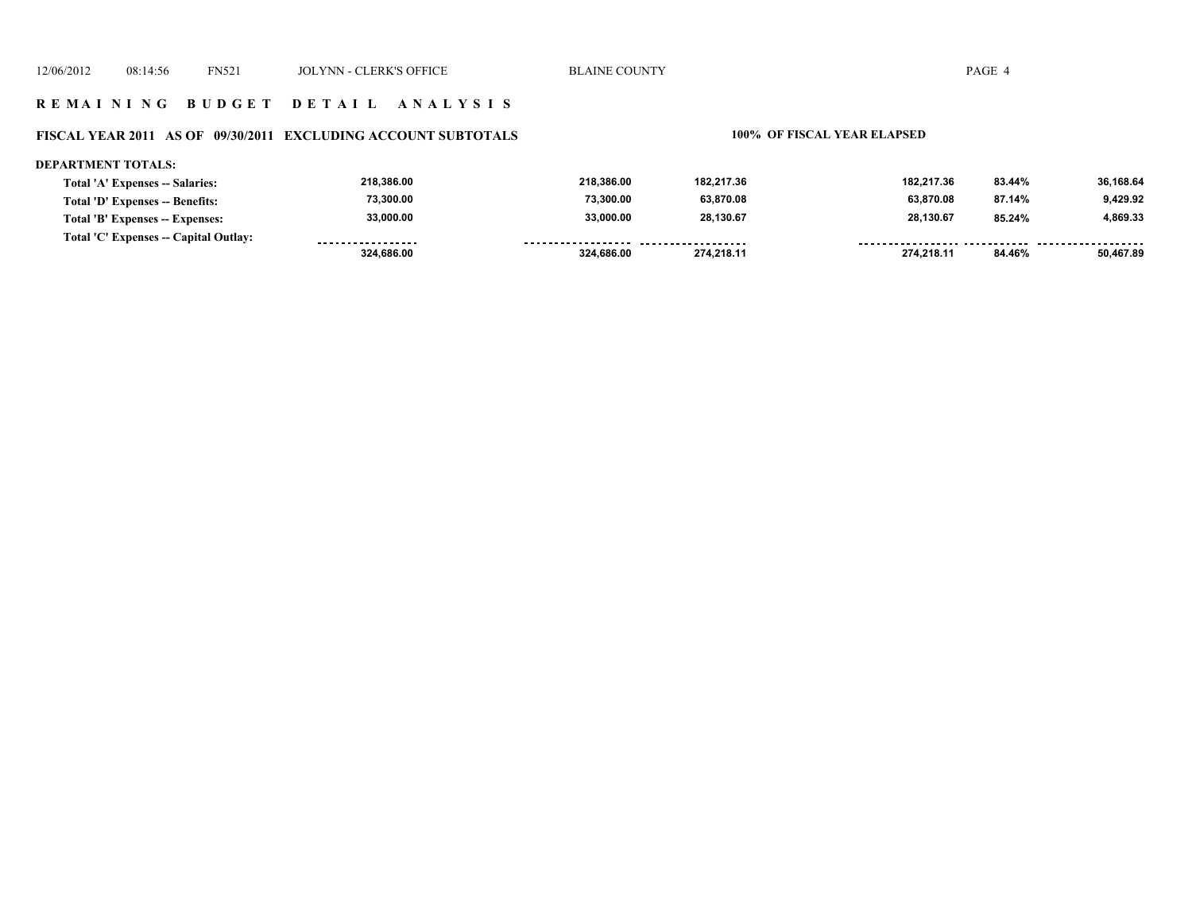### **FISCAL YEAR 2011 AS OF 09/30/2011 EXCLUDING ACCOUNT SUBTOTALS 100% OF FISCAL YEAR ELAPSED**

### **DEPARTMENT TOTALS:**

| <b>Total 'A' Expenses -- Salaries:</b> | 218.386.00        | 218.386.00         | 182.217.36         | 182.217.36 | 83.44% | 36,168.64 |
|----------------------------------------|-------------------|--------------------|--------------------|------------|--------|-----------|
| Total 'D' Expenses -- Benefits:        | 73.300.00         | 73.300.00          | 63,870.08          | 63.870.08  | 87.14% | 9.429.92  |
| Total 'B' Expenses -- Expenses:        | 33,000.00         | 33.000.00          | 28,130.67          | 28.130.67  | 85.24% | 4,869.33  |
| Total 'C' Expenses -- Capital Outlay:  | ----------------- | ------------------ | ------------------ |            |        |           |
|                                        | 324,686.00        | 324.686.00         | 274.218.11         | 274.218.11 | 84.46% | 50,467.89 |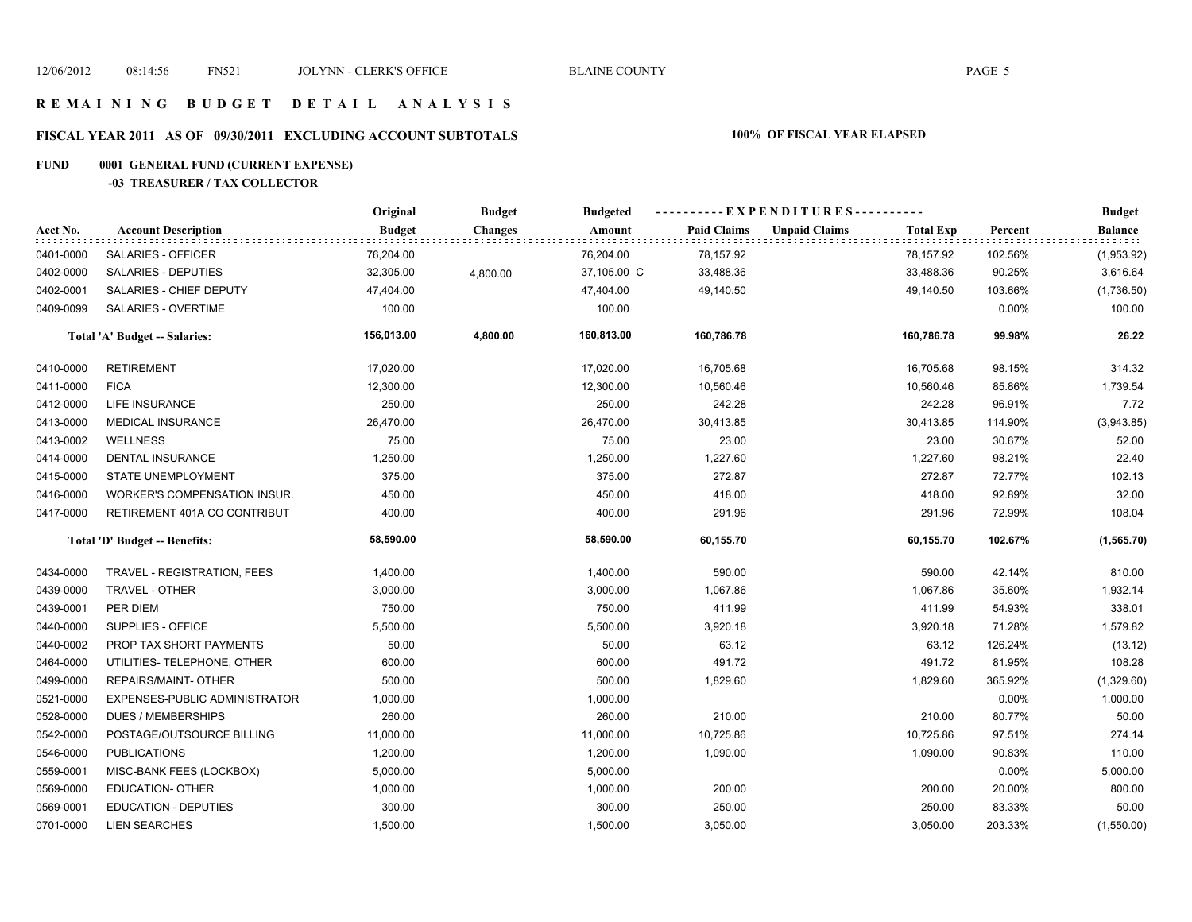# **FISCAL YEAR 2011 AS OF 09/30/2011 EXCLUDING ACCOUNT SUBTOTALS 100% OF FISCAL YEAR ELAPSED**

# **FUND 0001 GENERAL FUND (CURRENT EXPENSE)**

### **-03 TREASURER / TAX COLLECTOR**

|           |                                     | Original<br><b>Budget</b> |                |             | ----------EXPENDITURES---------- |                      |                  |          | <b>Budget</b>               |
|-----------|-------------------------------------|---------------------------|----------------|-------------|----------------------------------|----------------------|------------------|----------|-----------------------------|
| Acct No.  | <b>Account Description</b>          | <b>Budget</b>             | <b>Changes</b> | Amount      | <b>Paid Claims</b>               | <b>Unpaid Claims</b> | <b>Total Exp</b> | Percent  | <b>Balance</b><br>: : : : . |
| 0401-0000 | SALARIES - OFFICER                  | 76,204.00                 |                | 76,204.00   | 78,157.92                        |                      | 78,157.92        | 102.56%  | (1,953.92)                  |
| 0402-0000 | SALARIES - DEPUTIES                 | 32,305.00                 | 4,800.00       | 37,105.00 C | 33,488.36                        |                      | 33,488.36        | 90.25%   | 3,616.64                    |
| 0402-0001 | SALARIES - CHIEF DEPUTY             | 47,404.00                 |                | 47,404.00   | 49,140.50                        |                      | 49,140.50        | 103.66%  | (1,736.50)                  |
| 0409-0099 | SALARIES - OVERTIME                 | 100.00                    |                | 100.00      |                                  |                      |                  | 0.00%    | 100.00                      |
|           | Total 'A' Budget -- Salaries:       | 156,013.00                | 4,800.00       | 160,813.00  | 160,786.78                       |                      | 160,786.78       | 99.98%   | 26.22                       |
| 0410-0000 | <b>RETIREMENT</b>                   | 17,020.00                 |                | 17,020.00   | 16,705.68                        |                      | 16,705.68        | 98.15%   | 314.32                      |
| 0411-0000 | <b>FICA</b>                         | 12,300.00                 |                | 12,300.00   | 10,560.46                        |                      | 10,560.46        | 85.86%   | 1,739.54                    |
| 0412-0000 | LIFE INSURANCE                      | 250.00                    |                | 250.00      | 242.28                           |                      | 242.28           | 96.91%   | 7.72                        |
| 0413-0000 | <b>MEDICAL INSURANCE</b>            | 26,470.00                 |                | 26,470.00   | 30,413.85                        |                      | 30,413.85        | 114.90%  | (3,943.85)                  |
| 0413-0002 | <b>WELLNESS</b>                     | 75.00                     |                | 75.00       | 23.00                            |                      | 23.00            | 30.67%   | 52.00                       |
| 0414-0000 | <b>DENTAL INSURANCE</b>             | 1,250.00                  |                | 1,250.00    | 1,227.60                         |                      | 1,227.60         | 98.21%   | 22.40                       |
| 0415-0000 | STATE UNEMPLOYMENT                  | 375.00                    |                | 375.00      | 272.87                           |                      | 272.87           | 72.77%   | 102.13                      |
| 0416-0000 | <b>WORKER'S COMPENSATION INSUR.</b> | 450.00                    |                | 450.00      | 418.00                           |                      | 418.00           | 92.89%   | 32.00                       |
| 0417-0000 | RETIREMENT 401A CO CONTRIBUT        | 400.00                    |                | 400.00      | 291.96                           |                      | 291.96           | 72.99%   | 108.04                      |
|           | Total 'D' Budget -- Benefits:       | 58,590.00                 |                | 58,590.00   | 60,155.70                        |                      | 60,155.70        | 102.67%  | (1, 565.70)                 |
| 0434-0000 | TRAVEL - REGISTRATION, FEES         | 1,400.00                  |                | 1,400.00    | 590.00                           |                      | 590.00           | 42.14%   | 810.00                      |
| 0439-0000 | TRAVEL - OTHER                      | 3,000.00                  |                | 3,000.00    | 1,067.86                         |                      | 1,067.86         | 35.60%   | 1,932.14                    |
| 0439-0001 | PER DIEM                            | 750.00                    |                | 750.00      | 411.99                           |                      | 411.99           | 54.93%   | 338.01                      |
| 0440-0000 | SUPPLIES - OFFICE                   | 5,500.00                  |                | 5,500.00    | 3,920.18                         |                      | 3,920.18         | 71.28%   | 1,579.82                    |
| 0440-0002 | PROP TAX SHORT PAYMENTS             | 50.00                     |                | 50.00       | 63.12                            |                      | 63.12            | 126.24%  | (13.12)                     |
| 0464-0000 | UTILITIES- TELEPHONE, OTHER         | 600.00                    |                | 600.00      | 491.72                           |                      | 491.72           | 81.95%   | 108.28                      |
| 0499-0000 | REPAIRS/MAINT- OTHER                | 500.00                    |                | 500.00      | 1,829.60                         |                      | 1,829.60         | 365.92%  | (1,329.60)                  |
| 0521-0000 | EXPENSES-PUBLIC ADMINISTRATOR       | 1,000.00                  |                | 1,000.00    |                                  |                      |                  | 0.00%    | 1,000.00                    |
| 0528-0000 | <b>DUES / MEMBERSHIPS</b>           | 260.00                    |                | 260.00      | 210.00                           |                      | 210.00           | 80.77%   | 50.00                       |
| 0542-0000 | POSTAGE/OUTSOURCE BILLING           | 11,000.00                 |                | 11,000.00   | 10,725.86                        |                      | 10,725.86        | 97.51%   | 274.14                      |
| 0546-0000 | <b>PUBLICATIONS</b>                 | 1,200.00                  |                | 1,200.00    | 1,090.00                         |                      | 1,090.00         | 90.83%   | 110.00                      |
| 0559-0001 | MISC-BANK FEES (LOCKBOX)            | 5,000.00                  |                | 5,000.00    |                                  |                      |                  | $0.00\%$ | 5,000.00                    |
| 0569-0000 | <b>EDUCATION- OTHER</b>             | 1,000.00                  |                | 1,000.00    | 200.00                           |                      | 200.00           | 20.00%   | 800.00                      |
| 0569-0001 | <b>EDUCATION - DEPUTIES</b>         | 300.00                    |                | 300.00      | 250.00                           |                      | 250.00           | 83.33%   | 50.00                       |
| 0701-0000 | <b>LIEN SEARCHES</b>                | 1,500.00                  |                | 1,500.00    | 3,050.00                         |                      | 3,050.00         | 203.33%  | (1,550.00)                  |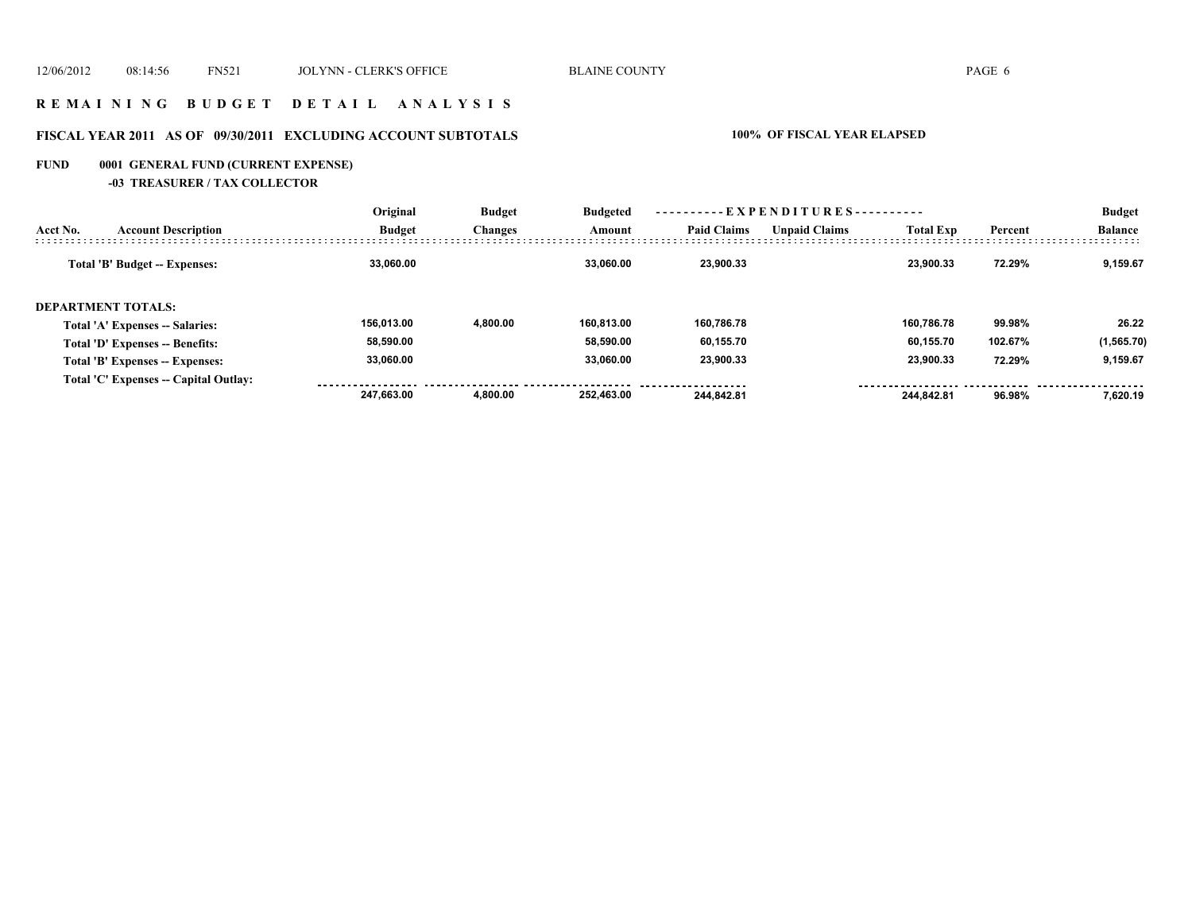### **R E M A I N I N G B U D G E T D E T A I L A N A L Y S I S**

# **FISCAL YEAR 2011 AS OF 09/30/2011 EXCLUDING ACCOUNT SUBTOTALS 100% OF FISCAL YEAR ELAPSED**

# **FUND 0001 GENERAL FUND (CURRENT EXPENSE)**

**-03 TREASURER / TAX COLLECTOR**

|                           | <b>Account Description</b>            | Original      | <b>Budget</b><br><b>Changes</b> | <b>Budgeted</b><br>Amount | ----------EXPENDITURES---------- |                      |                  |         | <b>Budget</b>  |
|---------------------------|---------------------------------------|---------------|---------------------------------|---------------------------|----------------------------------|----------------------|------------------|---------|----------------|
| Acct No.                  |                                       | <b>Budget</b> |                                 |                           | <b>Paid Claims</b>               | <b>Unpaid Claims</b> | <b>Total Exp</b> | Percent | <b>Balance</b> |
|                           | Total 'B' Budget -- Expenses:         | 33.060.00     |                                 | 33.060.00                 | 23.900.33                        |                      | 23.900.33        | 72.29%  | 9,159.67       |
| <b>DEPARTMENT TOTALS:</b> |                                       |               |                                 |                           |                                  |                      |                  |         |                |
|                           | Total 'A' Expenses -- Salaries:       | 156.013.00    | 4.800.00                        | 160.813.00                | 160.786.78                       |                      | 160.786.78       | 99.98%  | 26.22          |
|                           | Total 'D' Expenses -- Benefits:       | 58,590.00     |                                 | 58.590.00                 | 60,155.70                        |                      | 60.155.70        | 102.67% | (1, 565.70)    |
|                           | Total 'B' Expenses -- Expenses:       | 33,060.00     |                                 | 33.060.00                 | 23,900.33                        |                      | 23,900.33        | 72.29%  | 9,159.67       |
|                           | Total 'C' Expenses -- Capital Outlay: |               |                                 |                           |                                  |                      |                  |         |                |
|                           |                                       | 247.663.00    | 4.800.00                        | 252.463.00                | 244.842.81                       |                      | 244.842.81       | 96.98%  | 7.620.19       |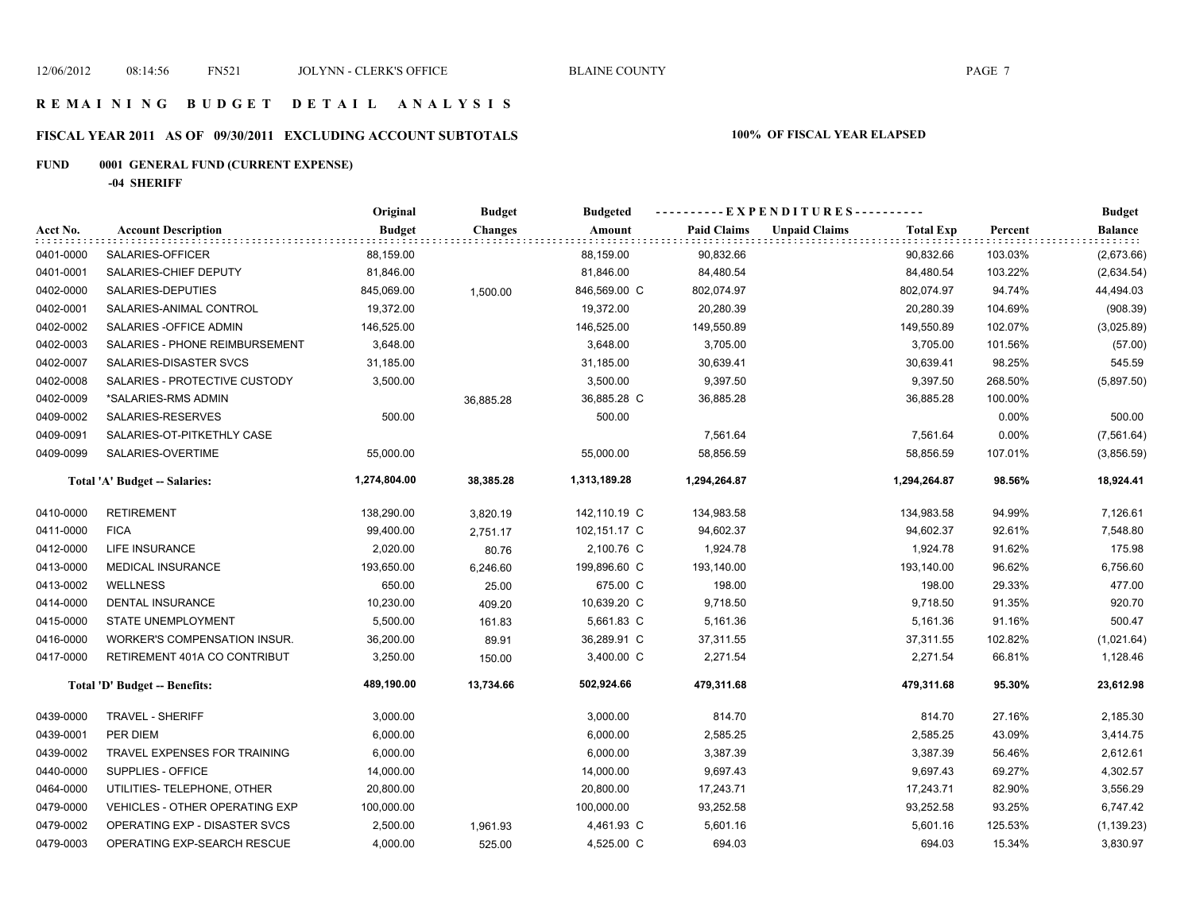# **FISCAL YEAR 2011 AS OF 09/30/2011 EXCLUDING ACCOUNT SUBTOTALS 100% OF FISCAL YEAR ELAPSED**

# **FUND 0001 GENERAL FUND (CURRENT EXPENSE)**

**-04 SHERIFF**

|           |                                       | Original      | <b>Budget</b>  | <b>Budgeted</b> | ----------EXPENDITURES---------- |                      |                  |         | <b>Budget</b>  |
|-----------|---------------------------------------|---------------|----------------|-----------------|----------------------------------|----------------------|------------------|---------|----------------|
| Acct No.  | <b>Account Description</b>            | <b>Budget</b> | <b>Changes</b> | Amount          | <b>Paid Claims</b>               | <b>Unpaid Claims</b> | <b>Total Exp</b> | Percent | <b>Balance</b> |
| 0401-0000 | SALARIES-OFFICER                      | 88,159.00     |                | 88,159.00       | 90,832.66                        |                      | 90,832.66        | 103.03% | (2,673.66)     |
| 0401-0001 | SALARIES-CHIEF DEPUTY                 | 81,846.00     |                | 81,846.00       | 84,480.54                        |                      | 84,480.54        | 103.22% | (2,634.54)     |
| 0402-0000 | SALARIES-DEPUTIES                     | 845,069.00    | 1,500.00       | 846,569.00 C    | 802,074.97                       |                      | 802,074.97       | 94.74%  | 44,494.03      |
| 0402-0001 | SALARIES-ANIMAL CONTROL               | 19,372.00     |                | 19,372.00       | 20,280.39                        |                      | 20,280.39        | 104.69% | (908.39)       |
| 0402-0002 | SALARIES - OFFICE ADMIN               | 146,525.00    |                | 146,525.00      | 149,550.89                       |                      | 149,550.89       | 102.07% | (3,025.89)     |
| 0402-0003 | SALARIES - PHONE REIMBURSEMENT        | 3,648.00      |                | 3,648.00        | 3,705.00                         |                      | 3,705.00         | 101.56% | (57.00)        |
| 0402-0007 | SALARIES-DISASTER SVCS                | 31,185.00     |                | 31,185.00       | 30,639.41                        |                      | 30,639.41        | 98.25%  | 545.59         |
| 0402-0008 | SALARIES - PROTECTIVE CUSTODY         | 3,500.00      |                | 3,500.00        | 9,397.50                         |                      | 9,397.50         | 268.50% | (5,897.50)     |
| 0402-0009 | *SALARIES-RMS ADMIN                   |               | 36,885.28      | 36,885.28 C     | 36,885.28                        |                      | 36,885.28        | 100.00% |                |
| 0409-0002 | SALARIES-RESERVES                     | 500.00        |                | 500.00          |                                  |                      |                  | 0.00%   | 500.00         |
| 0409-0091 | SALARIES-OT-PITKETHLY CASE            |               |                |                 | 7,561.64                         |                      | 7,561.64         | 0.00%   | (7, 561.64)    |
| 0409-0099 | SALARIES-OVERTIME                     | 55,000.00     |                | 55,000.00       | 58,856.59                        |                      | 58,856.59        | 107.01% | (3,856.59)     |
|           | Total 'A' Budget -- Salaries:         | 1,274,804.00  | 38,385.28      | 1,313,189.28    | 1,294,264.87                     |                      | 1,294,264.87     | 98.56%  | 18,924.41      |
| 0410-0000 | <b>RETIREMENT</b>                     | 138,290.00    | 3,820.19       | 142,110.19 C    | 134,983.58                       |                      | 134,983.58       | 94.99%  | 7,126.61       |
| 0411-0000 | <b>FICA</b>                           | 99,400.00     | 2,751.17       | 102,151.17 C    | 94,602.37                        |                      | 94,602.37        | 92.61%  | 7,548.80       |
| 0412-0000 | <b>LIFE INSURANCE</b>                 | 2,020.00      | 80.76          | 2,100.76 C      | 1,924.78                         |                      | 1,924.78         | 91.62%  | 175.98         |
| 0413-0000 | <b>MEDICAL INSURANCE</b>              | 193,650.00    | 6,246.60       | 199,896.60 C    | 193,140.00                       |                      | 193,140.00       | 96.62%  | 6,756.60       |
| 0413-0002 | <b>WELLNESS</b>                       | 650.00        | 25.00          | 675.00 C        | 198.00                           |                      | 198.00           | 29.33%  | 477.00         |
| 0414-0000 | DENTAL INSURANCE                      | 10,230.00     | 409.20         | 10,639.20 C     | 9,718.50                         |                      | 9,718.50         | 91.35%  | 920.70         |
| 0415-0000 | STATE UNEMPLOYMENT                    | 5,500.00      | 161.83         | 5,661.83 C      | 5,161.36                         |                      | 5,161.36         | 91.16%  | 500.47         |
| 0416-0000 | WORKER'S COMPENSATION INSUR.          | 36,200.00     | 89.91          | 36,289.91 C     | 37,311.55                        |                      | 37,311.55        | 102.82% | (1,021.64)     |
| 0417-0000 | RETIREMENT 401A CO CONTRIBUT          | 3,250.00      | 150.00         | 3,400.00 C      | 2,271.54                         |                      | 2,271.54         | 66.81%  | 1,128.46       |
|           | Total 'D' Budget -- Benefits:         | 489,190.00    | 13,734.66      | 502,924.66      | 479,311.68                       |                      | 479,311.68       | 95.30%  | 23,612.98      |
| 0439-0000 | <b>TRAVEL - SHERIFF</b>               | 3,000.00      |                | 3,000.00        | 814.70                           |                      | 814.70           | 27.16%  | 2,185.30       |
| 0439-0001 | PER DIEM                              | 6,000.00      |                | 6,000.00        | 2,585.25                         |                      | 2,585.25         | 43.09%  | 3,414.75       |
| 0439-0002 | TRAVEL EXPENSES FOR TRAINING          | 6,000.00      |                | 6,000.00        | 3,387.39                         |                      | 3,387.39         | 56.46%  | 2,612.61       |
| 0440-0000 | SUPPLIES - OFFICE                     | 14,000.00     |                | 14,000.00       | 9,697.43                         |                      | 9,697.43         | 69.27%  | 4,302.57       |
| 0464-0000 | UTILITIES- TELEPHONE, OTHER           | 20,800.00     |                | 20,800.00       | 17,243.71                        |                      | 17,243.71        | 82.90%  | 3,556.29       |
| 0479-0000 | <b>VEHICLES - OTHER OPERATING EXP</b> | 100,000.00    |                | 100,000.00      | 93,252.58                        |                      | 93,252.58        | 93.25%  | 6,747.42       |
| 0479-0002 | OPERATING EXP - DISASTER SVCS         | 2,500.00      | 1,961.93       | 4,461.93 C      | 5,601.16                         |                      | 5,601.16         | 125.53% | (1, 139.23)    |
| 0479-0003 | OPERATING EXP-SEARCH RESCUE           | 4,000.00      | 525.00         | 4,525.00 C      | 694.03                           |                      | 694.03           | 15.34%  | 3,830.97       |
|           |                                       |               |                |                 |                                  |                      |                  |         |                |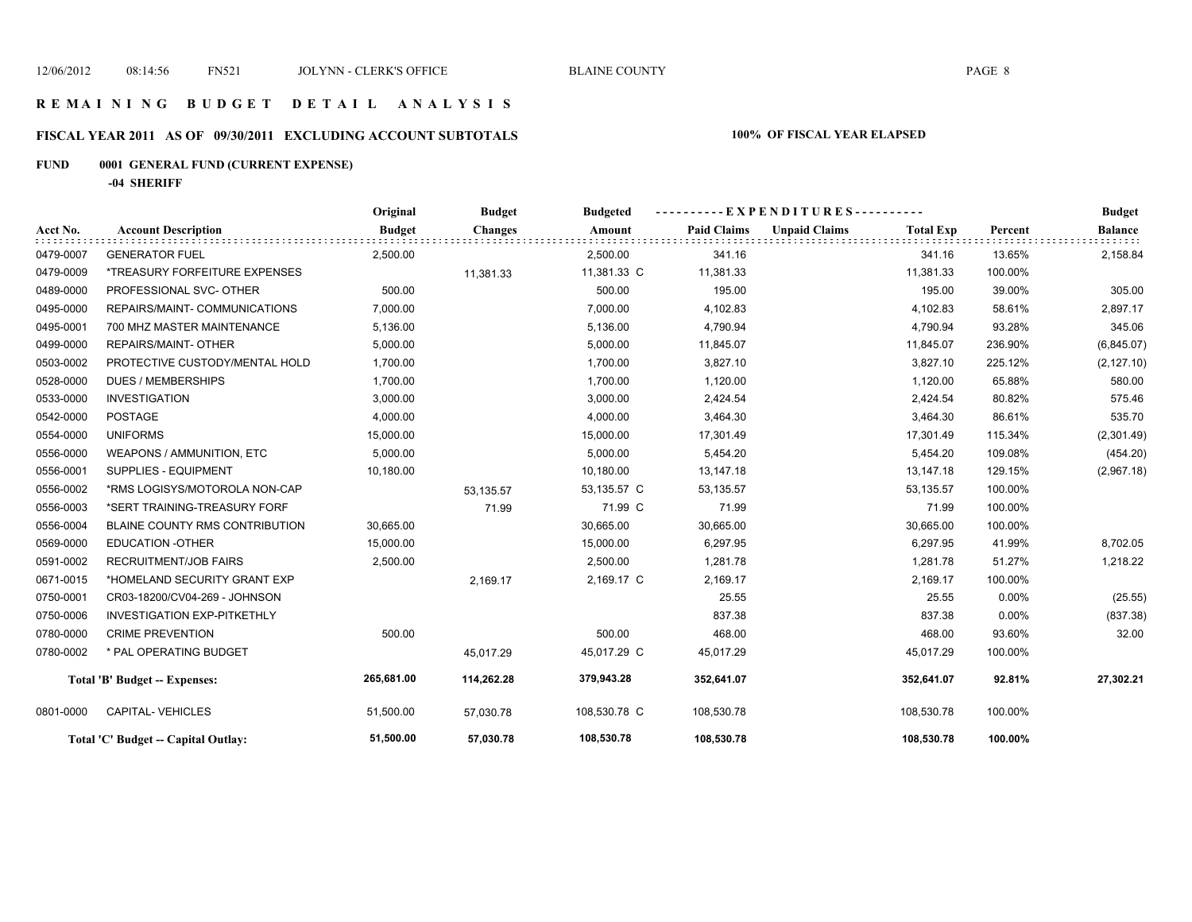# **FISCAL YEAR 2011 AS OF 09/30/2011 EXCLUDING ACCOUNT SUBTOTALS 100% OF FISCAL YEAR ELAPSED**

# **FUND 0001 GENERAL FUND (CURRENT EXPENSE)**

**-04 SHERIFF**

|           |                                      | Original      | <b>Budget</b>  | <b>Budgeted</b> | E X P E N D I T U R E S - - - - - - - - - |                      |                  |          | <b>Budget</b>         |
|-----------|--------------------------------------|---------------|----------------|-----------------|-------------------------------------------|----------------------|------------------|----------|-----------------------|
| Acct No.  | <b>Account Description</b>           | <b>Budget</b> | <b>Changes</b> | Amount          | <b>Paid Claims</b>                        | <b>Unpaid Claims</b> | <b>Total Exp</b> | Percent  | <b>Balance</b><br>ಂದರ |
| 0479-0007 | <b>GENERATOR FUEL</b>                | 2,500.00      |                | 2,500.00        | 341.16                                    |                      | 341.16           | 13.65%   | 2,158.84              |
| 0479-0009 | *TREASURY FORFEITURE EXPENSES        |               | 11,381.33      | 11,381.33 C     | 11,381.33                                 |                      | 11,381.33        | 100.00%  |                       |
| 0489-0000 | PROFESSIONAL SVC- OTHER              | 500.00        |                | 500.00          | 195.00                                    |                      | 195.00           | 39.00%   | 305.00                |
| 0495-0000 | REPAIRS/MAINT- COMMUNICATIONS        | 7,000.00      |                | 7,000.00        | 4,102.83                                  |                      | 4,102.83         | 58.61%   | 2,897.17              |
| 0495-0001 | 700 MHZ MASTER MAINTENANCE           | 5,136.00      |                | 5,136.00        | 4,790.94                                  |                      | 4,790.94         | 93.28%   | 345.06                |
| 0499-0000 | <b>REPAIRS/MAINT- OTHER</b>          | 5,000.00      |                | 5,000.00        | 11,845.07                                 |                      | 11,845.07        | 236.90%  | (6,845.07)            |
| 0503-0002 | PROTECTIVE CUSTODY/MENTAL HOLD       | 1,700.00      |                | 1,700.00        | 3,827.10                                  |                      | 3,827.10         | 225.12%  | (2, 127.10)           |
| 0528-0000 | <b>DUES / MEMBERSHIPS</b>            | 1,700.00      |                | 1,700.00        | 1,120.00                                  |                      | 1,120.00         | 65.88%   | 580.00                |
| 0533-0000 | <b>INVESTIGATION</b>                 | 3,000.00      |                | 3,000.00        | 2,424.54                                  |                      | 2,424.54         | 80.82%   | 575.46                |
| 0542-0000 | <b>POSTAGE</b>                       | 4,000.00      |                | 4,000.00        | 3,464.30                                  |                      | 3,464.30         | 86.61%   | 535.70                |
| 0554-0000 | <b>UNIFORMS</b>                      | 15,000.00     |                | 15,000.00       | 17,301.49                                 |                      | 17,301.49        | 115.34%  | (2,301.49)            |
| 0556-0000 | WEAPONS / AMMUNITION, ETC            | 5,000.00      |                | 5,000.00        | 5,454.20                                  |                      | 5,454.20         | 109.08%  | (454.20)              |
| 0556-0001 | <b>SUPPLIES - EQUIPMENT</b>          | 10,180.00     |                | 10,180.00       | 13,147.18                                 |                      | 13,147.18        | 129.15%  | (2,967.18)            |
| 0556-0002 | *RMS LOGISYS/MOTOROLA NON-CAP        |               | 53,135.57      | 53,135.57 C     | 53,135.57                                 |                      | 53,135.57        | 100.00%  |                       |
| 0556-0003 | *SERT TRAINING-TREASURY FORF         |               | 71.99          | 71.99 C         | 71.99                                     |                      | 71.99            | 100.00%  |                       |
| 0556-0004 | BLAINE COUNTY RMS CONTRIBUTION       | 30,665.00     |                | 30,665.00       | 30,665.00                                 |                      | 30,665.00        | 100.00%  |                       |
| 0569-0000 | <b>EDUCATION -OTHER</b>              | 15,000.00     |                | 15,000.00       | 6,297.95                                  |                      | 6,297.95         | 41.99%   | 8,702.05              |
| 0591-0002 | <b>RECRUITMENT/JOB FAIRS</b>         | 2,500.00      |                | 2,500.00        | 1,281.78                                  |                      | 1,281.78         | 51.27%   | 1,218.22              |
| 0671-0015 | *HOMELAND SECURITY GRANT EXP         |               | 2,169.17       | 2,169.17 C      | 2,169.17                                  |                      | 2,169.17         | 100.00%  |                       |
| 0750-0001 | CR03-18200/CV04-269 - JOHNSON        |               |                |                 | 25.55                                     |                      | 25.55            | 0.00%    | (25.55)               |
| 0750-0006 | <b>INVESTIGATION EXP-PITKETHLY</b>   |               |                |                 | 837.38                                    |                      | 837.38           | $0.00\%$ | (837.38)              |
| 0780-0000 | <b>CRIME PREVENTION</b>              | 500.00        |                | 500.00          | 468.00                                    |                      | 468.00           | 93.60%   | 32.00                 |
| 0780-0002 | * PAL OPERATING BUDGET               |               | 45,017.29      | 45,017.29 C     | 45,017.29                                 |                      | 45,017.29        | 100.00%  |                       |
|           | <b>Total 'B' Budget -- Expenses:</b> | 265,681.00    | 114,262.28     | 379,943.28      | 352,641.07                                |                      | 352,641.07       | 92.81%   | 27,302.21             |
| 0801-0000 | <b>CAPITAL-VEHICLES</b>              | 51,500.00     | 57,030.78      | 108,530.78 C    | 108,530.78                                |                      | 108,530.78       | 100.00%  |                       |
|           | Total 'C' Budget -- Capital Outlay:  | 51,500.00     | 57,030.78      | 108,530.78      | 108,530.78                                |                      | 108,530.78       | 100.00%  |                       |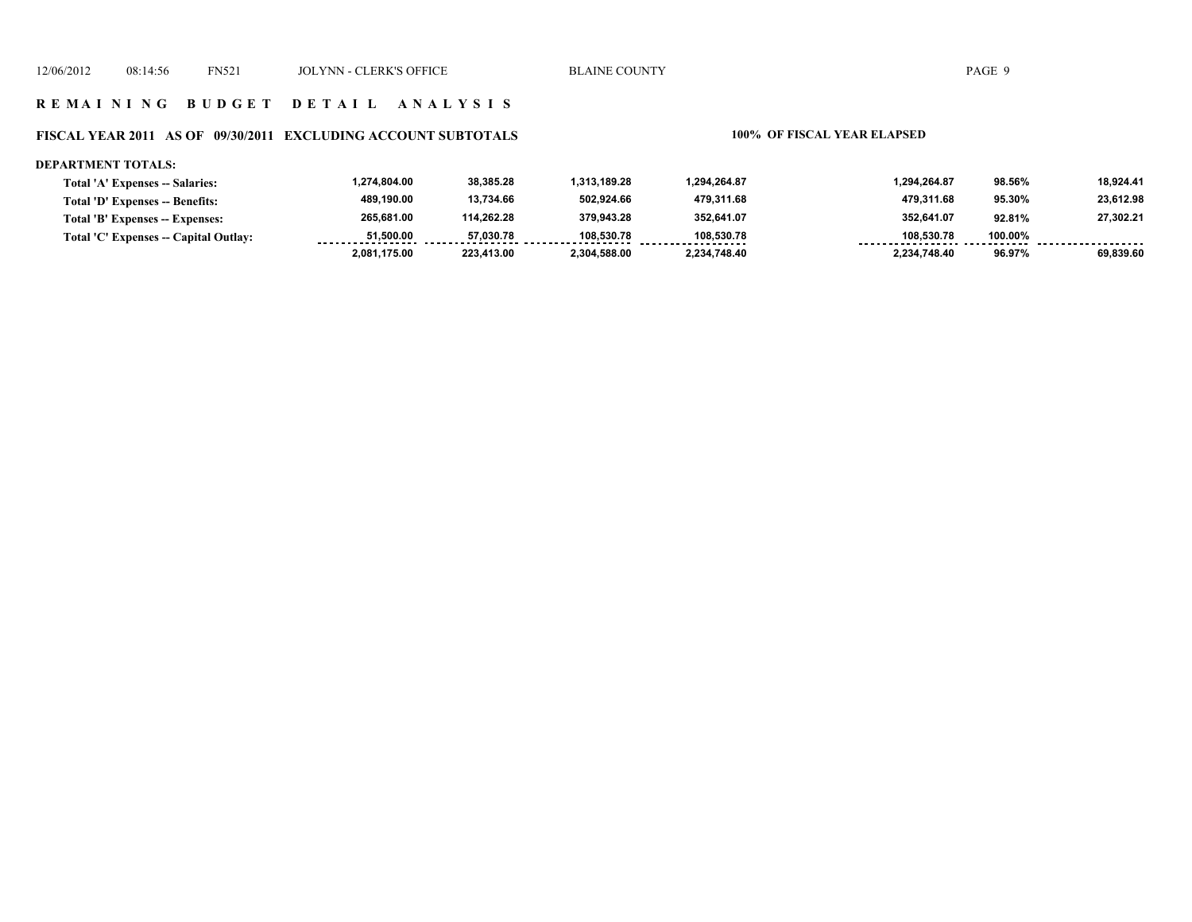### **FISCAL YEAR 2011 AS OF 09/30/2011 EXCLUDING ACCOUNT SUBTOTALS 100% OF FISCAL YEAR ELAPSED**

### **DEPARTMENT TOTALS:**

| <b>Total 'A' Expenses -- Salaries:</b> | 1.274.804.00 | 38,385.28  | 1.313.189.28 | .294.264.87  | 1,294,264.87 | 98.56%  | 18.924.41 |
|----------------------------------------|--------------|------------|--------------|--------------|--------------|---------|-----------|
| Total 'D' Expenses -- Benefits:        | 489.190.00   | 13,734.66  | 502.924.66   | 479.311.68   | 479.311.68   | 95.30%  | 23,612.98 |
| Total 'B' Expenses -- Expenses:        | 265.681.00   | 114.262.28 | 379.943.28   | 352.641.07   | 352.641.07   | 92.81%  | 27.302.21 |
| Total 'C' Expenses -- Capital Outlay:  | 51.500.00    | 57.030.78  | 108.530.78   | 108.530.78   | 108.530.78   | 100.00% |           |
|                                        | 2.081.175.00 | 223,413.00 | 2,304,588.00 | 2.234.748.40 | 2.234.748.40 | 96.97%  | 69.839.60 |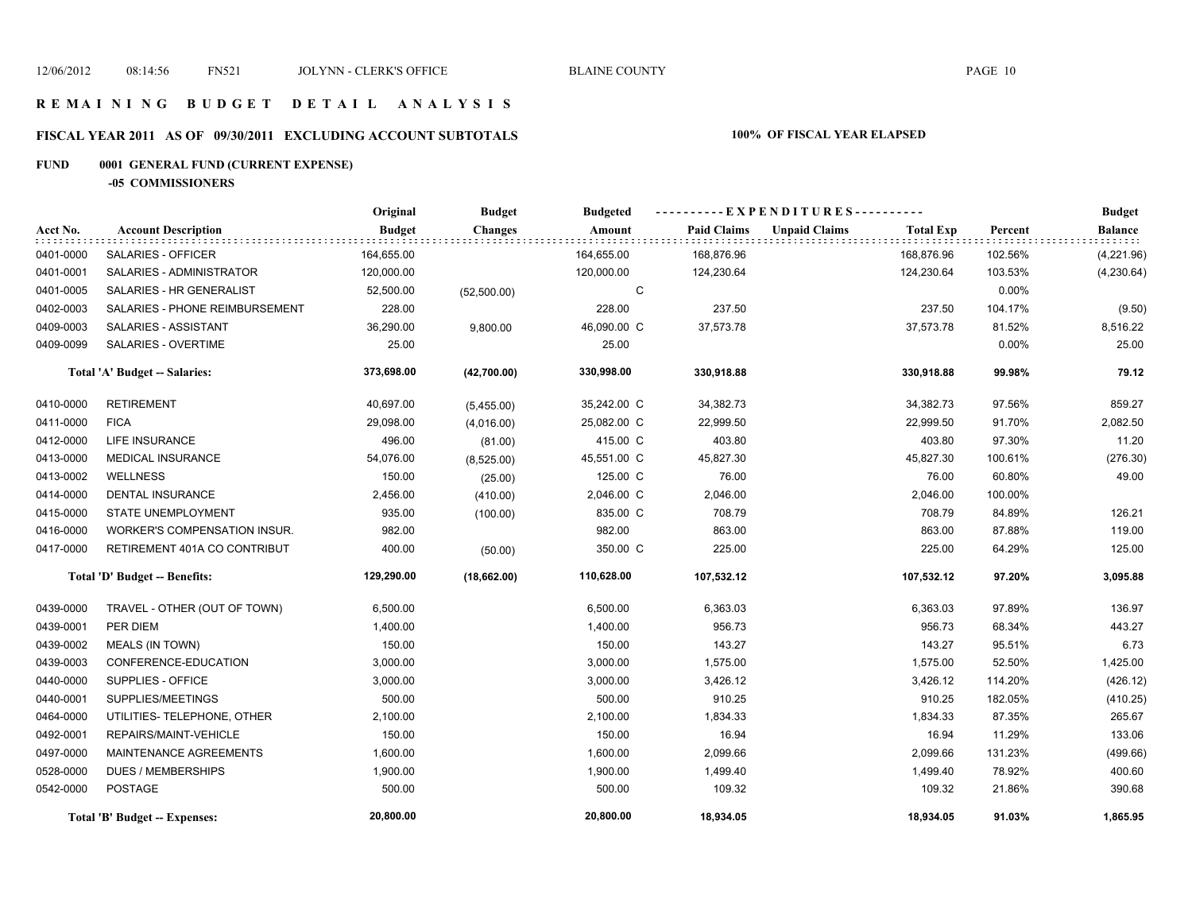# **FISCAL YEAR 2011 AS OF 09/30/2011 EXCLUDING ACCOUNT SUBTOTALS 100% OF FISCAL YEAR ELAPSED**

# **FUND 0001 GENERAL FUND (CURRENT EXPENSE)**

**-05 COMMISSIONERS**

|           |                                     | Original      | <b>Budget</b>  | <b>Budgeted</b> | ----------EXPENDITURES---------- |                      |                  |          | <b>Budget</b>  |  |
|-----------|-------------------------------------|---------------|----------------|-----------------|----------------------------------|----------------------|------------------|----------|----------------|--|
| Acct No.  | <b>Account Description</b>          | <b>Budget</b> | <b>Changes</b> | Amount          | <b>Paid Claims</b>               | <b>Unpaid Claims</b> | <b>Total Exp</b> | Percent  | <b>Balance</b> |  |
| 0401-0000 | SALARIES - OFFICER                  | 164,655.00    |                | 164,655.00      | 168,876.96                       |                      | 168,876.96       | 102.56%  | (4,221.96)     |  |
| 0401-0001 | SALARIES - ADMINISTRATOR            | 120,000.00    |                | 120,000.00      | 124,230.64                       |                      | 124,230.64       | 103.53%  | (4,230.64)     |  |
| 0401-0005 | SALARIES - HR GENERALIST            | 52,500.00     | (52,500.00)    | C               |                                  |                      |                  | $0.00\%$ |                |  |
| 0402-0003 | SALARIES - PHONE REIMBURSEMENT      | 228.00        |                | 228.00          | 237.50                           |                      | 237.50           | 104.17%  | (9.50)         |  |
| 0409-0003 | SALARIES - ASSISTANT                | 36,290.00     | 9,800.00       | 46,090.00 C     | 37,573.78                        |                      | 37,573.78        | 81.52%   | 8,516.22       |  |
| 0409-0099 | SALARIES - OVERTIME                 | 25.00         |                | 25.00           |                                  |                      |                  | $0.00\%$ | 25.00          |  |
|           | Total 'A' Budget -- Salaries:       | 373,698.00    | (42,700.00)    | 330,998.00      | 330,918.88                       |                      | 330,918.88       | 99.98%   | 79.12          |  |
| 0410-0000 | <b>RETIREMENT</b>                   | 40,697.00     | (5,455.00)     | 35,242.00 C     | 34,382.73                        |                      | 34,382.73        | 97.56%   | 859.27         |  |
| 0411-0000 | <b>FICA</b>                         | 29,098.00     | (4,016.00)     | 25,082.00 C     | 22,999.50                        |                      | 22,999.50        | 91.70%   | 2,082.50       |  |
| 0412-0000 | <b>LIFE INSURANCE</b>               | 496.00        | (81.00)        | 415.00 C        | 403.80                           |                      | 403.80           | 97.30%   | 11.20          |  |
| 0413-0000 | <b>MEDICAL INSURANCE</b>            | 54,076.00     | (8,525.00)     | 45,551.00 C     | 45,827.30                        |                      | 45,827.30        | 100.61%  | (276.30)       |  |
| 0413-0002 | <b>WELLNESS</b>                     | 150.00        | (25.00)        | 125.00 C        | 76.00                            |                      | 76.00            | 60.80%   | 49.00          |  |
| 0414-0000 | <b>DENTAL INSURANCE</b>             | 2,456.00      | (410.00)       | 2,046.00 C      | 2,046.00                         |                      | 2,046.00         | 100.00%  |                |  |
| 0415-0000 | STATE UNEMPLOYMENT                  | 935.00        | (100.00)       | 835.00 C        | 708.79                           |                      | 708.79           | 84.89%   | 126.21         |  |
| 0416-0000 | <b>WORKER'S COMPENSATION INSUR.</b> | 982.00        |                | 982.00          | 863.00                           |                      | 863.00           | 87.88%   | 119.00         |  |
| 0417-0000 | RETIREMENT 401A CO CONTRIBUT        | 400.00        | (50.00)        | 350.00 C        | 225.00                           |                      | 225.00           | 64.29%   | 125.00         |  |
|           | Total 'D' Budget -- Benefits:       | 129,290.00    | (18,662.00)    | 110,628.00      | 107,532.12                       |                      | 107,532.12       | 97.20%   | 3,095.88       |  |
| 0439-0000 | TRAVEL - OTHER (OUT OF TOWN)        | 6,500.00      |                | 6,500.00        | 6,363.03                         |                      | 6,363.03         | 97.89%   | 136.97         |  |
| 0439-0001 | PER DIEM                            | 1,400.00      |                | 1,400.00        | 956.73                           |                      | 956.73           | 68.34%   | 443.27         |  |
| 0439-0002 | <b>MEALS (IN TOWN)</b>              | 150.00        |                | 150.00          | 143.27                           |                      | 143.27           | 95.51%   | 6.73           |  |
| 0439-0003 | CONFERENCE-EDUCATION                | 3,000.00      |                | 3,000.00        | 1,575.00                         |                      | 1,575.00         | 52.50%   | 1,425.00       |  |
| 0440-0000 | SUPPLIES - OFFICE                   | 3,000.00      |                | 3,000.00        | 3,426.12                         |                      | 3,426.12         | 114.20%  | (426.12)       |  |
| 0440-0001 | SUPPLIES/MEETINGS                   | 500.00        |                | 500.00          | 910.25                           |                      | 910.25           | 182.05%  | (410.25)       |  |
| 0464-0000 | UTILITIES- TELEPHONE, OTHER         | 2,100.00      |                | 2,100.00        | 1,834.33                         |                      | 1,834.33         | 87.35%   | 265.67         |  |
| 0492-0001 | REPAIRS/MAINT-VEHICLE               | 150.00        |                | 150.00          | 16.94                            |                      | 16.94            | 11.29%   | 133.06         |  |
| 0497-0000 | MAINTENANCE AGREEMENTS              | 1,600.00      |                | 1,600.00        | 2,099.66                         |                      | 2,099.66         | 131.23%  | (499.66)       |  |
| 0528-0000 | <b>DUES / MEMBERSHIPS</b>           | 1,900.00      |                | 1,900.00        | 1,499.40                         |                      | 1,499.40         | 78.92%   | 400.60         |  |
| 0542-0000 | <b>POSTAGE</b>                      | 500.00        |                | 500.00          | 109.32                           |                      | 109.32           | 21.86%   | 390.68         |  |
|           | Total 'B' Budget -- Expenses:       | 20,800.00     |                | 20,800.00       | 18,934.05                        |                      | 18,934.05        | 91.03%   | 1,865.95       |  |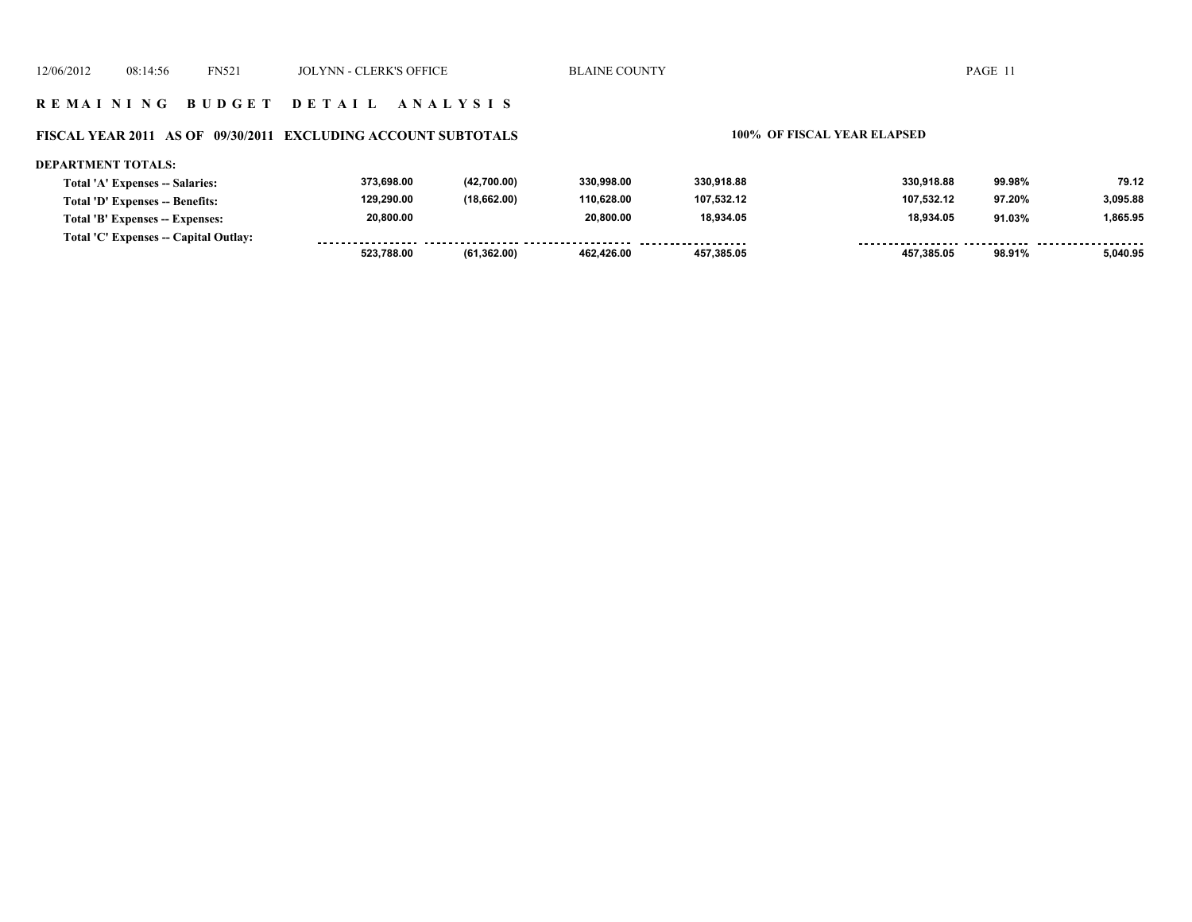### **FISCAL YEAR 2011 AS OF 09/30/2011 EXCLUDING ACCOUNT SUBTOTALS 100% OF FISCAL YEAR ELAPSED**

### **DEPARTMENT TOTALS: 373,698.00 (42,700.00) 330,998.00 330,918.88 330,918.88 99.98% 79.12 Total 'A' Expenses -- Salaries: 129,290.00 (18,662.00) 110,628.00 107,532.12 107,532.12 3,095.88 Total 'D' Expenses -- Benefits: 97.20% 20,800.00 20,800.00 18,934.05 18,934.05 91.03% 1,865.95 Total 'B' Expenses -- Expenses: Total 'C' Expenses -- Capital Outlay:** ................. ................. .......... ................... . . . . . . . . ........ ........ **(61,362.00) 523,788.00 462,426.00 457,385.05 457,385.05 98.91% 5,040.95**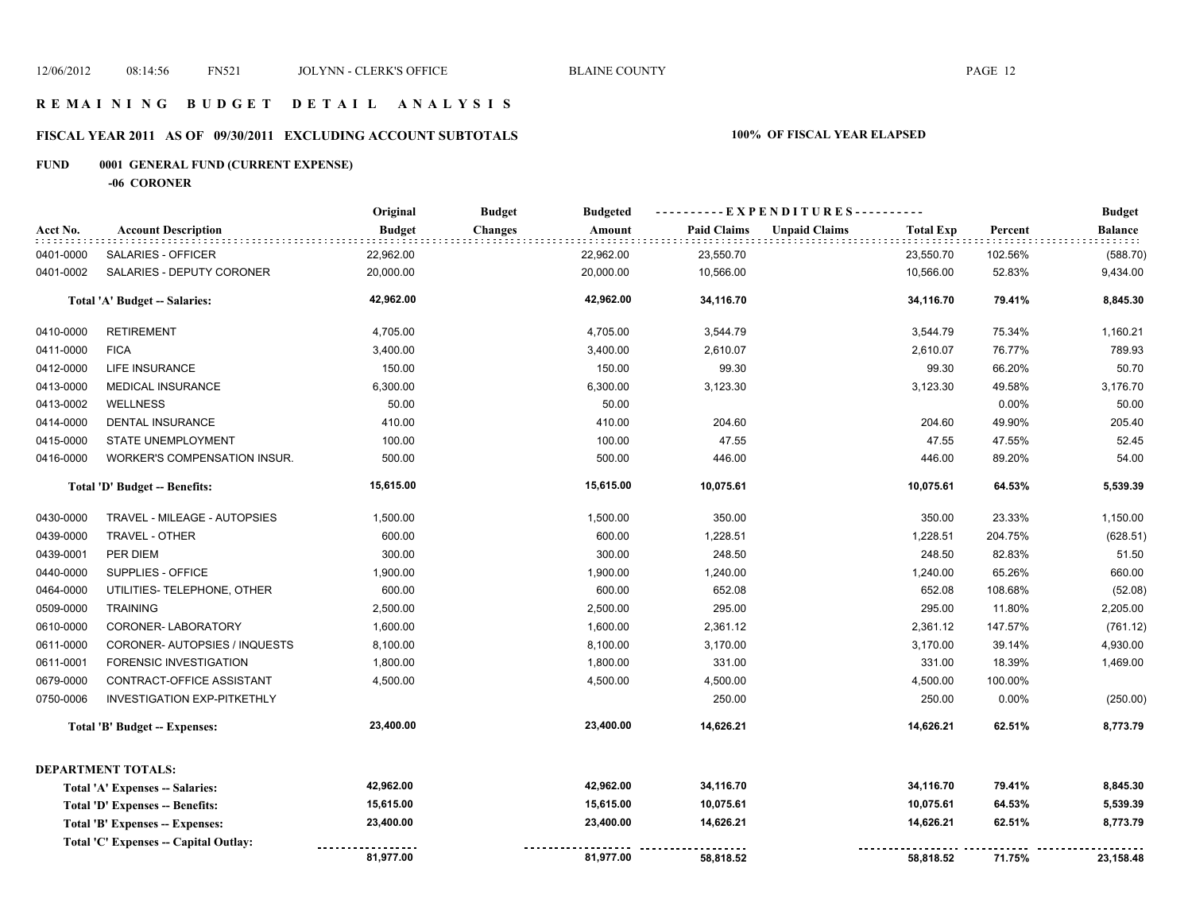### **R E M A I N I N G B U D G E T D E T A I L A N A L Y S I S**

# **FISCAL YEAR 2011 AS OF 09/30/2011 EXCLUDING ACCOUNT SUBTOTALS 100% OF FISCAL YEAR ELAPSED**

# **FUND 0001 GENERAL FUND (CURRENT EXPENSE)**

**-06 CORONER**

|           |                                                             | Original      | <b>Budget</b>  | <b>Budgeted</b> | ----------EXPENDITURES---------- |                           |                  |         | <b>Budget</b>               |
|-----------|-------------------------------------------------------------|---------------|----------------|-----------------|----------------------------------|---------------------------|------------------|---------|-----------------------------|
| Acct No.  | <b>Account Description</b><br>: : : : : : : : : : : : : : : | <b>Budget</b> | <b>Changes</b> | Amount          | <b>Paid Claims</b>               | <b>Unpaid Claims</b><br>. | <b>Total Exp</b> | Percent | <b>Balance</b><br>did title |
| 0401-0000 | <b>SALARIES - OFFICER</b>                                   | 22,962.00     |                | 22,962.00       | 23,550.70                        |                           | 23,550.70        | 102.56% | (588.70)                    |
| 0401-0002 | SALARIES - DEPUTY CORONER                                   | 20,000.00     |                | 20,000.00       | 10,566.00                        |                           | 10,566.00        | 52.83%  | 9,434.00                    |
|           | Total 'A' Budget -- Salaries:                               | 42,962.00     |                | 42,962.00       | 34,116.70                        |                           | 34,116.70        | 79.41%  | 8,845.30                    |
| 0410-0000 | <b>RETIREMENT</b>                                           | 4,705.00      |                | 4,705.00        | 3,544.79                         |                           | 3,544.79         | 75.34%  | 1,160.21                    |
| 0411-0000 | <b>FICA</b>                                                 | 3,400.00      |                | 3,400.00        | 2,610.07                         |                           | 2,610.07         | 76.77%  | 789.93                      |
| 0412-0000 | <b>LIFE INSURANCE</b>                                       | 150.00        |                | 150.00          | 99.30                            |                           | 99.30            | 66.20%  | 50.70                       |
| 0413-0000 | MEDICAL INSURANCE                                           | 6,300.00      |                | 6,300.00        | 3,123.30                         |                           | 3,123.30         | 49.58%  | 3,176.70                    |
| 0413-0002 | <b>WELLNESS</b>                                             | 50.00         |                | 50.00           |                                  |                           |                  | 0.00%   | 50.00                       |
| 0414-0000 | <b>DENTAL INSURANCE</b>                                     | 410.00        |                | 410.00          | 204.60                           |                           | 204.60           | 49.90%  | 205.40                      |
| 0415-0000 | STATE UNEMPLOYMENT                                          | 100.00        |                | 100.00          | 47.55                            |                           | 47.55            | 47.55%  | 52.45                       |
| 0416-0000 | WORKER'S COMPENSATION INSUR.                                | 500.00        |                | 500.00          | 446.00                           |                           | 446.00           | 89.20%  | 54.00                       |
|           | Total 'D' Budget -- Benefits:                               | 15,615.00     |                | 15,615.00       | 10,075.61                        |                           | 10,075.61        | 64.53%  | 5,539.39                    |
| 0430-0000 | TRAVEL - MILEAGE - AUTOPSIES                                | 1,500.00      |                | 1,500.00        | 350.00                           |                           | 350.00           | 23.33%  | 1,150.00                    |
| 0439-0000 | TRAVEL - OTHER                                              | 600.00        |                | 600.00          | 1,228.51                         |                           | 1,228.51         | 204.75% | (628.51)                    |
| 0439-0001 | PER DIEM                                                    | 300.00        |                | 300.00          | 248.50                           |                           | 248.50           | 82.83%  | 51.50                       |
| 0440-0000 | SUPPLIES - OFFICE                                           | 1,900.00      |                | 1,900.00        | 1,240.00                         |                           | 1,240.00         | 65.26%  | 660.00                      |
| 0464-0000 | UTILITIES- TELEPHONE, OTHER                                 | 600.00        |                | 600.00          | 652.08                           |                           | 652.08           | 108.68% | (52.08)                     |
| 0509-0000 | <b>TRAINING</b>                                             | 2,500.00      |                | 2,500.00        | 295.00                           |                           | 295.00           | 11.80%  | 2,205.00                    |
| 0610-0000 | CORONER-LABORATORY                                          | 1,600.00      |                | 1,600.00        | 2,361.12                         |                           | 2,361.12         | 147.57% | (761.12)                    |
| 0611-0000 | CORONER-AUTOPSIES / INQUESTS                                | 8,100.00      |                | 8,100.00        | 3,170.00                         |                           | 3,170.00         | 39.14%  | 4,930.00                    |
| 0611-0001 | <b>FORENSIC INVESTIGATION</b>                               | 1,800.00      |                | 1,800.00        | 331.00                           |                           | 331.00           | 18.39%  | 1,469.00                    |
| 0679-0000 | CONTRACT-OFFICE ASSISTANT                                   | 4,500.00      |                | 4,500.00        | 4,500.00                         |                           | 4,500.00         | 100.00% |                             |
| 0750-0006 | <b>INVESTIGATION EXP-PITKETHLY</b>                          |               |                |                 | 250.00                           |                           | 250.00           | 0.00%   | (250.00)                    |
|           | <b>Total 'B' Budget -- Expenses:</b>                        | 23,400.00     |                | 23,400.00       | 14,626.21                        |                           | 14,626.21        | 62.51%  | 8,773.79                    |
|           | <b>DEPARTMENT TOTALS:</b>                                   |               |                |                 |                                  |                           |                  |         |                             |
|           | <b>Total 'A' Expenses -- Salaries:</b>                      | 42,962.00     |                | 42,962.00       | 34,116.70                        |                           | 34,116.70        | 79.41%  | 8,845.30                    |
|           | <b>Total 'D' Expenses -- Benefits:</b>                      | 15,615.00     |                | 15,615.00       | 10,075.61                        |                           | 10,075.61        | 64.53%  | 5,539.39                    |
|           | Total 'B' Expenses -- Expenses:                             | 23,400.00     |                | 23,400.00       | 14,626.21                        |                           | 14,626.21        | 62.51%  | 8,773.79                    |
|           | Total 'C' Expenses -- Capital Outlay:                       |               |                |                 |                                  |                           |                  |         |                             |
|           |                                                             | 81,977.00     |                | 81,977.00       | 58,818.52                        |                           | 58,818.52        | 71.75%  | 23,158.48                   |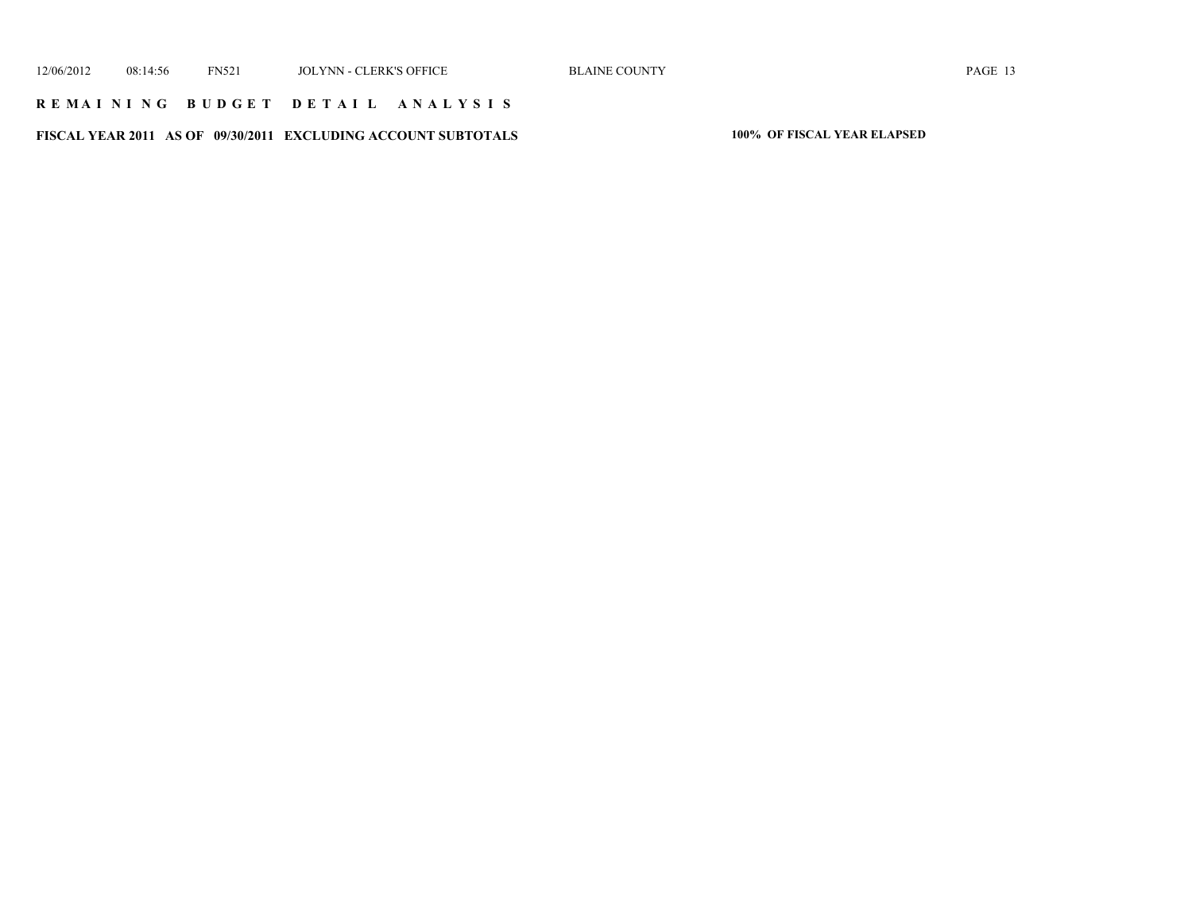### **R E M A I N I N G B U D G E T D E T A I L A N A L Y S I S**

**FISCAL YEAR 2011 AS OF 09/30/2011 EXCLUDING ACCOUNT SUBTOTALS 100% OF FISCAL YEAR ELAPSED**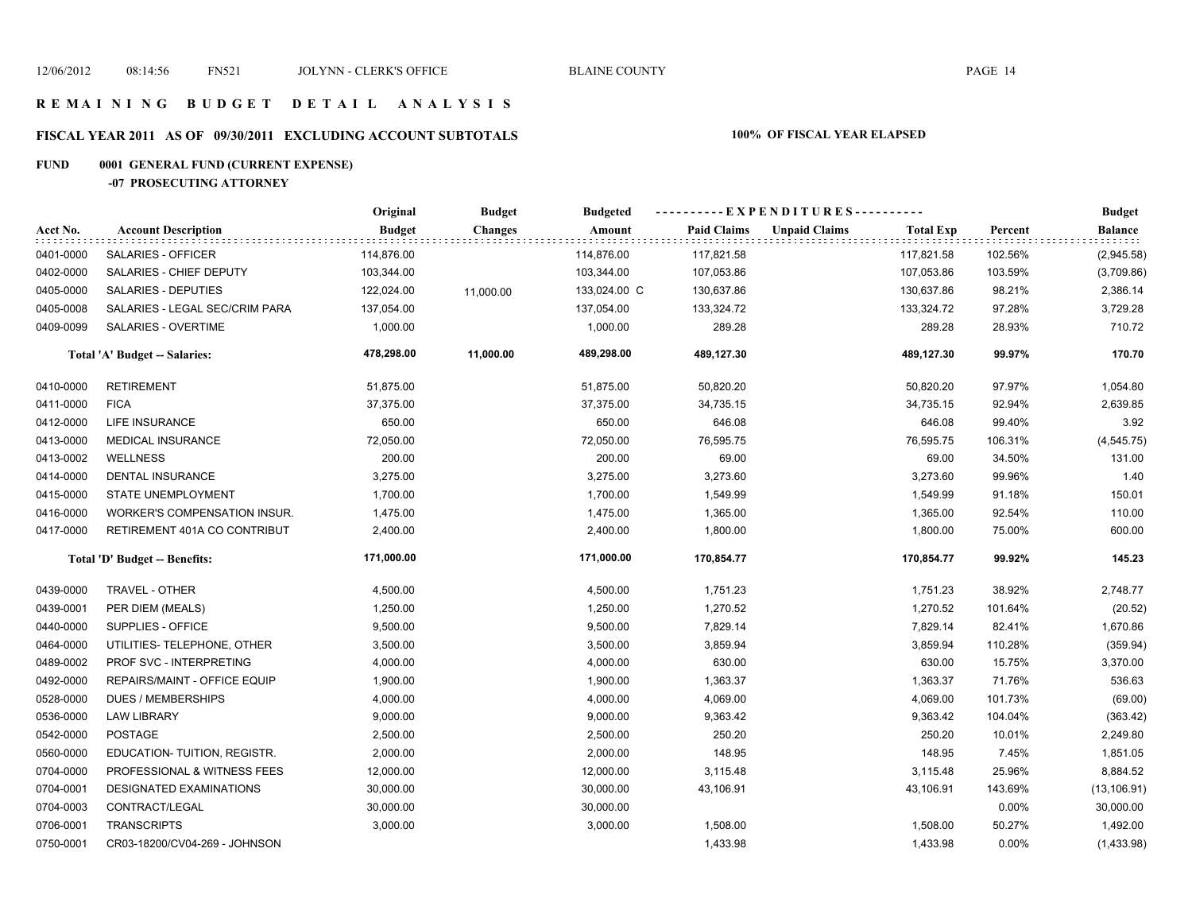# **FISCAL YEAR 2011 AS OF 09/30/2011 EXCLUDING ACCOUNT SUBTOTALS 100% OF FISCAL YEAR ELAPSED**

# **FUND 0001 GENERAL FUND (CURRENT EXPENSE)**

### **-07 PROSECUTING ATTORNEY**

|           |                                     | Original      | <b>Budget</b>  | <b>Budgeted</b> | ----------EXPENDITURES---------- |                      |                  |          | <b>Budget</b>                |  |
|-----------|-------------------------------------|---------------|----------------|-----------------|----------------------------------|----------------------|------------------|----------|------------------------------|--|
| Acct No.  | <b>Account Description</b>          | <b>Budget</b> | <b>Changes</b> | Amount          | <b>Paid Claims</b>               | <b>Unpaid Claims</b> | <b>Total Exp</b> | Percent  | <b>Balance</b><br>it tit tit |  |
| 0401-0000 | SALARIES - OFFICER                  | 114,876.00    |                | 114,876.00      | 117,821.58                       |                      | 117,821.58       | 102.56%  | (2,945.58)                   |  |
| 0402-0000 | SALARIES - CHIEF DEPUTY             | 103,344.00    |                | 103,344.00      | 107,053.86                       |                      | 107,053.86       | 103.59%  | (3,709.86)                   |  |
| 0405-0000 | SALARIES - DEPUTIES                 | 122,024.00    | 11,000.00      | 133,024.00 C    | 130,637.86                       |                      | 130,637.86       | 98.21%   | 2,386.14                     |  |
| 0405-0008 | SALARIES - LEGAL SEC/CRIM PARA      | 137,054.00    |                | 137,054.00      | 133,324.72                       |                      | 133,324.72       | 97.28%   | 3,729.28                     |  |
| 0409-0099 | SALARIES - OVERTIME                 | 1,000.00      |                | 1,000.00        | 289.28                           |                      | 289.28           | 28.93%   | 710.72                       |  |
|           | Total 'A' Budget -- Salaries:       | 478,298.00    | 11,000.00      | 489,298.00      | 489,127.30                       |                      | 489,127.30       | 99.97%   | 170.70                       |  |
| 0410-0000 | <b>RETIREMENT</b>                   | 51,875.00     |                | 51,875.00       | 50,820.20                        |                      | 50,820.20        | 97.97%   | 1,054.80                     |  |
| 0411-0000 | <b>FICA</b>                         | 37,375.00     |                | 37,375.00       | 34,735.15                        |                      | 34,735.15        | 92.94%   | 2,639.85                     |  |
| 0412-0000 | <b>LIFE INSURANCE</b>               | 650.00        |                | 650.00          | 646.08                           |                      | 646.08           | 99.40%   | 3.92                         |  |
| 0413-0000 | MEDICAL INSURANCE                   | 72,050.00     |                | 72,050.00       | 76,595.75                        |                      | 76,595.75        | 106.31%  | (4, 545.75)                  |  |
| 0413-0002 | <b>WELLNESS</b>                     | 200.00        |                | 200.00          | 69.00                            |                      | 69.00            | 34.50%   | 131.00                       |  |
| 0414-0000 | <b>DENTAL INSURANCE</b>             | 3,275.00      |                | 3,275.00        | 3,273.60                         |                      | 3,273.60         | 99.96%   | 1.40                         |  |
| 0415-0000 | <b>STATE UNEMPLOYMENT</b>           | 1,700.00      |                | 1,700.00        | 1,549.99                         |                      | 1,549.99         | 91.18%   | 150.01                       |  |
| 0416-0000 | <b>WORKER'S COMPENSATION INSUR.</b> | 1,475.00      |                | 1,475.00        | 1,365.00                         |                      | 1,365.00         | 92.54%   | 110.00                       |  |
| 0417-0000 | RETIREMENT 401A CO CONTRIBUT        | 2,400.00      |                | 2,400.00        | 1,800.00                         |                      | 1,800.00         | 75.00%   | 600.00                       |  |
|           | Total 'D' Budget -- Benefits:       | 171,000.00    |                | 171,000.00      | 170,854.77                       |                      | 170,854.77       | 99.92%   | 145.23                       |  |
| 0439-0000 | TRAVEL - OTHER                      | 4,500.00      |                | 4,500.00        | 1,751.23                         |                      | 1,751.23         | 38.92%   | 2,748.77                     |  |
| 0439-0001 | PER DIEM (MEALS)                    | 1,250.00      |                | 1,250.00        | 1,270.52                         |                      | 1,270.52         | 101.64%  | (20.52)                      |  |
| 0440-0000 | SUPPLIES - OFFICE                   | 9,500.00      |                | 9,500.00        | 7,829.14                         |                      | 7,829.14         | 82.41%   | 1,670.86                     |  |
| 0464-0000 | UTILITIES- TELEPHONE, OTHER         | 3,500.00      |                | 3,500.00        | 3,859.94                         |                      | 3,859.94         | 110.28%  | (359.94)                     |  |
| 0489-0002 | PROF SVC - INTERPRETING             | 4,000.00      |                | 4,000.00        | 630.00                           |                      | 630.00           | 15.75%   | 3,370.00                     |  |
| 0492-0000 | REPAIRS/MAINT - OFFICE EQUIP        | 1,900.00      |                | 1,900.00        | 1,363.37                         |                      | 1,363.37         | 71.76%   | 536.63                       |  |
| 0528-0000 | <b>DUES / MEMBERSHIPS</b>           | 4,000.00      |                | 4,000.00        | 4,069.00                         |                      | 4,069.00         | 101.73%  | (69.00)                      |  |
| 0536-0000 | <b>LAW LIBRARY</b>                  | 9,000.00      |                | 9,000.00        | 9,363.42                         |                      | 9,363.42         | 104.04%  | (363.42)                     |  |
| 0542-0000 | <b>POSTAGE</b>                      | 2,500.00      |                | 2,500.00        | 250.20                           |                      | 250.20           | 10.01%   | 2,249.80                     |  |
| 0560-0000 | EDUCATION- TUITION, REGISTR.        | 2,000.00      |                | 2,000.00        | 148.95                           |                      | 148.95           | 7.45%    | 1,851.05                     |  |
| 0704-0000 | PROFESSIONAL & WITNESS FEES         | 12,000.00     |                | 12,000.00       | 3,115.48                         |                      | 3,115.48         | 25.96%   | 8,884.52                     |  |
| 0704-0001 | DESIGNATED EXAMINATIONS             | 30,000.00     |                | 30,000.00       | 43,106.91                        |                      | 43,106.91        | 143.69%  | (13, 106.91)                 |  |
| 0704-0003 | CONTRACT/LEGAL                      | 30,000.00     |                | 30,000.00       |                                  |                      |                  | $0.00\%$ | 30,000.00                    |  |
| 0706-0001 | <b>TRANSCRIPTS</b>                  | 3,000.00      |                | 3,000.00        | 1,508.00                         |                      | 1,508.00         | 50.27%   | 1,492.00                     |  |
| 0750-0001 | CR03-18200/CV04-269 - JOHNSON       |               |                |                 | 1,433.98                         |                      | 1,433.98         | $0.00\%$ | (1,433.98)                   |  |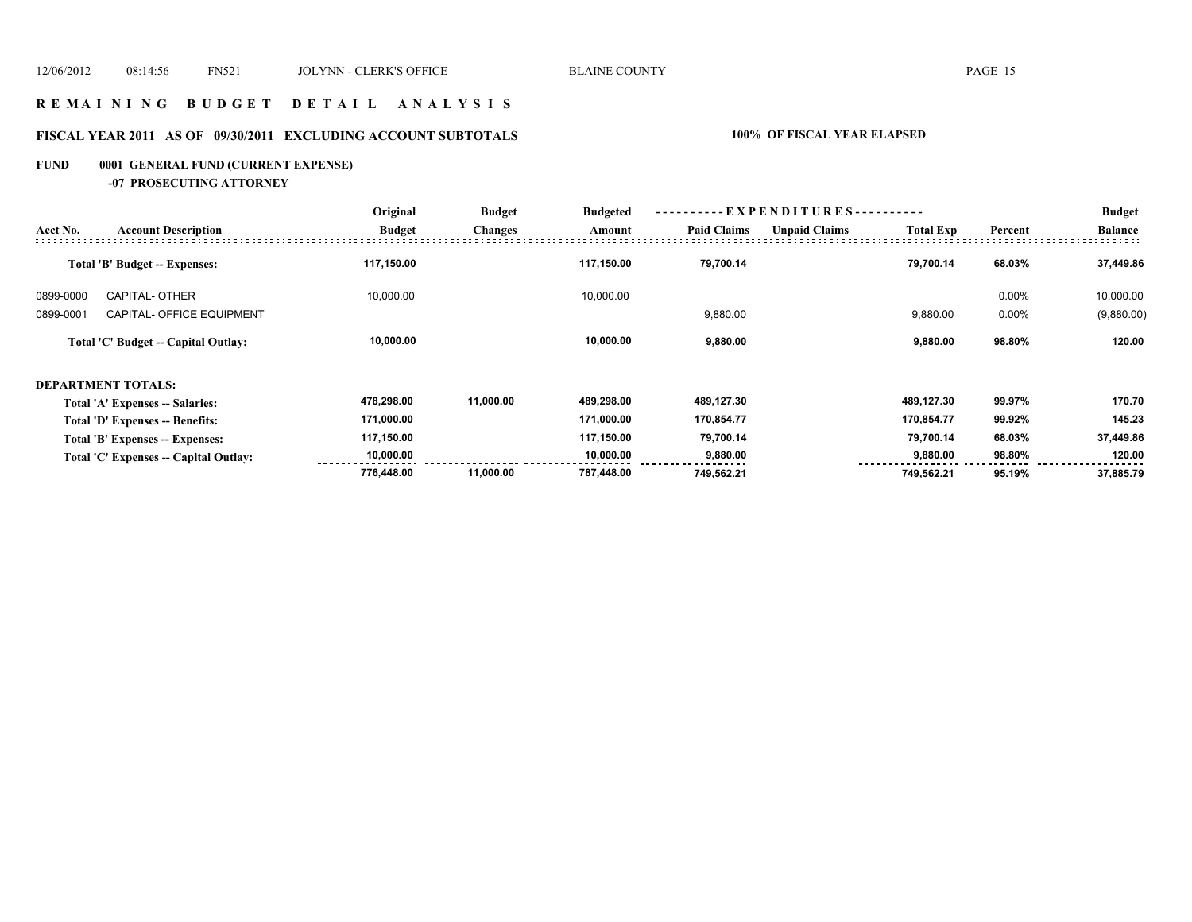### **R E M A I N I N G B U D G E T D E T A I L A N A L Y S I S**

# **FISCAL YEAR 2011 AS OF 09/30/2011 EXCLUDING ACCOUNT SUBTOTALS 100% OF FISCAL YEAR ELAPSED**

# **FUND 0001 GENERAL FUND (CURRENT EXPENSE)**

### **-07 PROSECUTING ATTORNEY**

|           |                                        | Original      | <b>Budget</b><br><b>Changes</b> | <b>Budgeted</b> | ----------EXPENDITURES---------- |                      |                  | <b>Budget</b> |                |
|-----------|----------------------------------------|---------------|---------------------------------|-----------------|----------------------------------|----------------------|------------------|---------------|----------------|
| Acct No.  | <b>Account Description</b>             | <b>Budget</b> |                                 | Amount          | <b>Paid Claims</b>               | <b>Unpaid Claims</b> | <b>Total Exp</b> | Percent       | <b>Balance</b> |
|           | <b>Total 'B' Budget -- Expenses:</b>   | 117,150.00    |                                 | 117,150.00      | 79.700.14                        |                      | 79.700.14        | 68.03%        | 37,449.86      |
| 0899-0000 | <b>CAPITAL- OTHER</b>                  | 10,000.00     |                                 | 10,000.00       |                                  |                      |                  | 0.00%         | 10,000.00      |
| 0899-0001 | CAPITAL- OFFICE EQUIPMENT              |               |                                 |                 | 9,880.00                         |                      | 9,880.00         | 0.00%         | (9,880.00)     |
|           | Total 'C' Budget -- Capital Outlay:    | 10,000.00     |                                 | 10,000.00       | 9,880.00                         |                      | 9,880.00         | 98.80%        | 120.00         |
|           | <b>DEPARTMENT TOTALS:</b>              |               |                                 |                 |                                  |                      |                  |               |                |
|           | Total 'A' Expenses -- Salaries:        | 478,298.00    | 11,000.00                       | 489,298.00      | 489,127.30                       |                      | 489,127.30       | 99.97%        | 170.70         |
|           | <b>Total 'D' Expenses -- Benefits:</b> | 171,000.00    |                                 | 171,000.00      | 170,854.77                       |                      | 170.854.77       | 99.92%        | 145.23         |
|           | Total 'B' Expenses -- Expenses:        | 117,150.00    |                                 | 117,150.00      | 79,700.14                        |                      | 79,700.14        | 68.03%        | 37,449.86      |
|           | Total 'C' Expenses -- Capital Outlay:  | 10,000.00     |                                 | 10.000.00       | 9,880.00                         |                      | 9,880.00         | 98.80%        | 120.00         |
|           |                                        | 776,448.00    | 11,000.00                       | 787,448.00      | 749,562.21                       |                      | 749,562.21       | 95.19%        | 37,885.79      |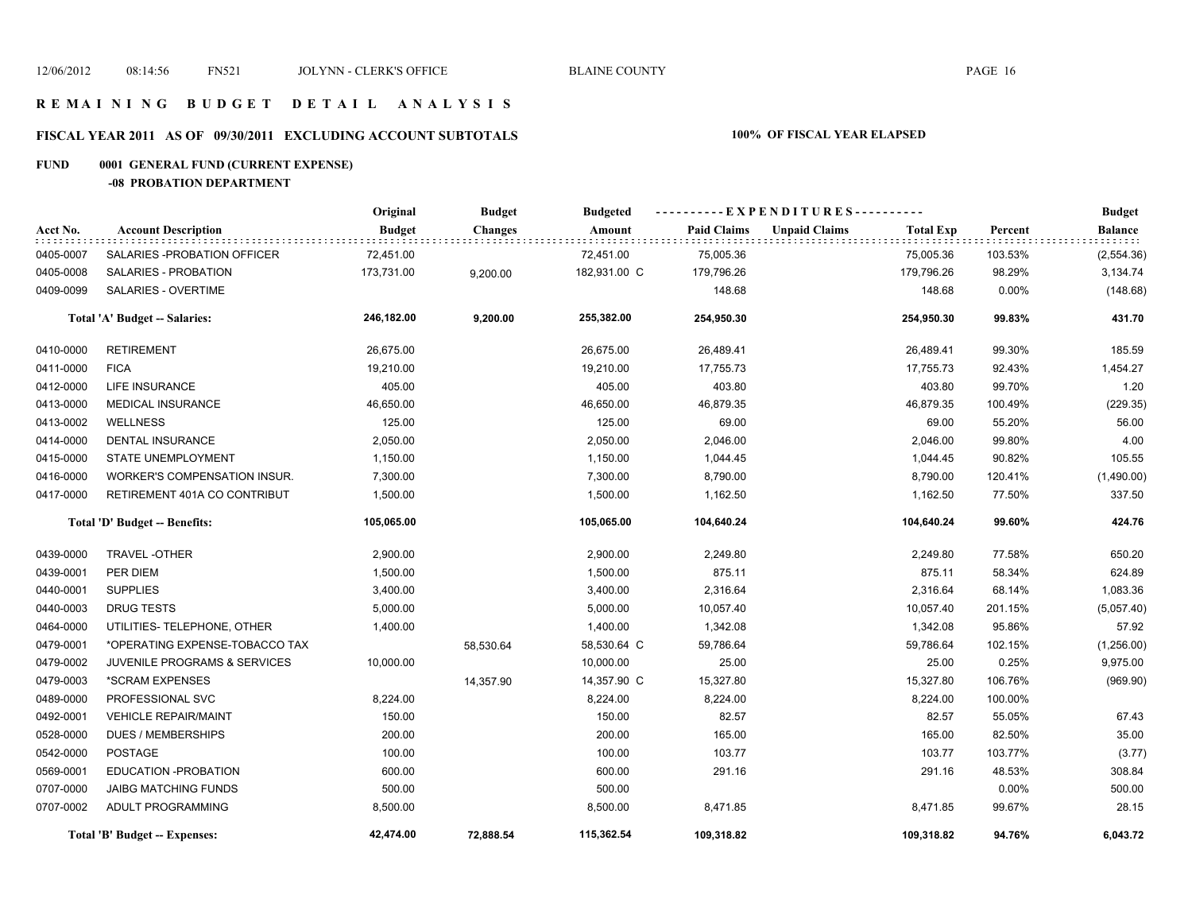### **R E M A I N I N G B U D G E T D E T A I L A N A L Y S I S**

# **FISCAL YEAR 2011 AS OF 09/30/2011 EXCLUDING ACCOUNT SUBTOTALS 100% OF FISCAL YEAR ELAPSED**

### **FUND 0001 GENERAL FUND (CURRENT EXPENSE)**

**-08 PROBATION DEPARTMENT**

|           |                                         | Original      | <b>Budget</b>  | <b>Budgeted</b> |                    | ----------EXPENDITURES----------         |          | <b>Budget</b>  |
|-----------|-----------------------------------------|---------------|----------------|-----------------|--------------------|------------------------------------------|----------|----------------|
| Acct No.  | <b>Account Description</b>              | <b>Budget</b> | <b>Changes</b> | Amount          | <b>Paid Claims</b> | <b>Unpaid Claims</b><br><b>Total Exp</b> | Percent  | <b>Balance</b> |
| 0405-0007 | SALARIES - PROBATION OF FICER           | 72,451.00     |                | 72,451.00       | 75,005.36          | 75,005.36                                | 103.53%  | (2,554.36)     |
| 0405-0008 | SALARIES - PROBATION                    | 173,731.00    | 9,200.00       | 182,931.00 C    | 179,796.26         | 179,796.26                               | 98.29%   | 3,134.74       |
| 0409-0099 | SALARIES - OVERTIME                     |               |                |                 | 148.68             | 148.68                                   | $0.00\%$ | (148.68)       |
|           | Total 'A' Budget -- Salaries:           | 246,182.00    | 9,200.00       | 255,382.00      | 254,950.30         | 254,950.30                               | 99.83%   | 431.70         |
| 0410-0000 | <b>RETIREMENT</b>                       | 26,675.00     |                | 26,675.00       | 26,489.41          | 26,489.41                                | 99.30%   | 185.59         |
| 0411-0000 | <b>FICA</b>                             | 19,210.00     |                | 19,210.00       | 17,755.73          | 17,755.73                                | 92.43%   | 1,454.27       |
| 0412-0000 | <b>LIFE INSURANCE</b>                   | 405.00        |                | 405.00          | 403.80             | 403.80                                   | 99.70%   | 1.20           |
| 0413-0000 | <b>MEDICAL INSURANCE</b>                | 46,650.00     |                | 46,650.00       | 46,879.35          | 46,879.35                                | 100.49%  | (229.35)       |
| 0413-0002 | <b>WELLNESS</b>                         | 125.00        |                | 125.00          | 69.00              | 69.00                                    | 55.20%   | 56.00          |
| 0414-0000 | <b>DENTAL INSURANCE</b>                 | 2,050.00      |                | 2,050.00        | 2,046.00           | 2,046.00                                 | 99.80%   | 4.00           |
| 0415-0000 | <b>STATE UNEMPLOYMENT</b>               | 1,150.00      |                | 1,150.00        | 1,044.45           | 1,044.45                                 | 90.82%   | 105.55         |
| 0416-0000 | <b>WORKER'S COMPENSATION INSUR.</b>     | 7,300.00      |                | 7,300.00        | 8,790.00           | 8,790.00                                 | 120.41%  | (1,490.00)     |
| 0417-0000 | RETIREMENT 401A CO CONTRIBUT            | 1,500.00      |                | 1,500.00        | 1,162.50           | 1,162.50                                 | 77.50%   | 337.50         |
|           | Total 'D' Budget -- Benefits:           | 105,065.00    |                | 105,065.00      | 104,640.24         | 104,640.24                               | 99.60%   | 424.76         |
| 0439-0000 | <b>TRAVEL-OTHER</b>                     | 2,900.00      |                | 2,900.00        | 2,249.80           | 2,249.80                                 | 77.58%   | 650.20         |
| 0439-0001 | PER DIEM                                | 1,500.00      |                | 1,500.00        | 875.11             | 875.11                                   | 58.34%   | 624.89         |
| 0440-0001 | <b>SUPPLIES</b>                         | 3,400.00      |                | 3,400.00        | 2,316.64           | 2,316.64                                 | 68.14%   | 1,083.36       |
| 0440-0003 | <b>DRUG TESTS</b>                       | 5,000.00      |                | 5,000.00        | 10,057.40          | 10,057.40                                | 201.15%  | (5,057.40)     |
| 0464-0000 | UTILITIES- TELEPHONE, OTHER             | 1,400.00      |                | 1,400.00        | 1,342.08           | 1,342.08                                 | 95.86%   | 57.92          |
| 0479-0001 | *OPERATING EXPENSE-TOBACCO TAX          |               | 58,530.64      | 58,530.64 C     | 59,786.64          | 59,786.64                                | 102.15%  | (1,256.00)     |
| 0479-0002 | <b>JUVENILE PROGRAMS &amp; SERVICES</b> | 10,000.00     |                | 10,000.00       | 25.00              | 25.00                                    | 0.25%    | 9,975.00       |
| 0479-0003 | *SCRAM EXPENSES                         |               | 14,357.90      | 14,357.90 C     | 15,327.80          | 15,327.80                                | 106.76%  | (969.90)       |
| 0489-0000 | PROFESSIONAL SVC                        | 8,224.00      |                | 8,224.00        | 8,224.00           | 8,224.00                                 | 100.00%  |                |
| 0492-0001 | <b>VEHICLE REPAIR/MAINT</b>             | 150.00        |                | 150.00          | 82.57              | 82.57                                    | 55.05%   | 67.43          |
| 0528-0000 | <b>DUES / MEMBERSHIPS</b>               | 200.00        |                | 200.00          | 165.00             | 165.00                                   | 82.50%   | 35.00          |
| 0542-0000 | <b>POSTAGE</b>                          | 100.00        |                | 100.00          | 103.77             | 103.77                                   | 103.77%  | (3.77)         |
| 0569-0001 | EDUCATION - PROBATION                   | 600.00        |                | 600.00          | 291.16             | 291.16                                   | 48.53%   | 308.84         |
| 0707-0000 | <b>JAIBG MATCHING FUNDS</b>             | 500.00        |                | 500.00          |                    |                                          | $0.00\%$ | 500.00         |
| 0707-0002 | ADULT PROGRAMMING                       | 8,500.00      |                | 8,500.00        | 8,471.85           | 8,471.85                                 | 99.67%   | 28.15          |
|           | <b>Total 'B' Budget -- Expenses:</b>    | 42,474.00     | 72,888.54      | 115,362.54      | 109,318.82         | 109,318.82                               | 94.76%   | 6,043.72       |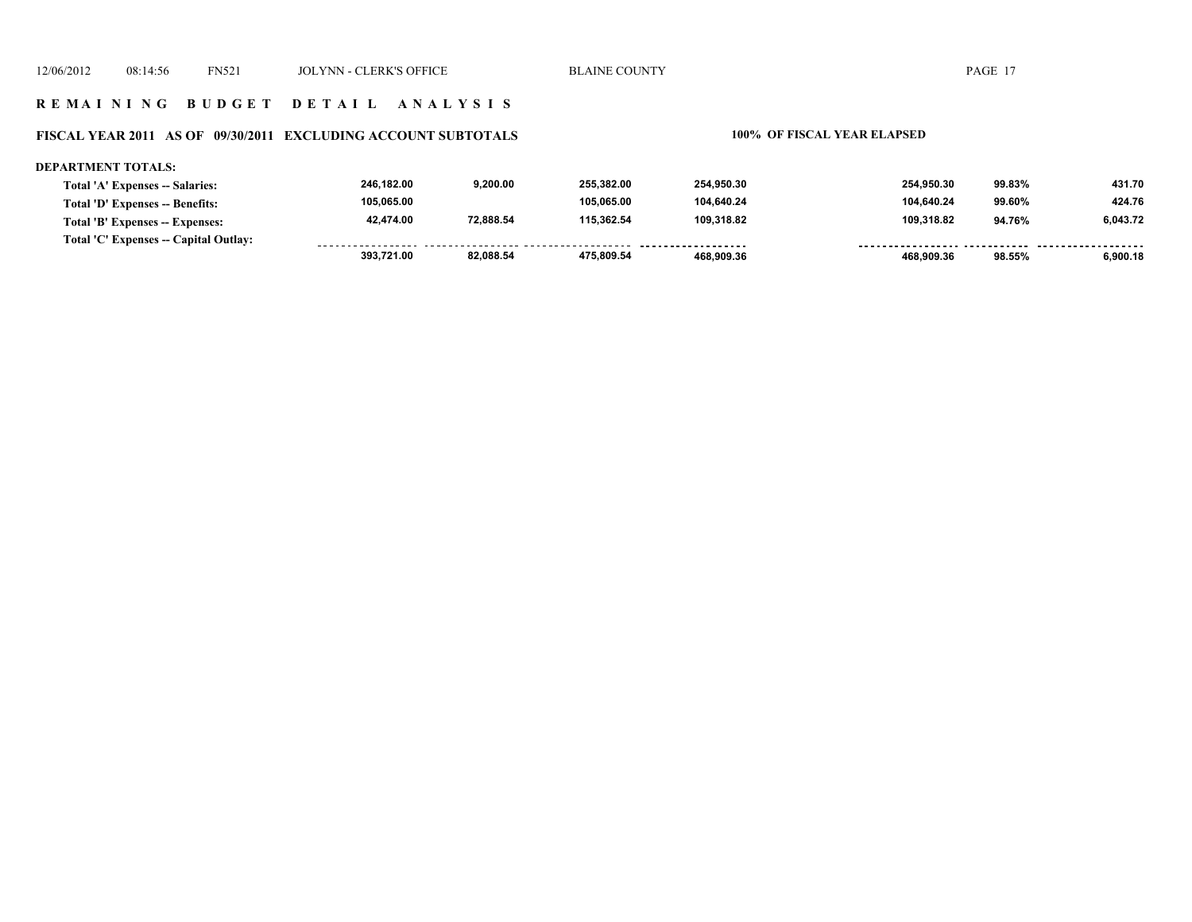### **FISCAL YEAR 2011 AS OF 09/30/2011 EXCLUDING ACCOUNT SUBTOTALS 100% OF FISCAL YEAR ELAPSED**

### **DEPARTMENT TOTALS: 246,182.00 9,200.00 255,382.00 254,950.30 254,950.30 99.83% 431.70 Total 'A' Expenses -- Salaries: 105,065.00 105,065.00 104,640.24 104,640.24 99.60% 424.76 Total 'D' Expenses -- Benefits: 42,474.00 72,888.54 115,362.54 109,318.82 109,318.82 94.76% 6,043.72 Total 'B' Expenses -- Expenses: Total 'C' Expenses -- Capital Outlay:** ................. .......... ................. .... . . . . . . . . . . . . . . . . . . . . . . . . .  **393,721.00 82,088.54 475,809.54 468,909.36 468,909.36 98.55% 6,900.18**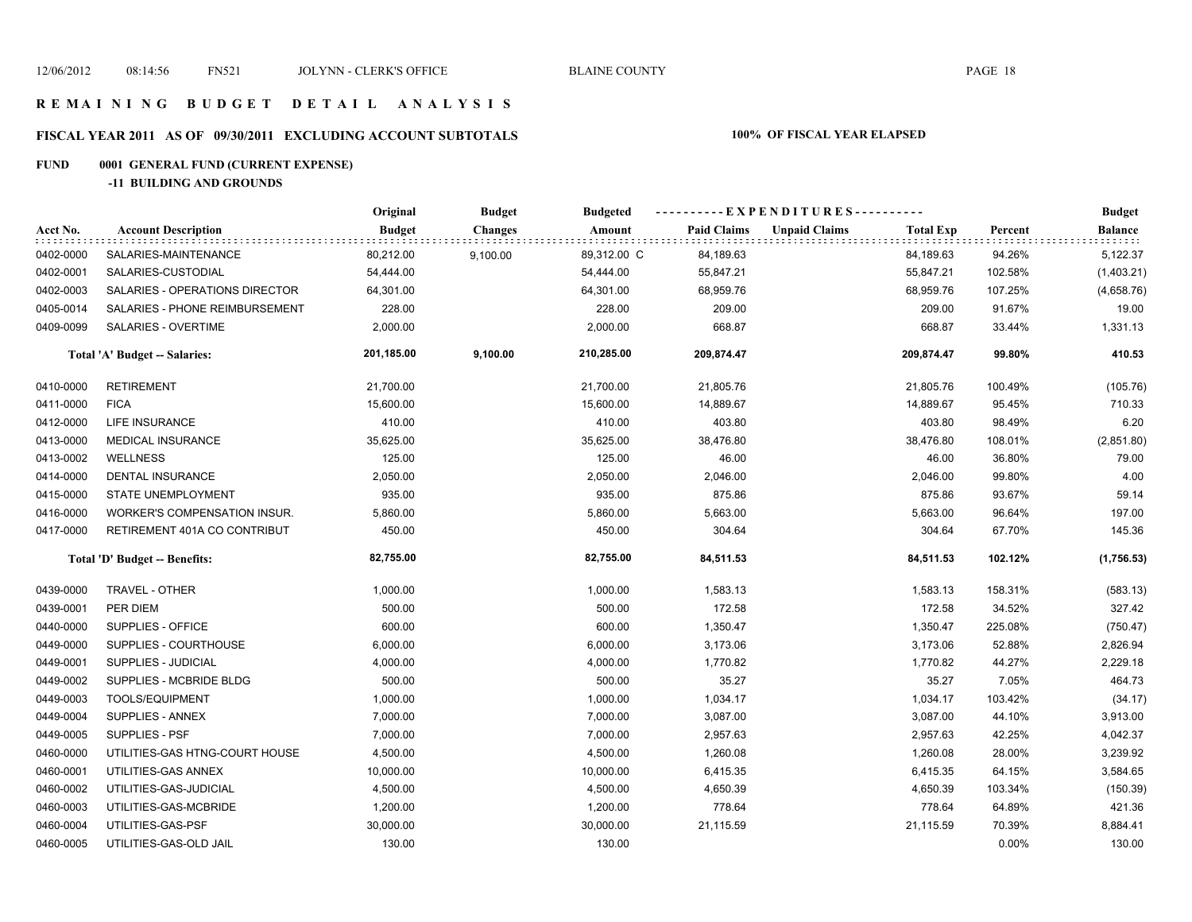# **FISCAL YEAR 2011 AS OF 09/30/2011 EXCLUDING ACCOUNT SUBTOTALS 100% OF FISCAL YEAR ELAPSED**

# **FUND 0001 GENERAL FUND (CURRENT EXPENSE)**

**-11 BUILDING AND GROUNDS**

|           |                                | Original      | <b>Budget</b>  | <b>Budgeted</b> | ----------EXPENDITURES---------- |                      |                  |         | <b>Budget</b>  |  |
|-----------|--------------------------------|---------------|----------------|-----------------|----------------------------------|----------------------|------------------|---------|----------------|--|
| Acct No.  | <b>Account Description</b>     | <b>Budget</b> | <b>Changes</b> | Amount          | <b>Paid Claims</b>               | <b>Unpaid Claims</b> | <b>Total Exp</b> | Percent | <b>Balance</b> |  |
| 0402-0000 | SALARIES-MAINTENANCE           | 80,212.00     | 9,100.00       | 89,312.00 C     | 84,189.63                        |                      | 84,189.63        | 94.26%  | 5,122.37       |  |
| 0402-0001 | SALARIES-CUSTODIAL             | 54,444.00     |                | 54,444.00       | 55,847.21                        |                      | 55,847.21        | 102.58% | (1,403.21)     |  |
| 0402-0003 | SALARIES - OPERATIONS DIRECTOR | 64,301.00     |                | 64,301.00       | 68,959.76                        |                      | 68,959.76        | 107.25% | (4,658.76)     |  |
| 0405-0014 | SALARIES - PHONE REIMBURSEMENT | 228.00        |                | 228.00          | 209.00                           |                      | 209.00           | 91.67%  | 19.00          |  |
| 0409-0099 | SALARIES - OVERTIME            | 2,000.00      |                | 2,000.00        | 668.87                           |                      | 668.87           | 33.44%  | 1,331.13       |  |
|           | Total 'A' Budget -- Salaries:  | 201,185.00    | 9,100.00       | 210,285.00      | 209,874.47                       |                      | 209,874.47       | 99.80%  | 410.53         |  |
| 0410-0000 | <b>RETIREMENT</b>              | 21,700.00     |                | 21,700.00       | 21,805.76                        |                      | 21,805.76        | 100.49% | (105.76)       |  |
| 0411-0000 | <b>FICA</b>                    | 15,600.00     |                | 15,600.00       | 14,889.67                        |                      | 14,889.67        | 95.45%  | 710.33         |  |
| 0412-0000 | LIFE INSURANCE                 | 410.00        |                | 410.00          | 403.80                           |                      | 403.80           | 98.49%  | 6.20           |  |
| 0413-0000 | <b>MEDICAL INSURANCE</b>       | 35,625.00     |                | 35,625.00       | 38,476.80                        |                      | 38,476.80        | 108.01% | (2,851.80)     |  |
| 0413-0002 | <b>WELLNESS</b>                | 125.00        |                | 125.00          | 46.00                            |                      | 46.00            | 36.80%  | 79.00          |  |
| 0414-0000 | DENTAL INSURANCE               | 2,050.00      |                | 2,050.00        | 2,046.00                         |                      | 2,046.00         | 99.80%  | 4.00           |  |
| 0415-0000 | <b>STATE UNEMPLOYMENT</b>      | 935.00        |                | 935.00          | 875.86                           |                      | 875.86           | 93.67%  | 59.14          |  |
| 0416-0000 | WORKER'S COMPENSATION INSUR.   | 5,860.00      |                | 5,860.00        | 5,663.00                         |                      | 5,663.00         | 96.64%  | 197.00         |  |
| 0417-0000 | RETIREMENT 401A CO CONTRIBUT   | 450.00        |                | 450.00          | 304.64                           |                      | 304.64           | 67.70%  | 145.36         |  |
|           | Total 'D' Budget -- Benefits:  | 82,755.00     |                | 82,755.00       | 84,511.53                        |                      | 84,511.53        | 102.12% | (1,756.53)     |  |
| 0439-0000 | <b>TRAVEL - OTHER</b>          | 1,000.00      |                | 1,000.00        | 1,583.13                         |                      | 1,583.13         | 158.31% | (583.13)       |  |
| 0439-0001 | PER DIEM                       | 500.00        |                | 500.00          | 172.58                           |                      | 172.58           | 34.52%  | 327.42         |  |
| 0440-0000 | SUPPLIES - OFFICE              | 600.00        |                | 600.00          | 1,350.47                         |                      | 1,350.47         | 225.08% | (750.47)       |  |
| 0449-0000 | SUPPLIES - COURTHOUSE          | 6,000.00      |                | 6,000.00        | 3,173.06                         |                      | 3,173.06         | 52.88%  | 2,826.94       |  |
| 0449-0001 | SUPPLIES - JUDICIAL            | 4,000.00      |                | 4,000.00        | 1,770.82                         |                      | 1,770.82         | 44.27%  | 2,229.18       |  |
| 0449-0002 | SUPPLIES - MCBRIDE BLDG        | 500.00        |                | 500.00          | 35.27                            |                      | 35.27            | 7.05%   | 464.73         |  |
| 0449-0003 | TOOLS/EQUIPMENT                | 1,000.00      |                | 1,000.00        | 1,034.17                         |                      | 1,034.17         | 103.42% | (34.17)        |  |
| 0449-0004 | SUPPLIES - ANNEX               | 7,000.00      |                | 7,000.00        | 3,087.00                         |                      | 3,087.00         | 44.10%  | 3,913.00       |  |
| 0449-0005 | SUPPLIES - PSF                 | 7,000.00      |                | 7,000.00        | 2,957.63                         |                      | 2,957.63         | 42.25%  | 4,042.37       |  |
| 0460-0000 | UTILITIES-GAS HTNG-COURT HOUSE | 4,500.00      |                | 4,500.00        | 1,260.08                         |                      | 1,260.08         | 28.00%  | 3,239.92       |  |
| 0460-0001 | UTILITIES-GAS ANNEX            | 10,000.00     |                | 10,000.00       | 6,415.35                         |                      | 6,415.35         | 64.15%  | 3,584.65       |  |
| 0460-0002 | UTILITIES-GAS-JUDICIAL         | 4,500.00      |                | 4,500.00        | 4,650.39                         |                      | 4,650.39         | 103.34% | (150.39)       |  |
| 0460-0003 | UTILITIES-GAS-MCBRIDE          | 1,200.00      |                | 1,200.00        | 778.64                           |                      | 778.64           | 64.89%  | 421.36         |  |
| 0460-0004 | UTILITIES-GAS-PSF              | 30,000.00     |                | 30,000.00       | 21,115.59                        |                      | 21,115.59        | 70.39%  | 8,884.41       |  |
| 0460-0005 | UTILITIES-GAS-OLD JAIL         | 130.00        |                | 130.00          |                                  |                      |                  | 0.00%   | 130.00         |  |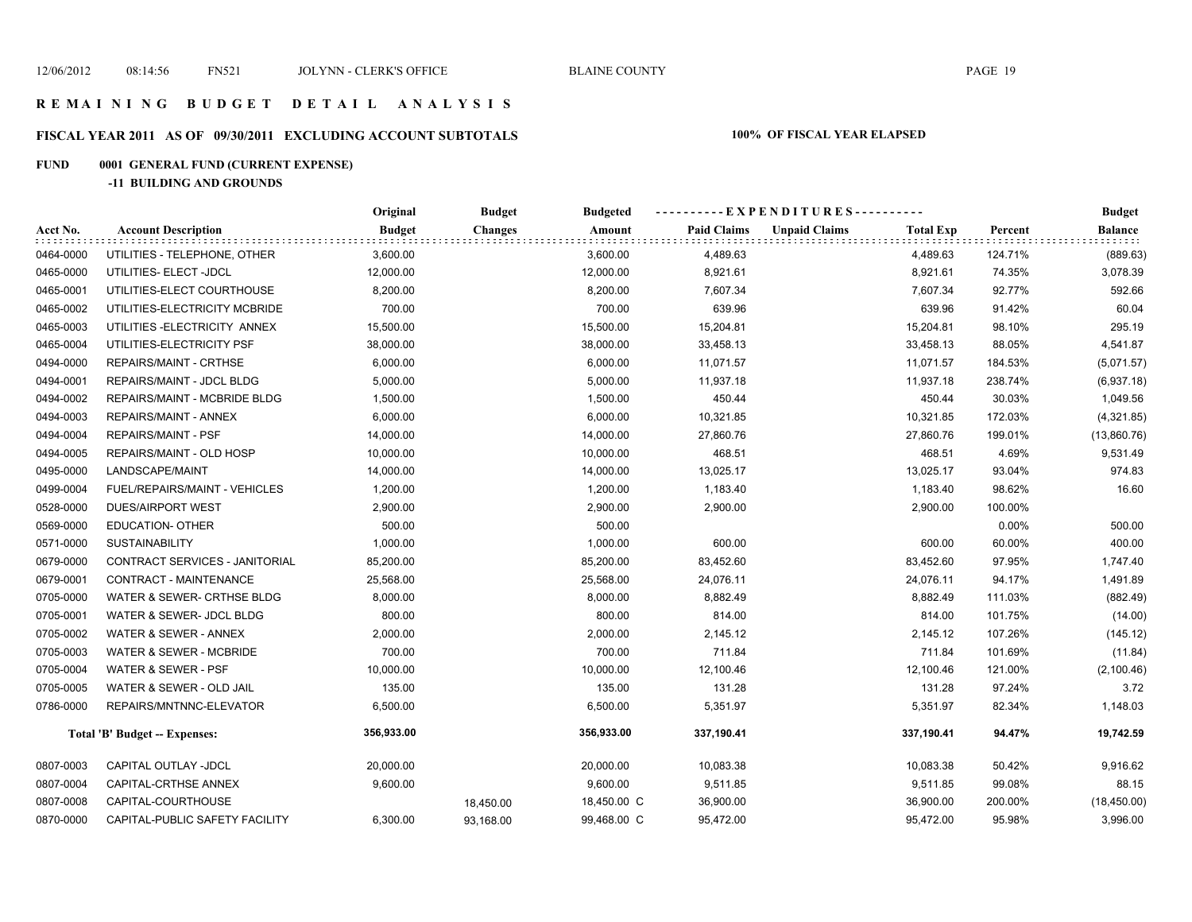# **FISCAL YEAR 2011 AS OF 09/30/2011 EXCLUDING ACCOUNT SUBTOTALS 100% OF FISCAL YEAR ELAPSED**

# **FUND 0001 GENERAL FUND (CURRENT EXPENSE)**

**-11 BUILDING AND GROUNDS**

|           |                                      | Original      | <b>Budget</b>  | <b>Budgeted</b> | ----------EXPENDITURES---------- |                      |                  |         | <b>Budget</b>  |
|-----------|--------------------------------------|---------------|----------------|-----------------|----------------------------------|----------------------|------------------|---------|----------------|
| Acct No.  | <b>Account Description</b>           | <b>Budget</b> | <b>Changes</b> | Amount          | <b>Paid Claims</b>               | <b>Unpaid Claims</b> | <b>Total Exp</b> | Percent | <b>Balance</b> |
| 0464-0000 | UTILITIES - TELEPHONE, OTHER         | 3,600.00      |                | 3,600.00        | 4,489.63                         |                      | 4,489.63         | 124.71% | (889.63)       |
| 0465-0000 | UTILITIES- ELECT -JDCL               | 12,000.00     |                | 12,000.00       | 8,921.61                         |                      | 8,921.61         | 74.35%  | 3,078.39       |
| 0465-0001 | UTILITIES-ELECT COURTHOUSE           | 8,200.00      |                | 8,200.00        | 7,607.34                         |                      | 7,607.34         | 92.77%  | 592.66         |
| 0465-0002 | UTILITIES-ELECTRICITY MCBRIDE        | 700.00        |                | 700.00          | 639.96                           |                      | 639.96           | 91.42%  | 60.04          |
| 0465-0003 | UTILITIES-ELECTRICITY ANNEX          | 15,500.00     |                | 15,500.00       | 15,204.81                        |                      | 15,204.81        | 98.10%  | 295.19         |
| 0465-0004 | UTILITIES-ELECTRICITY PSF            | 38,000.00     |                | 38,000.00       | 33,458.13                        |                      | 33,458.13        | 88.05%  | 4,541.87       |
| 0494-0000 | REPAIRS/MAINT - CRTHSE               | 6,000.00      |                | 6,000.00        | 11,071.57                        |                      | 11,071.57        | 184.53% | (5,071.57)     |
| 0494-0001 | REPAIRS/MAINT - JDCL BLDG            | 5,000.00      |                | 5,000.00        | 11,937.18                        |                      | 11,937.18        | 238.74% | (6,937.18)     |
| 0494-0002 | REPAIRS/MAINT - MCBRIDE BLDG         | 1,500.00      |                | 1,500.00        | 450.44                           |                      | 450.44           | 30.03%  | 1,049.56       |
| 0494-0003 | REPAIRS/MAINT - ANNEX                | 6,000.00      |                | 6,000.00        | 10,321.85                        |                      | 10,321.85        | 172.03% | (4,321.85)     |
| 0494-0004 | <b>REPAIRS/MAINT - PSF</b>           | 14,000.00     |                | 14,000.00       | 27,860.76                        |                      | 27,860.76        | 199.01% | (13,860.76)    |
| 0494-0005 | REPAIRS/MAINT - OLD HOSP             | 10,000.00     |                | 10,000.00       | 468.51                           |                      | 468.51           | 4.69%   | 9,531.49       |
| 0495-0000 | LANDSCAPE/MAINT                      | 14,000.00     |                | 14,000.00       | 13,025.17                        |                      | 13,025.17        | 93.04%  | 974.83         |
| 0499-0004 | FUEL/REPAIRS/MAINT - VEHICLES        | 1,200.00      |                | 1,200.00        | 1,183.40                         |                      | 1,183.40         | 98.62%  | 16.60          |
| 0528-0000 | <b>DUES/AIRPORT WEST</b>             | 2,900.00      |                | 2,900.00        | 2,900.00                         |                      | 2,900.00         | 100.00% |                |
| 0569-0000 | <b>EDUCATION- OTHER</b>              | 500.00        |                | 500.00          |                                  |                      |                  | 0.00%   | 500.00         |
| 0571-0000 | <b>SUSTAINABILITY</b>                | 1,000.00      |                | 1,000.00        | 600.00                           |                      | 600.00           | 60.00%  | 400.00         |
| 0679-0000 | CONTRACT SERVICES - JANITORIAL       | 85,200.00     |                | 85,200.00       | 83,452.60                        |                      | 83,452.60        | 97.95%  | 1,747.40       |
| 0679-0001 | CONTRACT - MAINTENANCE               | 25,568.00     |                | 25,568.00       | 24,076.11                        |                      | 24,076.11        | 94.17%  | 1,491.89       |
| 0705-0000 | WATER & SEWER- CRTHSE BLDG           | 8,000.00      |                | 8,000.00        | 8,882.49                         |                      | 8,882.49         | 111.03% | (882.49)       |
| 0705-0001 | WATER & SEWER- JDCL BLDG             | 800.00        |                | 800.00          | 814.00                           |                      | 814.00           | 101.75% | (14.00)        |
| 0705-0002 | WATER & SEWER - ANNEX                | 2,000.00      |                | 2,000.00        | 2,145.12                         |                      | 2,145.12         | 107.26% | (145.12)       |
| 0705-0003 | WATER & SEWER - MCBRIDE              | 700.00        |                | 700.00          | 711.84                           |                      | 711.84           | 101.69% | (11.84)        |
| 0705-0004 | WATER & SEWER - PSF                  | 10,000.00     |                | 10,000.00       | 12,100.46                        |                      | 12,100.46        | 121.00% | (2, 100.46)    |
| 0705-0005 | WATER & SEWER - OLD JAIL             | 135.00        |                | 135.00          | 131.28                           |                      | 131.28           | 97.24%  | 3.72           |
| 0786-0000 | REPAIRS/MNTNNC-ELEVATOR              | 6,500.00      |                | 6,500.00        | 5,351.97                         |                      | 5,351.97         | 82.34%  | 1,148.03       |
|           | <b>Total 'B' Budget -- Expenses:</b> | 356,933.00    |                | 356,933.00      | 337,190.41                       |                      | 337,190.41       | 94.47%  | 19,742.59      |
| 0807-0003 | CAPITAL OUTLAY -JDCL                 | 20,000.00     |                | 20,000.00       | 10,083.38                        |                      | 10,083.38        | 50.42%  | 9,916.62       |
| 0807-0004 | CAPITAL-CRTHSE ANNEX                 | 9,600.00      |                | 9,600.00        | 9,511.85                         |                      | 9,511.85         | 99.08%  | 88.15          |
| 0807-0008 | CAPITAL-COURTHOUSE                   |               | 18,450.00      | 18,450.00 C     | 36,900.00                        |                      | 36,900.00        | 200.00% | (18, 450.00)   |
| 0870-0000 | CAPITAL-PUBLIC SAFETY FACILITY       | 6,300.00      | 93,168.00      | 99,468.00 C     | 95.472.00                        |                      | 95.472.00        | 95.98%  | 3,996.00       |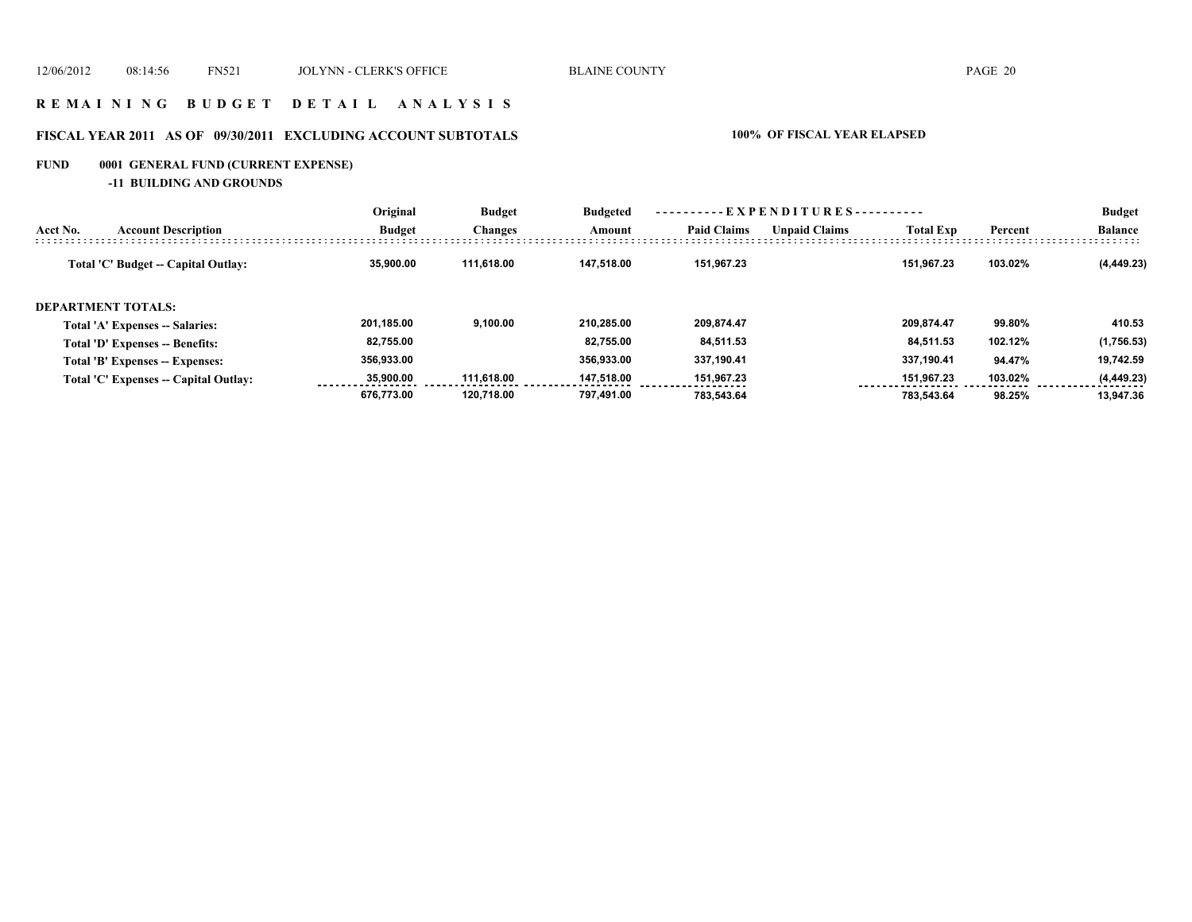### **R E M A I N I N G B U D G E T D E T A I L A N A L Y S I S**

# **FISCAL YEAR 2011 AS OF 09/30/2011 EXCLUDING ACCOUNT SUBTOTALS 100% OF FISCAL YEAR ELAPSED**

# **FUND 0001 GENERAL FUND (CURRENT EXPENSE)**

**-11 BUILDING AND GROUNDS**

|          |                                        | Original      | <b>Budget</b><br><b>Changes</b> | <b>Budgeted</b> | - EXPENDITURES---------- |                      |                  |         | <b>Budget</b>  |
|----------|----------------------------------------|---------------|---------------------------------|-----------------|--------------------------|----------------------|------------------|---------|----------------|
| Acct No. | <b>Account Description</b>             | <b>Budget</b> |                                 | Amount          | <b>Paid Claims</b>       | <b>Unpaid Claims</b> | <b>Total Exp</b> | Percent | <b>Balance</b> |
|          | Total 'C' Budget -- Capital Outlay:    | 35,900.00     | 111.618.00                      | 147.518.00      | 151.967.23               |                      | 151.967.23       | 103.02% | (4, 449.23)    |
|          | <b>DEPARTMENT TOTALS:</b>              |               |                                 |                 |                          |                      |                  |         |                |
|          | <b>Total 'A' Expenses -- Salaries:</b> | 201.185.00    | 9.100.00                        | 210.285.00      | 209.874.47               |                      | 209.874.47       | 99.80%  | 410.53         |
|          | Total 'D' Expenses -- Benefits:        | 82,755.00     |                                 | 82.755.00       | 84,511.53                |                      | 84,511.53        | 102.12% | (1,756.53)     |
|          | Total 'B' Expenses -- Expenses:        | 356,933.00    |                                 | 356,933.00      | 337,190.41               |                      | 337.190.41       | 94.47%  | 19,742.59      |
|          | Total 'C' Expenses -- Capital Outlay:  | 35.900.00     | 111.618.00                      | 147.518.00      | 151,967.23               |                      | 151.967.23       | 103.02% | (4, 449.23)    |
|          |                                        | 676.773.00    | 120.718.00                      | 797.491.00      | 783.543.64               |                      | 783.543.64       | 98.25%  | 13.947.36      |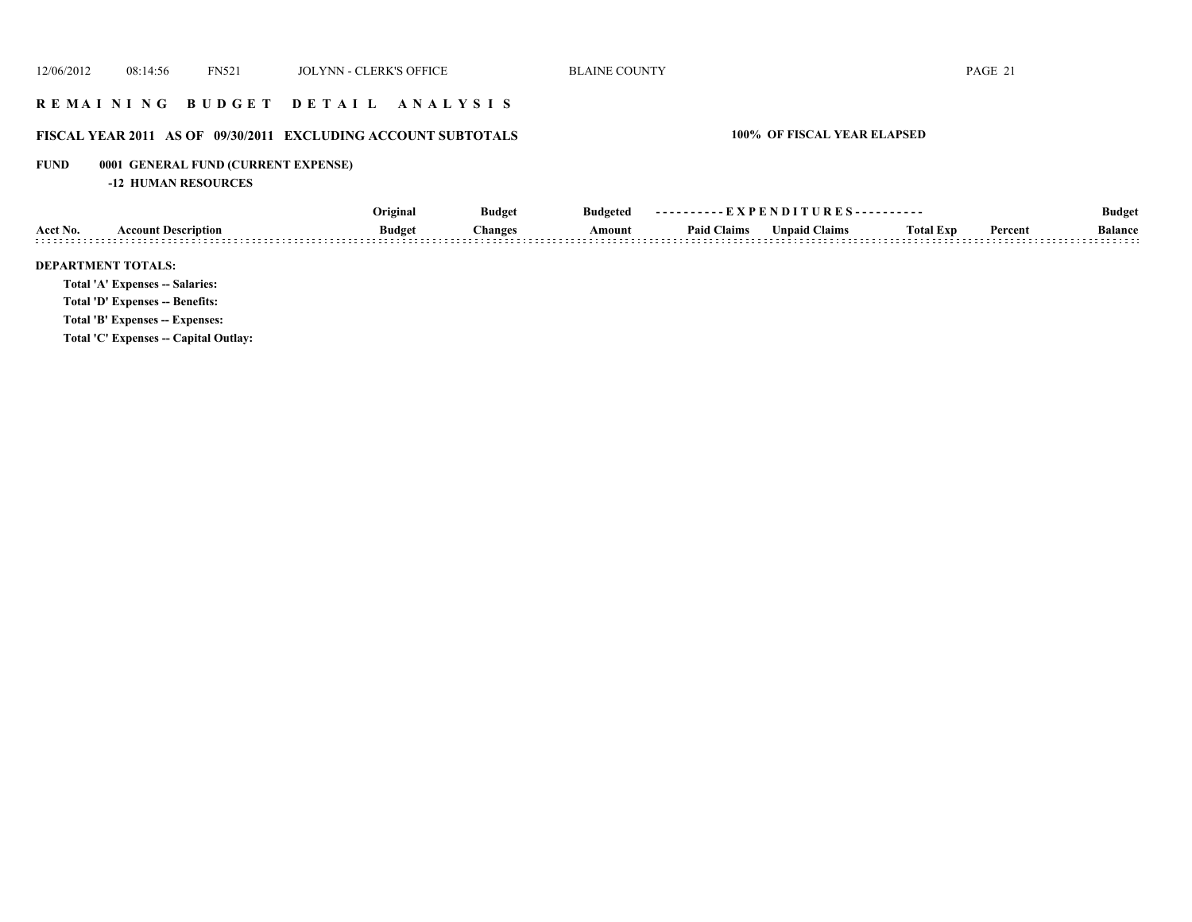### **R E M A I N I N G B U D G E T D E T A I L A N A L Y S I S**

# **FISCAL YEAR 2011 AS OF 09/30/2011 EXCLUDING ACCOUNT SUBTOTALS 100% OF FISCAL YEAR ELAPSED**

# **FUND 0001 GENERAL FUND (CURRENT EXPENSE)**

**-12 HUMAN RESOURCES**

|          |                                        | Original      | <b>Budget</b> | <b>Budgeted</b> | ----------EXPENDITURES---------- |                      |                  |         | <b>Budget</b>  |
|----------|----------------------------------------|---------------|---------------|-----------------|----------------------------------|----------------------|------------------|---------|----------------|
| Acct No. | <b>Account Description</b>             | <b>Budget</b> | Changes       | Amount          | <b>Paid Claims</b>               | <b>Unpaid Claims</b> | <b>Total Exp</b> | Percent | <b>Balance</b> |
|          | <b>DEPARTMENT TOTALS:</b>              |               |               |                 |                                  |                      |                  |         |                |
|          | <b>Total 'A' Expenses -- Salaries:</b> |               |               |                 |                                  |                      |                  |         |                |
|          | <b>Total 'D' Expenses -- Benefits:</b> |               |               |                 |                                  |                      |                  |         |                |
|          | Total 'B' Expenses -- Expenses:        |               |               |                 |                                  |                      |                  |         |                |
|          | Total 'C' Expenses -- Capital Outlay:  |               |               |                 |                                  |                      |                  |         |                |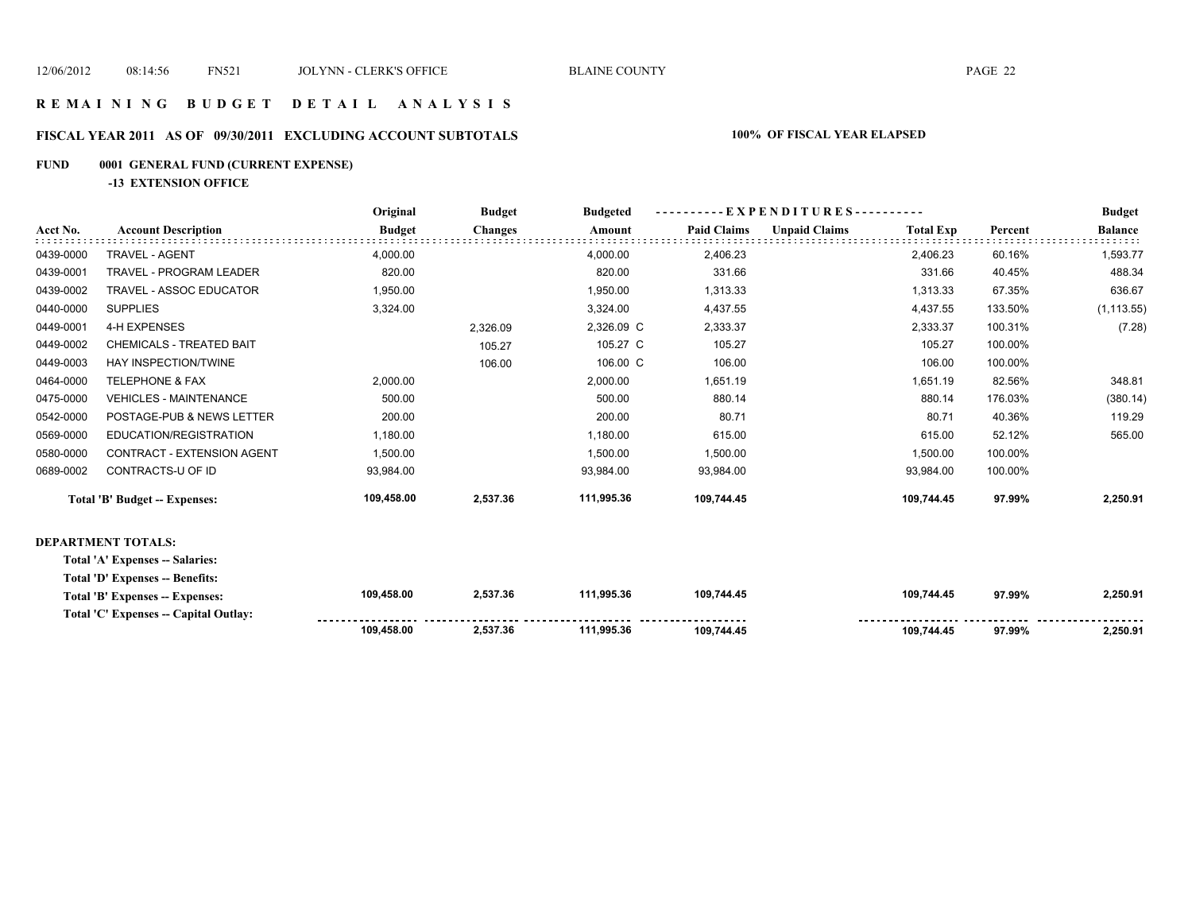**109,458.00** 

 **109,744.45 109,744.45 97.99% 2,250.91** 

# **R E M A I N I N G B U D G E T D E T A I L A N A L Y S I S**

### **FISCAL YEAR 2011 AS OF 09/30/2011 EXCLUDING ACCOUNT SUBTOTALS 100% OF FISCAL YEAR ELAPSED**

### **FUND 0001 GENERAL FUND (CURRENT EXPENSE)**

**-13 EXTENSION OFFICE**

|           |                                       | Original      | <b>Budget</b>  | <b>Budgeted</b> | - - E X P E N D I T U R E S - - - - - - - - - - |                      |                  |         | <b>Budget</b>  |
|-----------|---------------------------------------|---------------|----------------|-----------------|-------------------------------------------------|----------------------|------------------|---------|----------------|
| Acct No.  | <b>Account Description</b>            | <b>Budget</b> | <b>Changes</b> | Amount          | <b>Paid Claims</b>                              | <b>Unpaid Claims</b> | <b>Total Exp</b> | Percent | <b>Balance</b> |
| 0439-0000 | TRAVEL - AGENT                        | 4,000.00      |                | 4,000.00        | 2,406.23                                        |                      | 2,406.23         | 60.16%  | 1,593.77       |
| 0439-0001 | <b>TRAVEL - PROGRAM LEADER</b>        | 820.00        |                | 820.00          | 331.66                                          |                      | 331.66           | 40.45%  | 488.34         |
| 0439-0002 | TRAVEL - ASSOC EDUCATOR               | 1,950.00      |                | 1,950.00        | 1,313.33                                        |                      | 1,313.33         | 67.35%  | 636.67         |
| 0440-0000 | <b>SUPPLIES</b>                       | 3,324.00      |                | 3,324.00        | 4,437.55                                        |                      | 4,437.55         | 133.50% | (1, 113.55)    |
| 0449-0001 | 4-H EXPENSES                          |               | 2,326.09       | 2,326.09 C      | 2,333.37                                        |                      | 2,333.37         | 100.31% | (7.28)         |
| 0449-0002 | <b>CHEMICALS - TREATED BAIT</b>       |               | 105.27         | 105.27 C        | 105.27                                          |                      | 105.27           | 100.00% |                |
| 0449-0003 | HAY INSPECTION/TWINE                  |               | 106.00         | 106.00 C        | 106.00                                          |                      | 106.00           | 100.00% |                |
| 0464-0000 | <b>TELEPHONE &amp; FAX</b>            | 2,000.00      |                | 2,000.00        | 1,651.19                                        |                      | 1,651.19         | 82.56%  | 348.81         |
| 0475-0000 | <b>VEHICLES - MAINTENANCE</b>         | 500.00        |                | 500.00          | 880.14                                          |                      | 880.14           | 176.03% | (380.14)       |
| 0542-0000 | POSTAGE-PUB & NEWS LETTER             | 200.00        |                | 200.00          | 80.71                                           |                      | 80.71            | 40.36%  | 119.29         |
| 0569-0000 | EDUCATION/REGISTRATION                | 1,180.00      |                | 1,180.00        | 615.00                                          |                      | 615.00           | 52.12%  | 565.00         |
| 0580-0000 | CONTRACT - EXTENSION AGENT            | 1,500.00      |                | 1,500.00        | 1,500.00                                        |                      | 1,500.00         | 100.00% |                |
| 0689-0002 | CONTRACTS-U OF ID                     | 93,984.00     |                | 93,984.00       | 93,984.00                                       |                      | 93,984.00        | 100.00% |                |
|           | <b>Total 'B' Budget -- Expenses:</b>  | 109,458.00    | 2,537.36       | 111,995.36      | 109,744.45                                      |                      | 109,744.45       | 97.99%  | 2,250.91       |
|           | <b>DEPARTMENT TOTALS:</b>             |               |                |                 |                                                 |                      |                  |         |                |
|           | Total 'A' Expenses -- Salaries:       |               |                |                 |                                                 |                      |                  |         |                |
|           | Total 'D' Expenses -- Benefits:       |               |                |                 |                                                 |                      |                  |         |                |
|           | Total 'B' Expenses -- Expenses:       | 109,458.00    | 2,537.36       | 111,995.36      | 109,744.45                                      |                      | 109,744.45       | 97.99%  | 2,250.91       |
|           | Total 'C' Expenses -- Capital Outlay: |               |                |                 |                                                 |                      |                  |         |                |

 **111,995.36 2,537.36**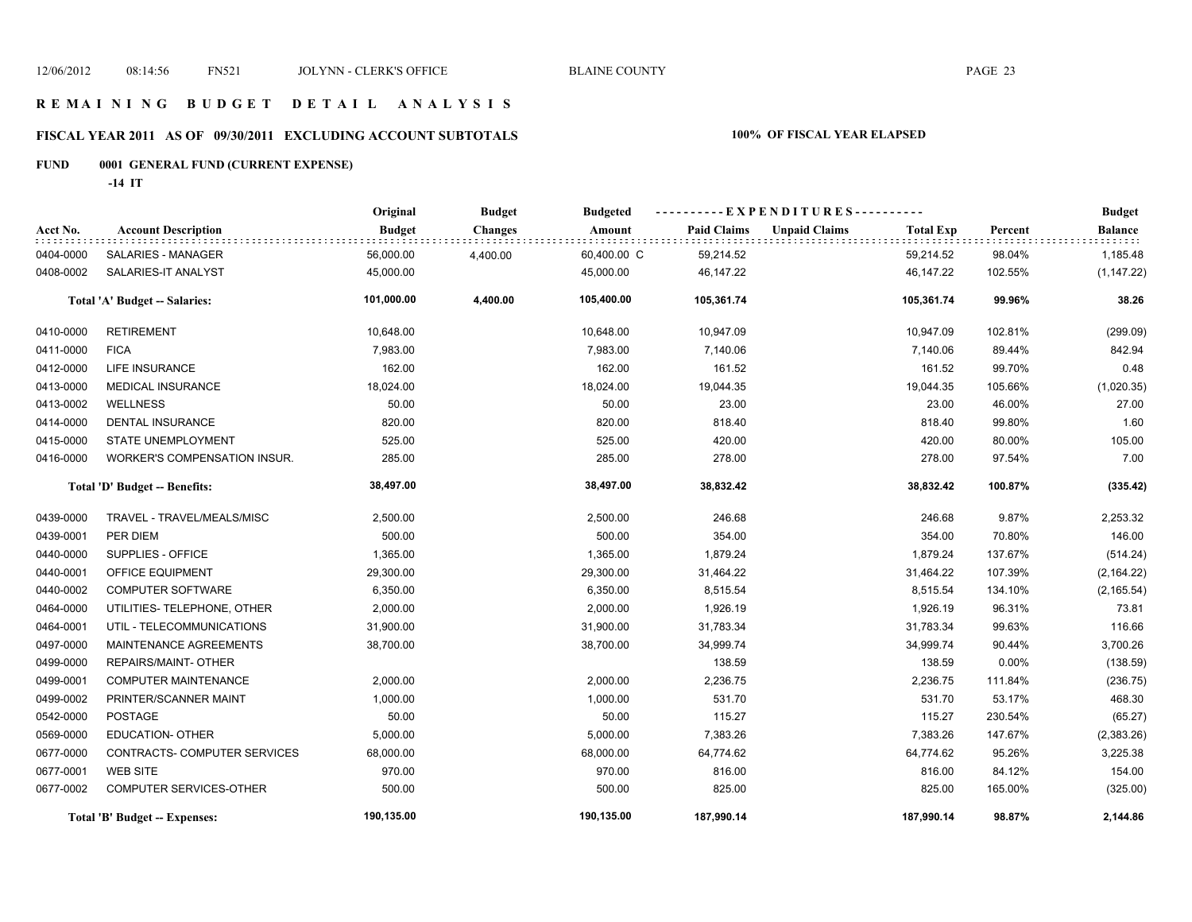### **R E M A I N I N G B U D G E T D E T A I L A N A L Y S I S**

# **FISCAL YEAR 2011 AS OF 09/30/2011 EXCLUDING ACCOUNT SUBTOTALS 100% OF FISCAL YEAR ELAPSED**

# **FUND 0001 GENERAL FUND (CURRENT EXPENSE)**

**-14 IT**

|                               |                                | Original      | <b>Budget</b>  | <b>Budgeted</b> | ----------EXPENDITURES---------- |                      |                  |         | <b>Budget</b>  |
|-------------------------------|--------------------------------|---------------|----------------|-----------------|----------------------------------|----------------------|------------------|---------|----------------|
| Acct No.                      | <b>Account Description</b>     | <b>Budget</b> | <b>Changes</b> | Amount          | <b>Paid Claims</b>               | <b>Unpaid Claims</b> | <b>Total Exp</b> | Percent | <b>Balance</b> |
| 0404-0000                     | SALARIES - MANAGER             | 56,000.00     | 4,400.00       | 60,400.00 C     | 59,214.52                        |                      | 59,214.52        | 98.04%  | 1,185.48       |
| 0408-0002                     | SALARIES-IT ANALYST            | 45,000.00     |                | 45,000.00       | 46,147.22                        |                      | 46,147.22        | 102.55% | (1, 147.22)    |
|                               | Total 'A' Budget -- Salaries:  | 101,000.00    | 4,400.00       | 105,400.00      | 105,361.74                       |                      | 105,361.74       | 99.96%  | 38.26          |
| 0410-0000                     | <b>RETIREMENT</b>              | 10,648.00     |                | 10,648.00       | 10,947.09                        |                      | 10,947.09        | 102.81% | (299.09)       |
| 0411-0000                     | <b>FICA</b>                    | 7,983.00      |                | 7,983.00        | 7,140.06                         |                      | 7,140.06         | 89.44%  | 842.94         |
| 0412-0000                     | LIFE INSURANCE                 | 162.00        |                | 162.00          | 161.52                           |                      | 161.52           | 99.70%  | 0.48           |
| 0413-0000                     | <b>MEDICAL INSURANCE</b>       | 18,024.00     |                | 18,024.00       | 19,044.35                        |                      | 19,044.35        | 105.66% | (1,020.35)     |
| 0413-0002                     | <b>WELLNESS</b>                | 50.00         |                | 50.00           | 23.00                            |                      | 23.00            | 46.00%  | 27.00          |
| 0414-0000                     | <b>DENTAL INSURANCE</b>        | 820.00        |                | 820.00          | 818.40                           |                      | 818.40           | 99.80%  | 1.60           |
| 0415-0000                     | STATE UNEMPLOYMENT             | 525.00        |                | 525.00          | 420.00                           |                      | 420.00           | 80.00%  | 105.00         |
| 0416-0000                     | WORKER'S COMPENSATION INSUR.   | 285.00        |                | 285.00          | 278.00                           |                      | 278.00           | 97.54%  | 7.00           |
| Total 'D' Budget -- Benefits: |                                | 38,497.00     |                | 38,497.00       | 38,832.42                        |                      | 38,832.42        | 100.87% | (335.42)       |
| 0439-0000                     | TRAVEL - TRAVEL/MEALS/MISC     | 2,500.00      |                | 2,500.00        | 246.68                           |                      | 246.68           | 9.87%   | 2,253.32       |
| 0439-0001                     | PER DIEM                       | 500.00        |                | 500.00          | 354.00                           |                      | 354.00           | 70.80%  | 146.00         |
| 0440-0000                     | SUPPLIES - OFFICE              | 1,365.00      |                | 1,365.00        | 1,879.24                         |                      | 1,879.24         | 137.67% | (514.24)       |
| 0440-0001                     | <b>OFFICE EQUIPMENT</b>        | 29,300.00     |                | 29,300.00       | 31,464.22                        |                      | 31,464.22        | 107.39% | (2, 164.22)    |
| 0440-0002                     | <b>COMPUTER SOFTWARE</b>       | 6,350.00      |                | 6,350.00        | 8,515.54                         |                      | 8,515.54         | 134.10% | (2, 165.54)    |
| 0464-0000                     | UTILITIES- TELEPHONE, OTHER    | 2,000.00      |                | 2,000.00        | 1,926.19                         |                      | 1,926.19         | 96.31%  | 73.81          |
| 0464-0001                     | UTIL - TELECOMMUNICATIONS      | 31,900.00     |                | 31,900.00       | 31,783.34                        |                      | 31,783.34        | 99.63%  | 116.66         |
| 0497-0000                     | MAINTENANCE AGREEMENTS         | 38,700.00     |                | 38,700.00       | 34,999.74                        |                      | 34,999.74        | 90.44%  | 3,700.26       |
| 0499-0000                     | REPAIRS/MAINT- OTHER           |               |                |                 | 138.59                           |                      | 138.59           | 0.00%   | (138.59)       |
| 0499-0001                     | COMPUTER MAINTENANCE           | 2,000.00      |                | 2,000.00        | 2,236.75                         |                      | 2,236.75         | 111.84% | (236.75)       |
| 0499-0002                     | PRINTER/SCANNER MAINT          | 1,000.00      |                | 1,000.00        | 531.70                           |                      | 531.70           | 53.17%  | 468.30         |
| 0542-0000                     | <b>POSTAGE</b>                 | 50.00         |                | 50.00           | 115.27                           |                      | 115.27           | 230.54% | (65.27)        |
| 0569-0000                     | <b>EDUCATION- OTHER</b>        | 5,000.00      |                | 5,000.00        | 7,383.26                         |                      | 7,383.26         | 147.67% | (2,383.26)     |
| 0677-0000                     | CONTRACTS- COMPUTER SERVICES   | 68,000.00     |                | 68,000.00       | 64,774.62                        |                      | 64,774.62        | 95.26%  | 3,225.38       |
| 0677-0001                     | <b>WEB SITE</b>                | 970.00        |                | 970.00          | 816.00                           |                      | 816.00           | 84.12%  | 154.00         |
| 0677-0002                     | <b>COMPUTER SERVICES-OTHER</b> | 500.00        |                | 500.00          | 825.00                           |                      | 825.00           | 165.00% | (325.00)       |
|                               | Total 'B' Budget -- Expenses:  | 190,135.00    |                | 190,135.00      | 187,990.14                       |                      | 187,990.14       | 98.87%  | 2,144.86       |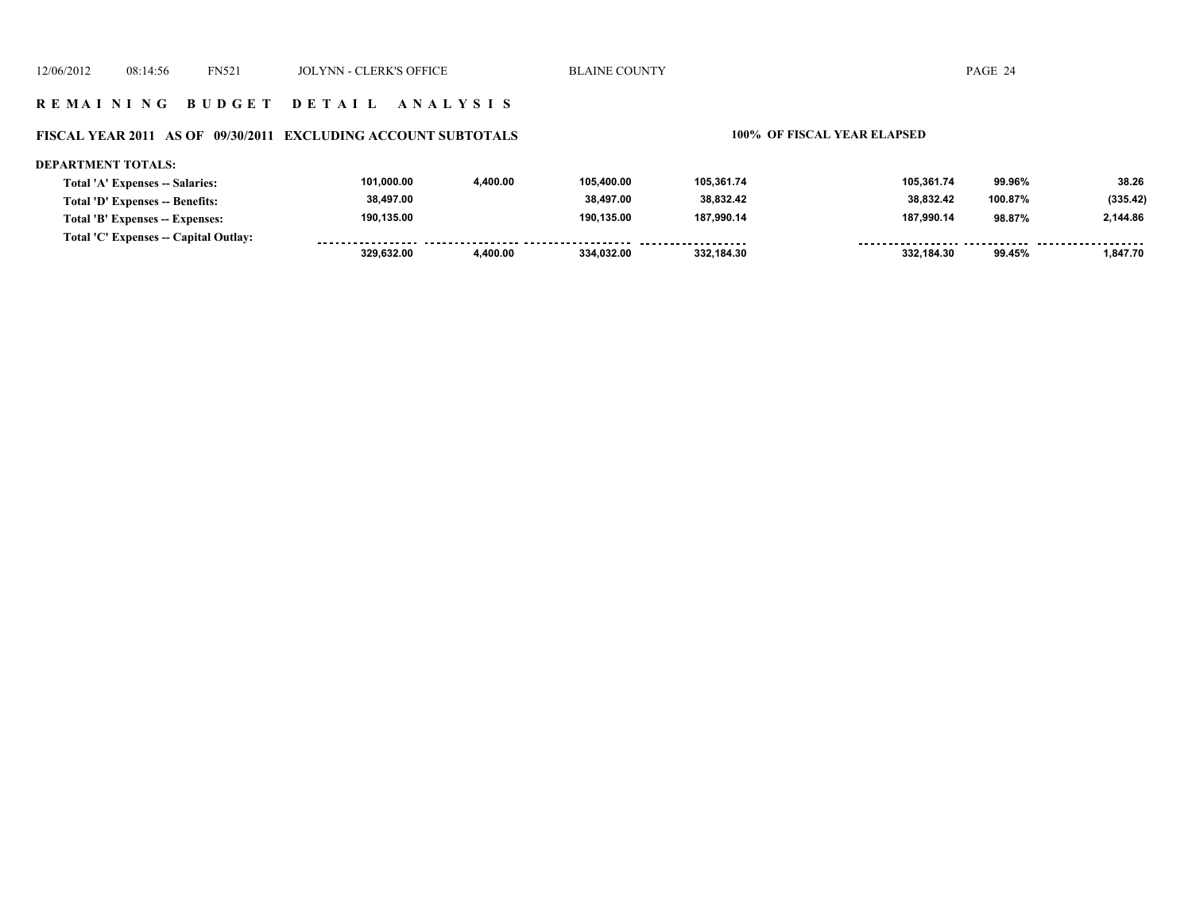### **FISCAL YEAR 2011 AS OF 09/30/2011 EXCLUDING ACCOUNT SUBTOTALS 100% OF FISCAL YEAR ELAPSED**

### **DEPARTMENT TOTALS: 101,000.00 4,400.00 105,400.00 105,361.74 105,361.74 99.96% 38.26 Total 'A' Expenses -- Salaries: 38,497.00 38,497.00 38,832.42 38,832.42 (335.42) Total 'D' Expenses -- Benefits: 100.87% 190,135.00 190,135.00 187,990.14 187,990.14 98.87% 2,144.86 Total 'B' Expenses -- Expenses: Total 'C' Expenses -- Capital Outlay:** ................. .......... ................... . . . . . . . . <u>-------- -----</u> ------- -------- **329,632.00 4,400.00 334,032.00 332,184.30 332,184.30 99.45% 1,847.70**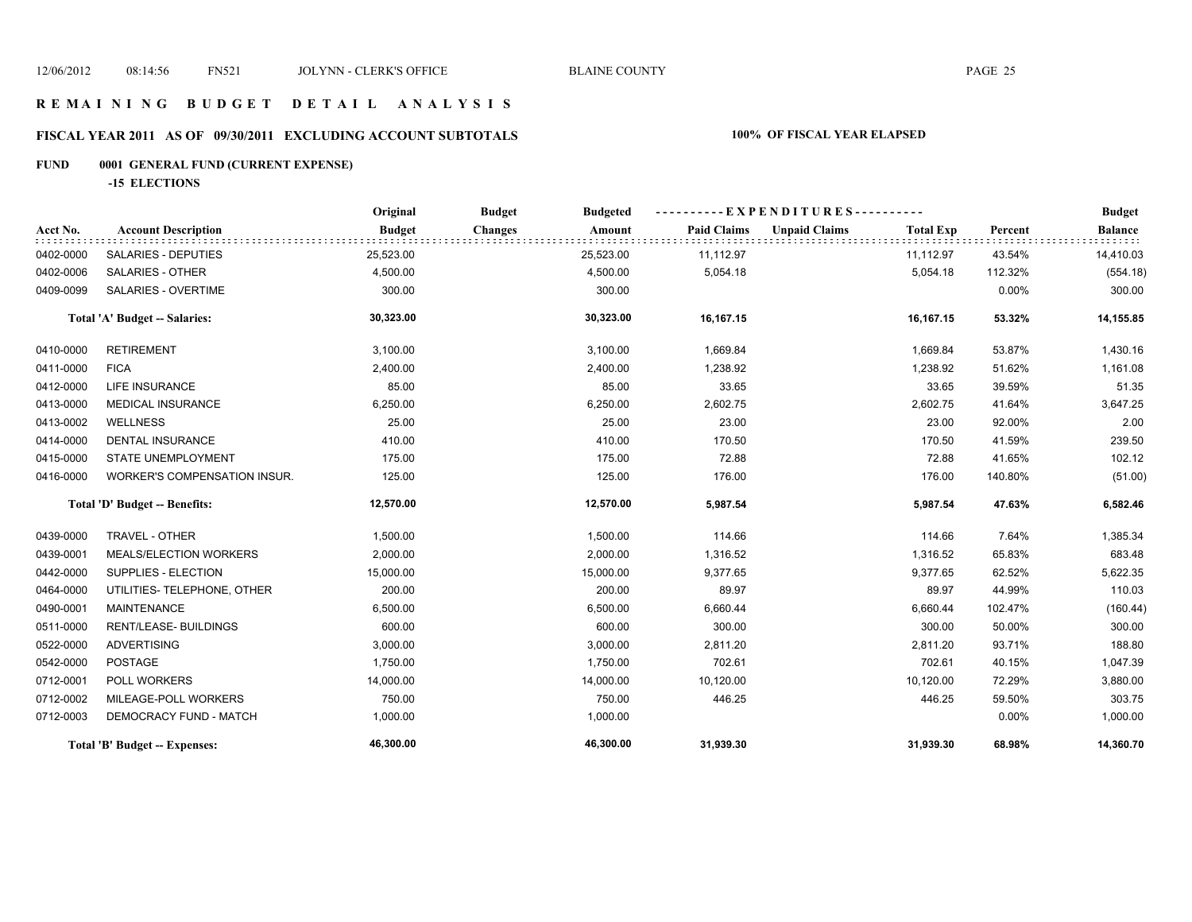# **FISCAL YEAR 2011 AS OF 09/30/2011 EXCLUDING ACCOUNT SUBTOTALS 100% OF FISCAL YEAR ELAPSED**

# **FUND 0001 GENERAL FUND (CURRENT EXPENSE)**

**-15 ELECTIONS**

|           |                                      | Original      | <b>Budget</b>  | <b>Budgeted</b> | - EXPENDITURES---------- |                      |                  |          | <b>Budget</b>  |
|-----------|--------------------------------------|---------------|----------------|-----------------|--------------------------|----------------------|------------------|----------|----------------|
| Acct No.  | <b>Account Description</b>           | <b>Budget</b> | <b>Changes</b> | Amount          | <b>Paid Claims</b>       | <b>Unpaid Claims</b> | <b>Total Exp</b> | Percent  | <b>Balance</b> |
| 0402-0000 | SALARIES - DEPUTIES                  | 25,523.00     |                | 25,523.00       | 11,112.97                |                      | 11,112.97        | 43.54%   | 14,410.03      |
| 0402-0006 | <b>SALARIES - OTHER</b>              | 4,500.00      |                | 4,500.00        | 5,054.18                 |                      | 5,054.18         | 112.32%  | (554.18)       |
| 0409-0099 | SALARIES - OVERTIME                  | 300.00        |                | 300.00          |                          |                      |                  | 0.00%    | 300.00         |
|           | <b>Total 'A' Budget -- Salaries:</b> | 30,323.00     |                | 30,323.00       | 16,167.15                |                      | 16,167.15        | 53.32%   | 14,155.85      |
| 0410-0000 | <b>RETIREMENT</b>                    | 3,100.00      |                | 3,100.00        | 1,669.84                 |                      | 1,669.84         | 53.87%   | 1,430.16       |
| 0411-0000 | <b>FICA</b>                          | 2,400.00      |                | 2,400.00        | 1,238.92                 |                      | 1,238.92         | 51.62%   | 1,161.08       |
| 0412-0000 | <b>LIFE INSURANCE</b>                | 85.00         |                | 85.00           | 33.65                    |                      | 33.65            | 39.59%   | 51.35          |
| 0413-0000 | <b>MEDICAL INSURANCE</b>             | 6,250.00      |                | 6,250.00        | 2,602.75                 |                      | 2,602.75         | 41.64%   | 3,647.25       |
| 0413-0002 | <b>WELLNESS</b>                      | 25.00         |                | 25.00           | 23.00                    |                      | 23.00            | 92.00%   | 2.00           |
| 0414-0000 | <b>DENTAL INSURANCE</b>              | 410.00        |                | 410.00          | 170.50                   |                      | 170.50           | 41.59%   | 239.50         |
| 0415-0000 | STATE UNEMPLOYMENT                   | 175.00        |                | 175.00          | 72.88                    |                      | 72.88            | 41.65%   | 102.12         |
| 0416-0000 | WORKER'S COMPENSATION INSUR.         | 125.00        |                | 125.00          | 176.00                   |                      | 176.00           | 140.80%  | (51.00)        |
|           | Total 'D' Budget -- Benefits:        | 12,570.00     |                | 12,570.00       | 5,987.54                 |                      | 5,987.54         | 47.63%   | 6,582.46       |
| 0439-0000 | TRAVEL - OTHER                       | 1,500.00      |                | 1,500.00        | 114.66                   |                      | 114.66           | 7.64%    | 1,385.34       |
| 0439-0001 | MEALS/ELECTION WORKERS               | 2,000.00      |                | 2,000.00        | 1,316.52                 |                      | 1,316.52         | 65.83%   | 683.48         |
| 0442-0000 | SUPPLIES - ELECTION                  | 15,000.00     |                | 15,000.00       | 9,377.65                 |                      | 9,377.65         | 62.52%   | 5,622.35       |
| 0464-0000 | UTILITIES- TELEPHONE, OTHER          | 200.00        |                | 200.00          | 89.97                    |                      | 89.97            | 44.99%   | 110.03         |
| 0490-0001 | <b>MAINTENANCE</b>                   | 6,500.00      |                | 6,500.00        | 6,660.44                 |                      | 6,660.44         | 102.47%  | (160.44)       |
| 0511-0000 | <b>RENT/LEASE- BUILDINGS</b>         | 600.00        |                | 600.00          | 300.00                   |                      | 300.00           | 50.00%   | 300.00         |
| 0522-0000 | <b>ADVERTISING</b>                   | 3,000.00      |                | 3,000.00        | 2,811.20                 |                      | 2,811.20         | 93.71%   | 188.80         |
| 0542-0000 | POSTAGE                              | 1,750.00      |                | 1,750.00        | 702.61                   |                      | 702.61           | 40.15%   | 1,047.39       |
| 0712-0001 | POLL WORKERS                         | 14,000.00     |                | 14,000.00       | 10,120.00                |                      | 10,120.00        | 72.29%   | 3,880.00       |
| 0712-0002 | MILEAGE-POLL WORKERS                 | 750.00        |                | 750.00          | 446.25                   |                      | 446.25           | 59.50%   | 303.75         |
| 0712-0003 | DEMOCRACY FUND - MATCH               | 1,000.00      |                | 1,000.00        |                          |                      |                  | $0.00\%$ | 1,000.00       |
|           | Total 'B' Budget -- Expenses:        | 46,300.00     |                | 46,300.00       | 31,939.30                |                      | 31,939.30        | 68.98%   | 14,360.70      |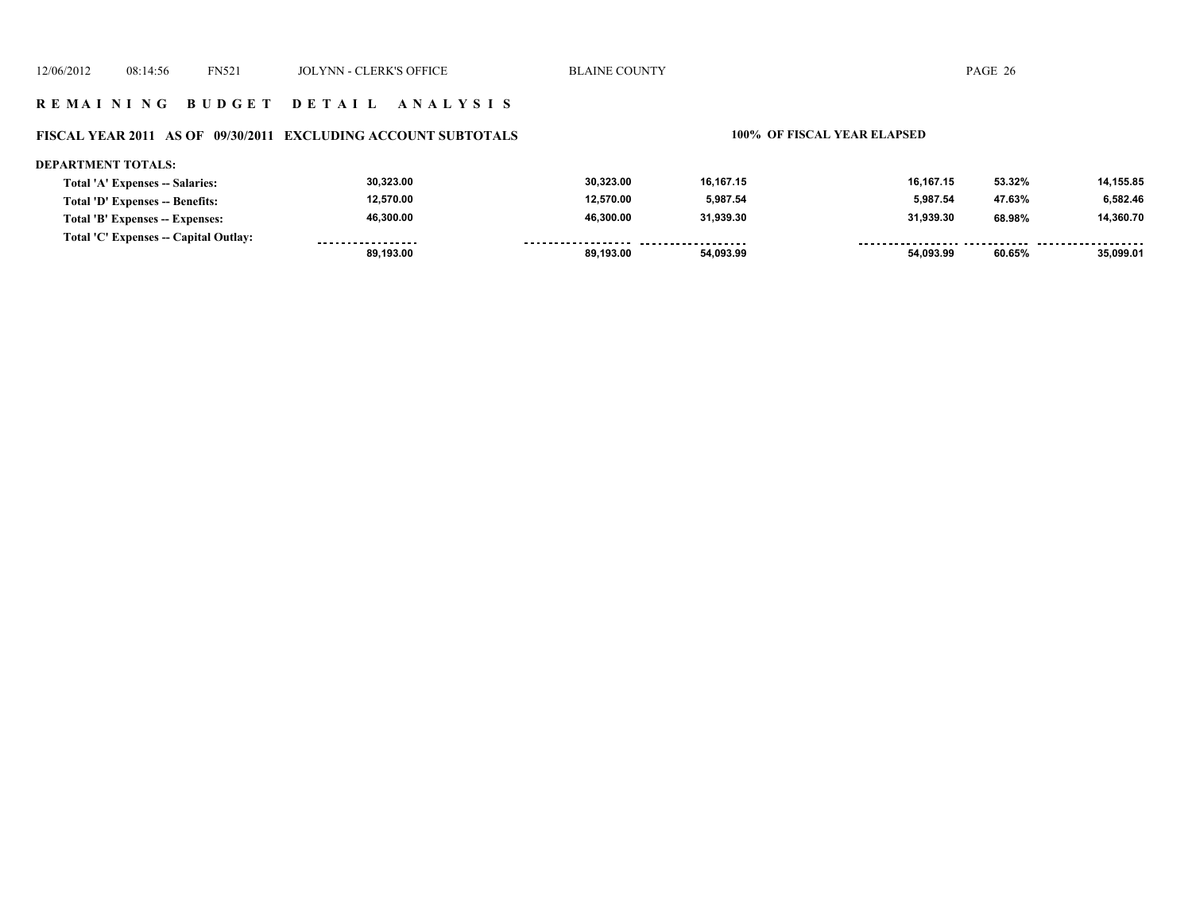### **FISCAL YEAR 2011 AS OF 09/30/2011 EXCLUDING ACCOUNT SUBTOTALS 100% OF FISCAL YEAR ELAPSED**

### **DEPARTMENT TOTALS:**

|                                       | 89.193.00         | 89.193.00 | 54.093.99 | 54.093.99 | 60.65% | 35.099.01 |
|---------------------------------------|-------------------|-----------|-----------|-----------|--------|-----------|
| Total 'C' Expenses -- Capital Outlay: | ----------------- |           |           |           |        |           |
| Total 'B' Expenses -- Expenses:       | 46,300.00         | 46.300.00 | 31.939.30 | 31.939.30 | 68.98% | 14,360.70 |
| Total 'D' Expenses -- Benefits:       | 12,570.00         | 12.570.00 | 5,987.54  | 5.987.54  | 47.63% | 6,582.46  |
| Total 'A' Expenses -- Salaries:       | 30,323.00         | 30.323.00 | 16.167.15 | 16.167.15 | 53.32% | 14,155.85 |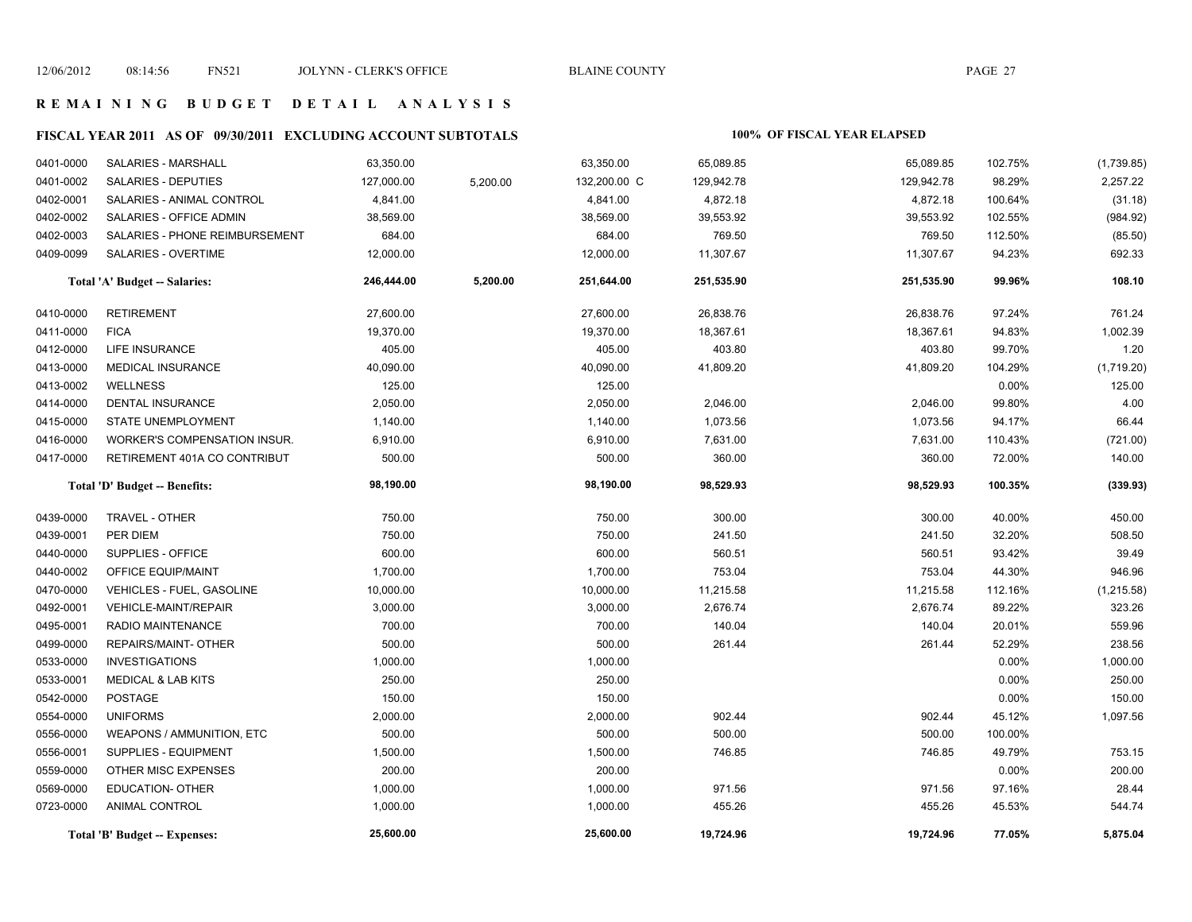# **FISCAL YEAR 2011 AS OF 09/30/2011 EXCLUDING ACCOUNT SUBTOTALS 100% OF FISCAL YEAR ELAPSED**

| 0401-0000 | <b>SALARIES - MARSHALL</b>       | 63,350.00  |          | 63,350.00    | 65,089.85  | 65,089.85  | 102.75%  | (1,739.85)  |
|-----------|----------------------------------|------------|----------|--------------|------------|------------|----------|-------------|
| 0401-0002 | SALARIES - DEPUTIES              | 127,000.00 | 5,200.00 | 132,200.00 C | 129,942.78 | 129,942.78 | 98.29%   | 2,257.22    |
| 0402-0001 | SALARIES - ANIMAL CONTROL        | 4,841.00   |          | 4,841.00     | 4,872.18   | 4,872.18   | 100.64%  | (31.18)     |
| 0402-0002 | SALARIES - OFFICE ADMIN          | 38,569.00  |          | 38,569.00    | 39,553.92  | 39,553.92  | 102.55%  | (984.92)    |
| 0402-0003 | SALARIES - PHONE REIMBURSEMENT   | 684.00     |          | 684.00       | 769.50     | 769.50     | 112.50%  | (85.50)     |
| 0409-0099 | SALARIES - OVERTIME              | 12,000.00  |          | 12,000.00    | 11,307.67  | 11,307.67  | 94.23%   | 692.33      |
|           | Total 'A' Budget -- Salaries:    | 246,444.00 | 5,200.00 | 251,644.00   | 251,535.90 | 251,535.90 | 99.96%   | 108.10      |
| 0410-0000 | <b>RETIREMENT</b>                | 27,600.00  |          | 27,600.00    | 26,838.76  | 26,838.76  | 97.24%   | 761.24      |
| 0411-0000 | <b>FICA</b>                      | 19,370.00  |          | 19,370.00    | 18,367.61  | 18,367.61  | 94.83%   | 1,002.39    |
| 0412-0000 | LIFE INSURANCE                   | 405.00     |          | 405.00       | 403.80     | 403.80     | 99.70%   | 1.20        |
| 0413-0000 | MEDICAL INSURANCE                | 40,090.00  |          | 40,090.00    | 41,809.20  | 41,809.20  | 104.29%  | (1,719.20)  |
| 0413-0002 | <b>WELLNESS</b>                  | 125.00     |          | 125.00       |            |            | 0.00%    | 125.00      |
| 0414-0000 | <b>DENTAL INSURANCE</b>          | 2,050.00   |          | 2,050.00     | 2,046.00   | 2,046.00   | 99.80%   | 4.00        |
| 0415-0000 | STATE UNEMPLOYMENT               | 1,140.00   |          | 1,140.00     | 1,073.56   | 1,073.56   | 94.17%   | 66.44       |
| 0416-0000 | WORKER'S COMPENSATION INSUR.     | 6,910.00   |          | 6,910.00     | 7,631.00   | 7,631.00   | 110.43%  | (721.00)    |
| 0417-0000 | RETIREMENT 401A CO CONTRIBUT     | 500.00     |          | 500.00       | 360.00     | 360.00     | 72.00%   | 140.00      |
|           | Total 'D' Budget -- Benefits:    | 98,190.00  |          | 98,190.00    | 98,529.93  | 98,529.93  | 100.35%  | (339.93)    |
| 0439-0000 | TRAVEL - OTHER                   | 750.00     |          | 750.00       | 300.00     | 300.00     | 40.00%   | 450.00      |
| 0439-0001 | PER DIEM                         | 750.00     |          | 750.00       | 241.50     | 241.50     | 32.20%   | 508.50      |
| 0440-0000 | SUPPLIES - OFFICE                | 600.00     |          | 600.00       | 560.51     | 560.51     | 93.42%   | 39.49       |
| 0440-0002 | OFFICE EQUIP/MAINT               | 1,700.00   |          | 1,700.00     | 753.04     | 753.04     | 44.30%   | 946.96      |
| 0470-0000 | <b>VEHICLES - FUEL, GASOLINE</b> | 10,000.00  |          | 10,000.00    | 11,215.58  | 11,215.58  | 112.16%  | (1, 215.58) |
| 0492-0001 | VEHICLE-MAINT/REPAIR             | 3,000.00   |          | 3,000.00     | 2,676.74   | 2,676.74   | 89.22%   | 323.26      |
| 0495-0001 | RADIO MAINTENANCE                | 700.00     |          | 700.00       | 140.04     | 140.04     | 20.01%   | 559.96      |
| 0499-0000 | REPAIRS/MAINT- OTHER             | 500.00     |          | 500.00       | 261.44     | 261.44     | 52.29%   | 238.56      |
| 0533-0000 | <b>INVESTIGATIONS</b>            | 1,000.00   |          | 1,000.00     |            |            | $0.00\%$ | 1,000.00    |
| 0533-0001 | <b>MEDICAL &amp; LAB KITS</b>    | 250.00     |          | 250.00       |            |            | 0.00%    | 250.00      |
| 0542-0000 | <b>POSTAGE</b>                   | 150.00     |          | 150.00       |            |            | 0.00%    | 150.00      |
| 0554-0000 | <b>UNIFORMS</b>                  | 2,000.00   |          | 2,000.00     | 902.44     | 902.44     | 45.12%   | 1,097.56    |
| 0556-0000 | <b>WEAPONS / AMMUNITION, ETC</b> | 500.00     |          | 500.00       | 500.00     | 500.00     | 100.00%  |             |
| 0556-0001 | <b>SUPPLIES - EQUIPMENT</b>      | 1,500.00   |          | 1,500.00     | 746.85     | 746.85     | 49.79%   | 753.15      |
| 0559-0000 | OTHER MISC EXPENSES              | 200.00     |          | 200.00       |            |            | 0.00%    | 200.00      |
| 0569-0000 | EDUCATION- OTHER                 | 1,000.00   |          | 1,000.00     | 971.56     | 971.56     | 97.16%   | 28.44       |
| 0723-0000 | <b>ANIMAL CONTROL</b>            | 1,000.00   |          | 1,000.00     | 455.26     | 455.26     | 45.53%   | 544.74      |
|           | Total 'B' Budget -- Expenses:    | 25.600.00  |          | 25.600.00    | 19,724.96  | 19,724.96  | 77.05%   | 5,875.04    |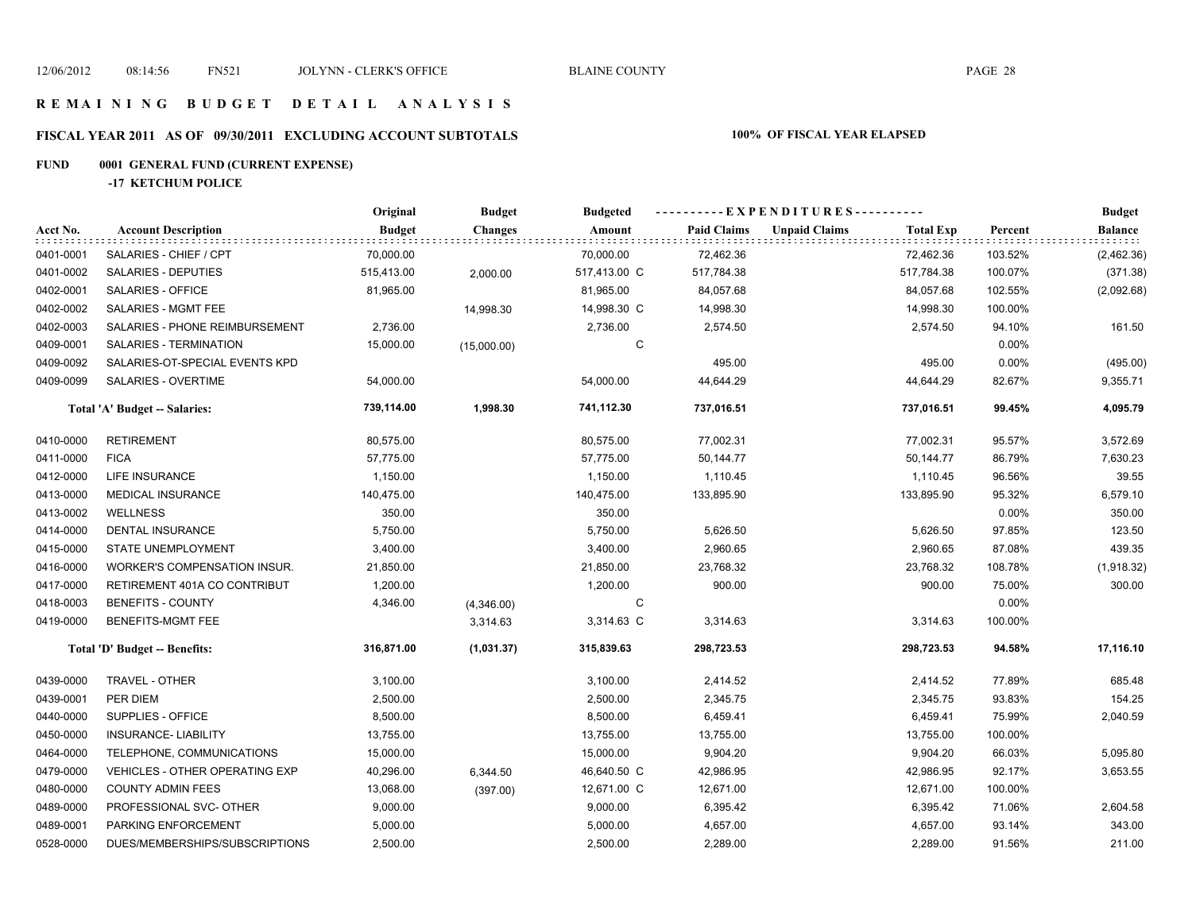# **FISCAL YEAR 2011 AS OF 09/30/2011 EXCLUDING ACCOUNT SUBTOTALS 100% OF FISCAL YEAR ELAPSED**

# **FUND 0001 GENERAL FUND (CURRENT EXPENSE)**

**-17 KETCHUM POLICE**

|           |                                       | Original      | <b>Budget</b>  | <b>Budgeted</b> | ----------EXPENDITURES---------- |                      |                  |         | <b>Budget</b>  |
|-----------|---------------------------------------|---------------|----------------|-----------------|----------------------------------|----------------------|------------------|---------|----------------|
| Acct No.  | <b>Account Description</b>            | <b>Budget</b> | <b>Changes</b> | Amount          | <b>Paid Claims</b>               | <b>Unpaid Claims</b> | <b>Total Exp</b> | Percent | <b>Balance</b> |
| 0401-0001 | SALARIES - CHIEF / CPT                | 70,000.00     |                | 70,000.00       | 72,462.36                        |                      | 72,462.36        | 103.52% | (2,462.36)     |
| 0401-0002 | SALARIES - DEPUTIES                   | 515,413.00    | 2,000.00       | 517,413.00 C    | 517,784.38                       |                      | 517,784.38       | 100.07% | (371.38)       |
| 0402-0001 | SALARIES - OFFICE                     | 81,965.00     |                | 81,965.00       | 84,057.68                        |                      | 84,057.68        | 102.55% | (2,092.68)     |
| 0402-0002 | SALARIES - MGMT FEE                   |               | 14,998.30      | 14,998.30 C     | 14,998.30                        |                      | 14,998.30        | 100.00% |                |
| 0402-0003 | SALARIES - PHONE REIMBURSEMENT        | 2,736.00      |                | 2,736.00        | 2,574.50                         |                      | 2,574.50         | 94.10%  | 161.50         |
| 0409-0001 | SALARIES - TERMINATION                | 15,000.00     | (15,000.00)    | С               |                                  |                      |                  | 0.00%   |                |
| 0409-0092 | SALARIES-OT-SPECIAL EVENTS KPD        |               |                |                 | 495.00                           |                      | 495.00           | 0.00%   | (495.00)       |
| 0409-0099 | SALARIES - OVERTIME                   | 54,000.00     |                | 54,000.00       | 44,644.29                        |                      | 44,644.29        | 82.67%  | 9,355.71       |
|           | Total 'A' Budget -- Salaries:         | 739,114.00    | 1,998.30       | 741,112.30      | 737,016.51                       |                      | 737,016.51       | 99.45%  | 4,095.79       |
| 0410-0000 | <b>RETIREMENT</b>                     | 80,575.00     |                | 80,575.00       | 77,002.31                        |                      | 77,002.31        | 95.57%  | 3,572.69       |
| 0411-0000 | <b>FICA</b>                           | 57,775.00     |                | 57,775.00       | 50,144.77                        |                      | 50,144.77        | 86.79%  | 7,630.23       |
| 0412-0000 | LIFE INSURANCE                        | 1,150.00      |                | 1,150.00        | 1,110.45                         |                      | 1,110.45         | 96.56%  | 39.55          |
| 0413-0000 | <b>MEDICAL INSURANCE</b>              | 140,475.00    |                | 140,475.00      | 133,895.90                       |                      | 133,895.90       | 95.32%  | 6,579.10       |
| 0413-0002 | <b>WELLNESS</b>                       | 350.00        |                | 350.00          |                                  |                      |                  | 0.00%   | 350.00         |
| 0414-0000 | DENTAL INSURANCE                      | 5,750.00      |                | 5,750.00        | 5,626.50                         |                      | 5,626.50         | 97.85%  | 123.50         |
| 0415-0000 | <b>STATE UNEMPLOYMENT</b>             | 3,400.00      |                | 3,400.00        | 2,960.65                         |                      | 2,960.65         | 87.08%  | 439.35         |
| 0416-0000 | WORKER'S COMPENSATION INSUR.          | 21,850.00     |                | 21,850.00       | 23,768.32                        |                      | 23,768.32        | 108.78% | (1,918.32)     |
| 0417-0000 | RETIREMENT 401A CO CONTRIBUT          | 1,200.00      |                | 1,200.00        | 900.00                           |                      | 900.00           | 75.00%  | 300.00         |
| 0418-0003 | <b>BENEFITS - COUNTY</b>              | 4,346.00      | (4,346.00)     | C               |                                  |                      |                  | 0.00%   |                |
| 0419-0000 | BENEFITS-MGMT FEE                     |               | 3,314.63       | 3,314.63 C      | 3,314.63                         |                      | 3,314.63         | 100.00% |                |
|           | Total 'D' Budget -- Benefits:         | 316,871.00    | (1,031.37)     | 315,839.63      | 298,723.53                       |                      | 298,723.53       | 94.58%  | 17,116.10      |
| 0439-0000 | TRAVEL - OTHER                        | 3,100.00      |                | 3,100.00        | 2,414.52                         |                      | 2,414.52         | 77.89%  | 685.48         |
| 0439-0001 | PER DIEM                              | 2,500.00      |                | 2,500.00        | 2,345.75                         |                      | 2,345.75         | 93.83%  | 154.25         |
| 0440-0000 | SUPPLIES - OFFICE                     | 8,500.00      |                | 8,500.00        | 6,459.41                         |                      | 6,459.41         | 75.99%  | 2,040.59       |
| 0450-0000 | <b>INSURANCE- LIABILITY</b>           | 13,755.00     |                | 13,755.00       | 13,755.00                        |                      | 13,755.00        | 100.00% |                |
| 0464-0000 | TELEPHONE, COMMUNICATIONS             | 15,000.00     |                | 15,000.00       | 9,904.20                         |                      | 9,904.20         | 66.03%  | 5,095.80       |
| 0479-0000 | <b>VEHICLES - OTHER OPERATING EXP</b> | 40,296.00     | 6,344.50       | 46,640.50 C     | 42,986.95                        |                      | 42,986.95        | 92.17%  | 3,653.55       |
| 0480-0000 | <b>COUNTY ADMIN FEES</b>              | 13,068.00     | (397.00)       | 12,671.00 C     | 12,671.00                        |                      | 12,671.00        | 100.00% |                |
| 0489-0000 | PROFESSIONAL SVC- OTHER               | 9,000.00      |                | 9,000.00        | 6,395.42                         |                      | 6,395.42         | 71.06%  | 2,604.58       |
| 0489-0001 | PARKING ENFORCEMENT                   | 5,000.00      |                | 5,000.00        | 4,657.00                         |                      | 4,657.00         | 93.14%  | 343.00         |
| 0528-0000 | DUES/MEMBERSHIPS/SUBSCRIPTIONS        | 2,500.00      |                | 2,500.00        | 2,289.00                         |                      | 2,289.00         | 91.56%  | 211.00         |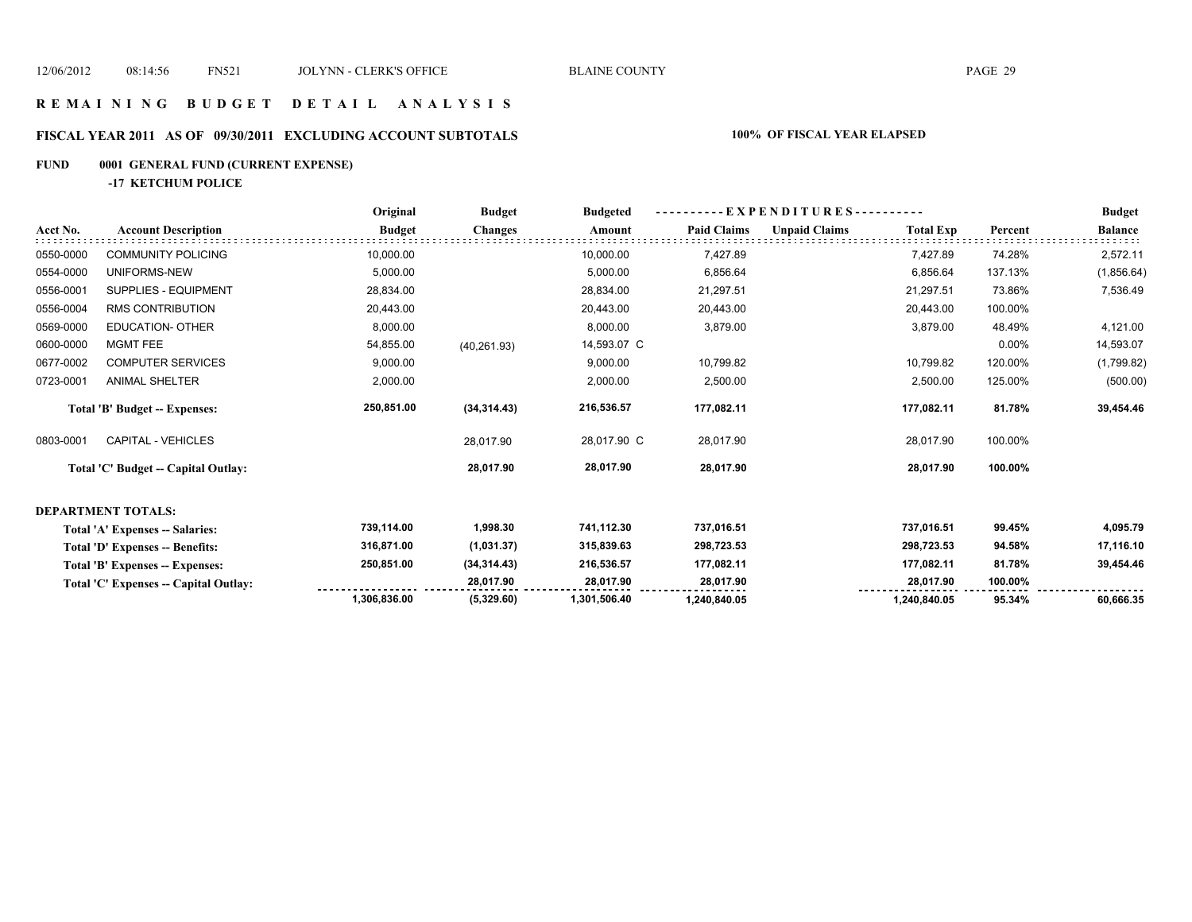# **FISCAL YEAR 2011 AS OF 09/30/2011 EXCLUDING ACCOUNT SUBTOTALS 100% OF FISCAL YEAR ELAPSED**

### **FUND 0001 GENERAL FUND (CURRENT EXPENSE)**

**-17 KETCHUM POLICE**

|           |                                       | Original      | <b>Budget</b>  | <b>Budgeted</b> | - EXPENDITURES---------- |                      |                  |         | <b>Budget</b>  |
|-----------|---------------------------------------|---------------|----------------|-----------------|--------------------------|----------------------|------------------|---------|----------------|
| Acct No.  | <b>Account Description</b>            | <b>Budget</b> | <b>Changes</b> | Amount          | <b>Paid Claims</b>       | <b>Unpaid Claims</b> | <b>Total Exp</b> | Percent | <b>Balance</b> |
| 0550-0000 | <b>COMMUNITY POLICING</b>             | 10,000.00     |                | 10,000.00       | 7,427.89                 |                      | 7,427.89         | 74.28%  | 2,572.11       |
| 0554-0000 | UNIFORMS-NEW                          | 5,000.00      |                | 5,000.00        | 6,856.64                 |                      | 6,856.64         | 137.13% | (1,856.64)     |
| 0556-0001 | SUPPLIES - EQUIPMENT                  | 28,834.00     |                | 28,834.00       | 21,297.51                |                      | 21,297.51        | 73.86%  | 7,536.49       |
| 0556-0004 | <b>RMS CONTRIBUTION</b>               | 20,443.00     |                | 20,443.00       | 20,443.00                |                      | 20,443.00        | 100.00% |                |
| 0569-0000 | <b>EDUCATION- OTHER</b>               | 8,000.00      |                | 8,000.00        | 3,879.00                 |                      | 3,879.00         | 48.49%  | 4,121.00       |
| 0600-0000 | <b>MGMT FEE</b>                       | 54,855.00     | (40, 261.93)   | 14,593.07 C     |                          |                      |                  | 0.00%   | 14,593.07      |
| 0677-0002 | <b>COMPUTER SERVICES</b>              | 9,000.00      |                | 9,000.00        | 10,799.82                |                      | 10,799.82        | 120.00% | (1,799.82)     |
| 0723-0001 | <b>ANIMAL SHELTER</b>                 | 2,000.00      |                | 2,000.00        | 2,500.00                 |                      | 2,500.00         | 125.00% | (500.00)       |
|           | Total 'B' Budget -- Expenses:         | 250,851.00    | (34, 314.43)   | 216,536.57      | 177,082.11               |                      | 177,082.11       | 81.78%  | 39,454.46      |
| 0803-0001 | <b>CAPITAL - VEHICLES</b>             |               | 28,017.90      | 28,017.90 C     | 28,017.90                |                      | 28,017.90        | 100.00% |                |
|           | Total 'C' Budget -- Capital Outlay:   |               | 28,017.90      | 28,017.90       | 28,017.90                |                      | 28,017.90        | 100.00% |                |
|           | <b>DEPARTMENT TOTALS:</b>             |               |                |                 |                          |                      |                  |         |                |
|           | Total 'A' Expenses -- Salaries:       | 739,114.00    | 1,998.30       | 741,112.30      | 737,016.51               |                      | 737,016.51       | 99.45%  | 4,095.79       |
|           | Total 'D' Expenses -- Benefits:       | 316,871.00    | (1,031.37)     | 315,839.63      | 298,723.53               |                      | 298,723.53       | 94.58%  | 17,116.10      |
|           | Total 'B' Expenses -- Expenses:       | 250,851.00    | (34, 314.43)   | 216,536.57      | 177,082.11               |                      | 177,082.11       | 81.78%  | 39,454.46      |
|           | Total 'C' Expenses -- Capital Outlay: |               | 28,017.90      | 28,017.90       | 28,017.90                |                      | 28,017.90        | 100.00% |                |
|           |                                       | 1,306,836.00  | (5,329.60)     | 1,301,506.40    | 1,240,840.05             |                      | 1,240,840.05     | 95.34%  | 60,666.35      |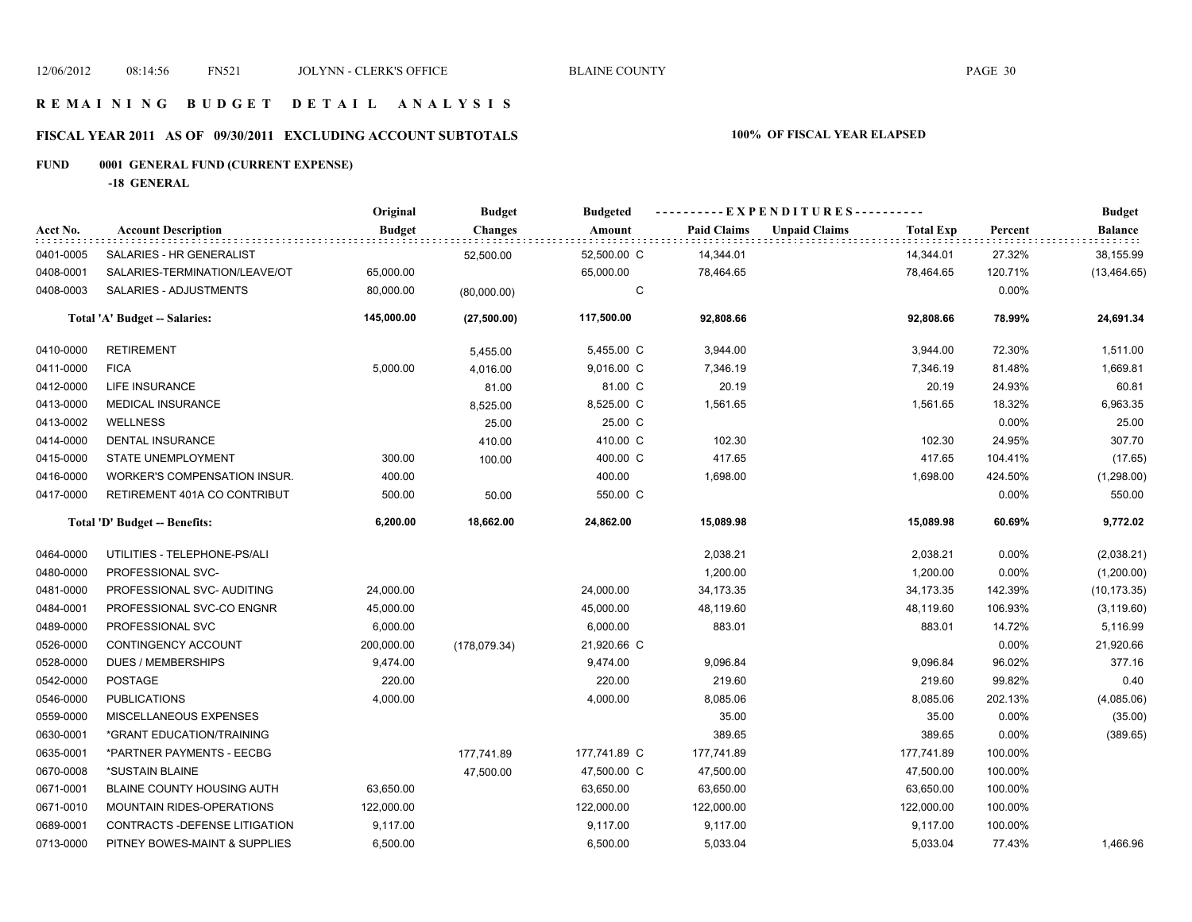### **R E M A I N I N G B U D G E T D E T A I L A N A L Y S I S**

# **FISCAL YEAR 2011 AS OF 09/30/2011 EXCLUDING ACCOUNT SUBTOTALS 100% OF FISCAL YEAR ELAPSED**

# **FUND 0001 GENERAL FUND (CURRENT EXPENSE)**

**-18 GENERAL**

|           |                                | Original      | <b>Budget</b>  | <b>Budgeted</b> | ----------EXPENDITURES---------- |                      |                  |          | <b>Budget</b>  |
|-----------|--------------------------------|---------------|----------------|-----------------|----------------------------------|----------------------|------------------|----------|----------------|
| Acct No.  | <b>Account Description</b>     | <b>Budget</b> | <b>Changes</b> | Amount          | <b>Paid Claims</b>               | <b>Unpaid Claims</b> | <b>Total Exp</b> | Percent  | <b>Balance</b> |
| 0401-0005 | SALARIES - HR GENERALIST       |               | 52,500.00      | 52,500.00 C     | 14,344.01                        |                      | 14,344.01        | 27.32%   | 38,155.99      |
| 0408-0001 | SALARIES-TERMINATION/LEAVE/OT  | 65,000.00     |                | 65,000.00       | 78,464.65                        |                      | 78,464.65        | 120.71%  | (13, 464.65)   |
| 0408-0003 | SALARIES - ADJUSTMENTS         | 80,000.00     | (80,000.00)    | C               |                                  |                      |                  | 0.00%    |                |
|           | Total 'A' Budget -- Salaries:  | 145,000.00    | (27,500.00)    | 117,500.00      | 92,808.66                        |                      | 92,808.66        | 78.99%   | 24,691.34      |
| 0410-0000 | <b>RETIREMENT</b>              |               | 5,455.00       | 5,455.00 C      | 3,944.00                         |                      | 3,944.00         | 72.30%   | 1,511.00       |
| 0411-0000 | <b>FICA</b>                    | 5,000.00      | 4,016.00       | 9,016.00 C      | 7,346.19                         |                      | 7,346.19         | 81.48%   | 1,669.81       |
| 0412-0000 | LIFE INSURANCE                 |               | 81.00          | 81.00 C         | 20.19                            |                      | 20.19            | 24.93%   | 60.81          |
| 0413-0000 | <b>MEDICAL INSURANCE</b>       |               | 8,525.00       | 8,525.00 C      | 1,561.65                         |                      | 1,561.65         | 18.32%   | 6,963.35       |
| 0413-0002 | <b>WELLNESS</b>                |               | 25.00          | 25.00 C         |                                  |                      |                  | 0.00%    | 25.00          |
| 0414-0000 | DENTAL INSURANCE               |               | 410.00         | 410.00 C        | 102.30                           |                      | 102.30           | 24.95%   | 307.70         |
| 0415-0000 | STATE UNEMPLOYMENT             | 300.00        | 100.00         | 400.00 C        | 417.65                           |                      | 417.65           | 104.41%  | (17.65)        |
| 0416-0000 | WORKER'S COMPENSATION INSUR.   | 400.00        |                | 400.00          | 1,698.00                         |                      | 1,698.00         | 424.50%  | (1,298.00)     |
| 0417-0000 | RETIREMENT 401A CO CONTRIBUT   | 500.00        | 50.00          | 550.00 C        |                                  |                      |                  | 0.00%    | 550.00         |
|           | Total 'D' Budget -- Benefits:  | 6,200.00      | 18,662.00      | 24,862.00       | 15,089.98                        |                      | 15,089.98        | 60.69%   | 9,772.02       |
| 0464-0000 | UTILITIES - TELEPHONE-PS/ALI   |               |                |                 | 2,038.21                         |                      | 2,038.21         | $0.00\%$ | (2,038.21)     |
| 0480-0000 | PROFESSIONAL SVC-              |               |                |                 | 1,200.00                         |                      | 1,200.00         | 0.00%    | (1,200.00)     |
| 0481-0000 | PROFESSIONAL SVC- AUDITING     | 24,000.00     |                | 24,000.00       | 34,173.35                        |                      | 34,173.35        | 142.39%  | (10, 173.35)   |
| 0484-0001 | PROFESSIONAL SVC-CO ENGNR      | 45,000.00     |                | 45,000.00       | 48,119.60                        |                      | 48,119.60        | 106.93%  | (3, 119.60)    |
| 0489-0000 | PROFESSIONAL SVC               | 6,000.00      |                | 6,000.00        | 883.01                           |                      | 883.01           | 14.72%   | 5,116.99       |
| 0526-0000 | CONTINGENCY ACCOUNT            | 200,000.00    | (178,079.34)   | 21,920.66 C     |                                  |                      |                  | 0.00%    | 21,920.66      |
| 0528-0000 | <b>DUES / MEMBERSHIPS</b>      | 9,474.00      |                | 9,474.00        | 9,096.84                         |                      | 9,096.84         | 96.02%   | 377.16         |
| 0542-0000 | <b>POSTAGE</b>                 | 220.00        |                | 220.00          | 219.60                           |                      | 219.60           | 99.82%   | 0.40           |
| 0546-0000 | <b>PUBLICATIONS</b>            | 4,000.00      |                | 4,000.00        | 8,085.06                         |                      | 8,085.06         | 202.13%  | (4,085.06)     |
| 0559-0000 | MISCELLANEOUS EXPENSES         |               |                |                 | 35.00                            |                      | 35.00            | 0.00%    | (35.00)        |
| 0630-0001 | *GRANT EDUCATION/TRAINING      |               |                |                 | 389.65                           |                      | 389.65           | 0.00%    | (389.65)       |
| 0635-0001 | *PARTNER PAYMENTS - EECBG      |               | 177,741.89     | 177,741.89 C    | 177,741.89                       |                      | 177,741.89       | 100.00%  |                |
| 0670-0008 | *SUSTAIN BLAINE                |               | 47,500.00      | 47,500.00 C     | 47,500.00                        |                      | 47,500.00        | 100.00%  |                |
| 0671-0001 | BLAINE COUNTY HOUSING AUTH     | 63,650.00     |                | 63,650.00       | 63,650.00                        |                      | 63,650.00        | 100.00%  |                |
| 0671-0010 | MOUNTAIN RIDES-OPERATIONS      | 122,000.00    |                | 122,000.00      | 122,000.00                       |                      | 122,000.00       | 100.00%  |                |
| 0689-0001 | CONTRACTS - DEFENSE LITIGATION | 9,117.00      |                | 9,117.00        | 9,117.00                         |                      | 9,117.00         | 100.00%  |                |
| 0713-0000 | PITNEY BOWES-MAINT & SUPPLIES  | 6,500.00      |                | 6,500.00        | 5,033.04                         |                      | 5,033.04         | 77.43%   | 1,466.96       |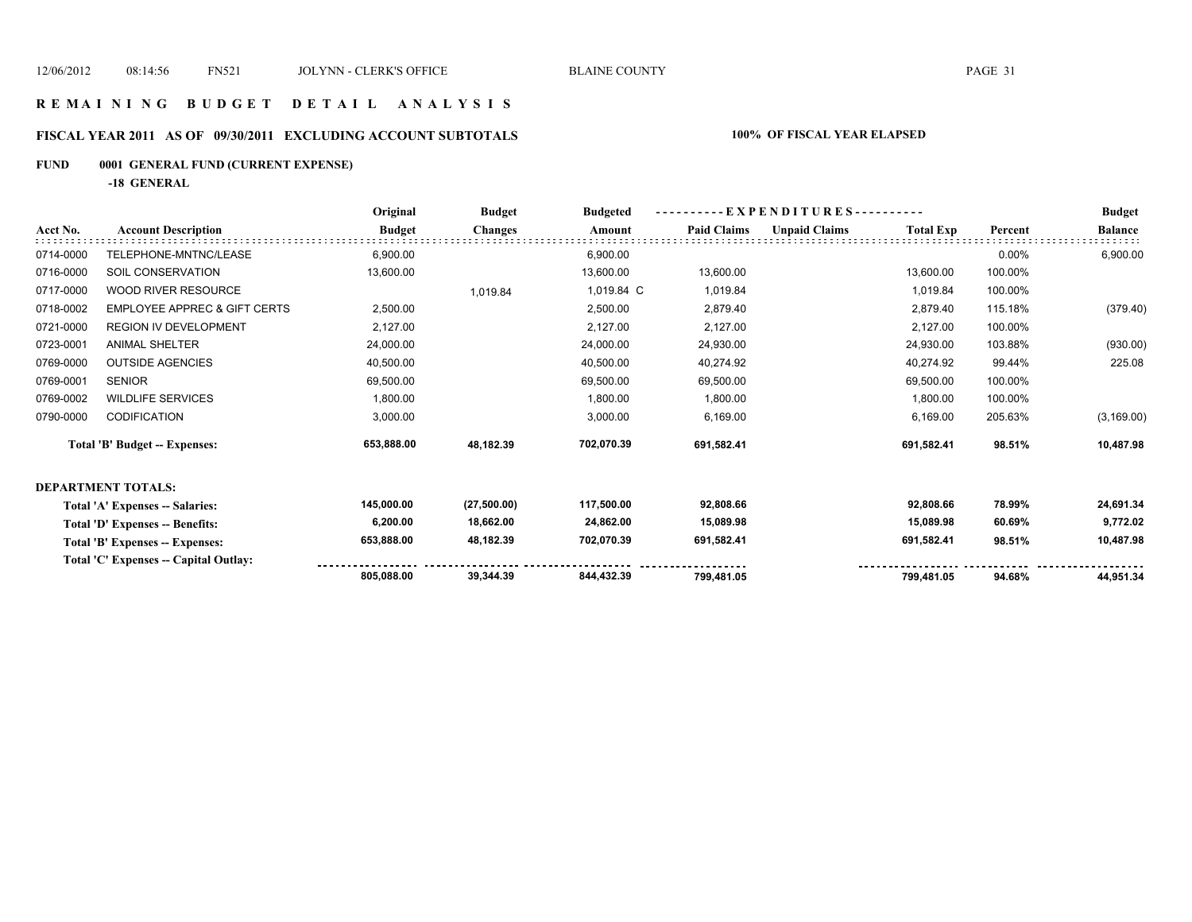### **R E M A I N I N G B U D G E T D E T A I L A N A L Y S I S**

# **FISCAL YEAR 2011 AS OF 09/30/2011 EXCLUDING ACCOUNT SUBTOTALS 100% OF FISCAL YEAR ELAPSED**

# **FUND 0001 GENERAL FUND (CURRENT EXPENSE)**

**-18 GENERAL**

|           |                                         | Original      | <b>Budget</b> | <b>Budgeted</b> | - EXPENDITURES---------- |                      |                  |         | <b>Budget</b>  |
|-----------|-----------------------------------------|---------------|---------------|-----------------|--------------------------|----------------------|------------------|---------|----------------|
| Acct No.  | <b>Account Description</b>              | <b>Budget</b> | Changes       | Amount          | <b>Paid Claims</b>       | <b>Unpaid Claims</b> | <b>Total Exp</b> | Percent | <b>Balance</b> |
| 0714-0000 | TELEPHONE-MNTNC/LEASE                   | 6,900.00      |               | 6,900.00        |                          |                      |                  | 0.00%   | 6,900.00       |
| 0716-0000 | SOIL CONSERVATION                       | 13,600.00     |               | 13,600.00       | 13,600.00                |                      | 13,600.00        | 100.00% |                |
| 0717-0000 | <b>WOOD RIVER RESOURCE</b>              |               | 1,019.84      | 1,019.84 C      | 1,019.84                 |                      | 1,019.84         | 100.00% |                |
| 0718-0002 | <b>EMPLOYEE APPREC &amp; GIFT CERTS</b> | 2,500.00      |               | 2,500.00        | 2,879.40                 |                      | 2,879.40         | 115.18% | (379.40)       |
| 0721-0000 | <b>REGION IV DEVELOPMENT</b>            | 2,127.00      |               | 2,127.00        | 2,127.00                 |                      | 2,127.00         | 100.00% |                |
| 0723-0001 | <b>ANIMAL SHELTER</b>                   | 24,000.00     |               | 24,000.00       | 24,930.00                |                      | 24,930.00        | 103.88% | (930.00)       |
| 0769-0000 | <b>OUTSIDE AGENCIES</b>                 | 40,500.00     |               | 40,500.00       | 40,274.92                |                      | 40,274.92        | 99.44%  | 225.08         |
| 0769-0001 | <b>SENIOR</b>                           | 69,500.00     |               | 69,500.00       | 69,500.00                |                      | 69,500.00        | 100.00% |                |
| 0769-0002 | <b>WILDLIFE SERVICES</b>                | 1,800.00      |               | 1,800.00        | 1,800.00                 |                      | 1,800.00         | 100.00% |                |
| 0790-0000 | <b>CODIFICATION</b>                     | 3,000.00      |               | 3,000.00        | 6,169.00                 |                      | 6,169.00         | 205.63% | (3, 169.00)    |
|           | <b>Total 'B' Budget -- Expenses:</b>    | 653,888.00    | 48,182.39     | 702,070.39      | 691,582.41               |                      | 691,582.41       | 98.51%  | 10,487.98      |
|           | <b>DEPARTMENT TOTALS:</b>               |               |               |                 |                          |                      |                  |         |                |
|           | Total 'A' Expenses -- Salaries:         | 145,000.00    | (27,500.00)   | 117,500.00      | 92,808.66                |                      | 92,808.66        | 78.99%  | 24,691.34      |
|           | Total 'D' Expenses -- Benefits:         | 6,200.00      | 18,662.00     | 24,862.00       | 15,089.98                |                      | 15,089.98        | 60.69%  | 9,772.02       |
|           | Total 'B' Expenses -- Expenses:         | 653,888.00    | 48,182.39     | 702.070.39      | 691,582.41               |                      | 691,582.41       | 98.51%  | 10,487.98      |
|           | Total 'C' Expenses -- Capital Outlay:   |               |               |                 |                          |                      |                  |         |                |
|           |                                         | 805,088.00    | 39,344.39     | 844.432.39      | 799,481.05               |                      | 799.481.05       | 94.68%  | 44,951.34      |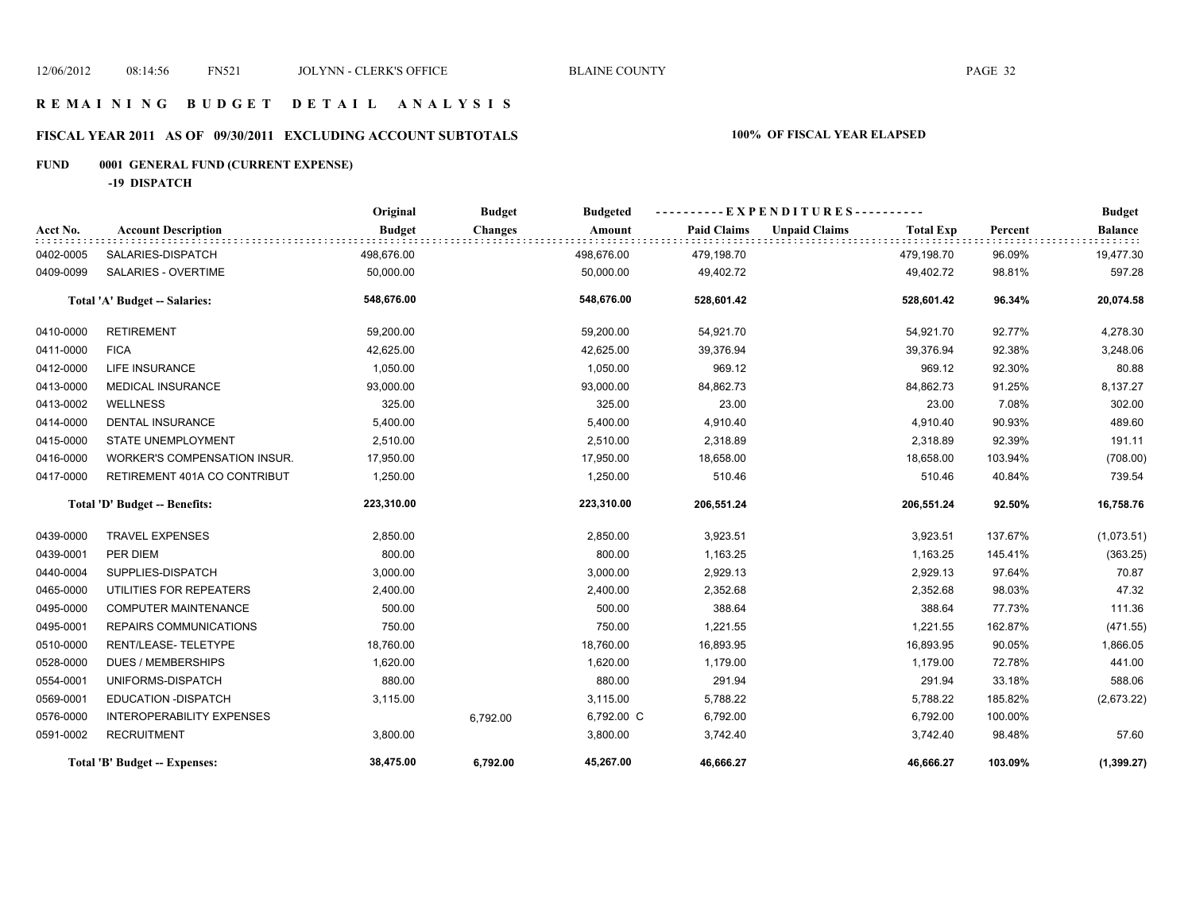# **FISCAL YEAR 2011 AS OF 09/30/2011 EXCLUDING ACCOUNT SUBTOTALS 100% OF FISCAL YEAR ELAPSED**

# **FUND 0001 GENERAL FUND (CURRENT EXPENSE)**

**-19 DISPATCH**

|           |                                      | Original      | <b>Budget</b>  | <b>Budgeted</b> | $-EXPENDITURES---$ |                      |                  |         | <b>Budget</b>  |
|-----------|--------------------------------------|---------------|----------------|-----------------|--------------------|----------------------|------------------|---------|----------------|
| Acct No.  | <b>Account Description</b>           | <b>Budget</b> | <b>Changes</b> | Amount          | <b>Paid Claims</b> | <b>Unpaid Claims</b> | <b>Total Exp</b> | Percent | <b>Balance</b> |
| 0402-0005 | SALARIES-DISPATCH                    | 498,676.00    |                | 498,676.00      | 479,198.70         |                      | 479,198.70       | 96.09%  | 19,477.30      |
| 0409-0099 | <b>SALARIES - OVERTIME</b>           | 50,000.00     |                | 50,000.00       | 49,402.72          |                      | 49,402.72        | 98.81%  | 597.28         |
|           | Total 'A' Budget -- Salaries:        | 548,676.00    |                | 548,676.00      | 528,601.42         |                      | 528,601.42       | 96.34%  | 20,074.58      |
| 0410-0000 | <b>RETIREMENT</b>                    | 59,200.00     |                | 59,200.00       | 54,921.70          |                      | 54,921.70        | 92.77%  | 4,278.30       |
| 0411-0000 | <b>FICA</b>                          | 42,625.00     |                | 42,625.00       | 39,376.94          |                      | 39,376.94        | 92.38%  | 3,248.06       |
| 0412-0000 | <b>LIFE INSURANCE</b>                | 1,050.00      |                | 1,050.00        | 969.12             |                      | 969.12           | 92.30%  | 80.88          |
| 0413-0000 | <b>MEDICAL INSURANCE</b>             | 93,000.00     |                | 93,000.00       | 84,862.73          |                      | 84,862.73        | 91.25%  | 8,137.27       |
| 0413-0002 | <b>WELLNESS</b>                      | 325.00        |                | 325.00          | 23.00              |                      | 23.00            | 7.08%   | 302.00         |
| 0414-0000 | <b>DENTAL INSURANCE</b>              | 5,400.00      |                | 5,400.00        | 4,910.40           |                      | 4,910.40         | 90.93%  | 489.60         |
| 0415-0000 | STATE UNEMPLOYMENT                   | 2,510.00      |                | 2,510.00        | 2,318.89           |                      | 2,318.89         | 92.39%  | 191.11         |
| 0416-0000 | WORKER'S COMPENSATION INSUR.         | 17,950.00     |                | 17,950.00       | 18,658.00          |                      | 18,658.00        | 103.94% | (708.00)       |
| 0417-0000 | RETIREMENT 401A CO CONTRIBUT         | 1,250.00      |                | 1,250.00        | 510.46             |                      | 510.46           | 40.84%  | 739.54         |
|           | Total 'D' Budget -- Benefits:        | 223,310.00    |                | 223,310.00      | 206,551.24         |                      | 206,551.24       | 92.50%  | 16,758.76      |
| 0439-0000 | <b>TRAVEL EXPENSES</b>               | 2,850.00      |                | 2,850.00        | 3,923.51           |                      | 3,923.51         | 137.67% | (1,073.51)     |
| 0439-0001 | PER DIEM                             | 800.00        |                | 800.00          | 1,163.25           |                      | 1,163.25         | 145.41% | (363.25)       |
| 0440-0004 | SUPPLIES-DISPATCH                    | 3,000.00      |                | 3,000.00        | 2,929.13           |                      | 2,929.13         | 97.64%  | 70.87          |
| 0465-0000 | UTILITIES FOR REPEATERS              | 2,400.00      |                | 2,400.00        | 2,352.68           |                      | 2,352.68         | 98.03%  | 47.32          |
| 0495-0000 | <b>COMPUTER MAINTENANCE</b>          | 500.00        |                | 500.00          | 388.64             |                      | 388.64           | 77.73%  | 111.36         |
| 0495-0001 | REPAIRS COMMUNICATIONS               | 750.00        |                | 750.00          | 1,221.55           |                      | 1,221.55         | 162.87% | (471.55)       |
| 0510-0000 | RENT/LEASE-TELETYPE                  | 18,760.00     |                | 18,760.00       | 16,893.95          |                      | 16,893.95        | 90.05%  | 1,866.05       |
| 0528-0000 | <b>DUES / MEMBERSHIPS</b>            | 1,620.00      |                | 1,620.00        | 1,179.00           |                      | 1,179.00         | 72.78%  | 441.00         |
| 0554-0001 | UNIFORMS-DISPATCH                    | 880.00        |                | 880.00          | 291.94             |                      | 291.94           | 33.18%  | 588.06         |
| 0569-0001 | <b>EDUCATION -DISPATCH</b>           | 3,115.00      |                | 3,115.00        | 5,788.22           |                      | 5,788.22         | 185.82% | (2,673.22)     |
| 0576-0000 | <b>INTEROPERABILITY EXPENSES</b>     |               | 6,792.00       | 6,792.00 C      | 6,792.00           |                      | 6,792.00         | 100.00% |                |
| 0591-0002 | <b>RECRUITMENT</b>                   | 3,800.00      |                | 3,800.00        | 3,742.40           |                      | 3,742.40         | 98.48%  | 57.60          |
|           | <b>Total 'B' Budget -- Expenses:</b> | 38,475.00     | 6,792.00       | 45,267.00       | 46,666.27          |                      | 46,666.27        | 103.09% | (1, 399.27)    |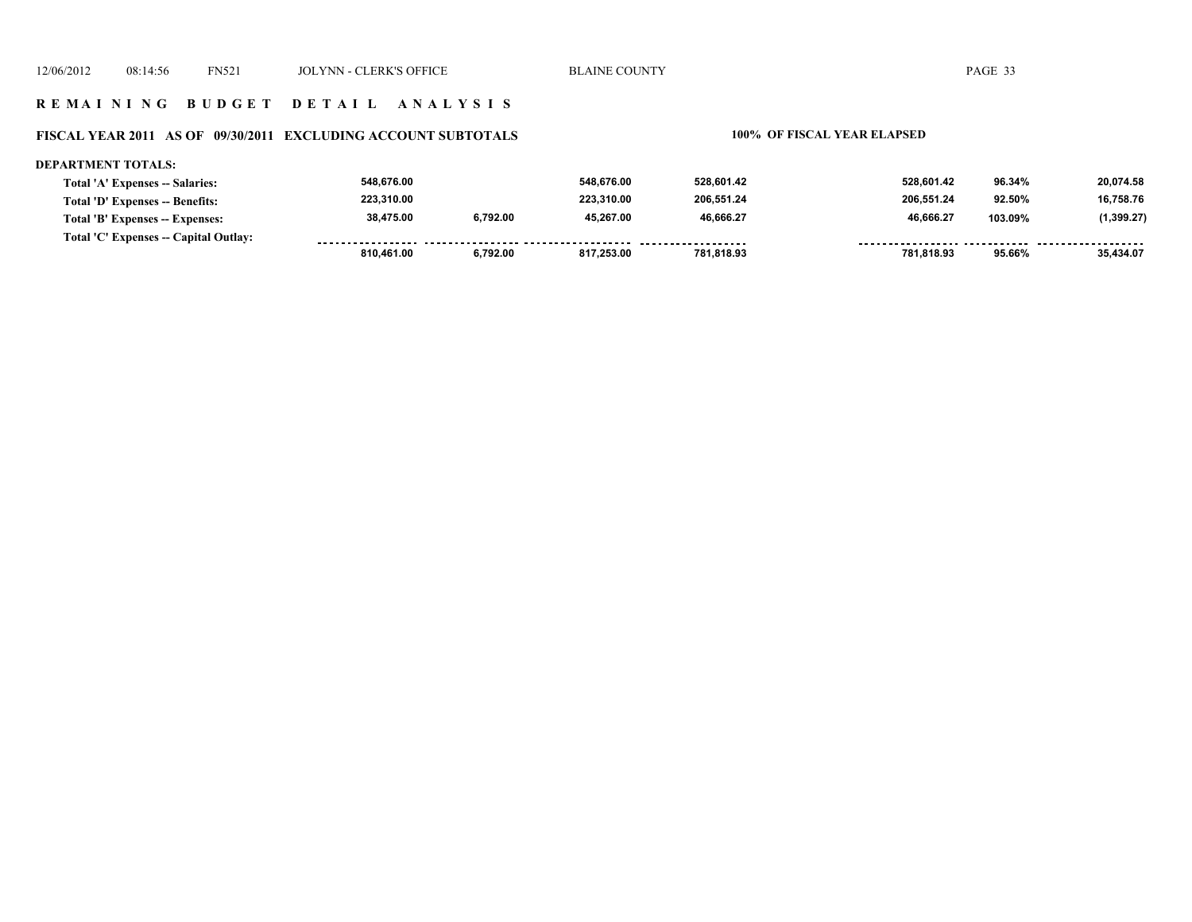### **FISCAL YEAR 2011 AS OF 09/30/2011 EXCLUDING ACCOUNT SUBTOTALS 100% OF FISCAL YEAR ELAPSED**

### **DEPARTMENT TOTALS: Total 'A' Expenses -- Salaries: Total 'D' Expenses -- Benefits: Total 'B' Expenses -- Expenses: 528,601.42 46,666.27 206,551.24 528,601.42 46,666.27 206,551.24 96.34% 103.09% 92.50% 20,074.58 (1,399.27) 16,758.76 45,267.00 223,310.00 548,676.00 6,792.00 548,676.00 38,475.00 223,310.00**

| $\mathbf{1}$<br>Fotal<br><i>x</i> nenses<br>Outlav |                  |        |            |            |        |  |
|----------------------------------------------------|------------------|--------|------------|------------|--------|--|
|                                                    | 1.461.00<br>R1 N | 753.U. | 781.818.93 | 781,818.93 | 95.66% |  |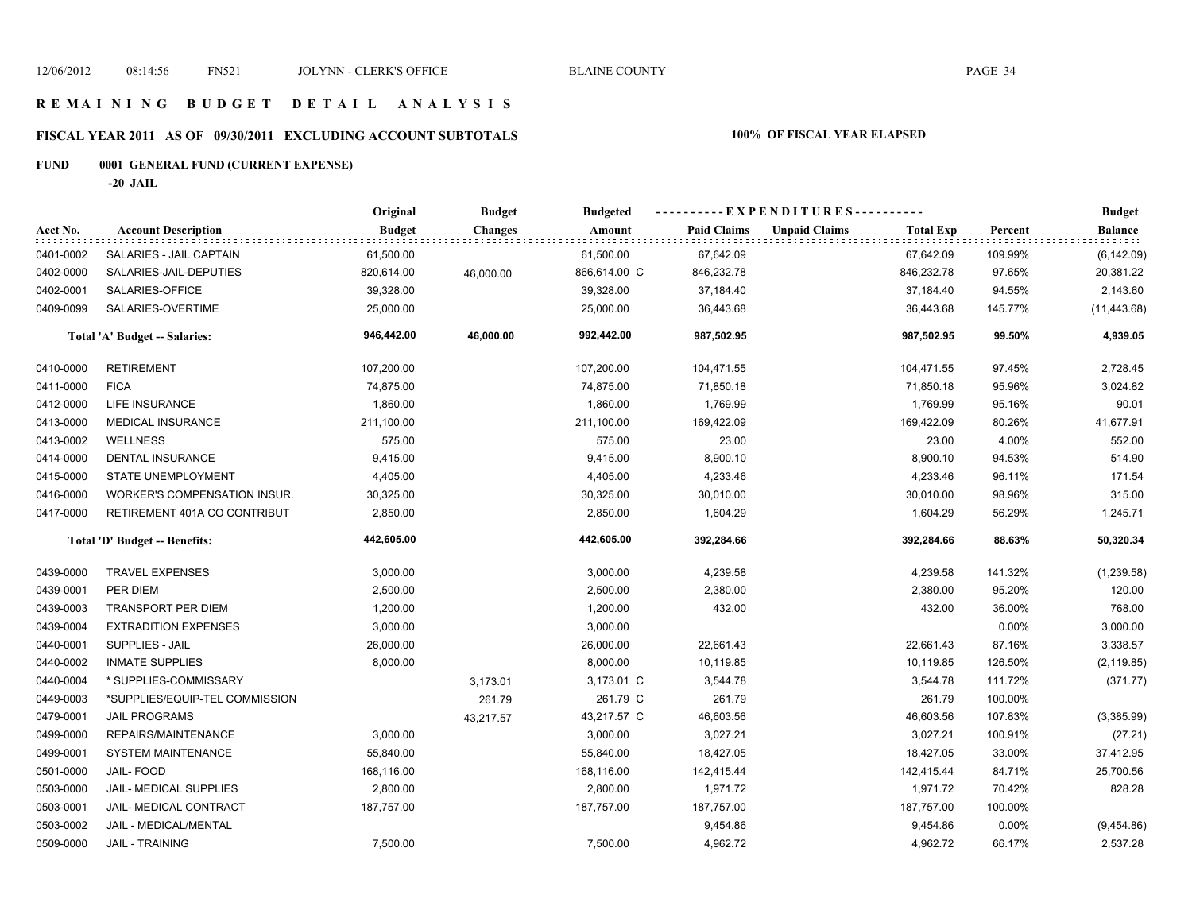# **FISCAL YEAR 2011 AS OF 09/30/2011 EXCLUDING ACCOUNT SUBTOTALS 100% OF FISCAL YEAR ELAPSED**

# **FUND 0001 GENERAL FUND (CURRENT EXPENSE)**

**-20 JAIL**

|           |                                | Original      | <b>Budget</b>  | <b>Budgeted</b> | ----------EXPENDITURES---------- |                                          |                   | <b>Budget</b>  |
|-----------|--------------------------------|---------------|----------------|-----------------|----------------------------------|------------------------------------------|-------------------|----------------|
| Acct No.  | <b>Account Description</b>     | <b>Budget</b> | <b>Changes</b> | Amount          | <b>Paid Claims</b>               | <b>Unpaid Claims</b><br><b>Total Exp</b> | Percent           | <b>Balance</b> |
| 0401-0002 | SALARIES - JAIL CAPTAIN        | 61,500.00     |                | 61,500.00       | 67,642.09                        | 67,642.09                                | 109.99%           | (6, 142.09)    |
| 0402-0000 | SALARIES-JAIL-DEPUTIES         | 820,614.00    | 46,000.00      | 866,614.00 C    | 846,232.78                       | 846,232.78                               | 97.65%            | 20,381.22      |
| 0402-0001 | SALARIES-OFFICE                | 39,328.00     |                | 39,328.00       | 37,184.40                        | 37,184.40                                | 94.55%            | 2,143.60       |
| 0409-0099 | SALARIES-OVERTIME              | 25,000.00     |                | 25,000.00       | 36,443.68                        | 36,443.68                                | 145.77%           | (11, 443.68)   |
|           | Total 'A' Budget -- Salaries:  | 946,442.00    | 46,000.00      | 992,442.00      | 987,502.95                       | 987,502.95                               | 99.50%            | 4,939.05       |
| 0410-0000 | <b>RETIREMENT</b>              | 107,200.00    |                | 107,200.00      | 104,471.55                       | 104,471.55                               | 97.45%            | 2,728.45       |
| 0411-0000 | <b>FICA</b>                    | 74,875.00     |                | 74,875.00       | 71,850.18                        | 71,850.18                                | 95.96%            | 3,024.82       |
| 0412-0000 | LIFE INSURANCE                 | 1,860.00      |                | 1,860.00        | 1,769.99                         | 1,769.99                                 | 95.16%            | 90.01          |
| 0413-0000 | <b>MEDICAL INSURANCE</b>       | 211,100.00    |                | 211,100.00      | 169,422.09                       | 169,422.09                               | 80.26%            | 41,677.91      |
| 0413-0002 | <b>WELLNESS</b>                | 575.00        |                | 575.00          | 23.00                            |                                          | 4.00%<br>23.00    | 552.00         |
| 0414-0000 | <b>DENTAL INSURANCE</b>        | 9,415.00      |                | 9,415.00        | 8,900.10                         | 8,900.10                                 | 94.53%            | 514.90         |
| 0415-0000 | <b>STATE UNEMPLOYMENT</b>      | 4,405.00      |                | 4,405.00        | 4,233.46                         | 4,233.46                                 | 96.11%            | 171.54         |
| 0416-0000 | WORKER'S COMPENSATION INSUR.   | 30,325.00     |                | 30,325.00       | 30,010.00                        | 30,010.00                                | 98.96%            | 315.00         |
| 0417-0000 | RETIREMENT 401A CO CONTRIBUT   | 2,850.00      |                | 2,850.00        | 1,604.29                         | 1,604.29                                 | 56.29%            | 1,245.71       |
|           | Total 'D' Budget -- Benefits:  | 442,605.00    |                | 442,605.00      | 392,284.66                       | 392,284.66                               | 88.63%            | 50,320.34      |
| 0439-0000 | <b>TRAVEL EXPENSES</b>         | 3,000.00      |                | 3,000.00        | 4,239.58                         | 4,239.58                                 | 141.32%           | (1,239.58)     |
| 0439-0001 | PER DIEM                       | 2,500.00      |                | 2,500.00        | 2,380.00                         | 2,380.00                                 | 95.20%            | 120.00         |
| 0439-0003 | <b>TRANSPORT PER DIEM</b>      | 1,200.00      |                | 1,200.00        | 432.00                           |                                          | 432.00<br>36.00%  | 768.00         |
| 0439-0004 | <b>EXTRADITION EXPENSES</b>    | 3,000.00      |                | 3,000.00        |                                  |                                          | 0.00%             | 3,000.00       |
| 0440-0001 | SUPPLIES - JAIL                | 26,000.00     |                | 26,000.00       | 22,661.43                        | 22,661.43                                | 87.16%            | 3,338.57       |
| 0440-0002 | <b>INMATE SUPPLIES</b>         | 8,000.00      |                | 8,000.00        | 10,119.85                        | 10,119.85                                | 126.50%           | (2, 119.85)    |
| 0440-0004 | * SUPPLIES-COMMISSARY          |               | 3,173.01       | 3,173.01 C      | 3,544.78                         | 3,544.78                                 | 111.72%           | (371.77)       |
| 0449-0003 | *SUPPLIES/EQUIP-TEL COMMISSION |               | 261.79         | 261.79 C        | 261.79                           |                                          | 100.00%<br>261.79 |                |
| 0479-0001 | <b>JAIL PROGRAMS</b>           |               | 43,217.57      | 43,217.57 C     | 46,603.56                        | 46,603.56                                | 107.83%           | (3,385.99)     |
| 0499-0000 | REPAIRS/MAINTENANCE            | 3,000.00      |                | 3,000.00        | 3,027.21                         | 3,027.21                                 | 100.91%           | (27.21)        |
| 0499-0001 | <b>SYSTEM MAINTENANCE</b>      | 55,840.00     |                | 55,840.00       | 18,427.05                        | 18,427.05                                | 33.00%            | 37,412.95      |
| 0501-0000 | JAIL-FOOD                      | 168,116.00    |                | 168,116.00      | 142,415.44                       | 142,415.44                               | 84.71%            | 25,700.56      |
| 0503-0000 | <b>JAIL- MEDICAL SUPPLIES</b>  | 2,800.00      |                | 2,800.00        | 1,971.72                         | 1,971.72                                 | 70.42%            | 828.28         |
| 0503-0001 | JAIL- MEDICAL CONTRACT         | 187,757.00    |                | 187,757.00      | 187,757.00                       | 187,757.00                               | 100.00%           |                |
| 0503-0002 | JAIL - MEDICAL/MENTAL          |               |                |                 | 9,454.86                         | 9,454.86                                 | 0.00%             | (9,454.86)     |
| 0509-0000 | <b>JAIL - TRAINING</b>         | 7,500.00      |                | 7,500.00        | 4,962.72                         | 4,962.72                                 | 66.17%            | 2,537.28       |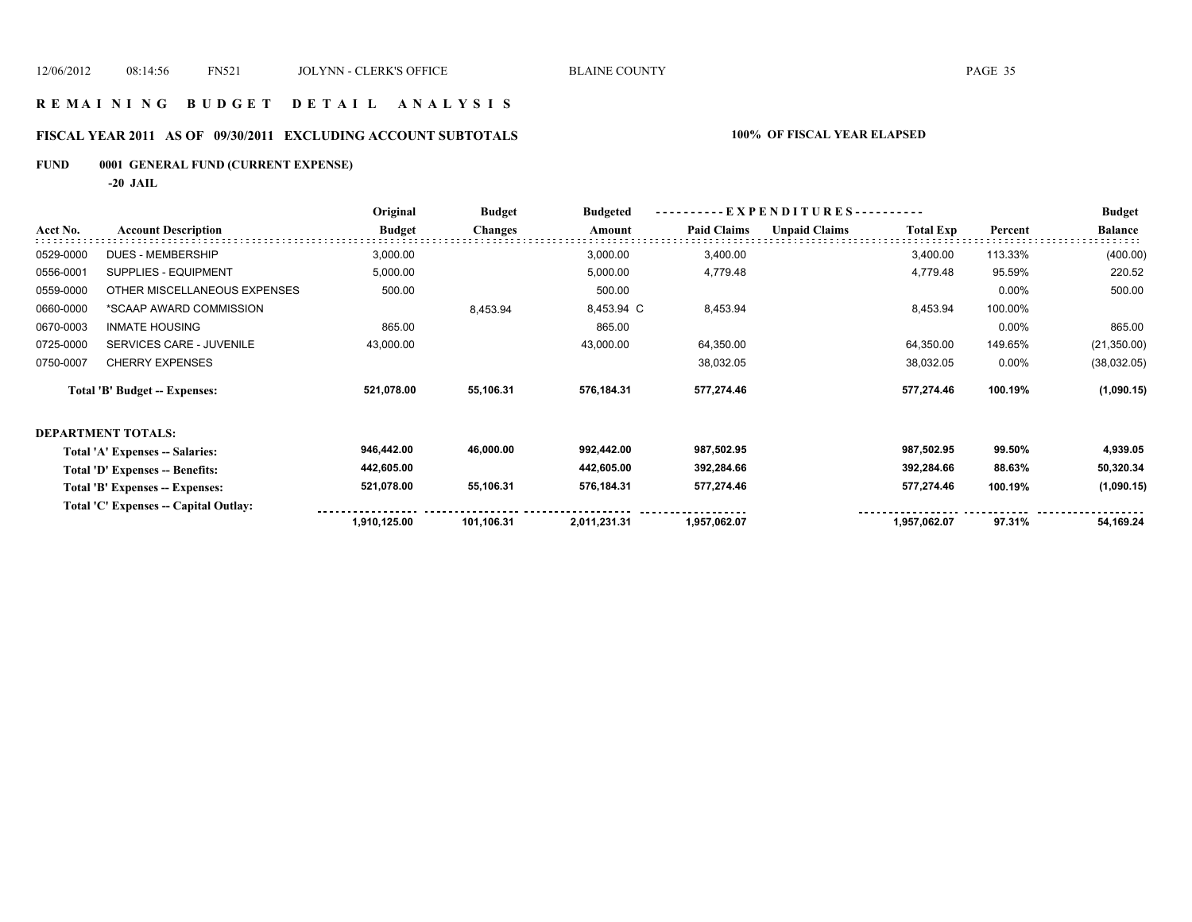### **R E M A I N I N G B U D G E T D E T A I L A N A L Y S I S**

# **FISCAL YEAR 2011 AS OF 09/30/2011 EXCLUDING ACCOUNT SUBTOTALS 100% OF FISCAL YEAR ELAPSED**

# **FUND 0001 GENERAL FUND (CURRENT EXPENSE)**

**-20 JAIL**

|           |                                       | Original      | <b>Budget</b>  | <b>Budgeted</b> | EXPENDITURES---------- |                      |                  |         | <b>Budget</b>  |
|-----------|---------------------------------------|---------------|----------------|-----------------|------------------------|----------------------|------------------|---------|----------------|
| Acct No.  | <b>Account Description</b>            | <b>Budget</b> | <b>Changes</b> | Amount          | <b>Paid Claims</b>     | <b>Unpaid Claims</b> | <b>Total Exp</b> | Percent | <b>Balance</b> |
| 0529-0000 | DUES - MEMBERSHIP                     | 3,000.00      |                | 3,000.00        | 3,400.00               |                      | 3,400.00         | 113.33% | (400.00)       |
| 0556-0001 | SUPPLIES - EQUIPMENT                  | 5,000.00      |                | 5,000.00        | 4,779.48               |                      | 4,779.48         | 95.59%  | 220.52         |
| 0559-0000 | OTHER MISCELLANEOUS EXPENSES          | 500.00        |                | 500.00          |                        |                      |                  | 0.00%   | 500.00         |
| 0660-0000 | *SCAAP AWARD COMMISSION               |               | 8,453.94       | 8,453.94 C      | 8,453.94               |                      | 8,453.94         | 100.00% |                |
| 0670-0003 | <b>INMATE HOUSING</b>                 | 865.00        |                | 865.00          |                        |                      |                  | 0.00%   | 865.00         |
| 0725-0000 | <b>SERVICES CARE - JUVENILE</b>       | 43,000.00     |                | 43,000.00       | 64,350.00              |                      | 64,350.00        | 149.65% | (21, 350.00)   |
| 0750-0007 | <b>CHERRY EXPENSES</b>                |               |                |                 | 38,032.05              |                      | 38,032.05        | 0.00%   | (38,032.05)    |
|           | <b>Total 'B' Budget -- Expenses:</b>  | 521,078.00    | 55,106.31      | 576,184.31      | 577,274.46             |                      | 577,274.46       | 100.19% | (1,090.15)     |
|           | <b>DEPARTMENT TOTALS:</b>             |               |                |                 |                        |                      |                  |         |                |
|           | Total 'A' Expenses -- Salaries:       | 946,442.00    | 46,000.00      | 992,442.00      | 987,502.95             |                      | 987,502.95       | 99.50%  | 4,939.05       |
|           | Total 'D' Expenses -- Benefits:       | 442,605.00    |                | 442,605.00      | 392,284.66             |                      | 392,284.66       | 88.63%  | 50,320.34      |
|           | Total 'B' Expenses -- Expenses:       | 521,078.00    | 55,106.31      | 576,184.31      | 577,274.46             |                      | 577,274.46       | 100.19% | (1,090.15)     |
|           | Total 'C' Expenses -- Capital Outlay: |               |                |                 |                        |                      |                  |         |                |
|           |                                       | 1,910,125.00  | 101,106.31     | 2,011,231.31    | 1,957,062.07           |                      | 1,957,062.07     | 97.31%  | 54,169.24      |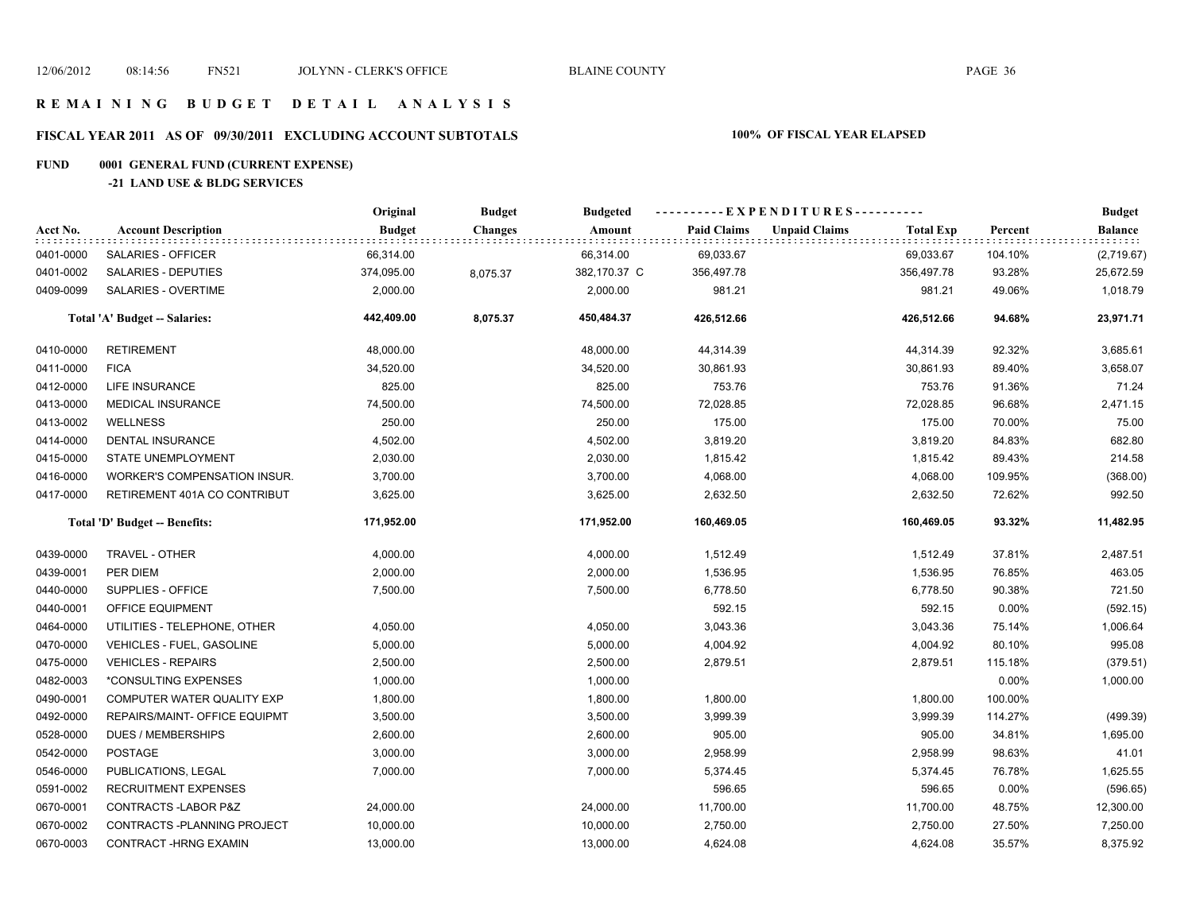# **FISCAL YEAR 2011 AS OF 09/30/2011 EXCLUDING ACCOUNT SUBTOTALS 100% OF FISCAL YEAR ELAPSED**

# **FUND 0001 GENERAL FUND (CURRENT EXPENSE)**

### **-21 LAND USE & BLDG SERVICES**

|           |                                     | Original      | <b>Budget</b>  | <b>Budgeted</b> | ----------EXPENDITURES---------- |                      |                  |         | <b>Budget</b>    |
|-----------|-------------------------------------|---------------|----------------|-----------------|----------------------------------|----------------------|------------------|---------|------------------|
| Acct No.  | <b>Account Description</b>          | <b>Budget</b> | <b>Changes</b> | Amount          | <b>Paid Claims</b>               | <b>Unpaid Claims</b> | <b>Total Exp</b> | Percent | Balance<br>::::: |
| 0401-0000 | SALARIES - OFFICER                  | 66,314.00     |                | 66,314.00       | 69,033.67                        |                      | 69,033.67        | 104.10% | (2,719.67)       |
| 0401-0002 | SALARIES - DEPUTIES                 | 374,095.00    | 8,075.37       | 382,170.37 C    | 356,497.78                       |                      | 356,497.78       | 93.28%  | 25,672.59        |
| 0409-0099 | SALARIES - OVERTIME                 | 2,000.00      |                | 2,000.00        | 981.21                           |                      | 981.21           | 49.06%  | 1,018.79         |
|           | Total 'A' Budget -- Salaries:       | 442,409.00    | 8,075.37       | 450,484.37      | 426,512.66                       |                      | 426,512.66       | 94.68%  | 23,971.71        |
| 0410-0000 | <b>RETIREMENT</b>                   | 48,000.00     |                | 48,000.00       | 44,314.39                        |                      | 44,314.39        | 92.32%  | 3,685.61         |
| 0411-0000 | <b>FICA</b>                         | 34,520.00     |                | 34,520.00       | 30,861.93                        |                      | 30,861.93        | 89.40%  | 3,658.07         |
| 0412-0000 | LIFE INSURANCE                      | 825.00        |                | 825.00          | 753.76                           |                      | 753.76           | 91.36%  | 71.24            |
| 0413-0000 | <b>MEDICAL INSURANCE</b>            | 74,500.00     |                | 74,500.00       | 72,028.85                        |                      | 72,028.85        | 96.68%  | 2,471.15         |
| 0413-0002 | <b>WELLNESS</b>                     | 250.00        |                | 250.00          | 175.00                           |                      | 175.00           | 70.00%  | 75.00            |
| 0414-0000 | DENTAL INSURANCE                    | 4,502.00      |                | 4,502.00        | 3,819.20                         |                      | 3,819.20         | 84.83%  | 682.80           |
| 0415-0000 | <b>STATE UNEMPLOYMENT</b>           | 2,030.00      |                | 2,030.00        | 1,815.42                         |                      | 1,815.42         | 89.43%  | 214.58           |
| 0416-0000 | <b>WORKER'S COMPENSATION INSUR.</b> | 3,700.00      |                | 3,700.00        | 4,068.00                         |                      | 4,068.00         | 109.95% | (368.00)         |
| 0417-0000 | RETIREMENT 401A CO CONTRIBUT        | 3,625.00      |                | 3,625.00        | 2,632.50                         |                      | 2,632.50         | 72.62%  | 992.50           |
|           | Total 'D' Budget -- Benefits:       | 171,952.00    |                | 171,952.00      | 160,469.05                       |                      | 160,469.05       | 93.32%  | 11,482.95        |
| 0439-0000 | <b>TRAVEL - OTHER</b>               | 4,000.00      |                | 4,000.00        | 1,512.49                         |                      | 1,512.49         | 37.81%  | 2,487.51         |
| 0439-0001 | PER DIEM                            | 2,000.00      |                | 2,000.00        | 1,536.95                         |                      | 1,536.95         | 76.85%  | 463.05           |
| 0440-0000 | SUPPLIES - OFFICE                   | 7,500.00      |                | 7,500.00        | 6,778.50                         |                      | 6,778.50         | 90.38%  | 721.50           |
| 0440-0001 | OFFICE EQUIPMENT                    |               |                |                 | 592.15                           |                      | 592.15           | 0.00%   | (592.15)         |
| 0464-0000 | UTILITIES - TELEPHONE, OTHER        | 4,050.00      |                | 4,050.00        | 3,043.36                         |                      | 3,043.36         | 75.14%  | 1,006.64         |
| 0470-0000 | <b>VEHICLES - FUEL, GASOLINE</b>    | 5,000.00      |                | 5,000.00        | 4,004.92                         |                      | 4,004.92         | 80.10%  | 995.08           |
| 0475-0000 | <b>VEHICLES - REPAIRS</b>           | 2,500.00      |                | 2,500.00        | 2,879.51                         |                      | 2,879.51         | 115.18% | (379.51)         |
| 0482-0003 | *CONSULTING EXPENSES                | 1,000.00      |                | 1,000.00        |                                  |                      |                  | 0.00%   | 1,000.00         |
| 0490-0001 | COMPUTER WATER QUALITY EXP          | 1,800.00      |                | 1,800.00        | 1,800.00                         |                      | 1,800.00         | 100.00% |                  |
| 0492-0000 | REPAIRS/MAINT- OFFICE EQUIPMT       | 3,500.00      |                | 3,500.00        | 3,999.39                         |                      | 3,999.39         | 114.27% | (499.39)         |
| 0528-0000 | <b>DUES / MEMBERSHIPS</b>           | 2,600.00      |                | 2,600.00        | 905.00                           |                      | 905.00           | 34.81%  | 1,695.00         |
| 0542-0000 | <b>POSTAGE</b>                      | 3,000.00      |                | 3,000.00        | 2,958.99                         |                      | 2,958.99         | 98.63%  | 41.01            |
| 0546-0000 | PUBLICATIONS, LEGAL                 | 7,000.00      |                | 7,000.00        | 5,374.45                         |                      | 5,374.45         | 76.78%  | 1,625.55         |
| 0591-0002 | <b>RECRUITMENT EXPENSES</b>         |               |                |                 | 596.65                           |                      | 596.65           | 0.00%   | (596.65)         |
| 0670-0001 | CONTRACTS-LABOR P&Z                 | 24,000.00     |                | 24,000.00       | 11,700.00                        |                      | 11,700.00        | 48.75%  | 12,300.00        |
| 0670-0002 | CONTRACTS - PLANNING PROJECT        | 10,000.00     |                | 10,000.00       | 2,750.00                         |                      | 2,750.00         | 27.50%  | 7,250.00         |
| 0670-0003 | CONTRACT-HRNG EXAMIN                | 13,000.00     |                | 13,000.00       | 4,624.08                         |                      | 4,624.08         | 35.57%  | 8,375.92         |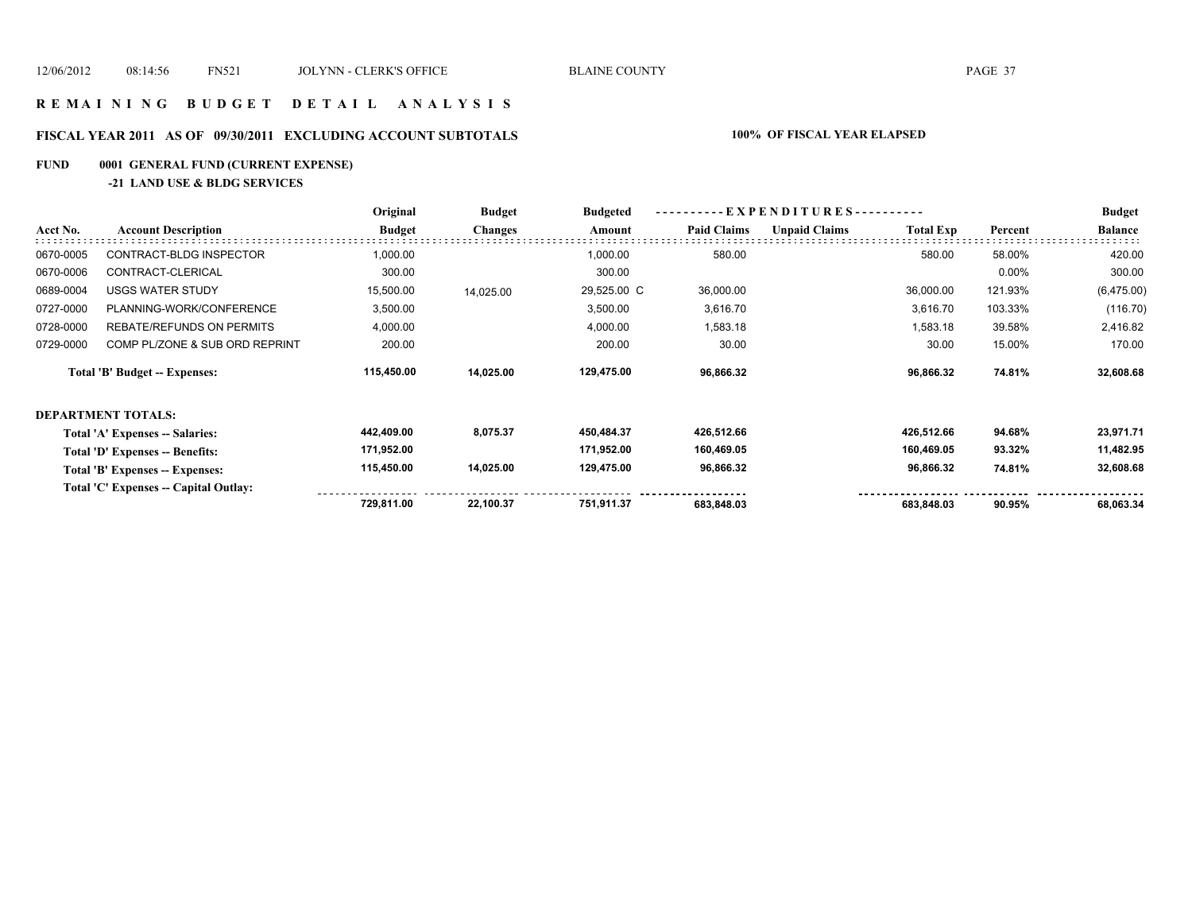### **R E M A I N I N G B U D G E T D E T A I L A N A L Y S I S**

# **FISCAL YEAR 2011 AS OF 09/30/2011 EXCLUDING ACCOUNT SUBTOTALS 100% OF FISCAL YEAR ELAPSED**

# **FUND 0001 GENERAL FUND (CURRENT EXPENSE)**

**-21 LAND USE & BLDG SERVICES**

|           |                                       | Original      | <b>Budget</b>  | <b>Budgeted</b> | EXPENDITURES--     |                      |                  |         | <b>Budget</b>  |
|-----------|---------------------------------------|---------------|----------------|-----------------|--------------------|----------------------|------------------|---------|----------------|
| Acct No.  | <b>Account Description</b>            | <b>Budget</b> | <b>Changes</b> | Amount          | <b>Paid Claims</b> | <b>Unpaid Claims</b> | <b>Total Exp</b> | Percent | <b>Balance</b> |
| 0670-0005 | CONTRACT-BLDG INSPECTOR               | 1,000.00      |                | 1,000.00        | 580.00             |                      | 580.00           | 58.00%  | 420.00         |
| 0670-0006 | CONTRACT-CLERICAL                     | 300.00        |                | 300.00          |                    |                      |                  | 0.00%   | 300.00         |
| 0689-0004 | <b>USGS WATER STUDY</b>               | 15,500.00     | 14,025.00      | 29,525.00 C     | 36,000.00          |                      | 36,000.00        | 121.93% | (6,475.00)     |
| 0727-0000 | PLANNING-WORK/CONFERENCE              | 3,500.00      |                | 3,500.00        | 3,616.70           |                      | 3,616.70         | 103.33% | (116.70)       |
| 0728-0000 | <b>REBATE/REFUNDS ON PERMITS</b>      | 4,000.00      |                | 4,000.00        | 1,583.18           |                      | 1,583.18         | 39.58%  | 2,416.82       |
| 0729-0000 | COMP PL/ZONE & SUB ORD REPRINT        | 200.00        |                | 200.00          | 30.00              |                      | 30.00            | 15.00%  | 170.00         |
|           | Total 'B' Budget -- Expenses:         | 115,450.00    | 14,025.00      | 129,475.00      | 96,866.32          |                      | 96,866.32        | 74.81%  | 32,608.68      |
|           | DEPARTMENT TOTALS:                    |               |                |                 |                    |                      |                  |         |                |
|           | Total 'A' Expenses -- Salaries:       | 442,409.00    | 8,075.37       | 450,484.37      | 426,512.66         |                      | 426,512.66       | 94.68%  | 23,971.71      |
|           | Total 'D' Expenses -- Benefits:       | 171,952.00    |                | 171,952.00      | 160,469.05         |                      | 160,469.05       | 93.32%  | 11,482.95      |
|           | Total 'B' Expenses -- Expenses:       | 115,450.00    | 14,025.00      | 129,475.00      | 96,866.32          |                      | 96,866.32        | 74.81%  | 32,608.68      |
|           | Total 'C' Expenses -- Capital Outlay: |               |                |                 |                    |                      |                  |         |                |
|           |                                       | 729,811.00    | 22,100.37      | 751,911.37      | 683,848.03         |                      | 683,848.03       | 90.95%  | 68,063.34      |
|           |                                       |               |                |                 |                    |                      |                  |         |                |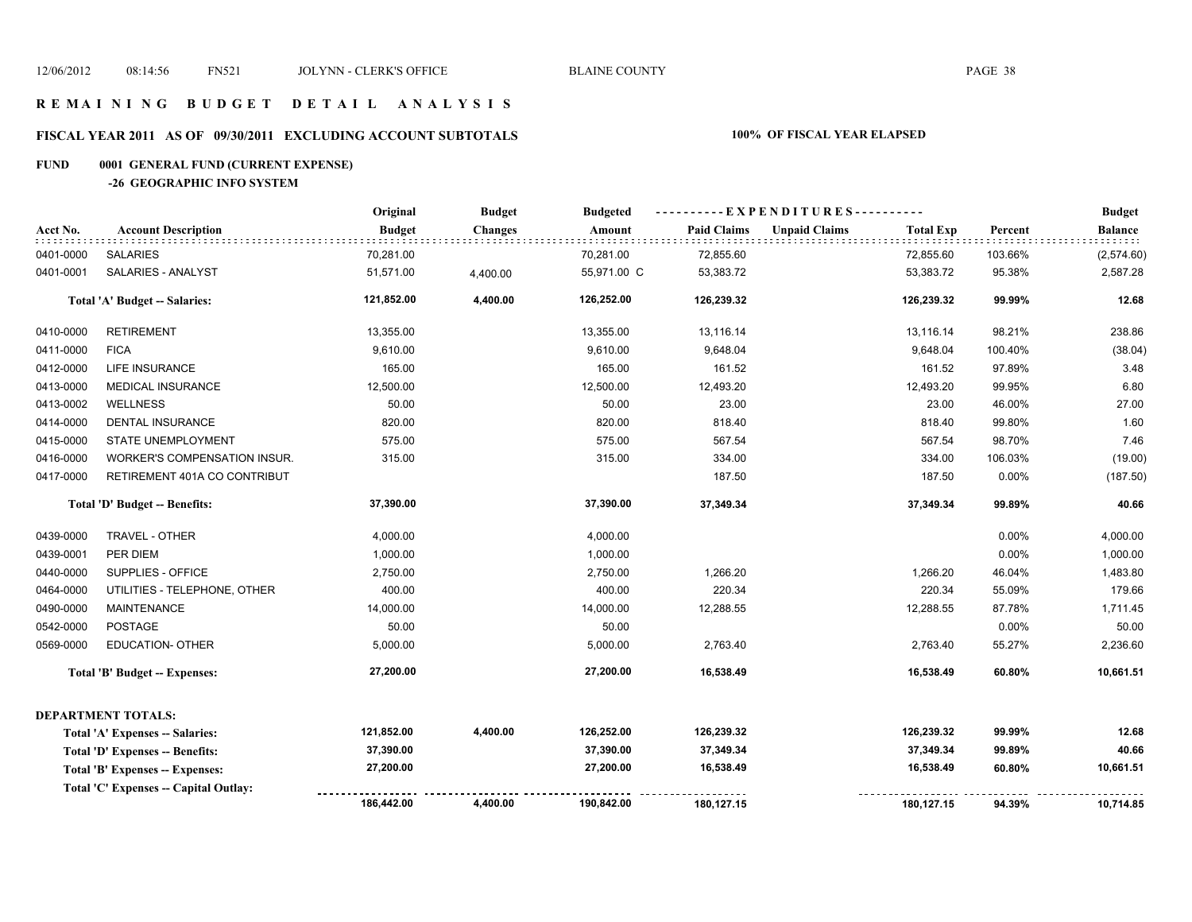### **R E M A I N I N G B U D G E T D E T A I L A N A L Y S I S**

# **FISCAL YEAR 2011 AS OF 09/30/2011 EXCLUDING ACCOUNT SUBTOTALS 100% OF FISCAL YEAR ELAPSED**

# **FUND 0001 GENERAL FUND (CURRENT EXPENSE)**

**-26 GEOGRAPHIC INFO SYSTEM**

|           |                                       | Original      | <b>Budget</b>  | <b>Budgeted</b> | ----------EXPENDITURES---------- |                      |                  |          | <b>Budget</b>  |
|-----------|---------------------------------------|---------------|----------------|-----------------|----------------------------------|----------------------|------------------|----------|----------------|
| Acct No.  | <b>Account Description</b>            | <b>Budget</b> | <b>Changes</b> | Amount          | <b>Paid Claims</b>               | <b>Unpaid Claims</b> | <b>Total Exp</b> | Percent  | <b>Balance</b> |
| 0401-0000 | <b>SALARIES</b>                       | 70,281.00     |                | 70,281.00       | 72,855.60                        |                      | 72,855.60        | 103.66%  | (2,574.60)     |
| 0401-0001 | SALARIES - ANALYST                    | 51,571.00     | 4,400.00       | 55,971.00 C     | 53,383.72                        |                      | 53,383.72        | 95.38%   | 2,587.28       |
|           | Total 'A' Budget -- Salaries:         | 121,852.00    | 4,400.00       | 126,252.00      | 126,239.32                       |                      | 126,239.32       | 99.99%   | 12.68          |
| 0410-0000 | <b>RETIREMENT</b>                     | 13,355.00     |                | 13,355.00       | 13,116.14                        |                      | 13,116.14        | 98.21%   | 238.86         |
| 0411-0000 | <b>FICA</b>                           | 9,610.00      |                | 9,610.00        | 9,648.04                         |                      | 9,648.04         | 100.40%  | (38.04)        |
| 0412-0000 | <b>LIFE INSURANCE</b>                 | 165.00        |                | 165.00          | 161.52                           |                      | 161.52           | 97.89%   | 3.48           |
| 0413-0000 | <b>MEDICAL INSURANCE</b>              | 12,500.00     |                | 12,500.00       | 12,493.20                        |                      | 12,493.20        | 99.95%   | 6.80           |
| 0413-0002 | <b>WELLNESS</b>                       | 50.00         |                | 50.00           | 23.00                            |                      | 23.00            | 46.00%   | 27.00          |
| 0414-0000 | <b>DENTAL INSURANCE</b>               | 820.00        |                | 820.00          | 818.40                           |                      | 818.40           | 99.80%   | 1.60           |
| 0415-0000 | STATE UNEMPLOYMENT                    | 575.00        |                | 575.00          | 567.54                           |                      | 567.54           | 98.70%   | 7.46           |
| 0416-0000 | WORKER'S COMPENSATION INSUR.          | 315.00        |                | 315.00          | 334.00                           |                      | 334.00           | 106.03%  | (19.00)        |
| 0417-0000 | RETIREMENT 401A CO CONTRIBUT          |               |                |                 | 187.50                           |                      | 187.50           | $0.00\%$ | (187.50)       |
|           | Total 'D' Budget -- Benefits:         | 37,390.00     |                | 37,390.00       | 37,349.34                        |                      | 37,349.34        | 99.89%   | 40.66          |
| 0439-0000 | <b>TRAVEL - OTHER</b>                 | 4,000.00      |                | 4,000.00        |                                  |                      |                  | $0.00\%$ | 4,000.00       |
| 0439-0001 | PER DIEM                              | 1,000.00      |                | 1,000.00        |                                  |                      |                  | 0.00%    | 1,000.00       |
| 0440-0000 | SUPPLIES - OFFICE                     | 2,750.00      |                | 2,750.00        | 1,266.20                         |                      | 1,266.20         | 46.04%   | 1,483.80       |
| 0464-0000 | UTILITIES - TELEPHONE, OTHER          | 400.00        |                | 400.00          | 220.34                           |                      | 220.34           | 55.09%   | 179.66         |
| 0490-0000 | <b>MAINTENANCE</b>                    | 14,000.00     |                | 14,000.00       | 12,288.55                        |                      | 12,288.55        | 87.78%   | 1,711.45       |
| 0542-0000 | <b>POSTAGE</b>                        | 50.00         |                | 50.00           |                                  |                      |                  | 0.00%    | 50.00          |
| 0569-0000 | <b>EDUCATION- OTHER</b>               | 5,000.00      |                | 5,000.00        | 2,763.40                         |                      | 2,763.40         | 55.27%   | 2,236.60       |
|           | <b>Total 'B' Budget -- Expenses:</b>  | 27,200.00     |                | 27,200.00       | 16,538.49                        |                      | 16,538.49        | 60.80%   | 10,661.51      |
|           | <b>DEPARTMENT TOTALS:</b>             |               |                |                 |                                  |                      |                  |          |                |
|           | Total 'A' Expenses -- Salaries:       | 121,852.00    | 4,400.00       | 126,252.00      | 126,239.32                       |                      | 126,239.32       | 99.99%   | 12.68          |
|           | Total 'D' Expenses -- Benefits:       | 37,390.00     |                | 37,390.00       | 37,349.34                        |                      | 37,349.34        | 99.89%   | 40.66          |
|           | Total 'B' Expenses -- Expenses:       | 27,200.00     |                | 27,200.00       | 16,538.49                        |                      | 16,538.49        | 60.80%   | 10,661.51      |
|           | Total 'C' Expenses -- Capital Outlay: |               |                |                 |                                  |                      |                  |          |                |
|           |                                       | 186,442.00    | 4,400.00       | 190,842.00      | 180,127.15                       |                      | 180,127.15       | 94.39%   | 10,714.85      |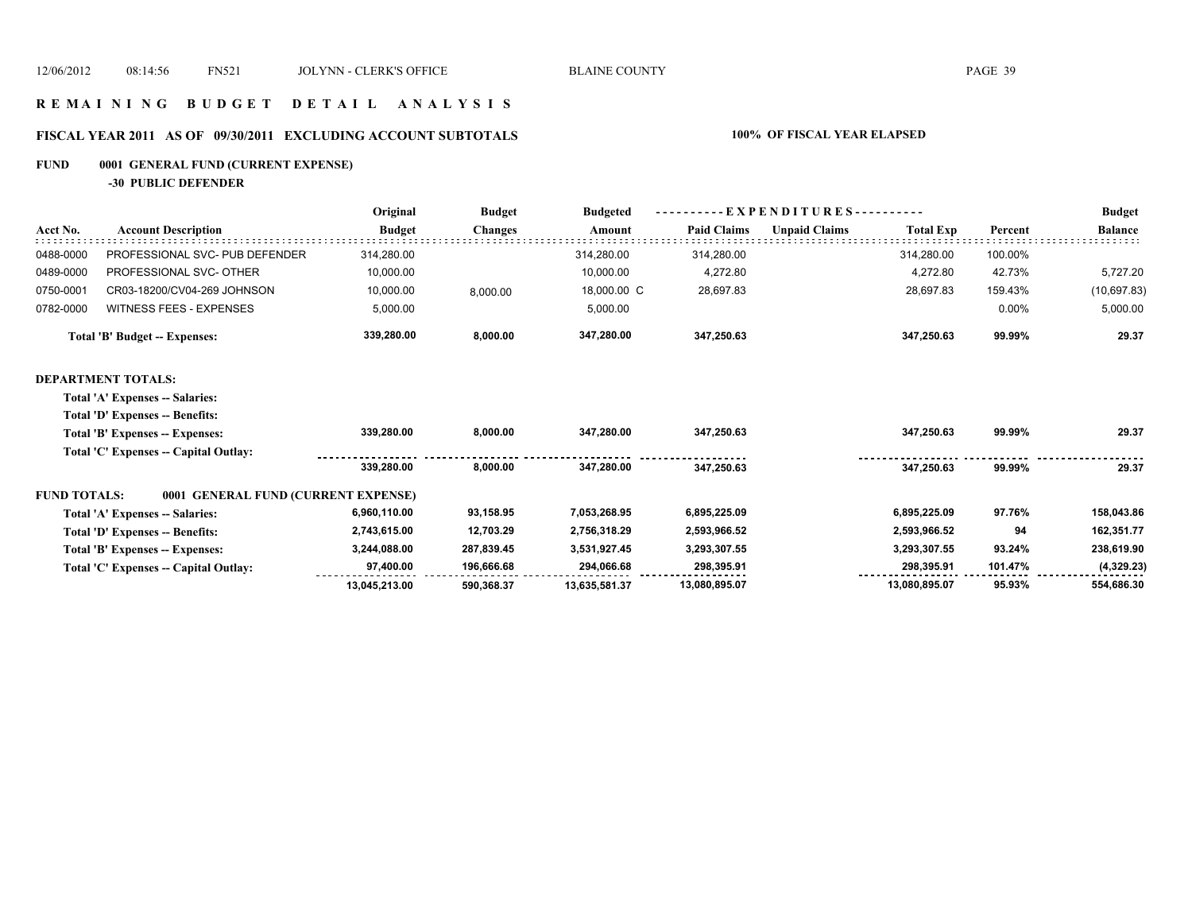### **R E M A I N I N G B U D G E T D E T A I L A N A L Y S I S**

# **FISCAL YEAR 2011 AS OF 09/30/2011 EXCLUDING ACCOUNT SUBTOTALS 100% OF FISCAL YEAR ELAPSED**

# **FUND 0001 GENERAL FUND (CURRENT EXPENSE)**

**-30 PUBLIC DEFENDER**

|                     |                                       | Original      | <b>Budget</b>  | <b>Budgeted</b> | EXPENDITURES--     |                      |                  |         | <b>Budget</b>  |
|---------------------|---------------------------------------|---------------|----------------|-----------------|--------------------|----------------------|------------------|---------|----------------|
| Acct No.            | <b>Account Description</b>            | <b>Budget</b> | <b>Changes</b> | Amount          | <b>Paid Claims</b> | <b>Unpaid Claims</b> | <b>Total Exp</b> | Percent | <b>Balance</b> |
| 0488-0000           | PROFESSIONAL SVC- PUB DEFENDER        | 314,280.00    |                | 314,280.00      | 314,280.00         |                      | 314,280.00       | 100.00% |                |
| 0489-0000           | PROFESSIONAL SVC- OTHER               | 10,000.00     |                | 10,000.00       | 4,272.80           |                      | 4,272.80         | 42.73%  | 5,727.20       |
| 0750-0001           | CR03-18200/CV04-269 JOHNSON           | 10,000.00     | 8,000.00       | 18,000.00 C     | 28,697.83          |                      | 28,697.83        | 159.43% | (10, 697.83)   |
| 0782-0000           | <b>WITNESS FEES - EXPENSES</b>        | 5,000.00      |                | 5,000.00        |                    |                      |                  | 0.00%   | 5,000.00       |
|                     | <b>Total 'B' Budget -- Expenses:</b>  | 339,280.00    | 8,000.00       | 347,280.00      | 347,250.63         |                      | 347,250.63       | 99.99%  | 29.37          |
|                     | <b>DEPARTMENT TOTALS:</b>             |               |                |                 |                    |                      |                  |         |                |
|                     | Total 'A' Expenses -- Salaries:       |               |                |                 |                    |                      |                  |         |                |
|                     | Total 'D' Expenses -- Benefits:       |               |                |                 |                    |                      |                  |         |                |
|                     | Total 'B' Expenses -- Expenses:       | 339,280.00    | 8,000.00       | 347,280.00      | 347,250.63         |                      | 347,250.63       | 99.99%  | 29.37          |
|                     | Total 'C' Expenses -- Capital Outlay: |               |                |                 |                    |                      |                  |         |                |
|                     |                                       | 339.280.00    | 8.000.00       | 347.280.00      | 347,250.63         |                      | 347,250.63       | 99.99%  | 29.37          |
| <b>FUND TOTALS:</b> | 0001 GENERAL FUND (CURRENT EXPENSE)   |               |                |                 |                    |                      |                  |         |                |
|                     | Total 'A' Expenses -- Salaries:       | 6,960,110.00  | 93,158.95      | 7,053,268.95    | 6,895,225.09       |                      | 6,895,225.09     | 97.76%  | 158,043.86     |
|                     | Total 'D' Expenses -- Benefits:       | 2,743,615.00  | 12,703.29      | 2,756,318.29    | 2,593,966.52       |                      | 2,593,966.52     | 94      | 162,351.77     |
|                     | Total 'B' Expenses -- Expenses:       | 3,244,088.00  | 287,839.45     | 3,531,927.45    | 3,293,307.55       |                      | 3,293,307.55     | 93.24%  | 238,619.90     |
|                     | Total 'C' Expenses -- Capital Outlay: | 97,400.00     | 196,666.68     | 294,066.68      | 298,395.91         |                      | 298.395.91       | 101.47% | (4,329.23)     |
|                     |                                       | 13,045,213.00 | 590,368.37     | 13,635,581.37   | 13,080,895.07      |                      | 13,080,895.07    | 95.93%  | 554,686.30     |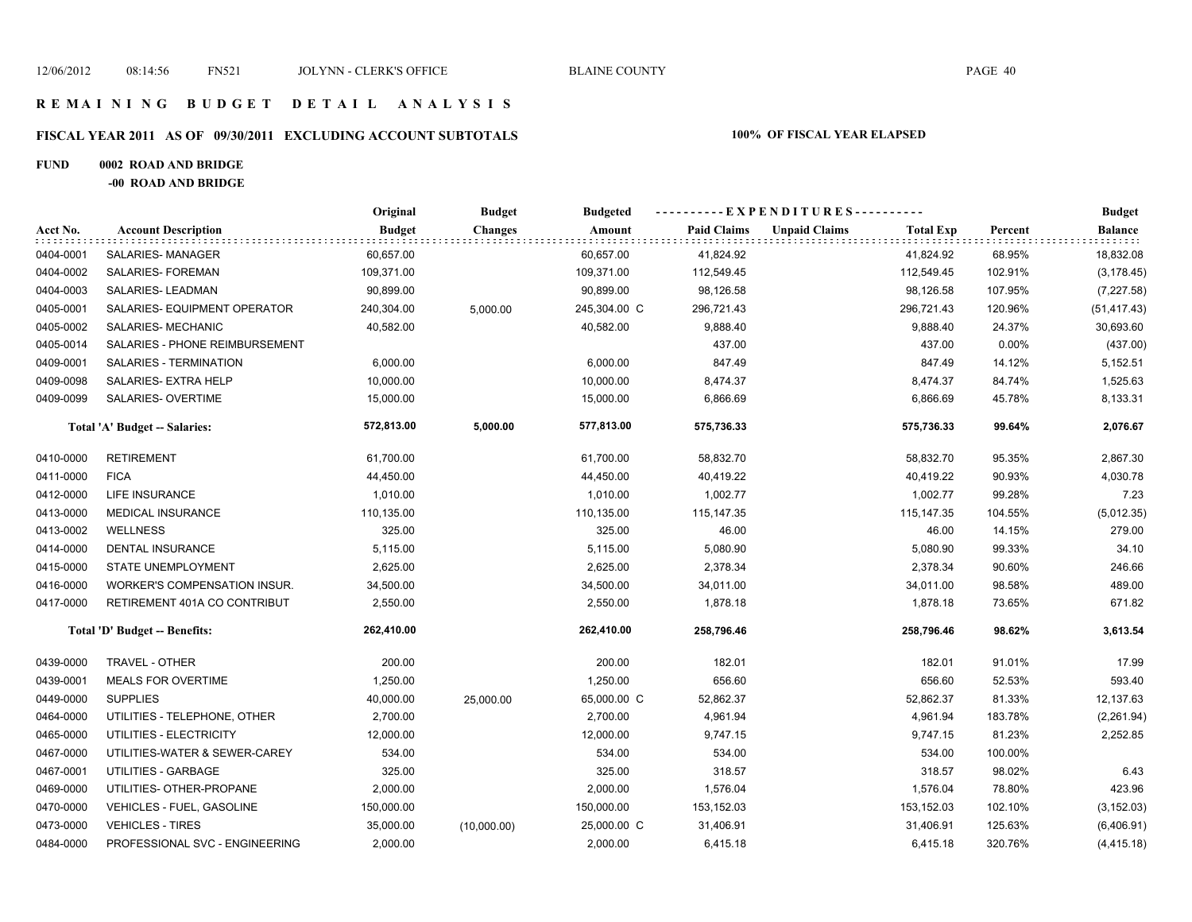# **FISCAL YEAR 2011 AS OF 09/30/2011 EXCLUDING ACCOUNT SUBTOTALS 100% OF FISCAL YEAR ELAPSED**

## **FUND 0002 ROAD AND BRIDGE**

**-00 ROAD AND BRIDGE**

|           |                                  | Original      | <b>Budget</b>  | <b>Budgeted</b> | ----------EXPENDITURES---------- |                      |                  |         | <b>Budget</b>  |
|-----------|----------------------------------|---------------|----------------|-----------------|----------------------------------|----------------------|------------------|---------|----------------|
| Acct No.  | <b>Account Description</b>       | <b>Budget</b> | <b>Changes</b> | Amount          | <b>Paid Claims</b>               | <b>Unpaid Claims</b> | <b>Total Exp</b> | Percent | <b>Balance</b> |
| 0404-0001 | SALARIES-MANAGER                 | 60,657.00     |                | 60,657.00       | 41,824.92                        |                      | 41,824.92        | 68.95%  | 18,832.08      |
| 0404-0002 | SALARIES- FOREMAN                | 109,371.00    |                | 109,371.00      | 112,549.45                       |                      | 112,549.45       | 102.91% | (3, 178.45)    |
| 0404-0003 | SALARIES-LEADMAN                 | 90,899.00     |                | 90,899.00       | 98,126.58                        |                      | 98,126.58        | 107.95% | (7, 227.58)    |
| 0405-0001 | SALARIES- EQUIPMENT OPERATOR     | 240,304.00    | 5,000.00       | 245,304.00 C    | 296,721.43                       |                      | 296,721.43       | 120.96% | (51, 417.43)   |
| 0405-0002 | SALARIES- MECHANIC               | 40,582.00     |                | 40,582.00       | 9,888.40                         |                      | 9,888.40         | 24.37%  | 30,693.60      |
| 0405-0014 | SALARIES - PHONE REIMBURSEMENT   |               |                |                 | 437.00                           |                      | 437.00           | 0.00%   | (437.00)       |
| 0409-0001 | SALARIES - TERMINATION           | 6,000.00      |                | 6,000.00        | 847.49                           |                      | 847.49           | 14.12%  | 5,152.51       |
| 0409-0098 | SALARIES- EXTRA HELP             | 10,000.00     |                | 10,000.00       | 8,474.37                         |                      | 8,474.37         | 84.74%  | 1,525.63       |
| 0409-0099 | SALARIES- OVERTIME               | 15,000.00     |                | 15,000.00       | 6,866.69                         |                      | 6,866.69         | 45.78%  | 8,133.31       |
|           | Total 'A' Budget -- Salaries:    | 572,813.00    | 5,000.00       | 577,813.00      | 575,736.33                       |                      | 575,736.33       | 99.64%  | 2,076.67       |
| 0410-0000 | <b>RETIREMENT</b>                | 61,700.00     |                | 61,700.00       | 58,832.70                        |                      | 58,832.70        | 95.35%  | 2,867.30       |
| 0411-0000 | <b>FICA</b>                      | 44,450.00     |                | 44,450.00       | 40,419.22                        |                      | 40,419.22        | 90.93%  | 4,030.78       |
| 0412-0000 | LIFE INSURANCE                   | 1,010.00      |                | 1,010.00        | 1,002.77                         |                      | 1,002.77         | 99.28%  | 7.23           |
| 0413-0000 | <b>MEDICAL INSURANCE</b>         | 110,135.00    |                | 110,135.00      | 115,147.35                       |                      | 115,147.35       | 104.55% | (5,012.35)     |
| 0413-0002 | <b>WELLNESS</b>                  | 325.00        |                | 325.00          | 46.00                            |                      | 46.00            | 14.15%  | 279.00         |
| 0414-0000 | DENTAL INSURANCE                 | 5,115.00      |                | 5,115.00        | 5,080.90                         |                      | 5,080.90         | 99.33%  | 34.10          |
| 0415-0000 | STATE UNEMPLOYMENT               | 2,625.00      |                | 2,625.00        | 2,378.34                         |                      | 2,378.34         | 90.60%  | 246.66         |
| 0416-0000 | WORKER'S COMPENSATION INSUR.     | 34,500.00     |                | 34,500.00       | 34,011.00                        |                      | 34,011.00        | 98.58%  | 489.00         |
| 0417-0000 | RETIREMENT 401A CO CONTRIBUT     | 2,550.00      |                | 2,550.00        | 1,878.18                         |                      | 1,878.18         | 73.65%  | 671.82         |
|           | Total 'D' Budget -- Benefits:    | 262,410.00    |                | 262,410.00      | 258,796.46                       |                      | 258,796.46       | 98.62%  | 3,613.54       |
| 0439-0000 | <b>TRAVEL - OTHER</b>            | 200.00        |                | 200.00          | 182.01                           |                      | 182.01           | 91.01%  | 17.99          |
| 0439-0001 | <b>MEALS FOR OVERTIME</b>        | 1,250.00      |                | 1,250.00        | 656.60                           |                      | 656.60           | 52.53%  | 593.40         |
| 0449-0000 | <b>SUPPLIES</b>                  | 40,000.00     | 25.000.00      | 65,000.00 C     | 52,862.37                        |                      | 52,862.37        | 81.33%  | 12,137.63      |
| 0464-0000 | UTILITIES - TELEPHONE, OTHER     | 2,700.00      |                | 2,700.00        | 4,961.94                         |                      | 4,961.94         | 183.78% | (2,261.94)     |
| 0465-0000 | UTILITIES - ELECTRICITY          | 12,000.00     |                | 12,000.00       | 9,747.15                         |                      | 9,747.15         | 81.23%  | 2,252.85       |
| 0467-0000 | UTILITIES-WATER & SEWER-CAREY    | 534.00        |                | 534.00          | 534.00                           |                      | 534.00           | 100.00% |                |
| 0467-0001 | UTILITIES - GARBAGE              | 325.00        |                | 325.00          | 318.57                           |                      | 318.57           | 98.02%  | 6.43           |
| 0469-0000 | UTILITIES- OTHER-PROPANE         | 2,000.00      |                | 2,000.00        | 1,576.04                         |                      | 1,576.04         | 78.80%  | 423.96         |
| 0470-0000 | <b>VEHICLES - FUEL, GASOLINE</b> | 150,000.00    |                | 150,000.00      | 153,152.03                       |                      | 153,152.03       | 102.10% | (3, 152.03)    |
| 0473-0000 | <b>VEHICLES - TIRES</b>          | 35,000.00     | (10,000.00)    | 25,000.00 C     | 31,406.91                        |                      | 31,406.91        | 125.63% | (6,406.91)     |
| 0484-0000 | PROFESSIONAL SVC - ENGINEERING   | 2,000.00      |                | 2,000.00        | 6,415.18                         |                      | 6,415.18         | 320.76% | (4, 415.18)    |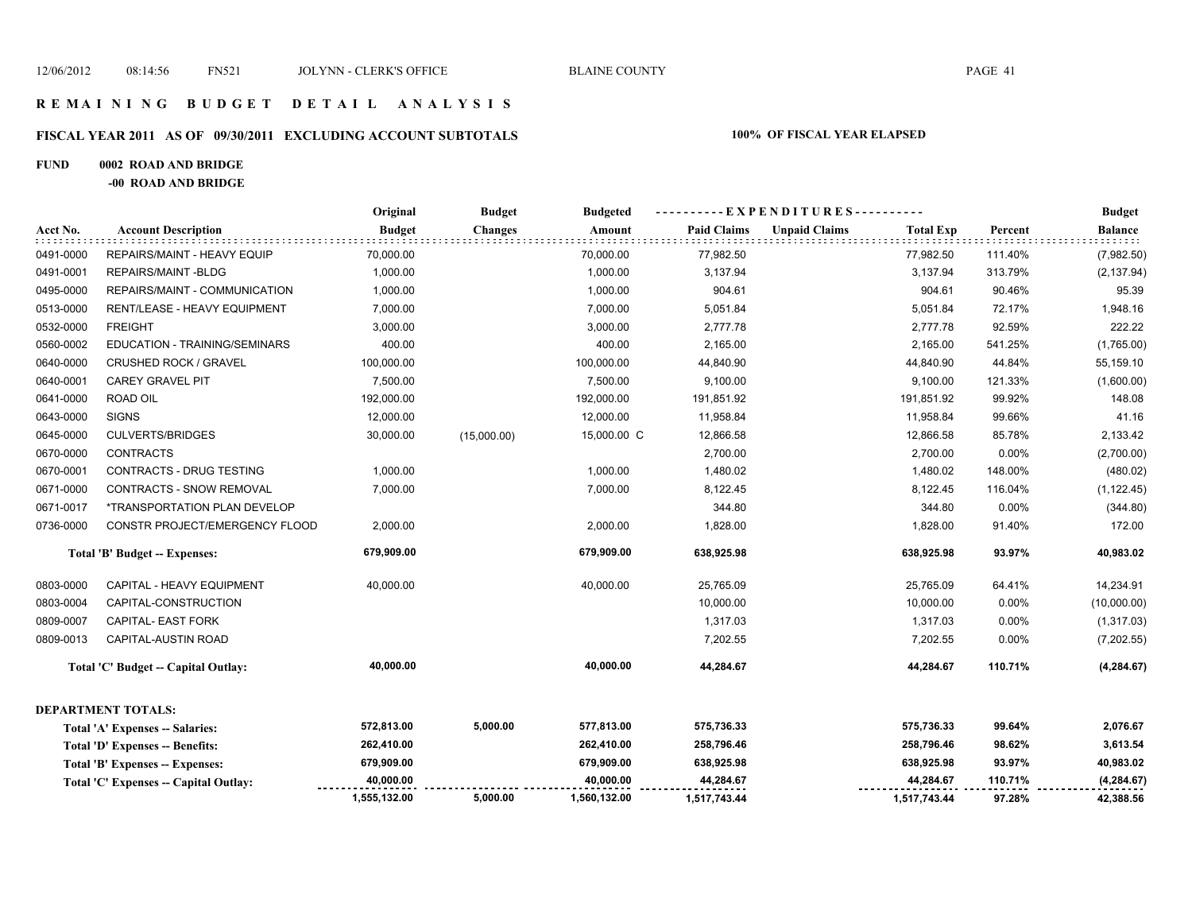### **R E M A I N I N G B U D G E T D E T A I L A N A L Y S I S**

# **FISCAL YEAR 2011 AS OF 09/30/2011 EXCLUDING ACCOUNT SUBTOTALS 100% OF FISCAL YEAR ELAPSED**

### **FUND 0002 ROAD AND BRIDGE**

**-00 ROAD AND BRIDGE**

|           |                                                                                                                                                                                                                                                                                                                              | Original      | <b>Budget</b>  | <b>Budgeted</b> |                    | ----------EXPENDITURES---------- |                  |          | <b>Budget</b>  |
|-----------|------------------------------------------------------------------------------------------------------------------------------------------------------------------------------------------------------------------------------------------------------------------------------------------------------------------------------|---------------|----------------|-----------------|--------------------|----------------------------------|------------------|----------|----------------|
| Acct No.  | <b>Account Description</b><br><b>REPAIRS/MAINT - HEAVY EQUIP</b><br>REPAIRS/MAINT-BLDG<br>REPAIRS/MAINT - COMMUNICATION<br>RENT/LEASE - HEAVY EQUIPMENT<br><b>FREIGHT</b><br>EDUCATION - TRAINING/SEMINARS<br><b>CRUSHED ROCK / GRAVEL</b><br><b>CAREY GRAVEL PIT</b><br>ROAD OIL<br><b>SIGNS</b><br><b>CULVERTS/BRIDGES</b> | <b>Budget</b> | <b>Changes</b> | Amount          | <b>Paid Claims</b> | <b>Unpaid Claims</b>             | <b>Total Exp</b> | Percent  | <b>Balance</b> |
| 0491-0000 |                                                                                                                                                                                                                                                                                                                              | 70,000.00     |                | 70,000.00       | 77,982.50          |                                  | 77,982.50        | 111.40%  | (7,982.50)     |
| 0491-0001 |                                                                                                                                                                                                                                                                                                                              | 1,000.00      |                | 1,000.00        | 3,137.94           |                                  | 3,137.94         | 313.79%  | (2, 137.94)    |
| 0495-0000 |                                                                                                                                                                                                                                                                                                                              | 1,000.00      |                | 1,000.00        | 904.61             |                                  | 904.61           | 90.46%   | 95.39          |
| 0513-0000 |                                                                                                                                                                                                                                                                                                                              | 7,000.00      |                | 7,000.00        | 5,051.84           |                                  | 5,051.84         | 72.17%   | 1,948.16       |
| 0532-0000 |                                                                                                                                                                                                                                                                                                                              | 3,000.00      |                | 3,000.00        | 2,777.78           |                                  | 2,777.78         | 92.59%   | 222.22         |
| 0560-0002 |                                                                                                                                                                                                                                                                                                                              | 400.00        |                | 400.00          | 2,165.00           |                                  | 2,165.00         | 541.25%  | (1,765.00)     |
| 0640-0000 |                                                                                                                                                                                                                                                                                                                              | 100,000.00    |                | 100,000.00      | 44,840.90          |                                  | 44,840.90        | 44.84%   | 55,159.10      |
| 0640-0001 |                                                                                                                                                                                                                                                                                                                              | 7,500.00      |                | 7,500.00        | 9,100.00           |                                  | 9,100.00         | 121.33%  | (1,600.00)     |
| 0641-0000 |                                                                                                                                                                                                                                                                                                                              | 192,000.00    |                | 192,000.00      | 191,851.92         |                                  | 191,851.92       | 99.92%   | 148.08         |
| 0643-0000 |                                                                                                                                                                                                                                                                                                                              | 12,000.00     |                | 12,000.00       | 11,958.84          |                                  | 11,958.84        | 99.66%   | 41.16          |
| 0645-0000 |                                                                                                                                                                                                                                                                                                                              | 30,000.00     | (15,000.00)    | 15,000.00 C     | 12,866.58          |                                  | 12,866.58        | 85.78%   | 2,133.42       |
| 0670-0000 | <b>CONTRACTS</b>                                                                                                                                                                                                                                                                                                             |               |                |                 | 2,700.00           |                                  | 2,700.00         | $0.00\%$ | (2,700.00)     |
| 0670-0001 | CONTRACTS - DRUG TESTING                                                                                                                                                                                                                                                                                                     | 1,000.00      |                | 1,000.00        | 1,480.02           |                                  | 1,480.02         | 148.00%  | (480.02)       |
| 0671-0000 | CONTRACTS - SNOW REMOVAL                                                                                                                                                                                                                                                                                                     | 7,000.00      |                | 7,000.00        | 8,122.45           |                                  | 8,122.45         | 116.04%  | (1, 122.45)    |
| 0671-0017 | *TRANSPORTATION PLAN DEVELOP                                                                                                                                                                                                                                                                                                 |               |                |                 | 344.80             |                                  | 344.80           | 0.00%    | (344.80)       |
| 0736-0000 | CONSTR PROJECT/EMERGENCY FLOOD                                                                                                                                                                                                                                                                                               | 2,000.00      |                | 2,000.00        | 1,828.00           |                                  | 1,828.00         | 91.40%   | 172.00         |
|           | Total 'B' Budget -- Expenses:                                                                                                                                                                                                                                                                                                | 679,909.00    |                | 679,909.00      | 638,925.98         |                                  | 638,925.98       | 93.97%   | 40,983.02      |
| 0803-0000 | CAPITAL - HEAVY EQUIPMENT                                                                                                                                                                                                                                                                                                    | 40,000.00     |                | 40,000.00       | 25,765.09          |                                  | 25,765.09        | 64.41%   | 14,234.91      |
| 0803-0004 | CAPITAL-CONSTRUCTION                                                                                                                                                                                                                                                                                                         |               |                |                 | 10,000.00          |                                  | 10,000.00        | 0.00%    | (10,000.00)    |
| 0809-0007 | CAPITAL- EAST FORK                                                                                                                                                                                                                                                                                                           |               |                |                 | 1,317.03           |                                  | 1,317.03         | 0.00%    | (1,317.03)     |
| 0809-0013 | CAPITAL-AUSTIN ROAD                                                                                                                                                                                                                                                                                                          |               |                |                 | 7,202.55           |                                  | 7,202.55         | 0.00%    | (7,202.55)     |
|           | Total 'C' Budget -- Capital Outlay:                                                                                                                                                                                                                                                                                          | 40,000.00     |                | 40,000.00       | 44,284.67          |                                  | 44,284.67        | 110.71%  | (4, 284.67)    |
|           | <b>DEPARTMENT TOTALS:</b>                                                                                                                                                                                                                                                                                                    |               |                |                 |                    |                                  |                  |          |                |
|           | Total 'A' Expenses -- Salaries:                                                                                                                                                                                                                                                                                              | 572,813.00    | 5,000.00       | 577,813.00      | 575,736.33         |                                  | 575,736.33       | 99.64%   | 2,076.67       |
|           | <b>Total 'D' Expenses -- Benefits:</b>                                                                                                                                                                                                                                                                                       | 262,410.00    |                | 262,410.00      | 258,796.46         |                                  | 258,796.46       | 98.62%   | 3,613.54       |
|           | Total 'B' Expenses -- Expenses:                                                                                                                                                                                                                                                                                              | 679,909.00    |                | 679,909.00      | 638,925.98         |                                  | 638,925.98       | 93.97%   | 40,983.02      |
|           | Total 'C' Expenses -- Capital Outlay:                                                                                                                                                                                                                                                                                        | 40,000.00     |                | 40,000.00       | 44,284.67          |                                  | 44,284.67        | 110.71%  | (4, 284.67)    |
|           |                                                                                                                                                                                                                                                                                                                              | 1,555,132.00  | 5,000.00       | 1,560,132.00    | 1,517,743.44       |                                  | 1,517,743.44     | 97.28%   | 42,388.56      |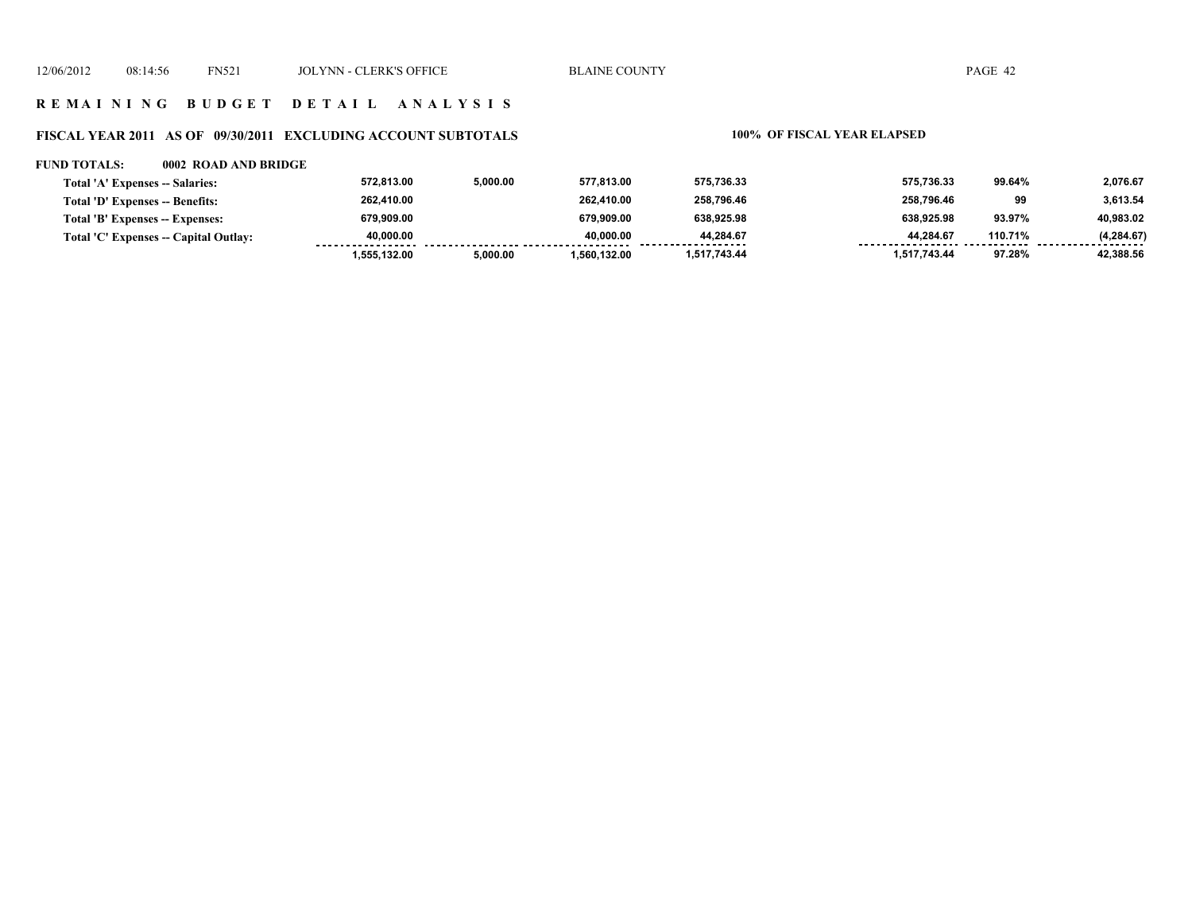# **R E M A I N I N G B U D G E T D E T A I L A N A L Y S I S**

# **FISCAL YEAR 2011 AS OF 09/30/2011 EXCLUDING ACCOUNT SUBTOTALS 100% OF FISCAL YEAR ELAPSED**

### **FUND TOTALS: 0002 ROAD AND BRIDGE**

| Total 'A' Expenses -- Salaries:       | 572.813.00   | 5,000.00 | 577.813.00   | 575,736.33     | 575,736.33   | 99.64%  | 2,076.67         |
|---------------------------------------|--------------|----------|--------------|----------------|--------------|---------|------------------|
| Total 'D' Expenses -- Benefits:       | 262,410.00   |          | 262.410.00   | 258.796.46     | 258.796.46   | 99      | 3,613.54         |
| Total 'B' Expenses -- Expenses:       | 679.909.00   |          | 679.909.00   | 638.925.98     | 638.925.98   | 93.97%  | 40,983.02        |
| Total 'C' Expenses -- Capital Outlay: | 40.000.00    |          | 40.000.00    | 44.284.67<br>. | 44.284.67    | 110.71% | (4, 284.67)<br>. |
|                                       | 1.555.132.00 | 5.000.00 | 1.560.132.00 | 1,517,743.44   | 1,517,743.44 | 97.28%  | 42,388.56        |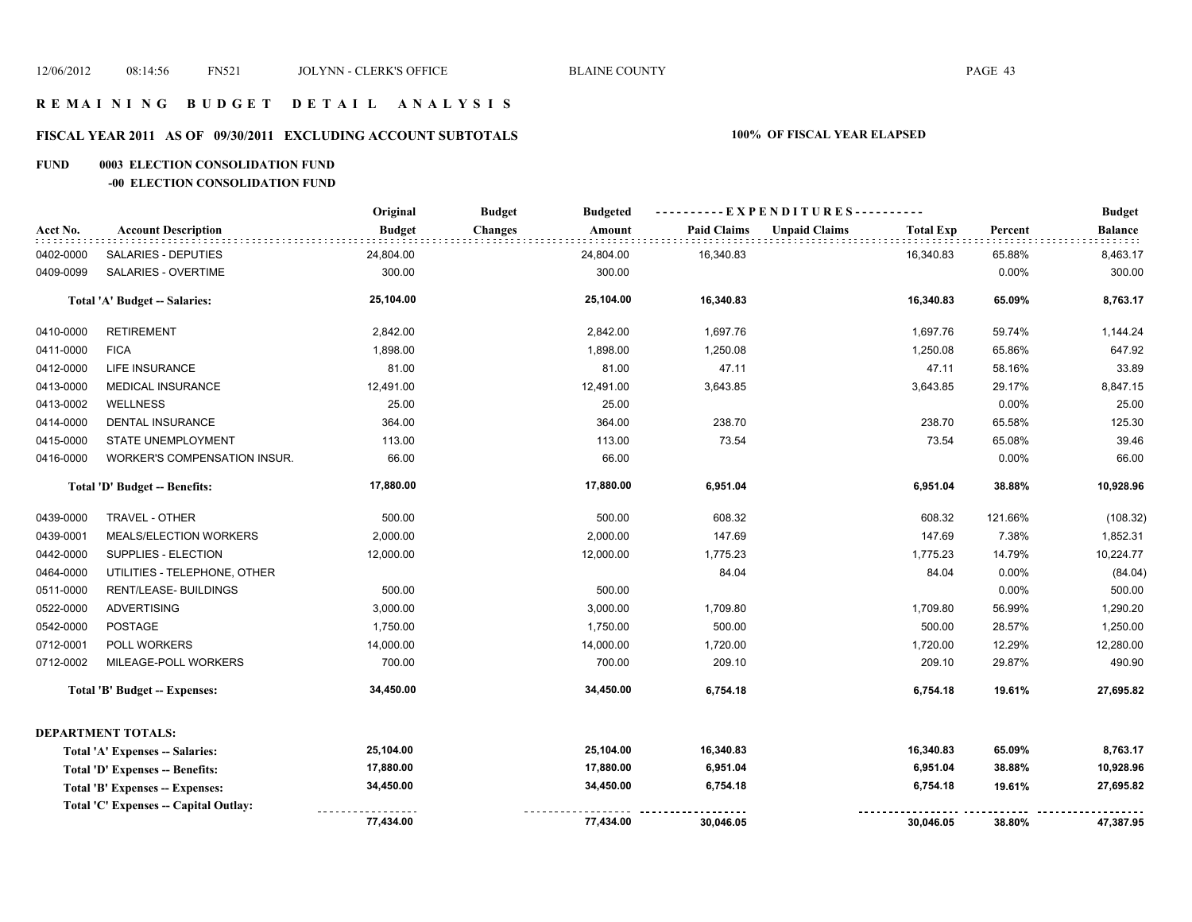### **R E M A I N I N G B U D G E T D E T A I L A N A L Y S I S**

# **FISCAL YEAR 2011 AS OF 09/30/2011 EXCLUDING ACCOUNT SUBTOTALS 100% OF FISCAL YEAR ELAPSED**

### **FUND 0003 ELECTION CONSOLIDATION FUND**

### **-00 ELECTION CONSOLIDATION FUND**

|           |                                       | Original      | <b>Budget</b><br><b>Budgeted</b> |                    | ----------EXPENDITURES----------         |         | <b>Budget</b>  |
|-----------|---------------------------------------|---------------|----------------------------------|--------------------|------------------------------------------|---------|----------------|
| Acct No.  | <b>Account Description</b>            | <b>Budget</b> | <b>Changes</b><br>Amount         | <b>Paid Claims</b> | <b>Unpaid Claims</b><br><b>Total Exp</b> | Percent | <b>Balance</b> |
| 0402-0000 | SALARIES - DEPUTIES                   | 24,804.00     | 24,804.00                        | 16,340.83          | 16,340.83                                | 65.88%  | 8,463.17       |
| 0409-0099 | SALARIES - OVERTIME                   | 300.00        | 300.00                           |                    |                                          | 0.00%   | 300.00         |
|           | <b>Total 'A' Budget -- Salaries:</b>  | 25,104.00     | 25,104.00                        | 16,340.83          | 16,340.83                                | 65.09%  | 8,763.17       |
| 0410-0000 | <b>RETIREMENT</b>                     | 2,842.00      | 2,842.00                         | 1,697.76           | 1,697.76                                 | 59.74%  | 1,144.24       |
| 0411-0000 | <b>FICA</b>                           | 1,898.00      | 1,898.00                         | 1,250.08           | 1,250.08                                 | 65.86%  | 647.92         |
| 0412-0000 | <b>LIFE INSURANCE</b>                 | 81.00         | 81.00                            | 47.11              | 47.11                                    | 58.16%  | 33.89          |
| 0413-0000 | MEDICAL INSURANCE                     | 12,491.00     | 12,491.00                        | 3,643.85           | 3,643.85                                 | 29.17%  | 8,847.15       |
| 0413-0002 | <b>WELLNESS</b>                       | 25.00         | 25.00                            |                    |                                          | 0.00%   | 25.00          |
| 0414-0000 | <b>DENTAL INSURANCE</b>               | 364.00        | 364.00                           | 238.70             | 238.70                                   | 65.58%  | 125.30         |
| 0415-0000 | STATE UNEMPLOYMENT                    | 113.00        | 113.00                           | 73.54              | 73.54                                    | 65.08%  | 39.46          |
| 0416-0000 | <b>WORKER'S COMPENSATION INSUR.</b>   | 66.00         | 66.00                            |                    |                                          | 0.00%   | 66.00          |
|           | Total 'D' Budget -- Benefits:         | 17,880.00     | 17,880.00                        | 6,951.04           | 6,951.04                                 | 38.88%  | 10,928.96      |
| 0439-0000 | TRAVEL - OTHER                        | 500.00        | 500.00                           | 608.32             | 608.32                                   | 121.66% | (108.32)       |
| 0439-0001 | MEALS/ELECTION WORKERS                | 2,000.00      | 2,000.00                         | 147.69             | 147.69                                   | 7.38%   | 1,852.31       |
| 0442-0000 | SUPPLIES - ELECTION                   | 12,000.00     | 12,000.00                        | 1,775.23           | 1,775.23                                 | 14.79%  | 10,224.77      |
| 0464-0000 | UTILITIES - TELEPHONE, OTHER          |               |                                  | 84.04              | 84.04                                    | 0.00%   | (84.04)        |
| 0511-0000 | RENT/LEASE- BUILDINGS                 | 500.00        | 500.00                           |                    |                                          | 0.00%   | 500.00         |
| 0522-0000 | <b>ADVERTISING</b>                    | 3,000.00      | 3,000.00                         | 1,709.80           | 1,709.80                                 | 56.99%  | 1,290.20       |
| 0542-0000 | POSTAGE                               | 1,750.00      | 1,750.00                         | 500.00             | 500.00                                   | 28.57%  | 1,250.00       |
| 0712-0001 | POLL WORKERS                          | 14,000.00     | 14,000.00                        | 1,720.00           | 1,720.00                                 | 12.29%  | 12,280.00      |
| 0712-0002 | MILEAGE-POLL WORKERS                  | 700.00        | 700.00                           | 209.10             | 209.10                                   | 29.87%  | 490.90         |
|           | <b>Total 'B' Budget -- Expenses:</b>  | 34,450.00     | 34,450.00                        | 6,754.18           | 6,754.18                                 | 19.61%  | 27,695.82      |
|           | <b>DEPARTMENT TOTALS:</b>             |               |                                  |                    |                                          |         |                |
|           | Total 'A' Expenses -- Salaries:       | 25,104.00     | 25,104.00                        | 16,340.83          | 16,340.83                                | 65.09%  | 8,763.17       |
|           | Total 'D' Expenses -- Benefits:       | 17,880.00     | 17,880.00                        | 6,951.04           | 6,951.04                                 | 38.88%  | 10,928.96      |
|           | Total 'B' Expenses -- Expenses:       | 34,450.00     | 34,450.00                        | 6,754.18           | 6,754.18                                 | 19.61%  | 27,695.82      |
|           | Total 'C' Expenses -- Capital Outlay: |               |                                  |                    |                                          |         |                |
|           |                                       | 77,434.00     | 77,434.00                        | 30,046.05          | 30,046.05                                | 38.80%  | 47,387.95      |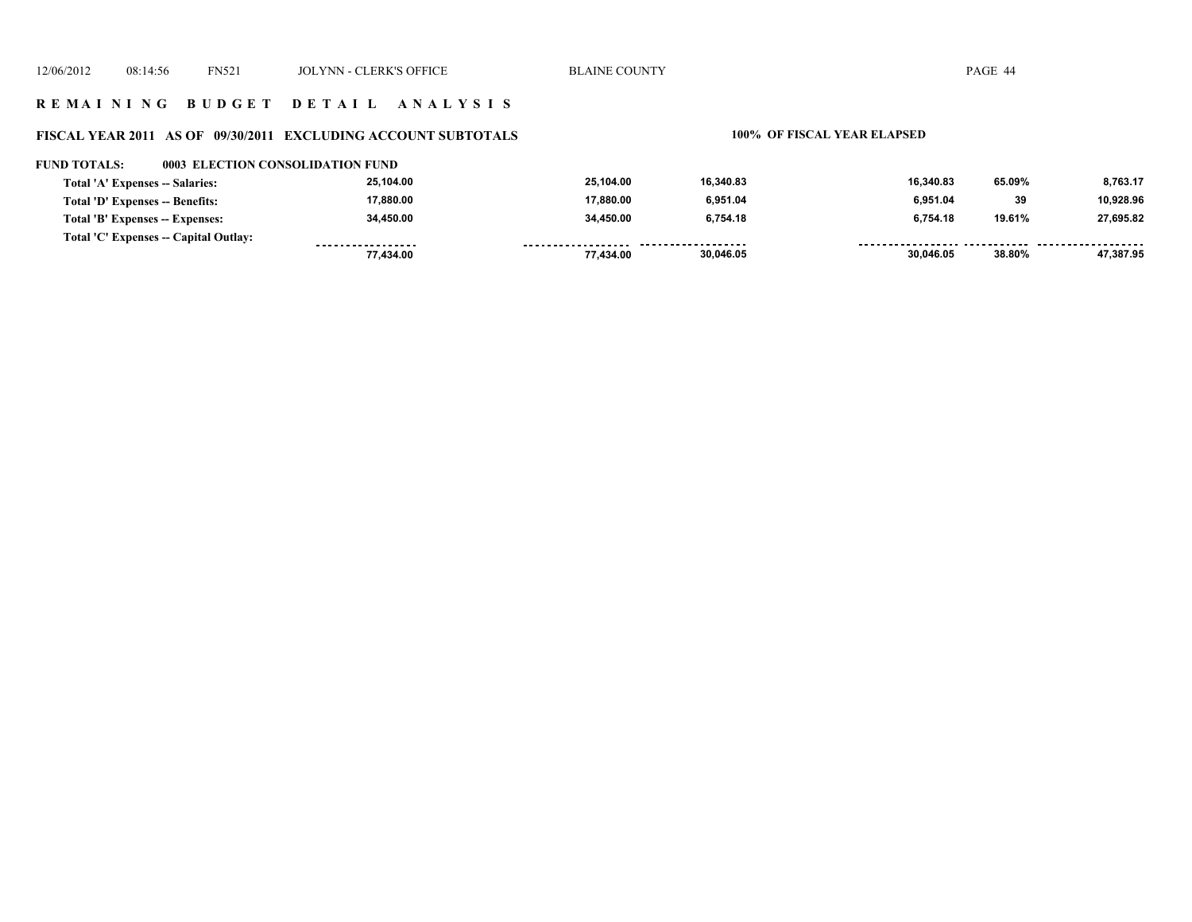### **R E M A I N I N G B U D G E T D E T A I L A N A L Y S I S**

### **FISCAL YEAR 2011 AS OF 09/30/2011 EXCLUDING ACCOUNT SUBTOTALS 100% OF FISCAL YEAR ELAPSED**

### **FUND TOTALS: 0003 ELECTION CONSOLIDATION FUND**

| Total 'A' Expenses -- Salaries:       | 25.104.00         | 25.104.00 | 16.340.83           | 16.340.83 | 65.09% | 8,763.17  |
|---------------------------------------|-------------------|-----------|---------------------|-----------|--------|-----------|
| Total 'D' Expenses -- Benefits:       | 17.880.00         | 17.880.00 | 6.951.04            | 6.951.04  | 39     | 10.928.96 |
| Total 'B' Expenses -- Expenses:       | 34.450.00         | 34,450.00 | 6,754.18            | 6.754.18  | 19.61% | 27.695.82 |
| Total 'C' Expenses -- Capital Outlay: | ----------------- |           | ------------------- |           |        |           |
|                                       | 77.434.00         | 77.434.00 | 30,046.05           | 30,046.05 | 38.80% | 47,387.95 |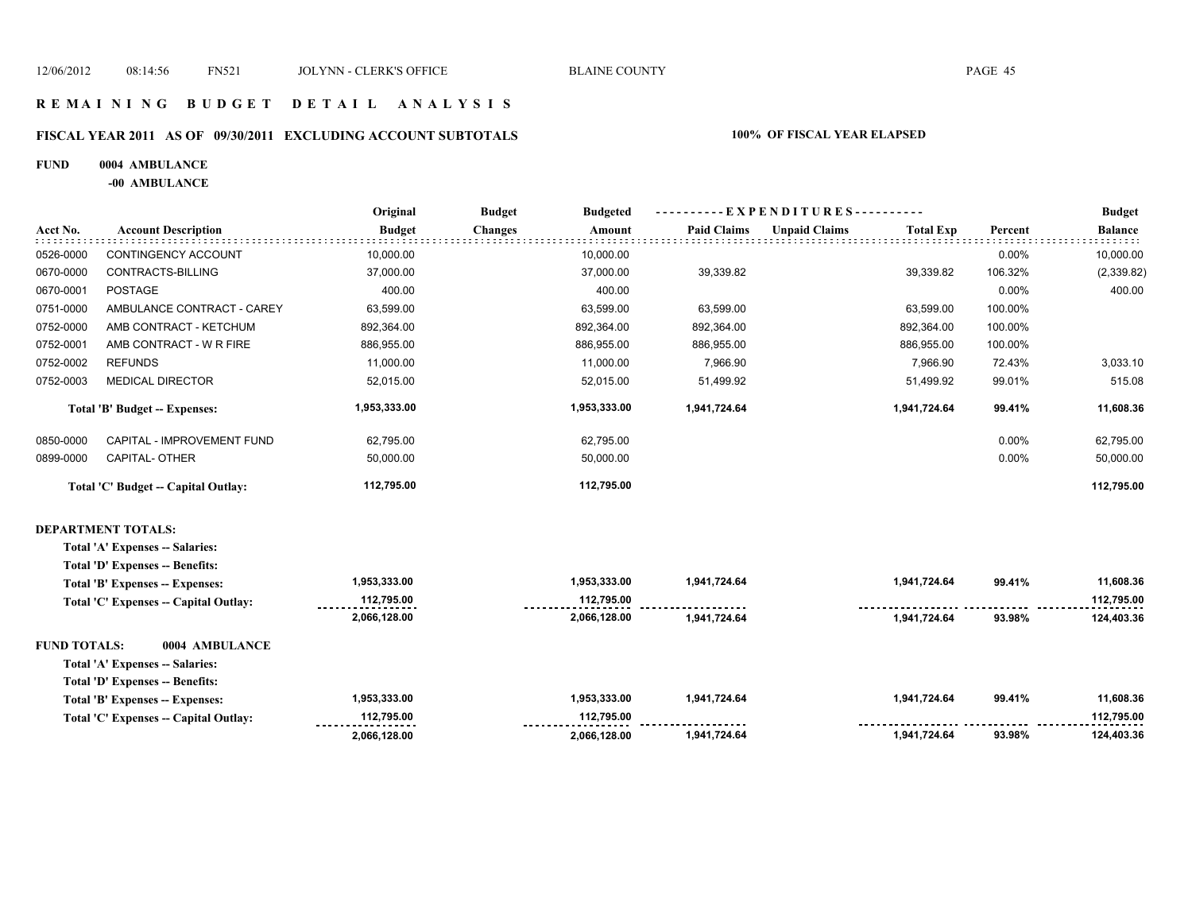### **FISCAL YEAR 2011 AS OF 09/30/2011 EXCLUDING ACCOUNT SUBTOTALS 100% OF FISCAL YEAR ELAPSED**

### **FUND 0004 AMBULANCE**

**-00 AMBULANCE**

|                                      | Original      | <b>Budget</b>  | <b>Budgeted</b> |                    |                      |                  |                        | <b>Budget</b>  |
|--------------------------------------|---------------|----------------|-----------------|--------------------|----------------------|------------------|------------------------|----------------|
| <b>Account Description</b>           | <b>Budget</b> | <b>Changes</b> | Amount          | <b>Paid Claims</b> | <b>Unpaid Claims</b> | <b>Total Exp</b> | Percent                | <b>Balance</b> |
| CONTINGENCY ACCOUNT                  | 10,000.00     |                | 10,000.00       |                    |                      |                  | 0.00%                  | 10,000.00      |
| CONTRACTS-BILLING                    | 37,000.00     |                | 37,000.00       | 39,339.82          |                      | 39,339.82        | 106.32%                | (2,339.82)     |
| <b>POSTAGE</b>                       | 400.00        |                | 400.00          |                    |                      |                  | 0.00%                  | 400.00         |
| AMBULANCE CONTRACT - CAREY           | 63,599.00     |                | 63,599.00       | 63,599.00          |                      | 63,599.00        | 100.00%                |                |
| AMB CONTRACT - KETCHUM               | 892,364.00    |                | 892,364.00      | 892,364.00         |                      | 892,364.00       | 100.00%                |                |
| AMB CONTRACT - W R FIRE              | 886,955.00    |                | 886,955.00      | 886,955.00         |                      | 886,955.00       | 100.00%                |                |
| <b>REFUNDS</b>                       | 11,000.00     |                | 11,000.00       | 7,966.90           |                      | 7,966.90         | 72.43%                 | 3,033.10       |
| <b>MEDICAL DIRECTOR</b>              | 52,015.00     |                | 52,015.00       | 51,499.92          |                      | 51,499.92        | 99.01%                 | 515.08         |
| <b>Total 'B' Budget -- Expenses:</b> | 1,953,333.00  |                | 1,953,333.00    | 1,941,724.64       |                      | 1,941,724.64     | 99.41%                 | 11,608.36      |
| CAPITAL - IMPROVEMENT FUND           | 62,795.00     |                | 62,795.00       |                    |                      |                  | 0.00%                  | 62,795.00      |
| CAPITAL- OTHER                       | 50,000.00     |                | 50,000.00       |                    |                      |                  | 0.00%                  | 50,000.00      |
| Total 'C' Budget -- Capital Outlay:  | 112,795.00    |                | 112,795.00      |                    |                      |                  |                        | 112,795.00     |
|                                      |               |                |                 |                    |                      |                  | EXPENDITURES---------- |                |

### **DEPARTMENT TOTALS:**

| Total 'A' Expenses -- Salaries:       |              |              |              |              |        |            |
|---------------------------------------|--------------|--------------|--------------|--------------|--------|------------|
| Total 'D' Expenses -- Benefits:       |              |              |              |              |        |            |
| Total 'B' Expenses -- Expenses:       | 1,953,333.00 | 1.953.333.00 | 1,941,724.64 | 1.941.724.64 | 99.41% | 11,608.36  |
| Total 'C' Expenses -- Capital Outlay: | 112,795.00   | 112.795.00   |              |              |        | 112,795.00 |
|                                       | 2,066,128.00 | 2,066,128.00 | 1.941.724.64 | 1.941.724.64 | 93.98% | 124,403.36 |
| 0004 AMBULANCE<br>FUND TOTALS:        |              |              |              |              |        |            |
| Total 'A' Expenses -- Salaries:       |              |              |              |              |        |            |
| Total 'D' Expenses -- Benefits:       |              |              |              |              |        |            |
| Total 'B' Expenses -- Expenses:       | 1,953,333.00 | 1.953.333.00 | 1.941.724.64 | 1.941.724.64 | 99.41% | 11.608.36  |
| Total 'C' Expenses -- Capital Outlay: | 112.795.00   | 112.795.00   |              |              |        | 112.795.00 |
|                                       | 2.066.128.00 | 2.066.128.00 | 1.941.724.64 | 1.941.724.64 | 93.98% | 124.403.36 |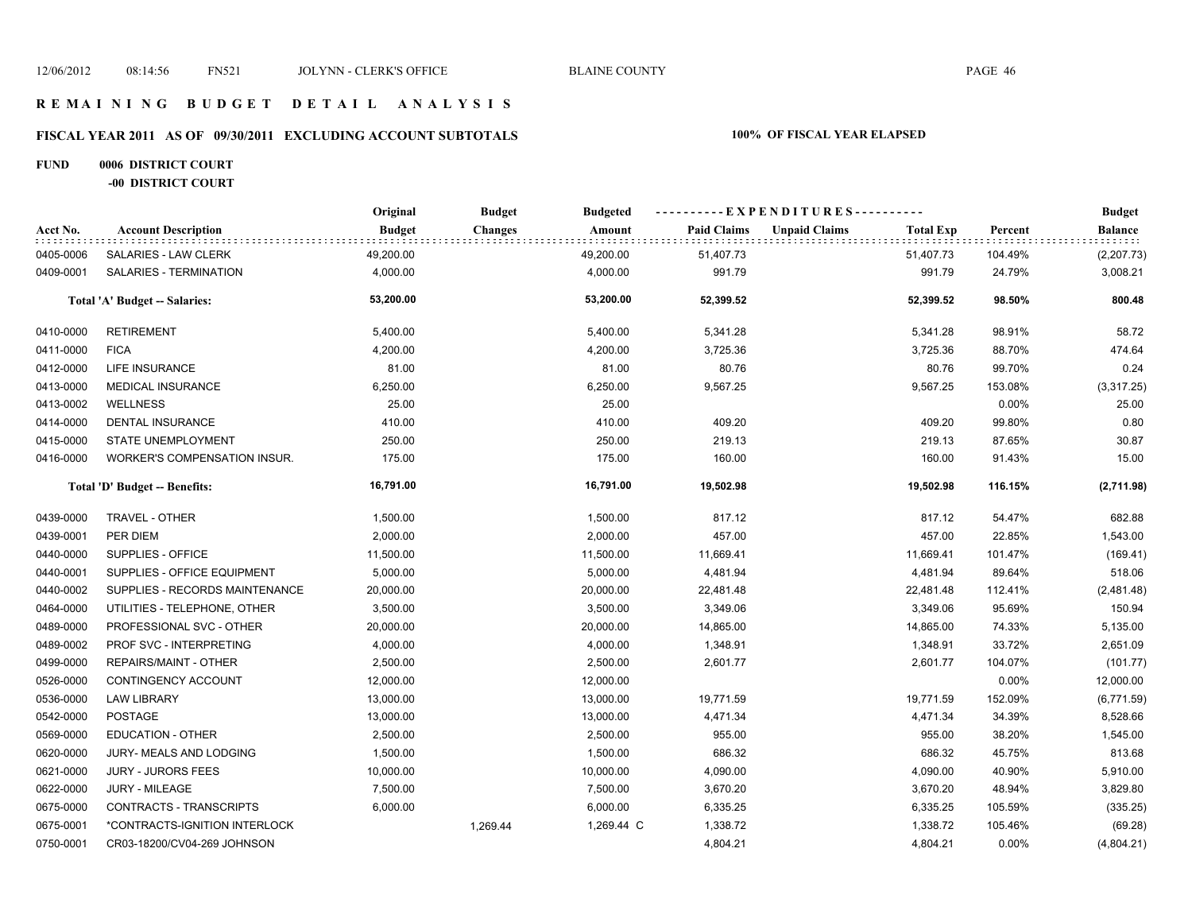# **FISCAL YEAR 2011 AS OF 09/30/2011 EXCLUDING ACCOUNT SUBTOTALS 100% OF FISCAL YEAR ELAPSED**

### **FUND 0006 DISTRICT COURT -00 DISTRICT COURT**

|           |                                      | Original      | <b>Budget</b>  | <b>Budgeted</b> |                    | -- E X P E N D I T U R E S - - - - - - - - - - |                  |         | <b>Budget</b>  |
|-----------|--------------------------------------|---------------|----------------|-----------------|--------------------|------------------------------------------------|------------------|---------|----------------|
| Acct No.  | <b>Account Description</b>           | <b>Budget</b> | <b>Changes</b> | Amount          | <b>Paid Claims</b> | <b>Unpaid Claims</b>                           | <b>Total Exp</b> | Percent | <b>Balance</b> |
| 0405-0006 | SALARIES - LAW CLERK                 | 49,200.00     |                | 49,200.00       | 51,407.73          |                                                | 51,407.73        | 104.49% | (2, 207.73)    |
| 0409-0001 | SALARIES - TERMINATION               | 4,000.00      |                | 4,000.00        | 991.79             |                                                | 991.79           | 24.79%  | 3,008.21       |
|           | <b>Total 'A' Budget -- Salaries:</b> | 53,200.00     |                | 53,200.00       | 52,399.52          |                                                | 52,399.52        | 98.50%  | 800.48         |
| 0410-0000 | <b>RETIREMENT</b>                    | 5,400.00      |                | 5,400.00        | 5,341.28           |                                                | 5,341.28         | 98.91%  | 58.72          |
| 0411-0000 | <b>FICA</b>                          | 4,200.00      |                | 4,200.00        | 3,725.36           |                                                | 3,725.36         | 88.70%  | 474.64         |
| 0412-0000 | <b>LIFE INSURANCE</b>                | 81.00         |                | 81.00           | 80.76              |                                                | 80.76            | 99.70%  | 0.24           |
| 0413-0000 | <b>MEDICAL INSURANCE</b>             | 6,250.00      |                | 6,250.00        | 9,567.25           |                                                | 9,567.25         | 153.08% | (3,317.25)     |
| 0413-0002 | <b>WELLNESS</b>                      | 25.00         |                | 25.00           |                    |                                                |                  | 0.00%   | 25.00          |
| 0414-0000 | <b>DENTAL INSURANCE</b>              | 410.00        |                | 410.00          | 409.20             |                                                | 409.20           | 99.80%  | 0.80           |
| 0415-0000 | <b>STATE UNEMPLOYMENT</b>            | 250.00        |                | 250.00          | 219.13             |                                                | 219.13           | 87.65%  | 30.87          |
| 0416-0000 | WORKER'S COMPENSATION INSUR.         | 175.00        |                | 175.00          | 160.00             |                                                | 160.00           | 91.43%  | 15.00          |
|           | Total 'D' Budget -- Benefits:        | 16,791.00     |                | 16,791.00       | 19,502.98          |                                                | 19,502.98        | 116.15% | (2,711.98)     |
| 0439-0000 | TRAVEL - OTHER                       | 1,500.00      |                | 1,500.00        | 817.12             |                                                | 817.12           | 54.47%  | 682.88         |
| 0439-0001 | PER DIEM                             | 2,000.00      |                | 2,000.00        | 457.00             |                                                | 457.00           | 22.85%  | 1,543.00       |
| 0440-0000 | SUPPLIES - OFFICE                    | 11,500.00     |                | 11,500.00       | 11,669.41          |                                                | 11,669.41        | 101.47% | (169.41)       |
| 0440-0001 | SUPPLIES - OFFICE EQUIPMENT          | 5,000.00      |                | 5,000.00        | 4,481.94           |                                                | 4,481.94         | 89.64%  | 518.06         |
| 0440-0002 | SUPPLIES - RECORDS MAINTENANCE       | 20,000.00     |                | 20,000.00       | 22,481.48          |                                                | 22,481.48        | 112.41% | (2,481.48)     |
| 0464-0000 | UTILITIES - TELEPHONE, OTHER         | 3,500.00      |                | 3,500.00        | 3,349.06           |                                                | 3,349.06         | 95.69%  | 150.94         |
| 0489-0000 | PROFESSIONAL SVC - OTHER             | 20,000.00     |                | 20,000.00       | 14,865.00          |                                                | 14,865.00        | 74.33%  | 5,135.00       |
| 0489-0002 | PROF SVC - INTERPRETING              | 4,000.00      |                | 4,000.00        | 1,348.91           |                                                | 1,348.91         | 33.72%  | 2,651.09       |
| 0499-0000 | REPAIRS/MAINT - OTHER                | 2,500.00      |                | 2,500.00        | 2,601.77           |                                                | 2,601.77         | 104.07% | (101.77)       |
| 0526-0000 | CONTINGENCY ACCOUNT                  | 12,000.00     |                | 12,000.00       |                    |                                                |                  | 0.00%   | 12,000.00      |
| 0536-0000 | <b>LAW LIBRARY</b>                   | 13,000.00     |                | 13,000.00       | 19,771.59          |                                                | 19,771.59        | 152.09% | (6,771.59)     |
| 0542-0000 | POSTAGE                              | 13,000.00     |                | 13,000.00       | 4,471.34           |                                                | 4,471.34         | 34.39%  | 8,528.66       |
| 0569-0000 | EDUCATION - OTHER                    | 2,500.00      |                | 2,500.00        | 955.00             |                                                | 955.00           | 38.20%  | 1,545.00       |
| 0620-0000 | JURY- MEALS AND LODGING              | 1,500.00      |                | 1,500.00        | 686.32             |                                                | 686.32           | 45.75%  | 813.68         |
| 0621-0000 | <b>JURY - JURORS FEES</b>            | 10,000.00     |                | 10,000.00       | 4,090.00           |                                                | 4,090.00         | 40.90%  | 5,910.00       |
| 0622-0000 | <b>JURY - MILEAGE</b>                | 7,500.00      |                | 7,500.00        | 3,670.20           |                                                | 3,670.20         | 48.94%  | 3,829.80       |
| 0675-0000 | CONTRACTS - TRANSCRIPTS              | 6,000.00      |                | 6,000.00        | 6,335.25           |                                                | 6,335.25         | 105.59% | (335.25)       |
| 0675-0001 | *CONTRACTS-IGNITION INTERLOCK        |               | 1,269.44       | 1,269.44 C      | 1,338.72           |                                                | 1,338.72         | 105.46% | (69.28)        |
| 0750-0001 | CR03-18200/CV04-269 JOHNSON          |               |                |                 | 4,804.21           |                                                | 4,804.21         | 0.00%   | (4,804.21)     |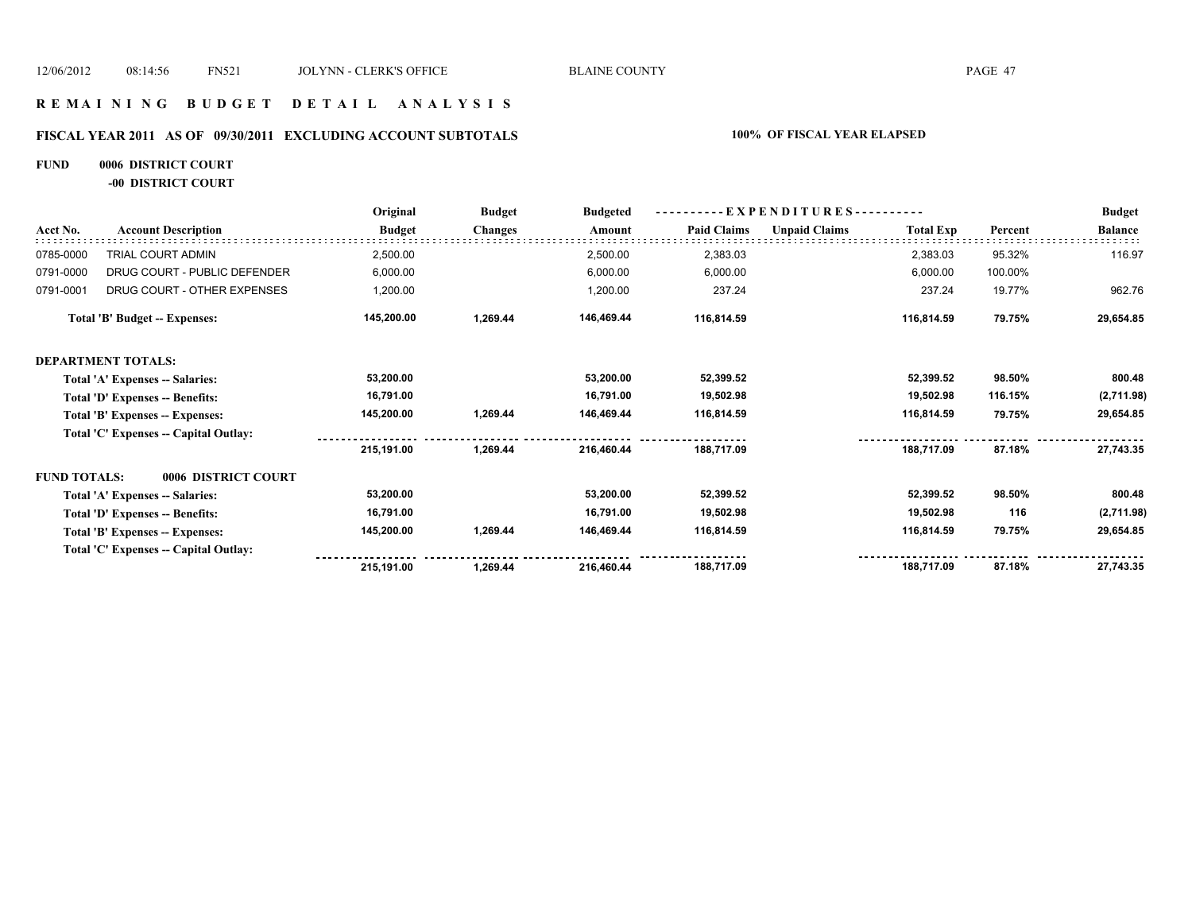### **R E M A I N I N G B U D G E T D E T A I L A N A L Y S I S**

# **FISCAL YEAR 2011 AS OF 09/30/2011 EXCLUDING ACCOUNT SUBTOTALS 100% OF FISCAL YEAR ELAPSED**

# **FUND 0006 DISTRICT COURT**

**-00 DISTRICT COURT**

|                     |                                       | Original      | <b>Budget</b>  | <b>Budgeted</b> |                    | E X P E N D I T U R E S - - - |                  |                                                                                                                      | <b>Budget</b>  |
|---------------------|---------------------------------------|---------------|----------------|-----------------|--------------------|-------------------------------|------------------|----------------------------------------------------------------------------------------------------------------------|----------------|
| Acct No.            | <b>Account Description</b>            | <b>Budget</b> | <b>Changes</b> | Amount          | <b>Paid Claims</b> | <b>Unpaid Claims</b>          | <b>Total Exp</b> | Percent<br>95.32%<br>100.00%<br>19.77%<br>79.75%<br>98.50%<br>116.15%<br>79.75%<br>87.18%<br>98.50%<br>116<br>79.75% | <b>Balance</b> |
| 0785-0000           | TRIAL COURT ADMIN                     | 2,500.00      |                | 2,500.00        | 2,383.03           |                               | 2,383.03         |                                                                                                                      | 116.97         |
| 0791-0000           | DRUG COURT - PUBLIC DEFENDER          | 6,000.00      |                | 6,000.00        | 6,000.00           |                               | 6,000.00         |                                                                                                                      |                |
| 0791-0001           | DRUG COURT - OTHER EXPENSES           | 1,200.00      |                | 1,200.00        | 237.24             |                               | 237.24           |                                                                                                                      | 962.76         |
|                     | <b>Total 'B' Budget -- Expenses:</b>  | 145,200.00    | 1,269.44       | 146,469.44      | 116,814.59         |                               | 116,814.59       |                                                                                                                      | 29,654.85      |
|                     | <b>DEPARTMENT TOTALS:</b>             |               |                |                 |                    |                               |                  |                                                                                                                      |                |
|                     | Total 'A' Expenses -- Salaries:       | 53,200.00     |                | 53,200.00       | 52,399.52          |                               | 52,399.52        |                                                                                                                      | 800.48         |
|                     | Total 'D' Expenses -- Benefits:       | 16,791.00     |                | 16,791.00       | 19,502.98          |                               | 19,502.98        |                                                                                                                      | (2,711.98)     |
|                     | Total 'B' Expenses -- Expenses:       | 145,200.00    | 1,269.44       | 146,469.44      | 116,814.59         |                               | 116,814.59       |                                                                                                                      | 29,654.85      |
|                     | Total 'C' Expenses -- Capital Outlay: |               |                |                 |                    |                               |                  |                                                                                                                      |                |
|                     |                                       | 215,191.00    | 1,269.44       | 216,460.44      | 188,717.09         |                               | 188,717.09       |                                                                                                                      | 27,743.35      |
| <b>FUND TOTALS:</b> | 0006 DISTRICT COURT                   |               |                |                 |                    |                               |                  |                                                                                                                      |                |
|                     | Total 'A' Expenses -- Salaries:       | 53,200.00     |                | 53,200.00       | 52,399.52          |                               | 52,399.52        |                                                                                                                      | 800.48         |
|                     | Total 'D' Expenses -- Benefits:       | 16,791.00     |                | 16,791.00       | 19,502.98          |                               | 19,502.98        |                                                                                                                      | (2,711.98)     |
|                     | Total 'B' Expenses -- Expenses:       | 145,200.00    | 1,269.44       | 146,469.44      | 116,814.59         |                               | 116,814.59       |                                                                                                                      | 29,654.85      |
|                     | Total 'C' Expenses -- Capital Outlay: |               |                |                 |                    |                               |                  |                                                                                                                      |                |
|                     |                                       | 215,191.00    | 1,269.44       | 216,460.44      | 188,717.09         |                               | 188,717.09       | 87.18%                                                                                                               | 27,743.35      |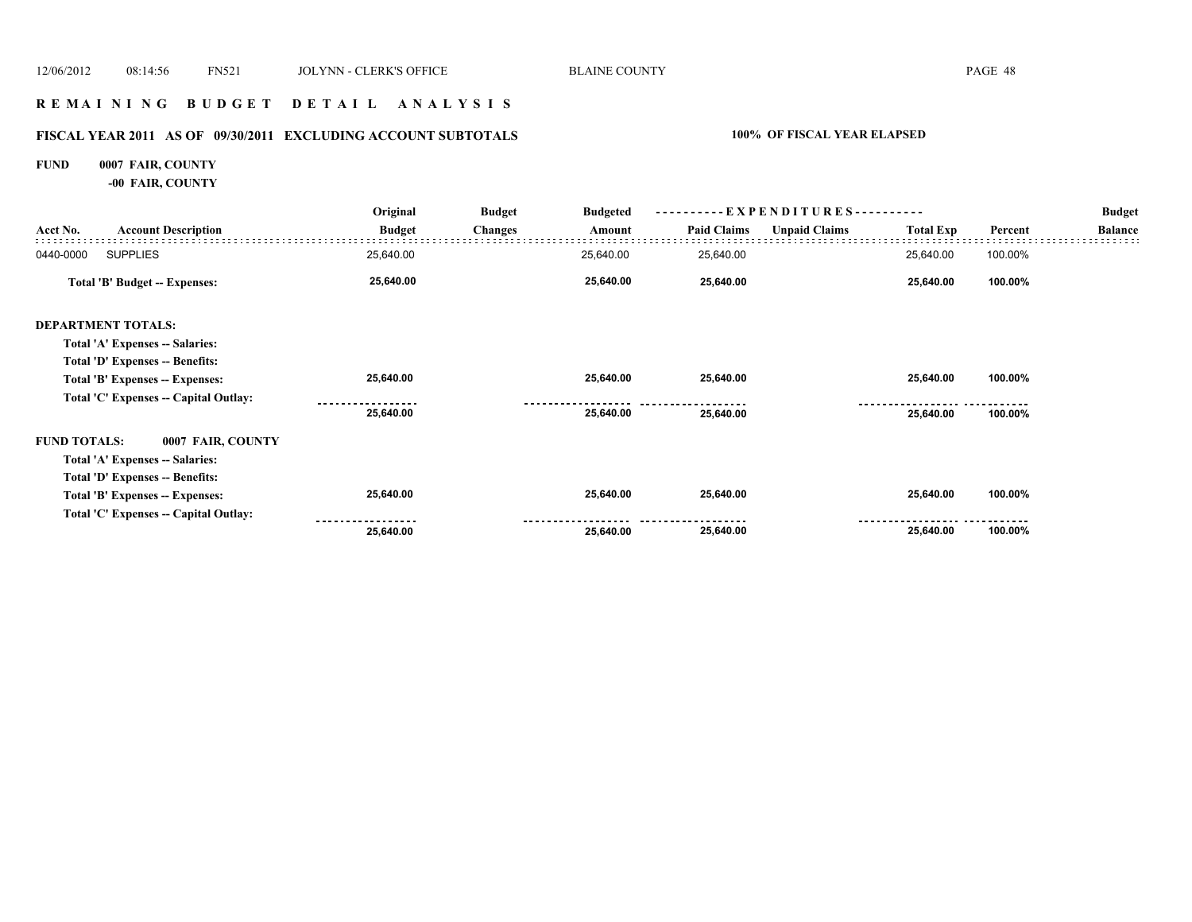### **R E M A I N I N G B U D G E T D E T A I L A N A L Y S I S**

# **FISCAL YEAR 2011 AS OF 09/30/2011 EXCLUDING ACCOUNT SUBTOTALS 100% OF FISCAL YEAR ELAPSED**

# **FUND 0007 FAIR, COUNTY**

**-00 FAIR, COUNTY**

|                     |                                       | Original      | <b>Budget</b>  | <b>Budgeted</b> |                    | - EXPENDITURES - -   |                  | <b>Budget</b> |                |
|---------------------|---------------------------------------|---------------|----------------|-----------------|--------------------|----------------------|------------------|---------------|----------------|
| Acct No.            | <b>Account Description</b>            | <b>Budget</b> | <b>Changes</b> | Amount          | <b>Paid Claims</b> | <b>Unpaid Claims</b> | <b>Total Exp</b> | Percent       | <b>Balance</b> |
| 0440-0000           | <b>SUPPLIES</b>                       | 25,640.00     |                | 25,640.00       | 25,640.00          |                      | 25,640.00        | 100.00%       |                |
|                     | <b>Total 'B' Budget -- Expenses:</b>  | 25,640.00     |                | 25,640.00       | 25,640.00          |                      | 25,640.00        | 100.00%       |                |
|                     | <b>DEPARTMENT TOTALS:</b>             |               |                |                 |                    |                      |                  |               |                |
|                     | Total 'A' Expenses -- Salaries:       |               |                |                 |                    |                      |                  |               |                |
|                     | Total 'D' Expenses -- Benefits:       |               |                |                 |                    |                      |                  |               |                |
|                     | Total 'B' Expenses -- Expenses:       | 25,640.00     |                | 25,640.00       | 25,640.00          |                      | 25,640.00        | 100.00%       |                |
|                     | Total 'C' Expenses -- Capital Outlay: |               |                |                 |                    |                      |                  |               |                |
|                     |                                       | 25,640.00     |                | 25,640.00       | 25,640.00          |                      | 25,640.00        | 100.00%       |                |
| <b>FUND TOTALS:</b> | 0007 FAIR, COUNTY                     |               |                |                 |                    |                      |                  |               |                |
|                     | Total 'A' Expenses -- Salaries:       |               |                |                 |                    |                      |                  |               |                |
|                     | Total 'D' Expenses -- Benefits:       |               |                |                 |                    |                      |                  |               |                |
|                     | Total 'B' Expenses -- Expenses:       | 25,640.00     |                | 25,640.00       | 25,640.00          |                      | 25,640.00        | 100.00%       |                |
|                     | Total 'C' Expenses -- Capital Outlay: |               |                |                 |                    |                      |                  |               |                |
|                     |                                       | 25,640.00     |                | 25,640.00       | 25,640.00          |                      | 25,640.00        | 100.00%       |                |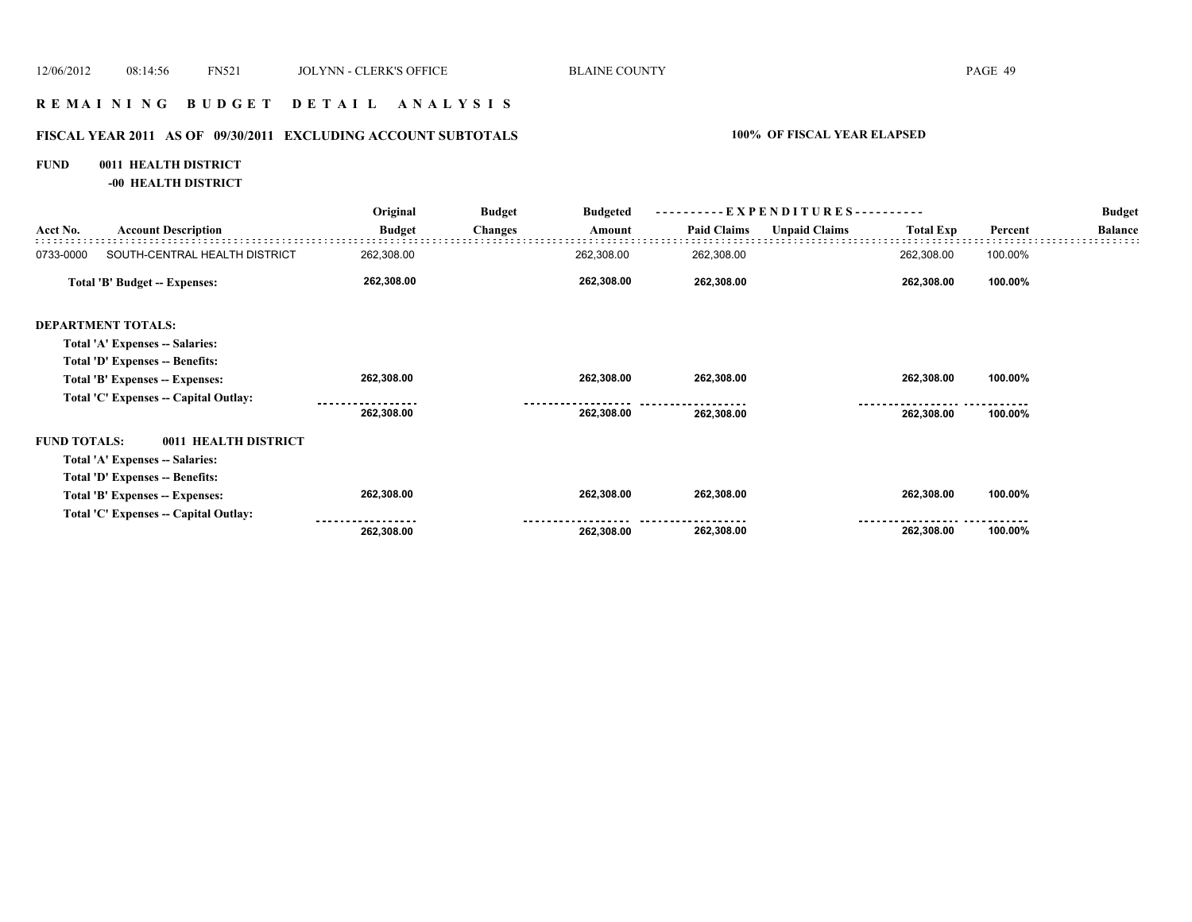### **R E M A I N I N G B U D G E T D E T A I L A N A L Y S I S**

# **FISCAL YEAR 2011 AS OF 09/30/2011 EXCLUDING ACCOUNT SUBTOTALS 100% OF FISCAL YEAR ELAPSED**

### **FUND 0011 HEALTH DISTRICT**

**-00 HEALTH DISTRICT**

|                     |                                       | Original      | <b>Budget</b>  | <b>Budgeted</b> |                    | - EXPENDITURES---------- |                  |         | <b>Budget</b>  |
|---------------------|---------------------------------------|---------------|----------------|-----------------|--------------------|--------------------------|------------------|---------|----------------|
| Acct No.            | <b>Account Description</b>            | <b>Budget</b> | <b>Changes</b> | Amount          | <b>Paid Claims</b> | <b>Unpaid Claims</b>     | <b>Total Exp</b> | Percent | <b>Balance</b> |
| 0733-0000           | SOUTH-CENTRAL HEALTH DISTRICT         | 262,308.00    |                | 262,308.00      | 262,308.00         |                          | 262,308.00       | 100.00% |                |
|                     | Total 'B' Budget -- Expenses:         | 262,308.00    |                | 262,308.00      | 262,308.00         |                          | 262,308.00       | 100.00% |                |
|                     | <b>DEPARTMENT TOTALS:</b>             |               |                |                 |                    |                          |                  |         |                |
|                     | Total 'A' Expenses -- Salaries:       |               |                |                 |                    |                          |                  |         |                |
|                     | Total 'D' Expenses -- Benefits:       |               |                |                 |                    |                          |                  |         |                |
|                     | Total 'B' Expenses -- Expenses:       | 262,308.00    |                | 262,308.00      | 262,308.00         |                          | 262,308.00       | 100.00% |                |
|                     | Total 'C' Expenses -- Capital Outlay: |               |                |                 |                    |                          |                  |         |                |
|                     |                                       | 262,308.00    |                | 262,308.00      | 262,308.00         |                          | 262,308.00       | 100.00% |                |
| <b>FUND TOTALS:</b> | 0011 HEALTH DISTRICT                  |               |                |                 |                    |                          |                  |         |                |
|                     | Total 'A' Expenses -- Salaries:       |               |                |                 |                    |                          |                  |         |                |
|                     | Total 'D' Expenses -- Benefits:       |               |                |                 |                    |                          |                  |         |                |
|                     | Total 'B' Expenses -- Expenses:       | 262,308.00    |                | 262,308.00      | 262,308.00         |                          | 262,308.00       | 100.00% |                |
|                     | Total 'C' Expenses -- Capital Outlay: |               |                |                 |                    |                          |                  |         |                |
|                     |                                       | 262,308.00    |                | 262,308.00      | 262,308.00         |                          | 262,308.00       | 100.00% |                |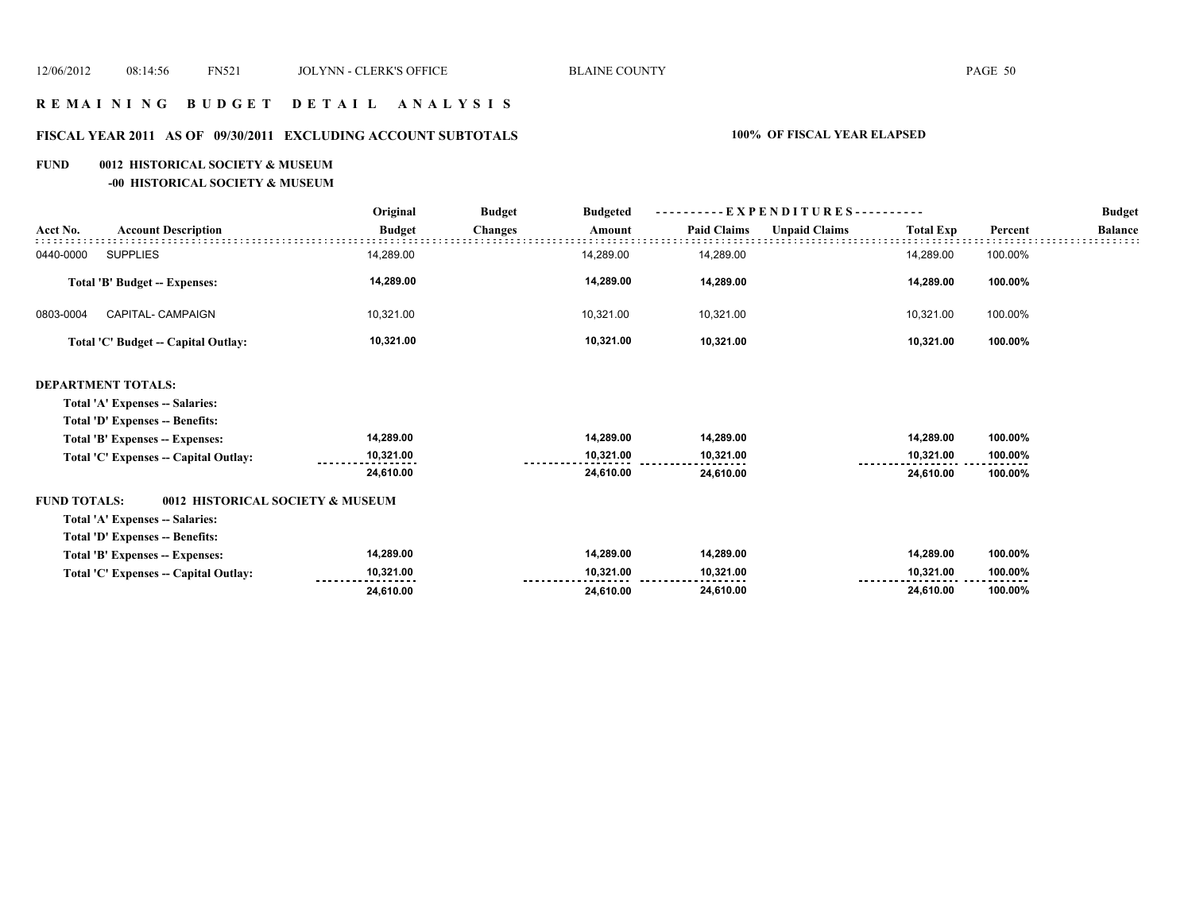### **R E M A I N I N G B U D G E T D E T A I L A N A L Y S I S**

# **FISCAL YEAR 2011 AS OF 09/30/2011 EXCLUDING ACCOUNT SUBTOTALS 100% OF FISCAL YEAR ELAPSED**

### **FUND 0012 HISTORICAL SOCIETY & MUSEUM**

**-00 HISTORICAL SOCIETY & MUSEUM**

|                                                         | Original      | E X P E N D I T U R E S - - - - - - - - - -<br><b>Budget</b><br><b>Budgeted</b> |           |                    |                      |                  | <b>Budget</b> |                |
|---------------------------------------------------------|---------------|---------------------------------------------------------------------------------|-----------|--------------------|----------------------|------------------|---------------|----------------|
| <b>Account Description</b><br>Acct No.                  | <b>Budget</b> | <b>Changes</b>                                                                  | Amount    | <b>Paid Claims</b> | <b>Unpaid Claims</b> | <b>Total Exp</b> | Percent       | <b>Balance</b> |
| <b>SUPPLIES</b><br>0440-0000                            | 14,289.00     |                                                                                 | 14,289.00 | 14,289.00          |                      | 14,289.00        | 100.00%       |                |
| <b>Total 'B' Budget -- Expenses:</b>                    | 14,289.00     |                                                                                 | 14,289.00 | 14,289.00          |                      | 14,289.00        | 100.00%       |                |
| CAPITAL- CAMPAIGN<br>0803-0004                          | 10,321.00     |                                                                                 | 10,321.00 | 10,321.00          |                      | 10,321.00        | 100.00%       |                |
| Total 'C' Budget -- Capital Outlay:                     | 10,321.00     |                                                                                 | 10,321.00 | 10,321.00          |                      | 10,321.00        | 100.00%       |                |
| <b>DEPARTMENT TOTALS:</b>                               |               |                                                                                 |           |                    |                      |                  |               |                |
| Total 'A' Expenses -- Salaries:                         |               |                                                                                 |           |                    |                      |                  |               |                |
| Total 'D' Expenses -- Benefits:                         |               |                                                                                 |           |                    |                      |                  |               |                |
| Total 'B' Expenses -- Expenses:                         | 14,289.00     |                                                                                 | 14,289.00 | 14,289.00          |                      | 14,289.00        | 100.00%       |                |
| Total 'C' Expenses -- Capital Outlay:                   | 10,321.00     |                                                                                 | 10,321.00 | 10,321.00          |                      | 10,321.00        | 100.00%       |                |
|                                                         | 24,610.00     |                                                                                 | 24,610.00 | 24,610.00          |                      | 24,610.00        | 100.00%       |                |
| <b>FUND TOTALS:</b><br>0012 HISTORICAL SOCIETY & MUSEUM |               |                                                                                 |           |                    |                      |                  |               |                |
| Total 'A' Expenses -- Salaries:                         |               |                                                                                 |           |                    |                      |                  |               |                |
| <b>Total 'D' Expenses -- Benefits:</b>                  |               |                                                                                 |           |                    |                      |                  |               |                |
| Total 'B' Expenses -- Expenses:                         | 14,289.00     |                                                                                 | 14,289.00 | 14,289.00          |                      | 14,289.00        | 100.00%       |                |
| Total 'C' Expenses -- Capital Outlay:                   | 10,321.00     |                                                                                 | 10,321.00 | 10,321.00          |                      | 10,321.00        | 100.00%       |                |
|                                                         | 24,610.00     |                                                                                 | 24,610.00 | 24,610.00          |                      | 24,610.00        | 100.00%       |                |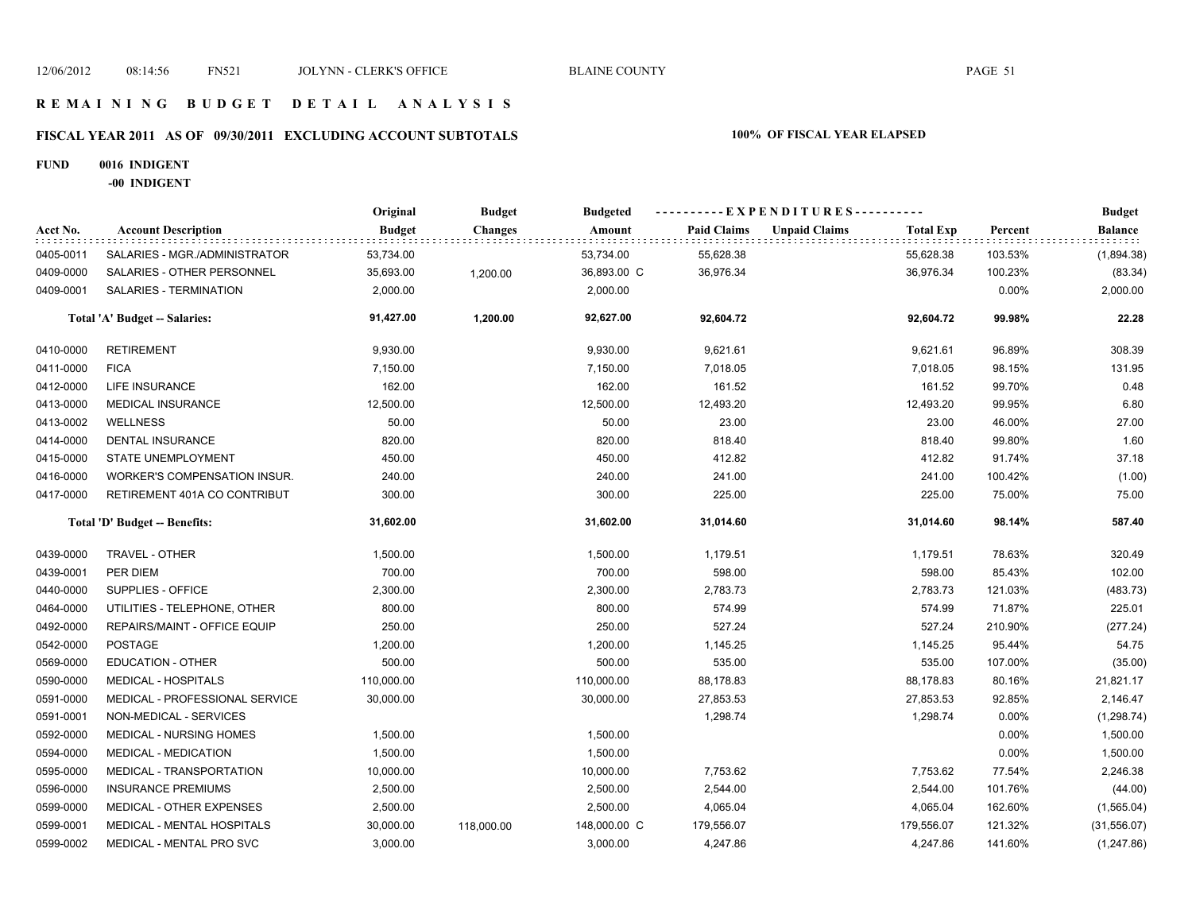### **R E M A I N I N G B U D G E T D E T A I L A N A L Y S I S**

# **FISCAL YEAR 2011 AS OF 09/30/2011 EXCLUDING ACCOUNT SUBTOTALS 100% OF FISCAL YEAR ELAPSED**

### **FUND 0016 INDIGENT**

**-00 INDIGENT**

|           |                                | Original      | <b>Budget</b>  | <b>Budgeted</b> | ----------EXPENDITURES---------- |                      |                  |         | <b>Budget</b> |
|-----------|--------------------------------|---------------|----------------|-----------------|----------------------------------|----------------------|------------------|---------|---------------|
| Acct No.  | <b>Account Description</b>     | <b>Budget</b> | <b>Changes</b> | Amount          | <b>Paid Claims</b>               | <b>Unpaid Claims</b> | <b>Total Exp</b> | Percent | Balance       |
| 0405-0011 | SALARIES - MGR./ADMINISTRATOR  | 53,734.00     |                | 53,734.00       | 55,628.38                        |                      | 55,628.38        | 103.53% | (1,894.38)    |
| 0409-0000 | SALARIES - OTHER PERSONNEL     | 35,693.00     | 1,200.00       | 36,893.00 C     | 36,976.34                        |                      | 36,976.34        | 100.23% | (83.34)       |
| 0409-0001 | SALARIES - TERMINATION         | 2,000.00      |                | 2,000.00        |                                  |                      |                  | 0.00%   | 2,000.00      |
|           | Total 'A' Budget -- Salaries:  | 91,427.00     | 1,200.00       | 92,627.00       | 92,604.72                        |                      | 92,604.72        | 99.98%  | 22.28         |
| 0410-0000 | <b>RETIREMENT</b>              | 9,930.00      |                | 9,930.00        | 9,621.61                         |                      | 9,621.61         | 96.89%  | 308.39        |
| 0411-0000 | <b>FICA</b>                    | 7,150.00      |                | 7,150.00        | 7,018.05                         |                      | 7,018.05         | 98.15%  | 131.95        |
| 0412-0000 | LIFE INSURANCE                 | 162.00        |                | 162.00          | 161.52                           |                      | 161.52           | 99.70%  | 0.48          |
| 0413-0000 | <b>MEDICAL INSURANCE</b>       | 12,500.00     |                | 12,500.00       | 12,493.20                        |                      | 12,493.20        | 99.95%  | 6.80          |
| 0413-0002 | <b>WELLNESS</b>                | 50.00         |                | 50.00           | 23.00                            |                      | 23.00            | 46.00%  | 27.00         |
| 0414-0000 | <b>DENTAL INSURANCE</b>        | 820.00        |                | 820.00          | 818.40                           |                      | 818.40           | 99.80%  | 1.60          |
| 0415-0000 | STATE UNEMPLOYMENT             | 450.00        |                | 450.00          | 412.82                           |                      | 412.82           | 91.74%  | 37.18         |
| 0416-0000 | WORKER'S COMPENSATION INSUR.   | 240.00        |                | 240.00          | 241.00                           |                      | 241.00           | 100.42% | (1.00)        |
| 0417-0000 | RETIREMENT 401A CO CONTRIBUT   | 300.00        |                | 300.00          | 225.00                           |                      | 225.00           | 75.00%  | 75.00         |
|           | Total 'D' Budget -- Benefits:  | 31,602.00     |                | 31,602.00       | 31,014.60                        |                      | 31,014.60        | 98.14%  | 587.40        |
| 0439-0000 | TRAVEL - OTHER                 | 1,500.00      |                | 1,500.00        | 1,179.51                         |                      | 1,179.51         | 78.63%  | 320.49        |
| 0439-0001 | PER DIEM                       | 700.00        |                | 700.00          | 598.00                           |                      | 598.00           | 85.43%  | 102.00        |
| 0440-0000 | SUPPLIES - OFFICE              | 2,300.00      |                | 2,300.00        | 2,783.73                         |                      | 2,783.73         | 121.03% | (483.73)      |
| 0464-0000 | UTILITIES - TELEPHONE, OTHER   | 800.00        |                | 800.00          | 574.99                           |                      | 574.99           | 71.87%  | 225.01        |
| 0492-0000 | REPAIRS/MAINT - OFFICE EQUIP   | 250.00        |                | 250.00          | 527.24                           |                      | 527.24           | 210.90% | (277.24)      |
| 0542-0000 | <b>POSTAGE</b>                 | 1,200.00      |                | 1,200.00        | 1,145.25                         |                      | 1,145.25         | 95.44%  | 54.75         |
| 0569-0000 | EDUCATION - OTHER              | 500.00        |                | 500.00          | 535.00                           |                      | 535.00           | 107.00% | (35.00)       |
| 0590-0000 | <b>MEDICAL - HOSPITALS</b>     | 110,000.00    |                | 110,000.00      | 88,178.83                        |                      | 88,178.83        | 80.16%  | 21,821.17     |
| 0591-0000 | MEDICAL - PROFESSIONAL SERVICE | 30,000.00     |                | 30,000.00       | 27,853.53                        |                      | 27,853.53        | 92.85%  | 2,146.47      |
| 0591-0001 | NON-MEDICAL - SERVICES         |               |                |                 | 1,298.74                         |                      | 1,298.74         | 0.00%   | (1, 298.74)   |
| 0592-0000 | MEDICAL - NURSING HOMES        | 1,500.00      |                | 1,500.00        |                                  |                      |                  | 0.00%   | 1,500.00      |
| 0594-0000 | MEDICAL - MEDICATION           | 1,500.00      |                | 1,500.00        |                                  |                      |                  | 0.00%   | 1,500.00      |
| 0595-0000 | MEDICAL - TRANSPORTATION       | 10,000.00     |                | 10,000.00       | 7,753.62                         |                      | 7,753.62         | 77.54%  | 2,246.38      |
| 0596-0000 | <b>INSURANCE PREMIUMS</b>      | 2,500.00      |                | 2,500.00        | 2,544.00                         |                      | 2,544.00         | 101.76% | (44.00)       |
| 0599-0000 | MEDICAL - OTHER EXPENSES       | 2,500.00      |                | 2,500.00        | 4,065.04                         |                      | 4,065.04         | 162.60% | (1,565.04)    |
| 0599-0001 | MEDICAL - MENTAL HOSPITALS     | 30,000.00     | 118,000.00     | 148,000.00 C    | 179,556.07                       |                      | 179,556.07       | 121.32% | (31, 556.07)  |
| 0599-0002 | MEDICAL - MENTAL PRO SVC       | 3,000.00      |                | 3,000.00        | 4,247.86                         |                      | 4,247.86         | 141.60% | (1,247.86)    |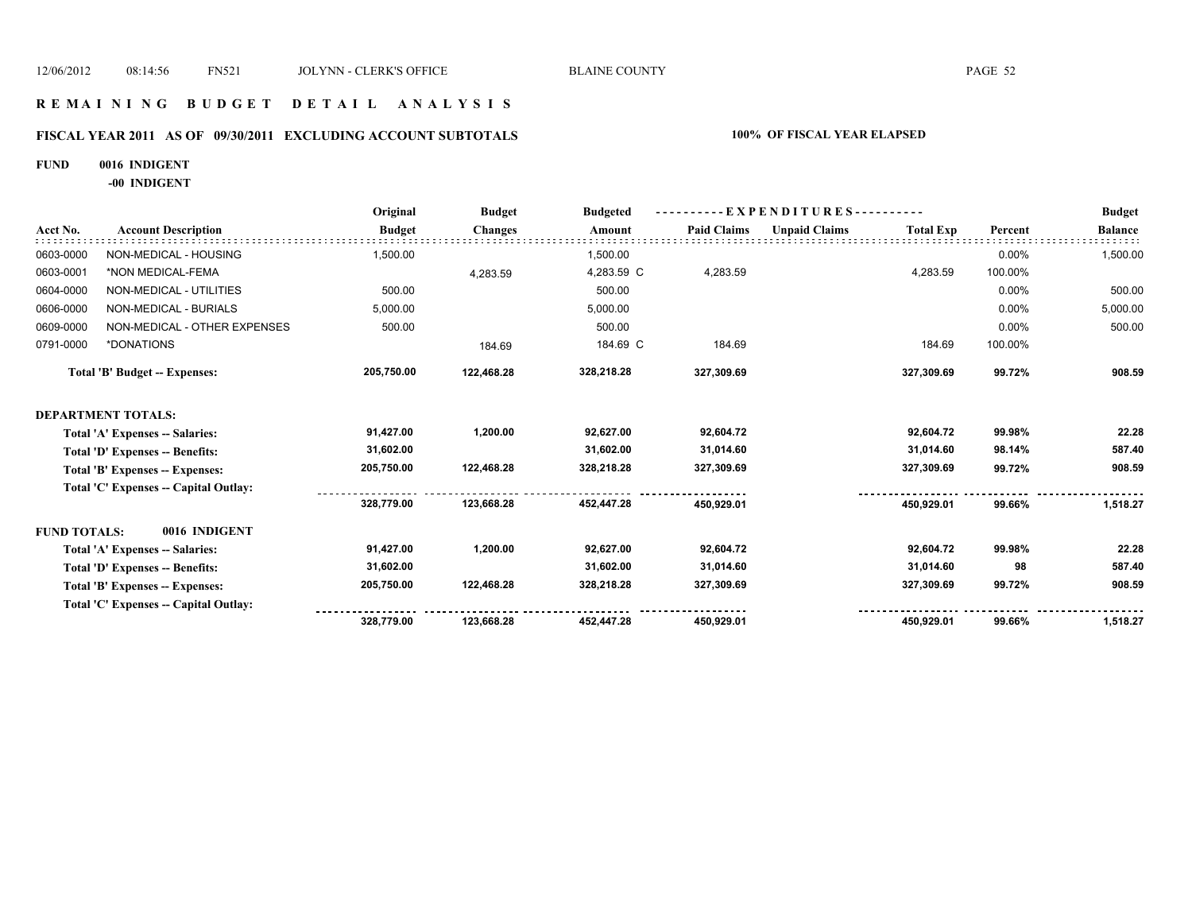### **R E M A I N I N G B U D G E T D E T A I L A N A L Y S I S**

# **FISCAL YEAR 2011 AS OF 09/30/2011 EXCLUDING ACCOUNT SUBTOTALS 100% OF FISCAL YEAR ELAPSED**

**FUND 0016 INDIGENT**

**-00 INDIGENT**

|                     |                                       | Original      | <b>Budget</b>  | <b>Budgeted</b> | - EXPENDITURES---------- |                      |                  |         | <b>Budget</b>  |
|---------------------|---------------------------------------|---------------|----------------|-----------------|--------------------------|----------------------|------------------|---------|----------------|
| Acct No.            | <b>Account Description</b>            | <b>Budget</b> | <b>Changes</b> | Amount          | <b>Paid Claims</b>       | <b>Unpaid Claims</b> | <b>Total Exp</b> | Percent | <b>Balance</b> |
| 0603-0000           | NON-MEDICAL - HOUSING                 | 1,500.00      |                | 1,500.00        |                          |                      |                  | 0.00%   | 1,500.00       |
| 0603-0001           | *NON MEDICAL-FEMA                     |               | 4,283.59       | 4,283.59 C      | 4,283.59                 |                      | 4,283.59         | 100.00% |                |
| 0604-0000           | NON-MEDICAL - UTILITIES               | 500.00        |                | 500.00          |                          |                      |                  | 0.00%   | 500.00         |
| 0606-0000           | NON-MEDICAL - BURIALS                 | 5,000.00      |                | 5,000.00        |                          |                      |                  | 0.00%   | 5,000.00       |
| 0609-0000           | NON-MEDICAL - OTHER EXPENSES          | 500.00        |                | 500.00          |                          |                      |                  | 0.00%   | 500.00         |
| 0791-0000           | *DONATIONS                            |               | 184.69         | 184.69 C        | 184.69                   |                      | 184.69           | 100.00% |                |
|                     | <b>Total 'B' Budget -- Expenses:</b>  | 205,750.00    | 122,468.28     | 328,218.28      | 327,309.69               |                      | 327,309.69       | 99.72%  | 908.59         |
|                     | <b>DEPARTMENT TOTALS:</b>             |               |                |                 |                          |                      |                  |         |                |
|                     | Total 'A' Expenses -- Salaries:       | 91,427.00     | 1,200.00       | 92,627.00       | 92,604.72                |                      | 92,604.72        | 99.98%  | 22.28          |
|                     | Total 'D' Expenses -- Benefits:       | 31,602.00     |                | 31,602.00       | 31,014.60                |                      | 31,014.60        | 98.14%  | 587.40         |
|                     | Total 'B' Expenses -- Expenses:       | 205,750.00    | 122,468.28     | 328,218.28      | 327,309.69               |                      | 327,309.69       | 99.72%  | 908.59         |
|                     | Total 'C' Expenses -- Capital Outlay: |               |                |                 |                          |                      |                  |         |                |
|                     |                                       | 328,779.00    | 123,668.28     | 452,447.28      | 450.929.01               |                      | 450.929.01       | 99.66%  | 1,518.27       |
| <b>FUND TOTALS:</b> | 0016 INDIGENT                         |               |                |                 |                          |                      |                  |         |                |
|                     | Total 'A' Expenses -- Salaries:       | 91,427.00     | 1,200.00       | 92,627.00       | 92,604.72                |                      | 92,604.72        | 99.98%  | 22.28          |
|                     | Total 'D' Expenses -- Benefits:       | 31,602.00     |                | 31,602.00       | 31,014.60                |                      | 31,014.60        | 98      | 587.40         |
|                     | Total 'B' Expenses -- Expenses:       | 205,750.00    | 122,468.28     | 328,218.28      | 327,309.69               |                      | 327,309.69       | 99.72%  | 908.59         |
|                     | Total 'C' Expenses -- Capital Outlay: |               |                |                 |                          |                      |                  |         |                |
|                     |                                       | 328,779.00    | 123,668.28     | 452,447.28      | 450,929.01               |                      | 450.929.01       | 99.66%  | 1,518.27       |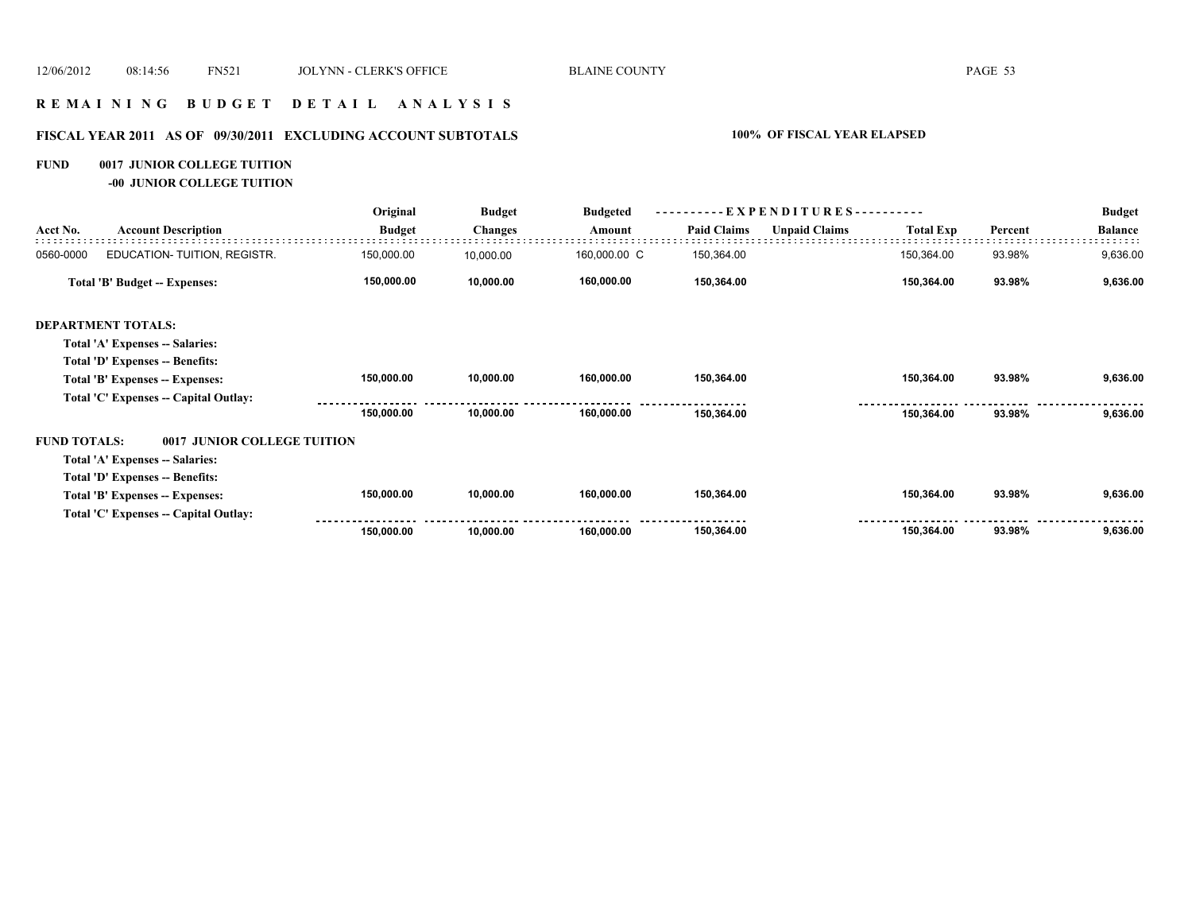### **R E M A I N I N G B U D G E T D E T A I L A N A L Y S I S**

# **FISCAL YEAR 2011 AS OF 09/30/2011 EXCLUDING ACCOUNT SUBTOTALS 100% OF FISCAL YEAR ELAPSED**

### **FUND 0017 JUNIOR COLLEGE TUITION**

**-00 JUNIOR COLLEGE TUITION**

|                     |                                       | Original      | <b>Budget</b>  | <b>Budgeted</b> |                    | EXPENDITURES--       |                  |         | <b>Budget</b>  |
|---------------------|---------------------------------------|---------------|----------------|-----------------|--------------------|----------------------|------------------|---------|----------------|
| Acct No.            | <b>Account Description</b>            | <b>Budget</b> | <b>Changes</b> | Amount          | <b>Paid Claims</b> | <b>Unpaid Claims</b> | <b>Total Exp</b> | Percent | <b>Balance</b> |
| 0560-0000           | EDUCATION- TUITION, REGISTR.          | 150,000.00    | 10,000.00      | 160,000.00 C    | 150,364.00         |                      | 150,364.00       | 93.98%  | 9,636.00       |
|                     | Total 'B' Budget -- Expenses:         | 150,000.00    | 10,000.00      | 160,000.00      | 150,364.00         |                      | 150,364.00       | 93.98%  | 9,636.00       |
|                     | <b>DEPARTMENT TOTALS:</b>             |               |                |                 |                    |                      |                  |         |                |
|                     | Total 'A' Expenses -- Salaries:       |               |                |                 |                    |                      |                  |         |                |
|                     | Total 'D' Expenses -- Benefits:       |               |                |                 |                    |                      |                  |         |                |
|                     | Total 'B' Expenses -- Expenses:       | 150,000.00    | 10,000.00      | 160,000.00      | 150,364.00         |                      | 150,364.00       | 93.98%  | 9,636.00       |
|                     | Total 'C' Expenses -- Capital Outlay: |               |                |                 |                    |                      |                  |         |                |
|                     |                                       | 150,000.00    | 10,000.00      | 160,000.00      | 150,364.00         |                      | 150,364.00       | 93.98%  | 9,636.00       |
| <b>FUND TOTALS:</b> | 0017 JUNIOR COLLEGE TUITION           |               |                |                 |                    |                      |                  |         |                |
|                     | Total 'A' Expenses -- Salaries:       |               |                |                 |                    |                      |                  |         |                |
|                     | Total 'D' Expenses -- Benefits:       |               |                |                 |                    |                      |                  |         |                |
|                     | Total 'B' Expenses -- Expenses:       | 150,000.00    | 10,000.00      | 160,000.00      | 150,364.00         |                      | 150,364.00       | 93.98%  | 9,636.00       |
|                     | Total 'C' Expenses -- Capital Outlay: |               |                |                 |                    |                      |                  |         |                |
|                     |                                       | 150,000.00    | 10,000.00      | 160,000.00      | 150,364.00         |                      | 150,364.00       | 93.98%  | 9,636.00       |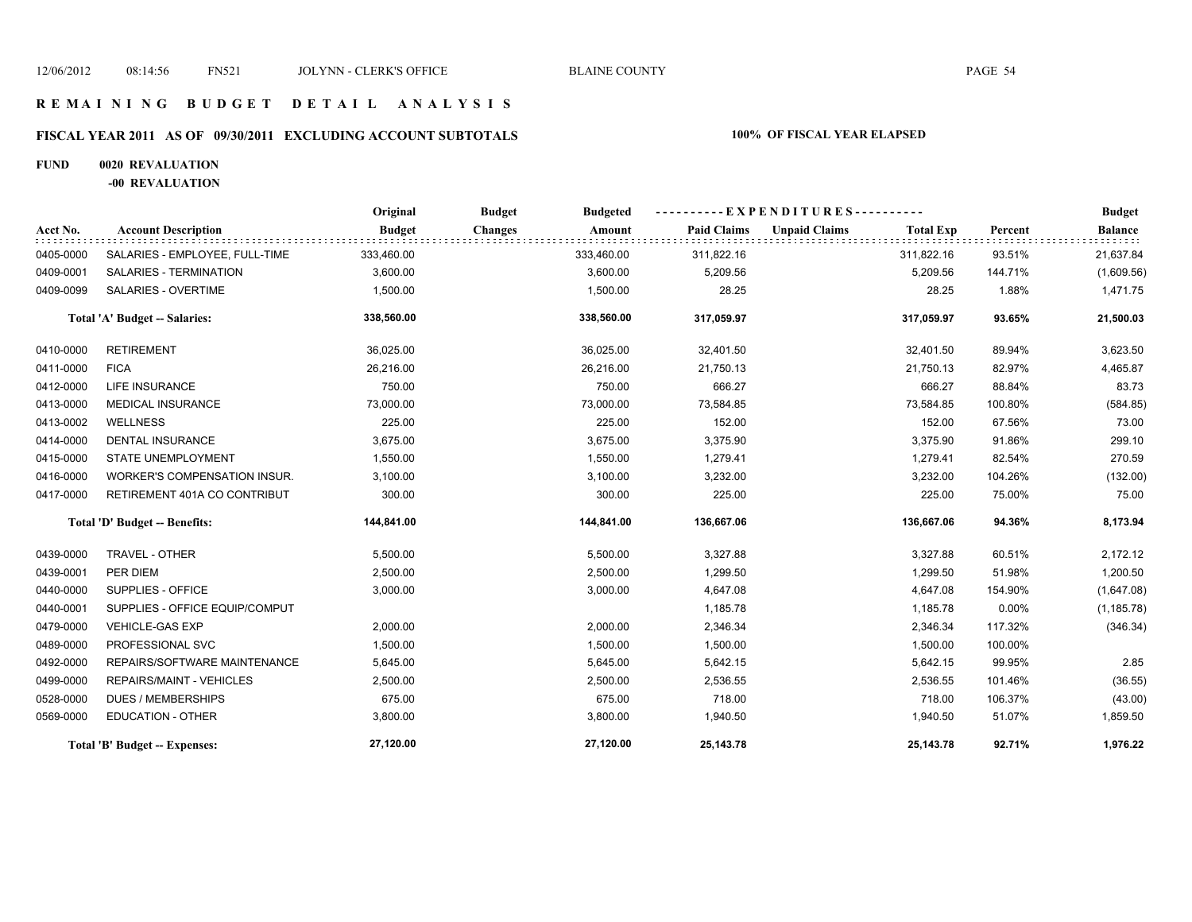# **FISCAL YEAR 2011 AS OF 09/30/2011 EXCLUDING ACCOUNT SUBTOTALS 100% OF FISCAL YEAR ELAPSED**

### **FUND 0020 REVALUATION**

**-00 REVALUATION**

|           |                                      | Original      | <b>Budget</b><br><b>Budgeted</b> |                    | ----------EXPENDITURES----------         |         | <b>Budget</b>  |
|-----------|--------------------------------------|---------------|----------------------------------|--------------------|------------------------------------------|---------|----------------|
| Acct No.  | <b>Account Description</b>           | <b>Budget</b> | <b>Changes</b><br>Amount         | <b>Paid Claims</b> | <b>Unpaid Claims</b><br><b>Total Exp</b> | Percent | <b>Balance</b> |
| 0405-0000 | SALARIES - EMPLOYEE, FULL-TIME       | 333,460.00    | 333,460.00                       | 311,822.16         | 311,822.16                               | 93.51%  | 21,637.84      |
| 0409-0001 | SALARIES - TERMINATION               | 3,600.00      | 3,600.00                         | 5,209.56           | 5,209.56                                 | 144.71% | (1,609.56)     |
| 0409-0099 | <b>SALARIES - OVERTIME</b>           | 1,500.00      | 1,500.00                         | 28.25              | 28.25                                    | 1.88%   | 1,471.75       |
|           | <b>Total 'A' Budget -- Salaries:</b> | 338,560.00    | 338,560.00                       | 317,059.97         | 317,059.97                               | 93.65%  | 21,500.03      |
| 0410-0000 | <b>RETIREMENT</b>                    | 36,025.00     | 36,025.00                        | 32,401.50          | 32,401.50                                | 89.94%  | 3,623.50       |
| 0411-0000 | <b>FICA</b>                          | 26,216.00     | 26,216.00                        | 21,750.13          | 21,750.13                                | 82.97%  | 4,465.87       |
| 0412-0000 | <b>LIFE INSURANCE</b>                | 750.00        | 750.00                           | 666.27             | 666.27                                   | 88.84%  | 83.73          |
| 0413-0000 | <b>MEDICAL INSURANCE</b>             | 73,000.00     | 73,000.00                        | 73,584.85          | 73,584.85                                | 100.80% | (584.85)       |
| 0413-0002 | <b>WELLNESS</b>                      | 225.00        | 225.00                           | 152.00             | 152.00                                   | 67.56%  | 73.00          |
| 0414-0000 | DENTAL INSURANCE                     | 3,675.00      | 3,675.00                         | 3,375.90           | 3,375.90                                 | 91.86%  | 299.10         |
| 0415-0000 | STATE UNEMPLOYMENT                   | 1,550.00      | 1,550.00                         | 1,279.41           | 1,279.41                                 | 82.54%  | 270.59         |
| 0416-0000 | WORKER'S COMPENSATION INSUR.         | 3,100.00      | 3,100.00                         | 3,232.00           | 3,232.00                                 | 104.26% | (132.00)       |
| 0417-0000 | RETIREMENT 401A CO CONTRIBUT         | 300.00        | 300.00                           | 225.00             | 225.00                                   | 75.00%  | 75.00          |
|           | Total 'D' Budget -- Benefits:        | 144,841.00    | 144,841.00                       | 136,667.06         | 136,667.06                               | 94.36%  | 8,173.94       |
| 0439-0000 | TRAVEL - OTHER                       | 5,500.00      | 5,500.00                         | 3,327.88           | 3,327.88                                 | 60.51%  | 2,172.12       |
| 0439-0001 | PER DIEM                             | 2,500.00      | 2,500.00                         | 1,299.50           | 1,299.50                                 | 51.98%  | 1,200.50       |
| 0440-0000 | SUPPLIES - OFFICE                    | 3,000.00      | 3,000.00                         | 4,647.08           | 4,647.08                                 | 154.90% | (1,647.08)     |
| 0440-0001 | SUPPLIES - OFFICE EQUIP/COMPUT       |               |                                  | 1,185.78           | 1,185.78                                 | 0.00%   | (1, 185.78)    |
| 0479-0000 | <b>VEHICLE-GAS EXP</b>               | 2,000.00      | 2,000.00                         | 2,346.34           | 2,346.34                                 | 117.32% | (346.34)       |
| 0489-0000 | PROFESSIONAL SVC                     | 1,500.00      | 1,500.00                         | 1,500.00           | 1,500.00                                 | 100.00% |                |
| 0492-0000 | REPAIRS/SOFTWARE MAINTENANCE         | 5,645.00      | 5,645.00                         | 5,642.15           | 5,642.15                                 | 99.95%  | 2.85           |
| 0499-0000 | REPAIRS/MAINT - VEHICLES             | 2,500.00      | 2,500.00                         | 2,536.55           | 2,536.55                                 | 101.46% | (36.55)        |
| 0528-0000 | <b>DUES / MEMBERSHIPS</b>            | 675.00        | 675.00                           | 718.00             | 718.00                                   | 106.37% | (43.00)        |
| 0569-0000 | <b>EDUCATION - OTHER</b>             | 3,800.00      | 3,800.00                         | 1,940.50           | 1,940.50                                 | 51.07%  | 1,859.50       |
|           | <b>Total 'B' Budget -- Expenses:</b> | 27,120.00     | 27,120.00                        | 25,143.78          | 25,143.78                                | 92.71%  | 1,976.22       |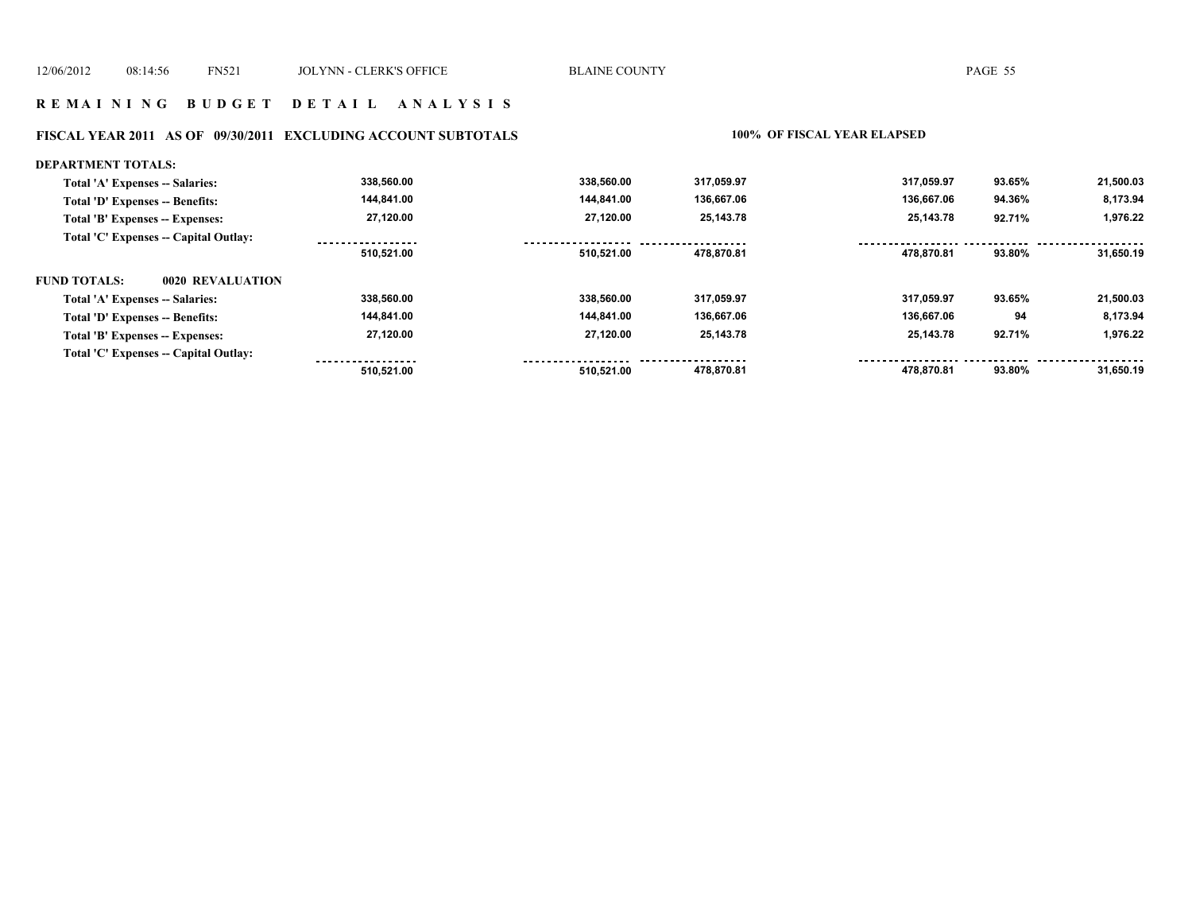# **FISCAL YEAR 2011 AS OF 09/30/2011 EXCLUDING ACCOUNT SUBTOTALS 100% OF FISCAL YEAR ELAPSED**

| DEPARTMENT TOTALS:                      |                  |            |            |            |        |           |
|-----------------------------------------|------------------|------------|------------|------------|--------|-----------|
| Total 'A' Expenses -- Salaries:         | 338,560.00       | 338.560.00 | 317,059.97 | 317,059.97 | 93.65% | 21,500.03 |
| Total 'D' Expenses -- Benefits:         | 144,841.00       | 144,841.00 | 136,667.06 | 136,667.06 | 94.36% | 8,173.94  |
| Total 'B' Expenses -- Expenses:         | 27,120.00        | 27.120.00  | 25,143.78  | 25,143.78  | 92.71% | 1,976.22  |
| Total 'C' Expenses -- Capital Outlay:   | ---------------- |            |            |            |        |           |
|                                         | 510.521.00       | 510,521.00 | 478.870.81 | 478.870.81 | 93.80% | 31,650.19 |
| <b>FUND TOTALS:</b><br>0020 REVALUATION |                  |            |            |            |        |           |
| Total 'A' Expenses -- Salaries:         | 338,560.00       | 338.560.00 | 317,059.97 | 317.059.97 | 93.65% | 21,500.03 |
| Total 'D' Expenses -- Benefits:         | 144,841.00       | 144.841.00 | 136,667.06 | 136,667.06 | 94     | 8,173.94  |
| Total 'B' Expenses -- Expenses:         | 27,120.00        | 27,120.00  | 25,143.78  | 25,143.78  | 92.71% | 1,976.22  |
| Total 'C' Expenses -- Capital Outlay:   |                  |            |            |            |        |           |
|                                         | 510.521.00       | 510.521.00 | 478.870.81 | 478.870.81 | 93.80% | 31.650.19 |
|                                         |                  |            |            |            |        |           |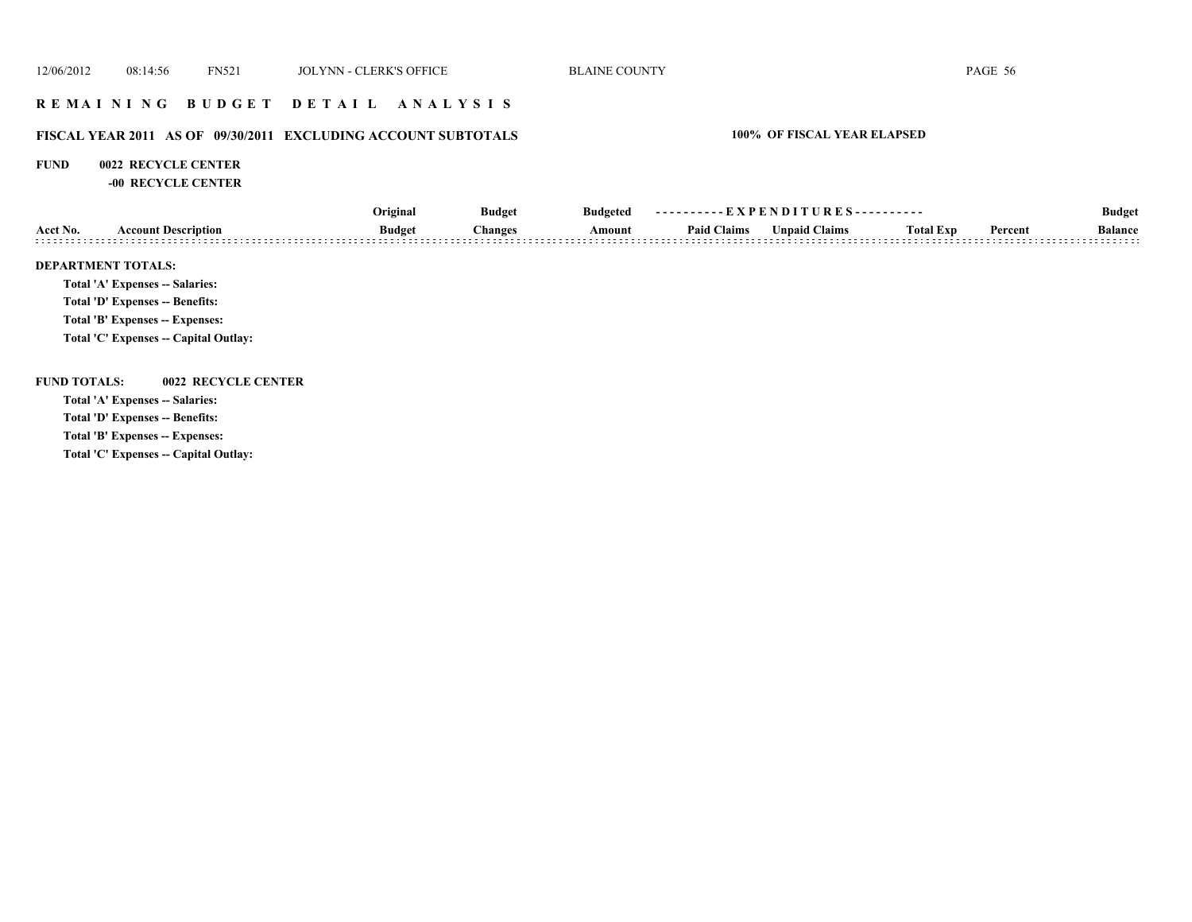### **R E M A I N I N G B U D G E T D E T A I L A N A L Y S I S**

### **FISCAL YEAR 2011 AS OF 09/30/2011 EXCLUDING ACCOUNT SUBTOTALS 100% OF FISCAL YEAR ELAPSED**

### **FUND 0022 RECYCLE CENTER**

**-00 RECYCLE CENTER**

|                     |                                        | Original      | <b>Budget</b><br><b>Budgeted</b> | ----------EXPENDITURES---------- |                    |                      |                  | <b>Budget</b> |                |
|---------------------|----------------------------------------|---------------|----------------------------------|----------------------------------|--------------------|----------------------|------------------|---------------|----------------|
| Acct No.            | <b>Account Description</b>             | <b>Budget</b> | <b>Changes</b>                   | Amount                           | <b>Paid Claims</b> | <b>Unpaid Claims</b> | <b>Total Exp</b> | Percent       | <b>Balance</b> |
|                     | <b>DEPARTMENT TOTALS:</b>              |               |                                  |                                  |                    |                      |                  |               |                |
|                     | Total 'A' Expenses -- Salaries:        |               |                                  |                                  |                    |                      |                  |               |                |
|                     | <b>Total 'D' Expenses -- Benefits:</b> |               |                                  |                                  |                    |                      |                  |               |                |
|                     | Total 'B' Expenses -- Expenses:        |               |                                  |                                  |                    |                      |                  |               |                |
|                     | Total 'C' Expenses -- Capital Outlay:  |               |                                  |                                  |                    |                      |                  |               |                |
| <b>FUND TOTALS:</b> | 0022 RECYCLE CENTER                    |               |                                  |                                  |                    |                      |                  |               |                |
|                     | Total 'A' Expenses -- Salaries:        |               |                                  |                                  |                    |                      |                  |               |                |
|                     | Total 'D' Expenses -- Benefits:        |               |                                  |                                  |                    |                      |                  |               |                |
|                     | Total 'B' Expenses -- Expenses:        |               |                                  |                                  |                    |                      |                  |               |                |
|                     |                                        |               |                                  |                                  |                    |                      |                  |               |                |

**Total 'C' Expenses -- Capital Outlay:**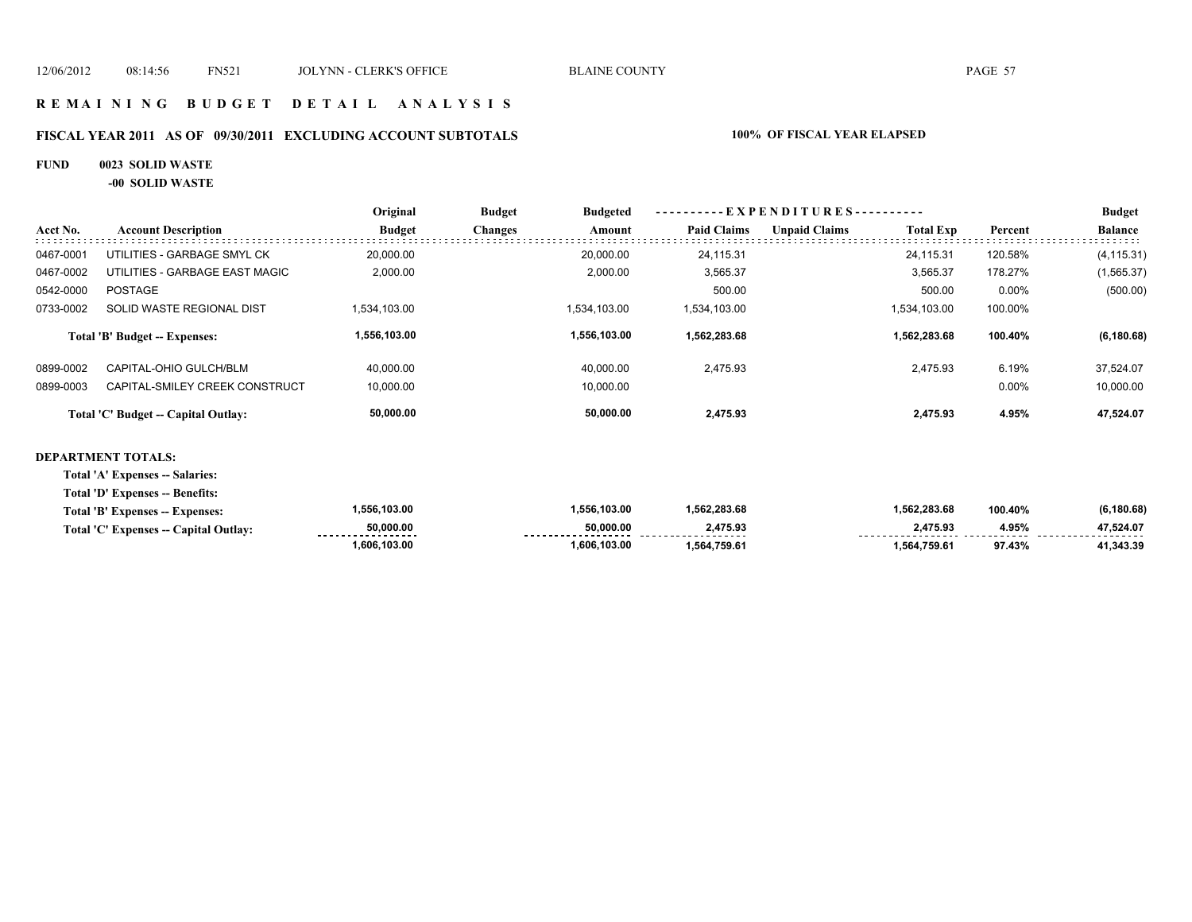### **R E M A I N I N G B U D G E T D E T A I L A N A L Y S I S**

### **FISCAL YEAR 2011 AS OF 09/30/2011 EXCLUDING ACCOUNT SUBTOTALS 100% OF FISCAL YEAR ELAPSED**

### **FUND 0023 SOLID WASTE**

**-00 SOLID WASTE**

|           |                                     | Original      | <b>Budget</b>  | <b>Budgeted</b> | ----------EXPENDITURES---------- |                      | <b>Budget</b>    |          |                |
|-----------|-------------------------------------|---------------|----------------|-----------------|----------------------------------|----------------------|------------------|----------|----------------|
| Acct No.  | <b>Account Description</b>          | <b>Budget</b> | <b>Changes</b> | Amount          | <b>Paid Claims</b>               | <b>Unpaid Claims</b> | <b>Total Exp</b> | Percent  | <b>Balance</b> |
| 0467-0001 | UTILITIES - GARBAGE SMYL CK         | 20.000.00     |                | 20.000.00       | 24.115.31                        |                      | 24.115.31        | 120.58%  | (4, 115.31)    |
| 0467-0002 | UTILITIES - GARBAGE EAST MAGIC      | 2,000.00      |                | 2,000.00        | 3,565.37                         |                      | 3,565.37         | 178.27%  | (1, 565.37)    |
| 0542-0000 | <b>POSTAGE</b>                      |               |                |                 | 500.00                           |                      | 500.00           | 0.00%    | (500.00)       |
| 0733-0002 | SOLID WASTE REGIONAL DIST           | 1.534.103.00  |                | 1.534.103.00    | 1,534,103.00                     |                      | 1,534,103.00     | 100.00%  |                |
|           | Total 'B' Budget -- Expenses:       | 1.556.103.00  |                | 1.556.103.00    | 1.562.283.68                     |                      | 1.562.283.68     | 100.40%  | (6, 180.68)    |
| 0899-0002 | CAPITAL-OHIO GULCH/BLM              | 40.000.00     |                | 40.000.00       | 2.475.93                         |                      | 2.475.93         | 6.19%    | 37,524.07      |
| 0899-0003 | CAPITAL-SMILEY CREEK CONSTRUCT      | 10,000.00     |                | 10,000.00       |                                  |                      |                  | $0.00\%$ | 10,000.00      |
|           | Total 'C' Budget -- Capital Outlay: | 50,000.00     |                | 50,000.00       | 2.475.93                         |                      | 2.475.93         | 4.95%    | 47.524.07      |

### **DEPARTMENT TOTALS:**

**Total 'A' Expenses -- Salaries:**

**Total 'D' Expenses -- Benefits:**

| Total 'B' Expenses -- Expenses:       | 1,556,103.00                    | .556, 103.00 | 1,562,283.68 | 1,562,283.68 | 100.40% | (6, 180.68)    |
|---------------------------------------|---------------------------------|--------------|--------------|--------------|---------|----------------|
| Total 'C' Expenses -- Capital Outlay: | 50,000.00<br>------------------ | 50,000.00    | 2,475.93     | 475.93:      | 4.95%   | 47.524.07<br>. |
|                                       | 1,606,103.00                    | ,606,103.00  | 1,564,759.61 | 1.564.759.61 | 97.43%  | 41.343.39      |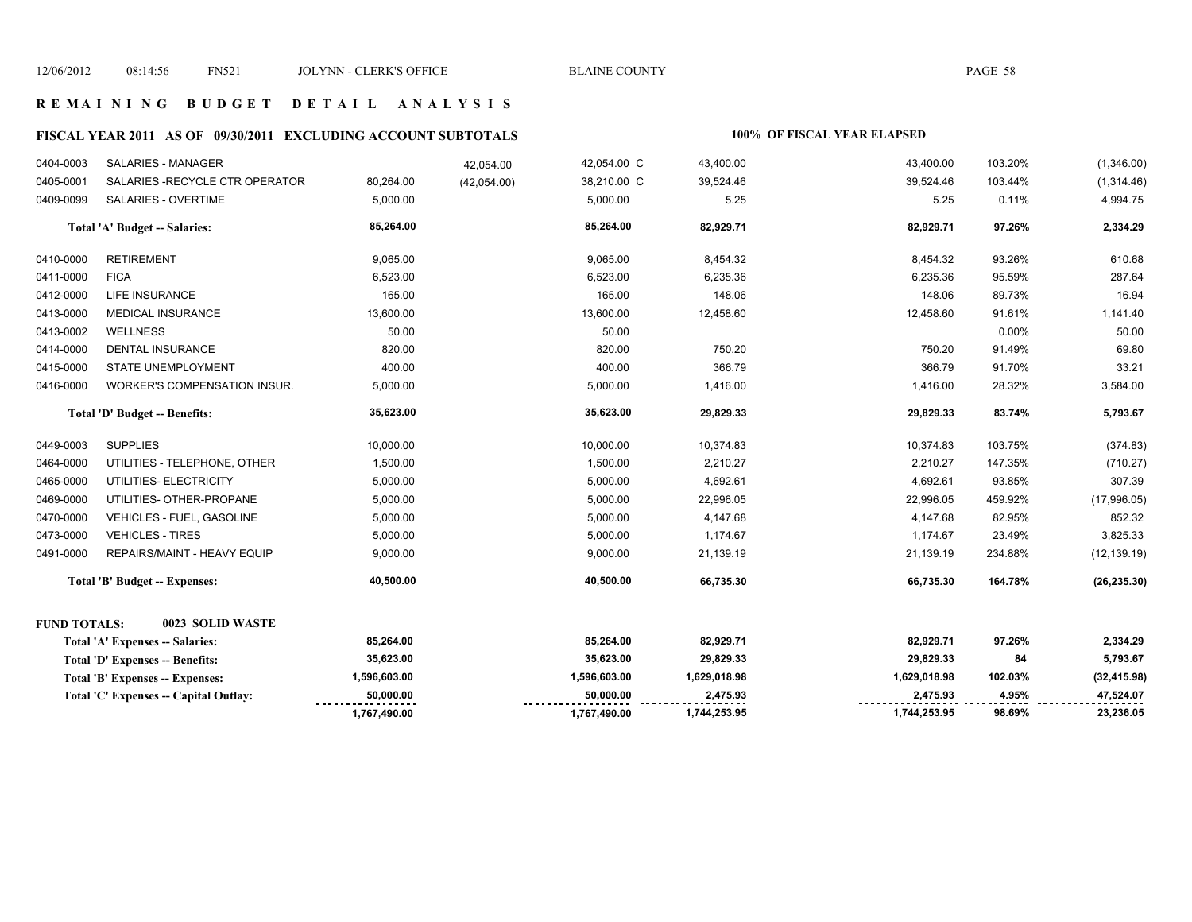### **R E M A I N I N G B U D G E T D E T A I L A N A L Y S I S**

# **FISCAL YEAR 2011 AS OF 09/30/2011 EXCLUDING ACCOUNT SUBTOTALS 100% OF FISCAL YEAR ELAPSED**

| 0416-0000           | <b>WORKER'S COMPENSATION INSUR.</b>    | 5,000.00     | 5,000.00     | 1,416.00     | 1,416.00     | 28.32%  | 3,584.00     |
|---------------------|----------------------------------------|--------------|--------------|--------------|--------------|---------|--------------|
|                     |                                        |              |              |              |              |         |              |
|                     | Total 'D' Budget -- Benefits:          | 35,623.00    | 35,623.00    | 29,829.33    | 29,829.33    | 83.74%  | 5,793.67     |
| 0449-0003           | <b>SUPPLIES</b>                        | 10,000.00    | 10,000.00    | 10,374.83    | 10,374.83    | 103.75% | (374.83)     |
| 0464-0000           | UTILITIES - TELEPHONE, OTHER           | 1,500.00     | 1,500.00     | 2,210.27     | 2,210.27     | 147.35% | (710.27)     |
| 0465-0000           | UTILITIES- ELECTRICITY                 | 5,000.00     | 5,000.00     | 4,692.61     | 4,692.61     | 93.85%  | 307.39       |
| 0469-0000           | UTILITIES- OTHER-PROPANE               | 5,000.00     | 5,000.00     | 22,996.05    | 22,996.05    | 459.92% | (17,996.05)  |
| 0470-0000           | VEHICLES - FUEL, GASOLINE              | 5,000.00     | 5,000.00     | 4,147.68     | 4,147.68     | 82.95%  | 852.32       |
| 0473-0000           | <b>VEHICLES - TIRES</b>                | 5,000.00     | 5,000.00     | 1,174.67     | 1,174.67     | 23.49%  | 3,825.33     |
| 0491-0000           | REPAIRS/MAINT - HEAVY EQUIP            | 9,000.00     | 9,000.00     | 21,139.19    | 21,139.19    | 234.88% | (12, 139.19) |
|                     | Total 'B' Budget -- Expenses:          | 40,500.00    | 40,500.00    | 66,735.30    | 66,735.30    | 164.78% | (26, 235.30) |
| <b>FUND TOTALS:</b> | 0023 SOLID WASTE                       |              |              |              |              |         |              |
|                     | Total 'A' Expenses -- Salaries:        | 85,264.00    | 85,264.00    | 82,929.71    | 82,929.71    | 97.26%  | 2,334.29     |
|                     | <b>Total 'D' Expenses -- Benefits:</b> | 35,623.00    | 35,623.00    | 29,829.33    | 29,829.33    | 84      | 5,793.67     |
|                     | Total 'B' Expenses -- Expenses:        | 1,596,603.00 | 1,596,603.00 | 1,629,018.98 | 1,629,018.98 | 102.03% | (32, 415.98) |
|                     | Total 'C' Expenses -- Capital Outlay:  | 50,000.00    | 50,000.00    | 2,475.93     | 2,475.93     | 4.95%   | 47,524.07    |
|                     |                                        | 1,767,490.00 | 1,767,490.00 | 1,744,253.95 | 1,744,253.95 | 98.69%  | 23,236.05    |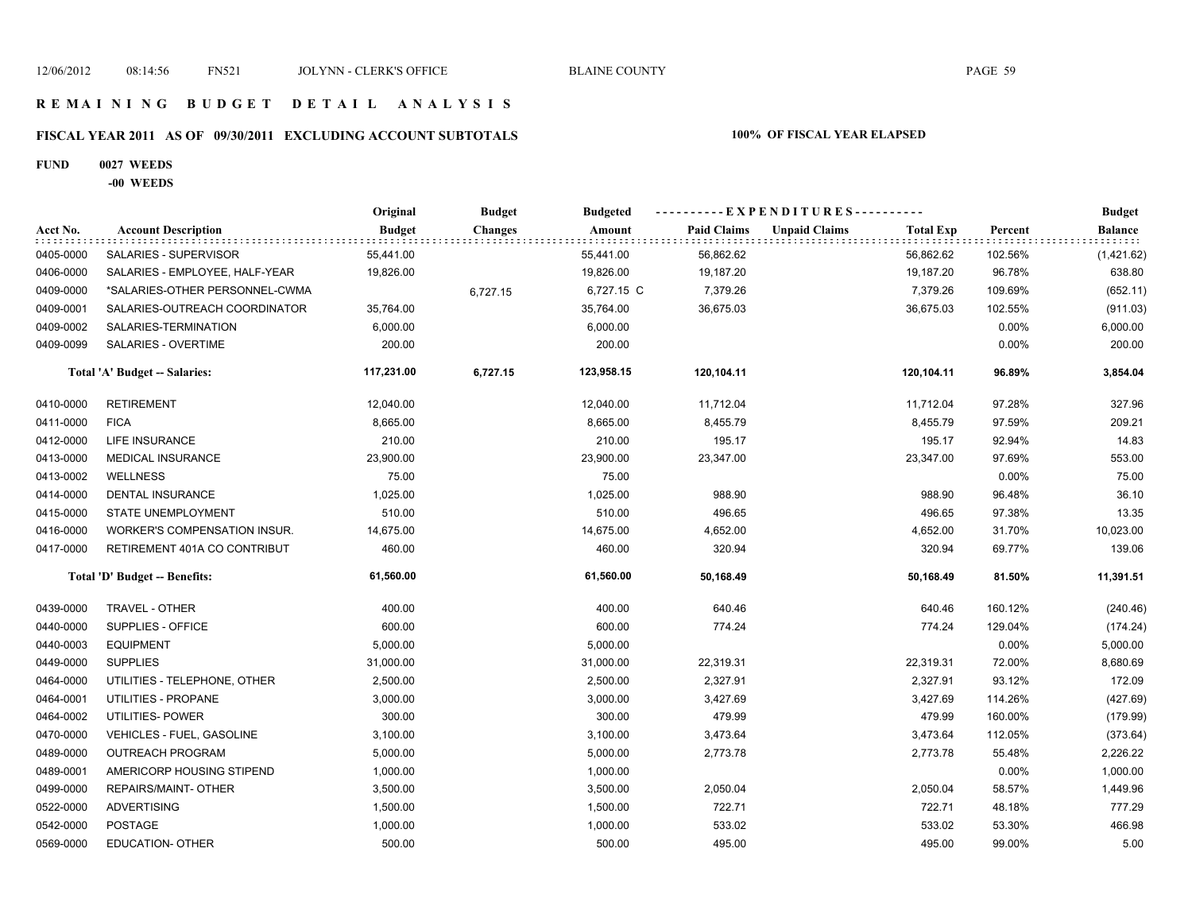### **R E M A I N I N G B U D G E T D E T A I L A N A L Y S I S**

# **FISCAL YEAR 2011 AS OF 09/30/2011 EXCLUDING ACCOUNT SUBTOTALS 100% OF FISCAL YEAR ELAPSED**

### **FUND 0027 WEEDS**

**-00 WEEDS**

|           |                                     | Original      | <b>Budget</b>  | <b>Budgeted</b> |                    | ----------EXPENDITURES---------- |                  |         | <b>Budget</b>          |
|-----------|-------------------------------------|---------------|----------------|-----------------|--------------------|----------------------------------|------------------|---------|------------------------|
| Acct No.  | <b>Account Description</b>          | <b>Budget</b> | <b>Changes</b> | Amount          | <b>Paid Claims</b> | <b>Unpaid Claims</b>             | <b>Total Exp</b> | Percent | Balance<br>: : : : : : |
| 0405-0000 | SALARIES - SUPERVISOR               | 55,441.00     |                | 55,441.00       | 56,862.62          |                                  | 56,862.62        | 102.56% | (1,421.62)             |
| 0406-0000 | SALARIES - EMPLOYEE, HALF-YEAR      | 19,826.00     |                | 19,826.00       | 19,187.20          |                                  | 19,187.20        | 96.78%  | 638.80                 |
| 0409-0000 | *SALARIES-OTHER PERSONNEL-CWMA      |               | 6,727.15       | 6,727.15 C      | 7,379.26           |                                  | 7,379.26         | 109.69% | (652.11)               |
| 0409-0001 | SALARIES-OUTREACH COORDINATOR       | 35,764.00     |                | 35,764.00       | 36,675.03          |                                  | 36,675.03        | 102.55% | (911.03)               |
| 0409-0002 | SALARIES-TERMINATION                | 6,000.00      |                | 6,000.00        |                    |                                  |                  | 0.00%   | 6,000.00               |
| 0409-0099 | SALARIES - OVERTIME                 | 200.00        |                | 200.00          |                    |                                  |                  | 0.00%   | 200.00                 |
|           | Total 'A' Budget -- Salaries:       | 117,231.00    | 6,727.15       | 123,958.15      | 120,104.11         |                                  | 120,104.11       | 96.89%  | 3,854.04               |
| 0410-0000 | <b>RETIREMENT</b>                   | 12,040.00     |                | 12,040.00       | 11,712.04          |                                  | 11,712.04        | 97.28%  | 327.96                 |
| 0411-0000 | <b>FICA</b>                         | 8,665.00      |                | 8,665.00        | 8,455.79           |                                  | 8,455.79         | 97.59%  | 209.21                 |
| 0412-0000 | <b>LIFE INSURANCE</b>               | 210.00        |                | 210.00          | 195.17             |                                  | 195.17           | 92.94%  | 14.83                  |
| 0413-0000 | <b>MEDICAL INSURANCE</b>            | 23,900.00     |                | 23,900.00       | 23,347.00          |                                  | 23,347.00        | 97.69%  | 553.00                 |
| 0413-0002 | <b>WELLNESS</b>                     | 75.00         |                | 75.00           |                    |                                  |                  | 0.00%   | 75.00                  |
| 0414-0000 | <b>DENTAL INSURANCE</b>             | 1,025.00      |                | 1,025.00        | 988.90             |                                  | 988.90           | 96.48%  | 36.10                  |
| 0415-0000 | STATE UNEMPLOYMENT                  | 510.00        |                | 510.00          | 496.65             |                                  | 496.65           | 97.38%  | 13.35                  |
| 0416-0000 | <b>WORKER'S COMPENSATION INSUR.</b> | 14,675.00     |                | 14,675.00       | 4,652.00           |                                  | 4,652.00         | 31.70%  | 10,023.00              |
| 0417-0000 | RETIREMENT 401A CO CONTRIBUT        | 460.00        |                | 460.00          | 320.94             |                                  | 320.94           | 69.77%  | 139.06                 |
|           | Total 'D' Budget -- Benefits:       | 61,560.00     |                | 61,560.00       | 50,168.49          |                                  | 50,168.49        | 81.50%  | 11,391.51              |
| 0439-0000 | <b>TRAVEL - OTHER</b>               | 400.00        |                | 400.00          | 640.46             |                                  | 640.46           | 160.12% | (240.46)               |
| 0440-0000 | SUPPLIES - OFFICE                   | 600.00        |                | 600.00          | 774.24             |                                  | 774.24           | 129.04% | (174.24)               |
| 0440-0003 | <b>EQUIPMENT</b>                    | 5,000.00      |                | 5,000.00        |                    |                                  |                  | 0.00%   | 5,000.00               |
| 0449-0000 | <b>SUPPLIES</b>                     | 31,000.00     |                | 31,000.00       | 22,319.31          |                                  | 22,319.31        | 72.00%  | 8,680.69               |
| 0464-0000 | UTILITIES - TELEPHONE, OTHER        | 2,500.00      |                | 2,500.00        | 2,327.91           |                                  | 2,327.91         | 93.12%  | 172.09                 |
| 0464-0001 | UTILITIES - PROPANE                 | 3,000.00      |                | 3,000.00        | 3,427.69           |                                  | 3,427.69         | 114.26% | (427.69)               |
| 0464-0002 | UTILITIES- POWER                    | 300.00        |                | 300.00          | 479.99             |                                  | 479.99           | 160.00% | (179.99)               |
| 0470-0000 | VEHICLES - FUEL, GASOLINE           | 3,100.00      |                | 3,100.00        | 3,473.64           |                                  | 3,473.64         | 112.05% | (373.64)               |
| 0489-0000 | <b>OUTREACH PROGRAM</b>             | 5,000.00      |                | 5,000.00        | 2,773.78           |                                  | 2,773.78         | 55.48%  | 2,226.22               |
| 0489-0001 | AMERICORP HOUSING STIPEND           | 1,000.00      |                | 1,000.00        |                    |                                  |                  | 0.00%   | 1,000.00               |
| 0499-0000 | REPAIRS/MAINT- OTHER                | 3,500.00      |                | 3,500.00        | 2,050.04           |                                  | 2,050.04         | 58.57%  | 1,449.96               |
| 0522-0000 | <b>ADVERTISING</b>                  | 1,500.00      |                | 1,500.00        | 722.71             |                                  | 722.71           | 48.18%  | 777.29                 |
| 0542-0000 | <b>POSTAGE</b>                      | 1,000.00      |                | 1,000.00        | 533.02             |                                  | 533.02           | 53.30%  | 466.98                 |
| 0569-0000 | <b>EDUCATION- OTHER</b>             | 500.00        |                | 500.00          | 495.00             |                                  | 495.00           | 99.00%  | 5.00                   |
|           |                                     |               |                |                 |                    |                                  |                  |         |                        |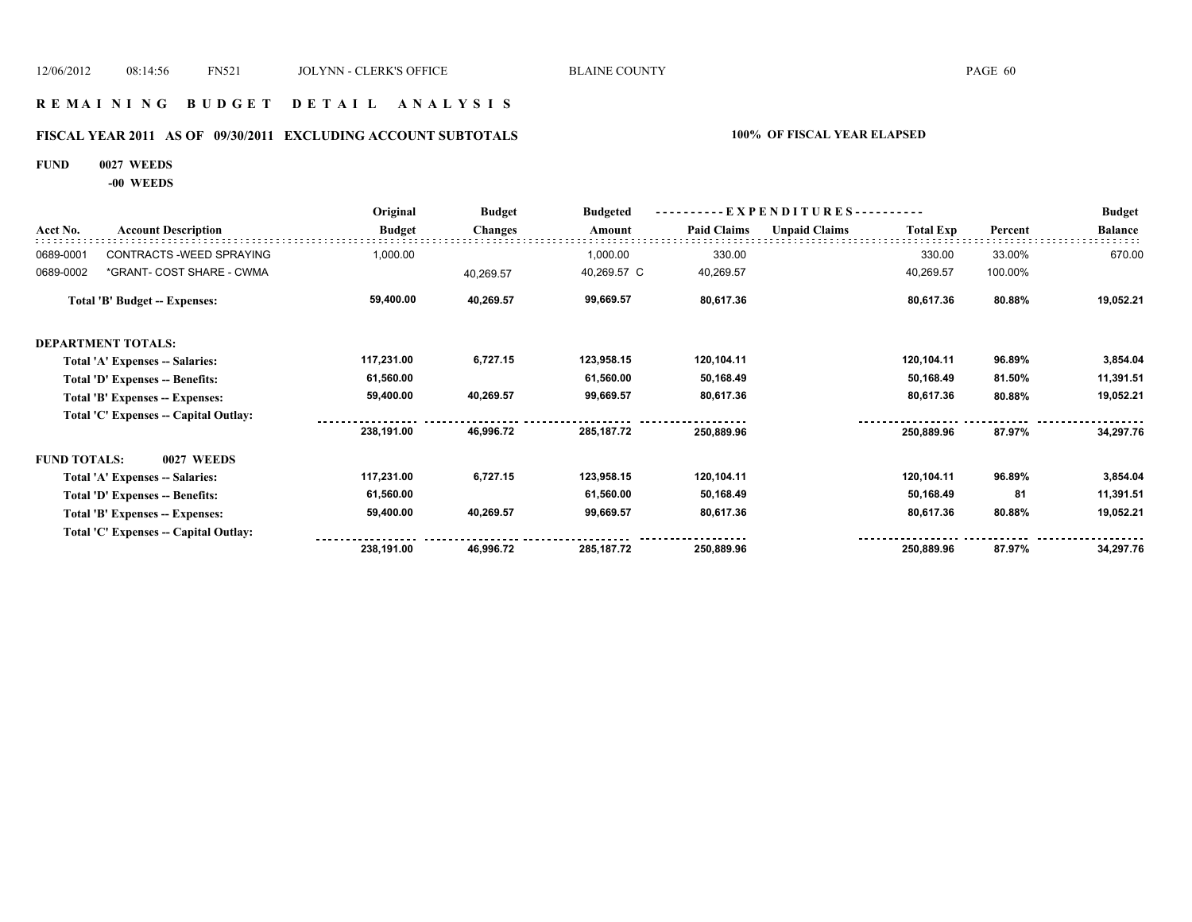### **R E M A I N I N G B U D G E T D E T A I L A N A L Y S I S**

# **FISCAL YEAR 2011 AS OF 09/30/2011 EXCLUDING ACCOUNT SUBTOTALS 100% OF FISCAL YEAR ELAPSED**

### **FUND 0027 WEEDS**

**-00 WEEDS**

|                     |                                       | Original      | <b>Budget</b>  | <b>Budgeted</b> |                    | $-EXPENDITURES$ --------- |                  | <b>Budget</b> |                |
|---------------------|---------------------------------------|---------------|----------------|-----------------|--------------------|---------------------------|------------------|---------------|----------------|
| Acct No.            | <b>Account Description</b>            | <b>Budget</b> | <b>Changes</b> | Amount          | <b>Paid Claims</b> | <b>Unpaid Claims</b>      | <b>Total Exp</b> | Percent       | <b>Balance</b> |
| 0689-0001           | CONTRACTS - WEED SPRAYING             | 1,000.00      |                | 1,000.00        | 330.00             |                           | 330.00           | 33.00%        | 670.00         |
| 0689-0002           | *GRANT- COST SHARE - CWMA             |               | 40,269.57      | 40,269.57 C     | 40,269.57          |                           | 40,269.57        | 100.00%       |                |
|                     | <b>Total 'B' Budget -- Expenses:</b>  | 59,400.00     | 40,269.57      | 99,669.57       | 80,617.36          |                           | 80,617.36        | 80.88%        | 19,052.21      |
|                     | DEPARTMENT TOTALS:                    |               |                |                 |                    |                           |                  |               |                |
|                     | Total 'A' Expenses -- Salaries:       | 117,231.00    | 6,727.15       | 123,958.15      | 120,104.11         |                           | 120,104.11       | 96.89%        | 3,854.04       |
|                     | Total 'D' Expenses -- Benefits:       | 61,560.00     |                | 61,560.00       | 50,168.49          |                           | 50,168.49        | 81.50%        | 11,391.51      |
|                     | Total 'B' Expenses -- Expenses:       | 59,400.00     | 40,269.57      | 99,669.57       | 80,617.36          |                           | 80,617.36        | 80.88%        | 19,052.21      |
|                     | Total 'C' Expenses -- Capital Outlay: |               |                |                 |                    |                           |                  |               |                |
|                     |                                       | 238,191.00    | 46,996.72      | 285, 187. 72    | 250,889.96         |                           | 250,889.96       | 87.97%        | 34,297.76      |
| <b>FUND TOTALS:</b> | <b>0027 WEEDS</b>                     |               |                |                 |                    |                           |                  |               |                |
|                     | Total 'A' Expenses -- Salaries:       | 117,231.00    | 6,727.15       | 123,958.15      | 120,104.11         |                           | 120,104.11       | 96.89%        | 3,854.04       |
|                     | Total 'D' Expenses -- Benefits:       | 61,560.00     |                | 61,560.00       | 50,168.49          |                           | 50,168.49        | 81            | 11,391.51      |
|                     | Total 'B' Expenses -- Expenses:       | 59,400.00     | 40,269.57      | 99,669.57       | 80,617.36          |                           | 80,617.36        | 80.88%        | 19,052.21      |
|                     | Total 'C' Expenses -- Capital Outlay: |               |                |                 |                    |                           |                  |               |                |
|                     |                                       | 238,191.00    | 46,996.72      | 285, 187. 72    | 250,889.96         |                           | 250,889.96       | 87.97%        | 34,297.76      |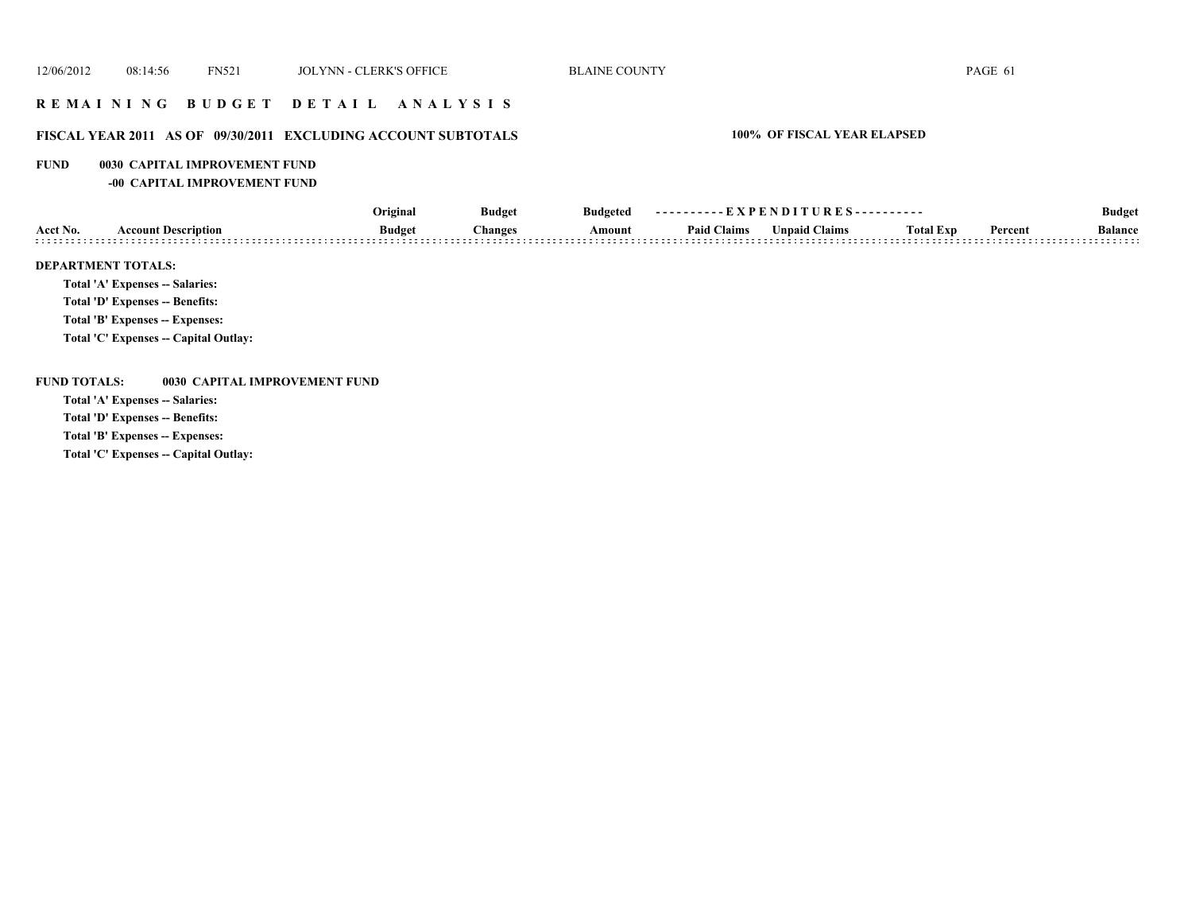## **R E M A I N I N G B U D G E T D E T A I L A N A L Y S I S**

## **FISCAL YEAR 2011 AS OF 09/30/2011 EXCLUDING ACCOUNT SUBTOTALS 100% OF FISCAL YEAR ELAPSED**

### **FUND 0030 CAPITAL IMPROVEMENT FUND**

**-00 CAPITAL IMPROVEMENT FUND**

|                |                                 | Original      | <b>Budget</b> | <b>Budgeted</b> | ----------EXPENDITURES---------- |                      |                  |         | <b>Budget</b>       |
|----------------|---------------------------------|---------------|---------------|-----------------|----------------------------------|----------------------|------------------|---------|---------------------|
| Acct No.       | <b>Account Description</b>      | <b>Budget</b> | Changes       | Amount          | <b>Paid Claims</b>               | <b>Unpaid Claims</b> | <b>Total Exp</b> | Percent | <b>Balance</b><br>. |
|                | <b>DEPARTMENT TOTALS:</b>       |               |               |                 |                                  |                      |                  |         |                     |
|                | Total 'A' Expenses -- Salaries: |               |               |                 |                                  |                      |                  |         |                     |
| ______________ |                                 |               |               |                 |                                  |                      |                  |         |                     |

**Total 'D' Expenses -- Benefits:**

**Total 'B' Expenses -- Expenses:**

**Total 'C' Expenses -- Capital Outlay:**

**FUND TOTALS: 0030 CAPITAL IMPROVEMENT FUND**

**Total 'A' Expenses -- Salaries:**

**Total 'D' Expenses -- Benefits:**

**Total 'B' Expenses -- Expenses:**

**Total 'C' Expenses -- Capital Outlay:**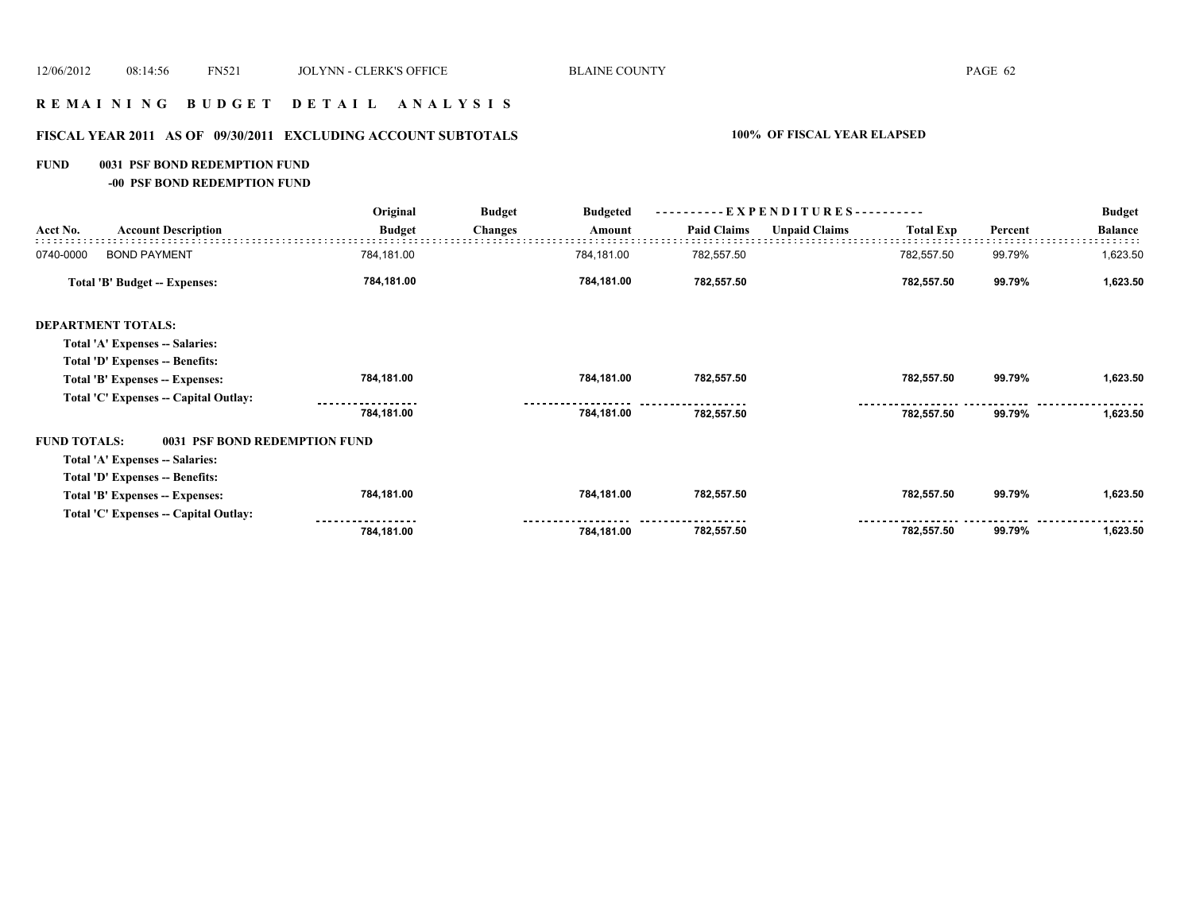### **R E M A I N I N G B U D G E T D E T A I L A N A L Y S I S**

# **FISCAL YEAR 2011 AS OF 09/30/2011 EXCLUDING ACCOUNT SUBTOTALS 100% OF FISCAL YEAR ELAPSED**

### **FUND 0031 PSF BOND REDEMPTION FUND**

**-00 PSF BOND REDEMPTION FUND**

|                     |                                       | Original<br><b>Budget</b> |                | <b>Budgeted</b> | ----------EXPENDITURES---------- |                      |                  |         | <b>Budget</b>  |
|---------------------|---------------------------------------|---------------------------|----------------|-----------------|----------------------------------|----------------------|------------------|---------|----------------|
| Acct No.            | <b>Account Description</b>            | <b>Budget</b>             | <b>Changes</b> | Amount          | <b>Paid Claims</b>               | <b>Unpaid Claims</b> | <b>Total Exp</b> | Percent | <b>Balance</b> |
| 0740-0000           | <b>BOND PAYMENT</b>                   | 784,181.00                |                | 784,181.00      | 782,557.50                       |                      | 782,557.50       | 99.79%  | 1,623.50       |
|                     | <b>Total 'B' Budget -- Expenses:</b>  | 784,181.00                |                | 784,181.00      | 782,557.50                       |                      | 782,557.50       | 99.79%  | 1,623.50       |
|                     | <b>DEPARTMENT TOTALS:</b>             |                           |                |                 |                                  |                      |                  |         |                |
|                     | Total 'A' Expenses -- Salaries:       |                           |                |                 |                                  |                      |                  |         |                |
|                     | Total 'D' Expenses -- Benefits:       |                           |                |                 |                                  |                      |                  |         |                |
|                     | Total 'B' Expenses -- Expenses:       | 784,181.00                |                | 784,181.00      | 782,557.50                       |                      | 782,557.50       | 99.79%  | 1,623.50       |
|                     | Total 'C' Expenses -- Capital Outlay: |                           |                |                 |                                  |                      |                  |         |                |
|                     |                                       | 784,181.00                |                | 784,181.00      | 782,557.50                       |                      | 782,557.50       | 99.79%  | 1,623.50       |
| <b>FUND TOTALS:</b> | 0031 PSF BOND REDEMPTION FUND         |                           |                |                 |                                  |                      |                  |         |                |
|                     | Total 'A' Expenses -- Salaries:       |                           |                |                 |                                  |                      |                  |         |                |
|                     | Total 'D' Expenses -- Benefits:       |                           |                |                 |                                  |                      |                  |         |                |
|                     | Total 'B' Expenses -- Expenses:       | 784,181.00                |                | 784,181.00      | 782,557.50                       |                      | 782,557.50       | 99.79%  | 1,623.50       |
|                     | Total 'C' Expenses -- Capital Outlay: |                           |                |                 |                                  |                      |                  |         |                |
|                     |                                       | 784,181.00                |                | 784,181.00      | 782,557.50                       |                      | 782,557.50       | 99.79%  | 1,623.50       |
|                     |                                       |                           |                |                 |                                  |                      |                  |         |                |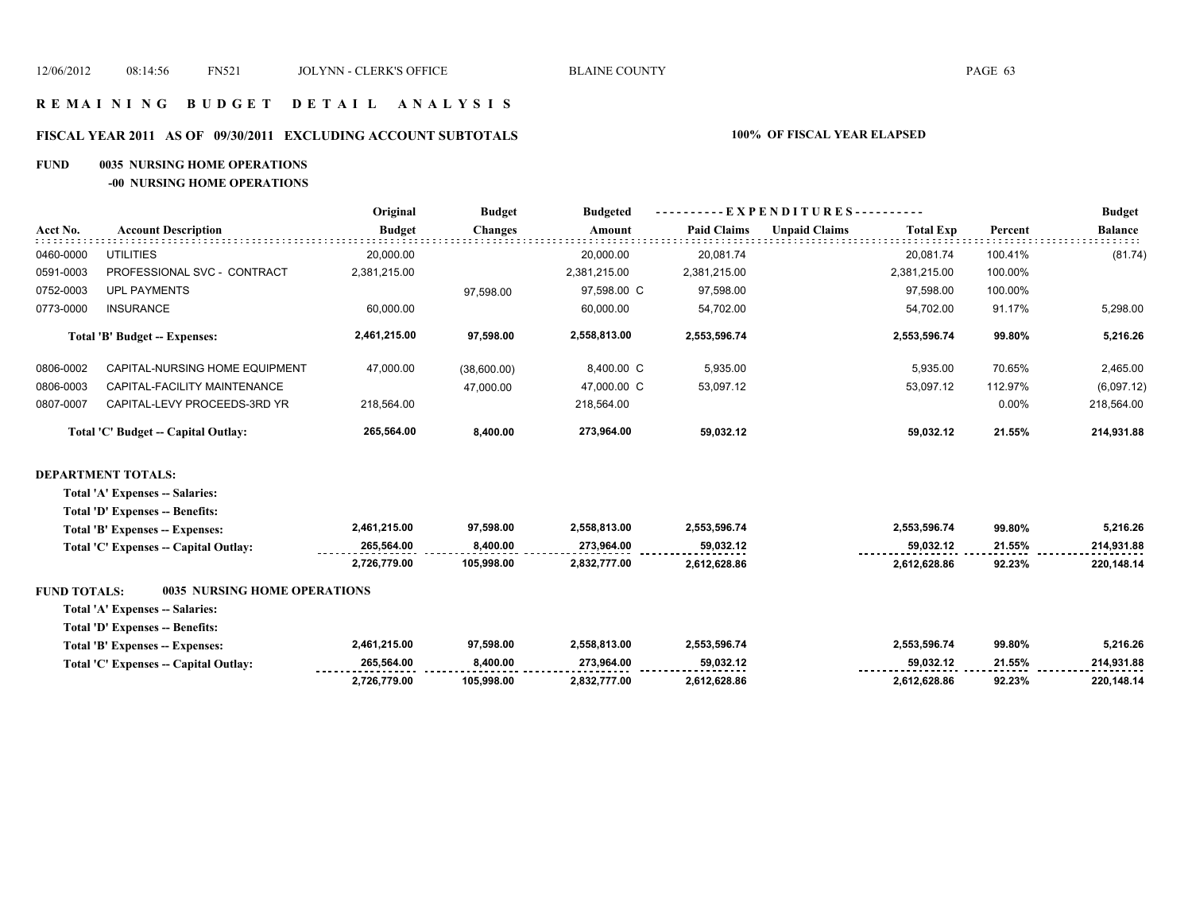### **R E M A I N I N G B U D G E T D E T A I L A N A L Y S I S**

# **FISCAL YEAR 2011 AS OF 09/30/2011 EXCLUDING ACCOUNT SUBTOTALS 100% OF FISCAL YEAR ELAPSED**

### **FUND 0035 NURSING HOME OPERATIONS**

**-00 NURSING HOME OPERATIONS**

|                     |                                       | Original      | <b>Budget</b>  | <b>Budgeted</b> |                    | EXPENDITURES-        |                  |         | <b>Budget</b>  |
|---------------------|---------------------------------------|---------------|----------------|-----------------|--------------------|----------------------|------------------|---------|----------------|
| Acct No.            | <b>Account Description</b>            | <b>Budget</b> | <b>Changes</b> | <b>Amount</b>   | <b>Paid Claims</b> | <b>Unpaid Claims</b> | <b>Total Exp</b> | Percent | <b>Balance</b> |
| 0460-0000           | <b>UTILITIES</b>                      | 20,000.00     |                | 20,000.00       | 20,081.74          |                      | 20,081.74        | 100.41% | (81.74)        |
| 0591-0003           | PROFESSIONAL SVC - CONTRACT           | 2,381,215.00  |                | 2,381,215.00    | 2,381,215.00       |                      | 2,381,215.00     | 100.00% |                |
| 0752-0003           | <b>UPL PAYMENTS</b>                   |               | 97,598.00      | 97,598.00 C     | 97,598.00          |                      | 97,598.00        | 100.00% |                |
| 0773-0000           | <b>INSURANCE</b>                      | 60,000.00     |                | 60,000.00       | 54,702.00          |                      | 54,702.00        | 91.17%  | 5,298.00       |
|                     | Total 'B' Budget -- Expenses:         | 2,461,215.00  | 97,598.00      | 2,558,813.00    | 2,553,596.74       |                      | 2,553,596.74     | 99.80%  | 5,216.26       |
| 0806-0002           | CAPITAL-NURSING HOME EQUIPMENT        | 47,000.00     | (38,600.00)    | 8,400.00 C      | 5,935.00           |                      | 5,935.00         | 70.65%  | 2,465.00       |
| 0806-0003           | CAPITAL-FACILITY MAINTENANCE          |               | 47,000.00      | 47,000.00 C     | 53,097.12          |                      | 53,097.12        | 112.97% | (6,097.12)     |
| 0807-0007           | CAPITAL-LEVY PROCEEDS-3RD YR          | 218,564.00    |                | 218,564.00      |                    |                      |                  | 0.00%   | 218,564.00     |
|                     | Total 'C' Budget -- Capital Outlay:   | 265,564.00    | 8,400.00       | 273,964.00      | 59,032.12          |                      | 59,032.12        | 21.55%  | 214,931.88     |
|                     | <b>DEPARTMENT TOTALS:</b>             |               |                |                 |                    |                      |                  |         |                |
|                     | Total 'A' Expenses -- Salaries:       |               |                |                 |                    |                      |                  |         |                |
|                     | Total 'D' Expenses -- Benefits:       |               |                |                 |                    |                      |                  |         |                |
|                     | Total 'B' Expenses -- Expenses:       | 2,461,215.00  | 97.598.00      | 2,558,813.00    | 2,553,596.74       |                      | 2,553,596.74     | 99.80%  | 5,216.26       |
|                     | Total 'C' Expenses -- Capital Outlay: | 265,564.00    | 8,400.00       | 273,964.00      | 59,032.12          |                      | 59,032.12        | 21.55%  | 214,931.88     |
|                     |                                       | 2,726,779.00  | 105,998.00     | 2,832,777.00    | 2,612,628.86       |                      | 2,612,628.86     | 92.23%  | 220,148.14     |
| <b>FUND TOTALS:</b> | <b>0035 NURSING HOME OPERATIONS</b>   |               |                |                 |                    |                      |                  |         |                |
|                     | Total 'A' Expenses -- Salaries:       |               |                |                 |                    |                      |                  |         |                |
|                     | Total 'D' Expenses -- Benefits:       |               |                |                 |                    |                      |                  |         |                |
|                     | Total 'B' Expenses -- Expenses:       | 2,461,215.00  | 97,598.00      | 2,558,813.00    | 2,553,596.74       |                      | 2,553,596.74     | 99.80%  | 5,216.26       |
|                     | Total 'C' Expenses -- Capital Outlay: | 265,564.00    | 8,400.00       | 273,964.00      | 59,032.12          |                      | 59,032.12        | 21.55%  | 214,931.88     |
|                     |                                       | 2,726,779.00  | 105,998.00     | 2,832,777.00    | 2,612,628.86       |                      | 2,612,628.86     | 92.23%  | 220,148.14     |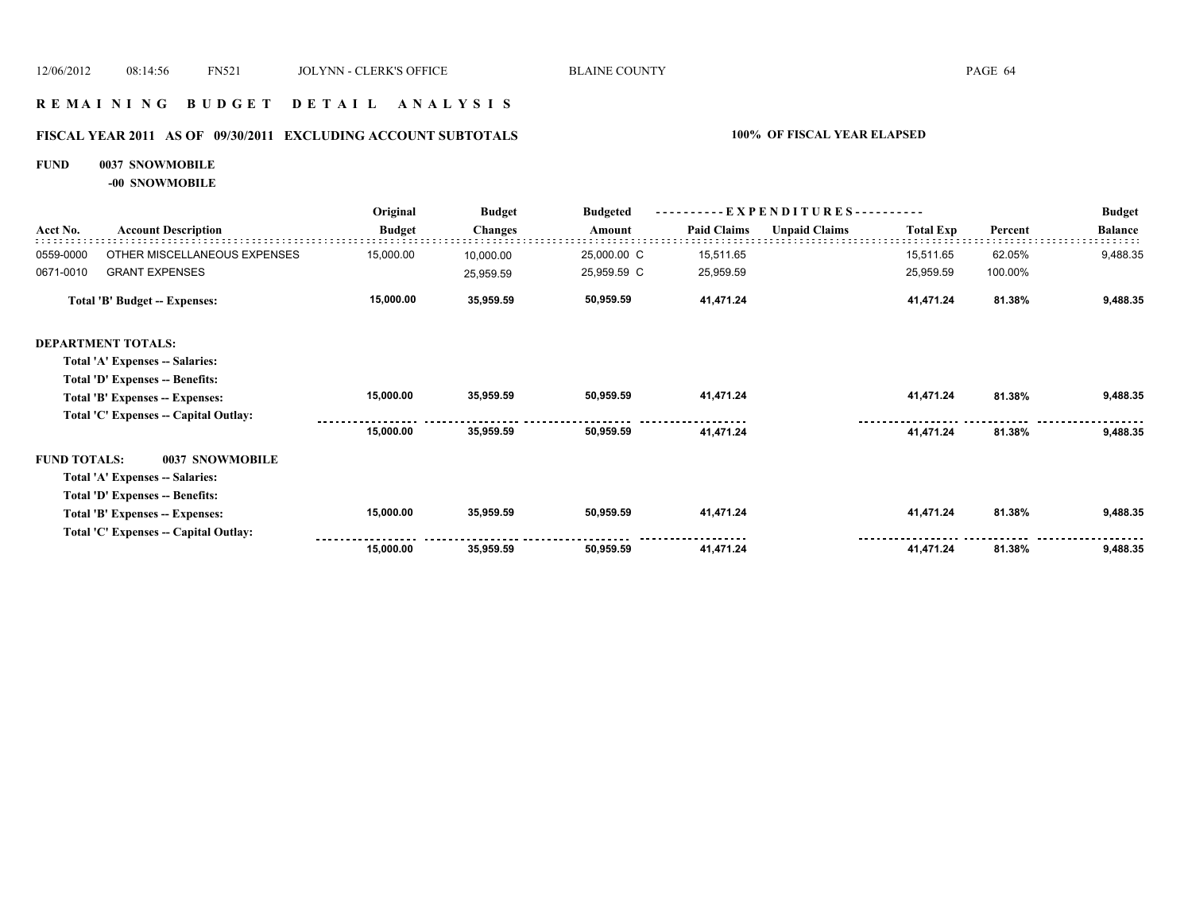### **R E M A I N I N G B U D G E T D E T A I L A N A L Y S I S**

# **FISCAL YEAR 2011 AS OF 09/30/2011 EXCLUDING ACCOUNT SUBTOTALS 100% OF FISCAL YEAR ELAPSED**

### **FUND 0037 SNOWMOBILE**

**-00 SNOWMOBILE**

|                     | <b>Account Description</b>             | Original      | <b>Budget</b><br><b>Changes</b> | <b>Budgeted</b> | EXPENDITURES---------- |                      |                  |         | <b>Budget</b>  |
|---------------------|----------------------------------------|---------------|---------------------------------|-----------------|------------------------|----------------------|------------------|---------|----------------|
| Acct No.            |                                        | <b>Budget</b> |                                 | Amount          | <b>Paid Claims</b>     | <b>Unpaid Claims</b> | <b>Total Exp</b> | Percent | <b>Balance</b> |
| 0559-0000           | OTHER MISCELLANEOUS EXPENSES           | 15,000.00     | 10,000.00                       | 25,000.00 C     | 15,511.65              |                      | 15,511.65        | 62.05%  | 9,488.35       |
| 0671-0010           | <b>GRANT EXPENSES</b>                  |               | 25,959.59                       | 25,959.59 C     | 25,959.59              |                      | 25,959.59        | 100.00% |                |
|                     | <b>Total 'B' Budget -- Expenses:</b>   | 15,000.00     | 35,959.59                       | 50,959.59       | 41,471.24              |                      | 41,471.24        | 81.38%  | 9,488.35       |
|                     | <b>DEPARTMENT TOTALS:</b>              |               |                                 |                 |                        |                      |                  |         |                |
|                     | Total 'A' Expenses -- Salaries:        |               |                                 |                 |                        |                      |                  |         |                |
|                     | Total 'D' Expenses -- Benefits:        |               |                                 |                 |                        |                      |                  |         |                |
|                     | Total 'B' Expenses -- Expenses:        | 15,000.00     | 35,959.59                       | 50,959.59       | 41,471.24              |                      | 41,471.24        | 81.38%  | 9,488.35       |
|                     | Total 'C' Expenses -- Capital Outlay:  |               |                                 |                 |                        |                      |                  |         |                |
|                     |                                        | 15,000.00     | 35,959.59                       | 50,959.59       | 41,471.24              |                      | 41,471.24        | 81.38%  | 9,488.35       |
| <b>FUND TOTALS:</b> | 0037 SNOWMOBILE                        |               |                                 |                 |                        |                      |                  |         |                |
|                     | Total 'A' Expenses -- Salaries:        |               |                                 |                 |                        |                      |                  |         |                |
|                     | <b>Total 'D' Expenses -- Benefits:</b> |               |                                 |                 |                        |                      |                  |         |                |
|                     | Total 'B' Expenses -- Expenses:        | 15,000.00     | 35,959.59                       | 50,959.59       | 41,471.24              |                      | 41,471.24        | 81.38%  | 9,488.35       |
|                     | Total 'C' Expenses -- Capital Outlay:  |               |                                 |                 |                        |                      |                  |         |                |
|                     |                                        | 15,000.00     | 35,959.59                       | 50,959.59       | 41,471.24              |                      | 41,471.24        | 81.38%  | 9,488.35       |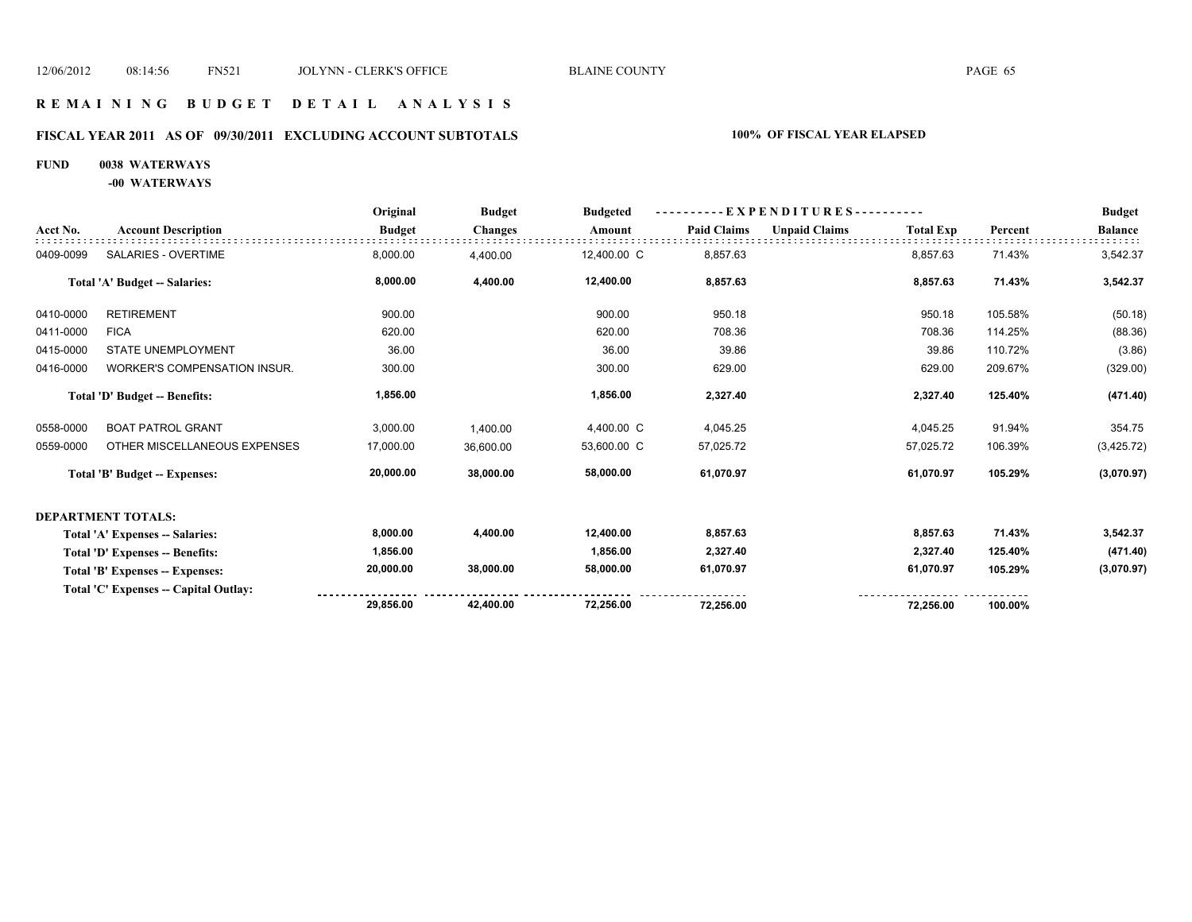### **R E M A I N I N G B U D G E T D E T A I L A N A L Y S I S**

# **FISCAL YEAR 2011 AS OF 09/30/2011 EXCLUDING ACCOUNT SUBTOTALS 100% OF FISCAL YEAR ELAPSED**

# **FUND 0038 WATERWAYS**

**-00 WATERWAYS**

|           | <b>Account Description</b>            | Original      | <b>Budget</b><br><b>Changes</b> | <b>Budgeted</b> | - EXPENDITURES---------- |                      |                  |         | <b>Budget</b>  |
|-----------|---------------------------------------|---------------|---------------------------------|-----------------|--------------------------|----------------------|------------------|---------|----------------|
| Acct No.  |                                       | <b>Budget</b> |                                 | Amount          | <b>Paid Claims</b>       | <b>Unpaid Claims</b> | <b>Total Exp</b> | Percent | <b>Balance</b> |
| 0409-0099 | SALARIES - OVERTIME                   | 8,000.00      | 4,400.00                        | 12,400.00 C     | 8,857.63                 |                      | 8,857.63         | 71.43%  | 3,542.37       |
|           | Total 'A' Budget -- Salaries:         | 8,000.00      | 4,400.00                        | 12,400.00       | 8,857.63                 |                      | 8,857.63         | 71.43%  | 3,542.37       |
| 0410-0000 | <b>RETIREMENT</b>                     | 900.00        |                                 | 900.00          | 950.18                   |                      | 950.18           | 105.58% | (50.18)        |
| 0411-0000 | <b>FICA</b>                           | 620.00        |                                 | 620.00          | 708.36                   |                      | 708.36           | 114.25% | (88.36)        |
| 0415-0000 | <b>STATE UNEMPLOYMENT</b>             | 36.00         |                                 | 36.00           | 39.86                    |                      | 39.86            | 110.72% | (3.86)         |
| 0416-0000 | WORKER'S COMPENSATION INSUR.          | 300.00        |                                 | 300.00          | 629.00                   |                      | 629.00           | 209.67% | (329.00)       |
|           | Total 'D' Budget -- Benefits:         | 1,856.00      |                                 | 1,856.00        | 2,327.40                 |                      | 2,327.40         | 125.40% | (471.40)       |
| 0558-0000 | <b>BOAT PATROL GRANT</b>              | 3,000.00      | 1.400.00                        | 4,400.00 C      | 4,045.25                 |                      | 4,045.25         | 91.94%  | 354.75         |
| 0559-0000 | OTHER MISCELLANEOUS EXPENSES          | 17,000.00     | 36,600.00                       | 53,600.00 C     | 57,025.72                |                      | 57,025.72        | 106.39% | (3,425.72)     |
|           | <b>Total 'B' Budget -- Expenses:</b>  | 20,000.00     | 38,000.00                       | 58,000.00       | 61,070.97                |                      | 61,070.97        | 105.29% | (3,070.97)     |
|           | <b>DEPARTMENT TOTALS:</b>             |               |                                 |                 |                          |                      |                  |         |                |
|           | Total 'A' Expenses -- Salaries:       | 8,000.00      | 4,400.00                        | 12,400.00       | 8,857.63                 |                      | 8,857.63         | 71.43%  | 3,542.37       |
|           | Total 'D' Expenses -- Benefits:       | 1,856.00      |                                 | 1,856.00        | 2,327.40                 |                      | 2,327.40         | 125.40% | (471.40)       |
|           | Total 'B' Expenses -- Expenses:       | 20,000.00     | 38,000.00                       | 58,000.00       | 61,070.97                |                      | 61,070.97        | 105.29% | (3,070.97)     |
|           | Total 'C' Expenses -- Capital Outlay: |               |                                 |                 |                          |                      |                  |         |                |
|           |                                       | 29,856.00     | 42,400.00                       | 72,256.00       | 72,256.00                |                      | 72,256.00        | 100.00% |                |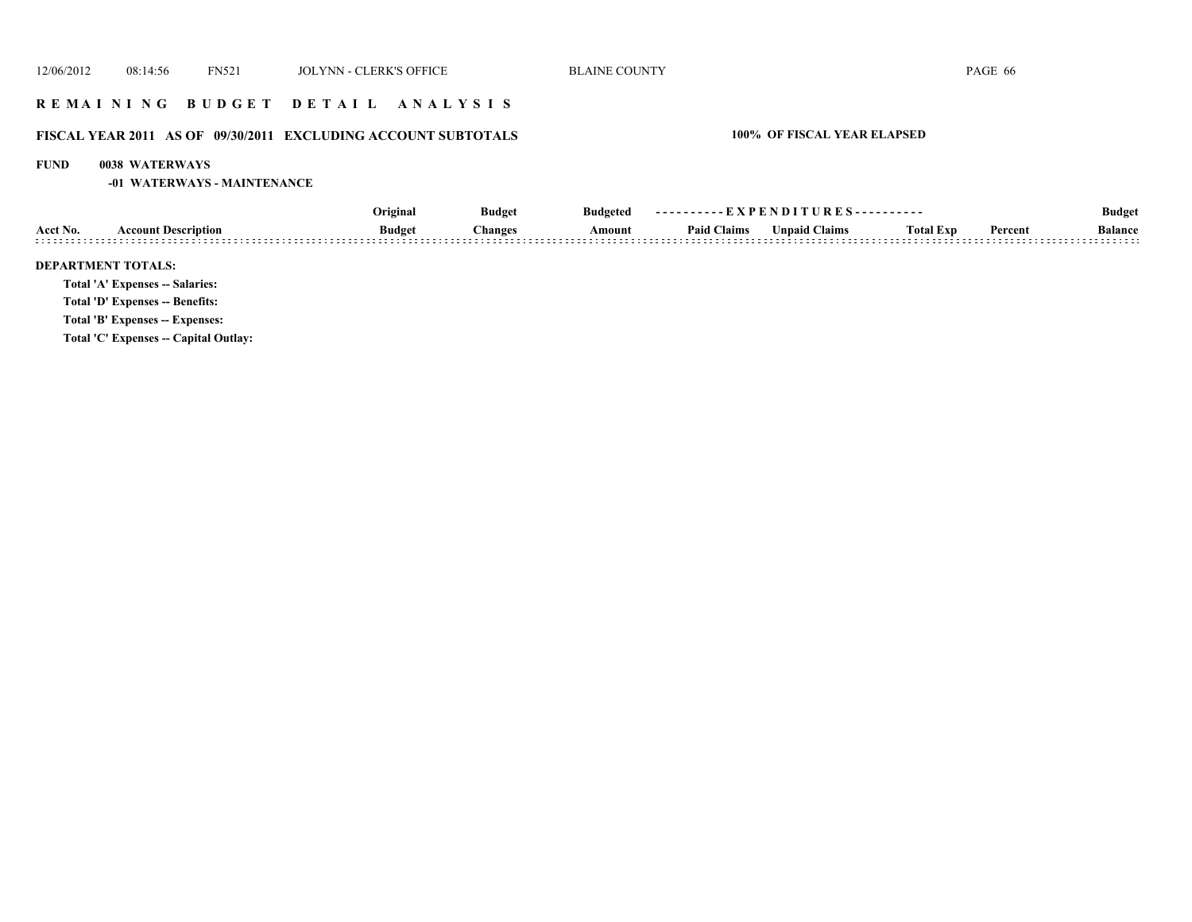### **R E M A I N I N G B U D G E T D E T A I L A N A L Y S I S**

# **FISCAL YEAR 2011 AS OF 09/30/2011 EXCLUDING ACCOUNT SUBTOTALS 100% OF FISCAL YEAR ELAPSED**

### **FUND 0038 WATERWAYS**

**-01 WATERWAYS - MAINTENANCE**

|          | <b>Account Description</b>             | Original      | <b>Budget</b><br><b>Changes</b> | <b>Budgeted</b><br>Amount | ----------EXPENDITURES---------- |                      |                  |         | <b>Budget</b>  |
|----------|----------------------------------------|---------------|---------------------------------|---------------------------|----------------------------------|----------------------|------------------|---------|----------------|
| Acct No. |                                        | <b>Budget</b> |                                 |                           | <b>Paid Claims</b>               | <b>Unpaid Claims</b> | <b>Total Exp</b> | Percent | <b>Balance</b> |
|          | <b>DEPARTMENT TOTALS:</b>              |               |                                 |                           |                                  |                      |                  |         |                |
|          | <b>Total 'A' Expenses -- Salaries:</b> |               |                                 |                           |                                  |                      |                  |         |                |
|          | Total 'D' Expenses -- Benefits:        |               |                                 |                           |                                  |                      |                  |         |                |
|          | Total 'B' Expenses -- Expenses:        |               |                                 |                           |                                  |                      |                  |         |                |
|          | Total 'C' Expenses -- Capital Outlay:  |               |                                 |                           |                                  |                      |                  |         |                |
|          |                                        |               |                                 |                           |                                  |                      |                  |         |                |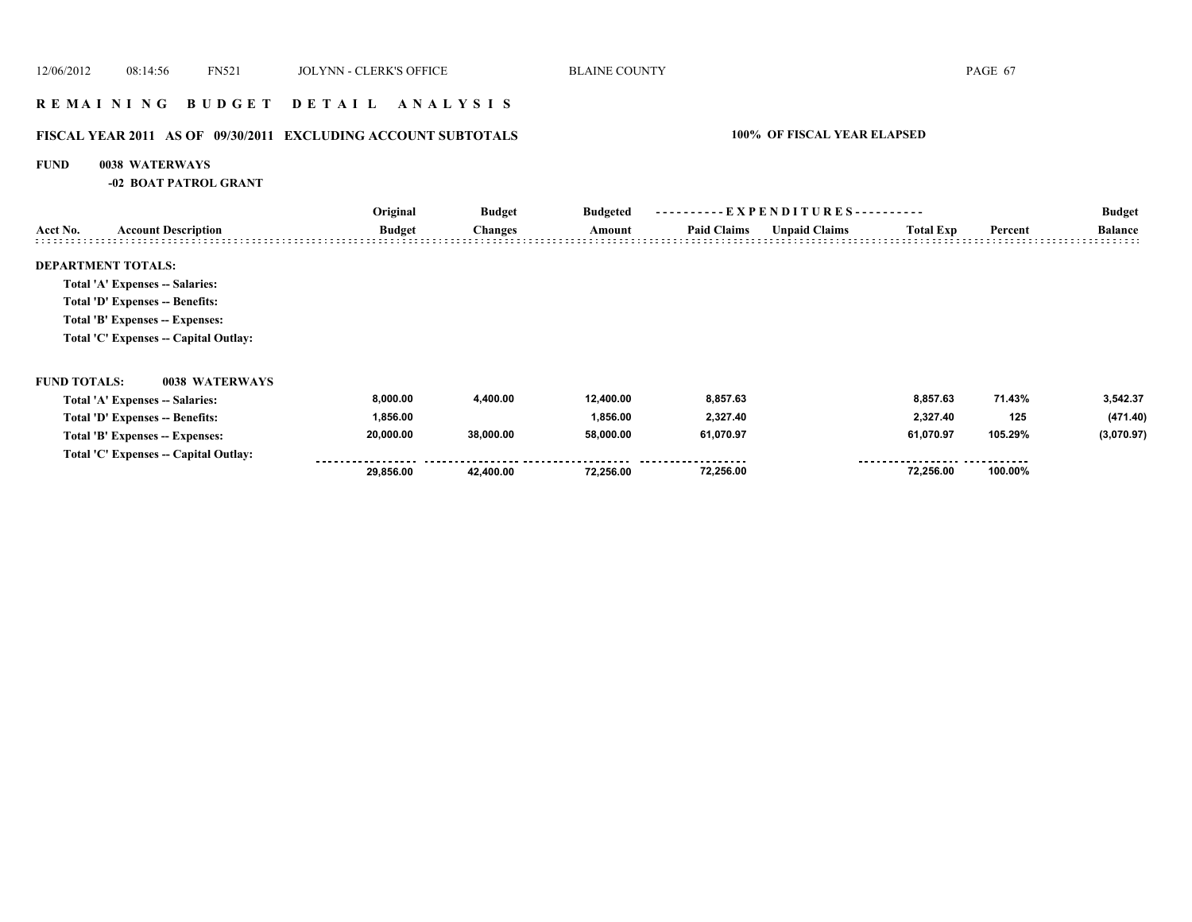### **R E M A I N I N G B U D G E T D E T A I L A N A L Y S I S**

# **FISCAL YEAR 2011 AS OF 09/30/2011 EXCLUDING ACCOUNT SUBTOTALS 100% OF FISCAL YEAR ELAPSED**

### **FUND 0038 WATERWAYS**

**-02 BOAT PATROL GRANT**

|                     |                                       | Original      | <b>Budget</b><br><b>Changes</b> | <b>Budgeted</b> | ----------EXPENDITURES---------- |                      |                  |         | <b>Budget</b>  |
|---------------------|---------------------------------------|---------------|---------------------------------|-----------------|----------------------------------|----------------------|------------------|---------|----------------|
| Acct No.            | <b>Account Description</b>            | <b>Budget</b> |                                 | Amount          | <b>Paid Claims</b>               | <b>Unpaid Claims</b> | <b>Total Exp</b> | Percent | <b>Balance</b> |
|                     | <b>DEPARTMENT TOTALS:</b>             |               |                                 |                 |                                  |                      |                  |         |                |
|                     | Total 'A' Expenses -- Salaries:       |               |                                 |                 |                                  |                      |                  |         |                |
|                     | Total 'D' Expenses -- Benefits:       |               |                                 |                 |                                  |                      |                  |         |                |
|                     | Total 'B' Expenses -- Expenses:       |               |                                 |                 |                                  |                      |                  |         |                |
|                     | Total 'C' Expenses -- Capital Outlay: |               |                                 |                 |                                  |                      |                  |         |                |
| <b>FUND TOTALS:</b> | 0038 WATERWAYS                        |               |                                 |                 |                                  |                      |                  |         |                |
|                     | Total 'A' Expenses -- Salaries:       | 8,000.00      | 4,400.00                        | 12,400.00       | 8,857.63                         |                      | 8,857.63         | 71.43%  | 3,542.37       |
|                     | Total 'D' Expenses -- Benefits:       | 1,856.00      |                                 | 1,856.00        | 2,327.40                         |                      | 2,327.40         | 125     | (471.40)       |
|                     | Total 'B' Expenses -- Expenses:       | 20,000.00     | 38,000.00                       | 58,000.00       | 61,070.97                        |                      | 61,070.97        | 105.29% | (3,070.97)     |
|                     | Total 'C' Expenses -- Capital Outlay: |               |                                 |                 |                                  |                      |                  |         |                |
|                     |                                       | 29,856.00     | 42,400.00                       | 72,256.00       | 72,256.00                        |                      | 72,256.00        | 100.00% |                |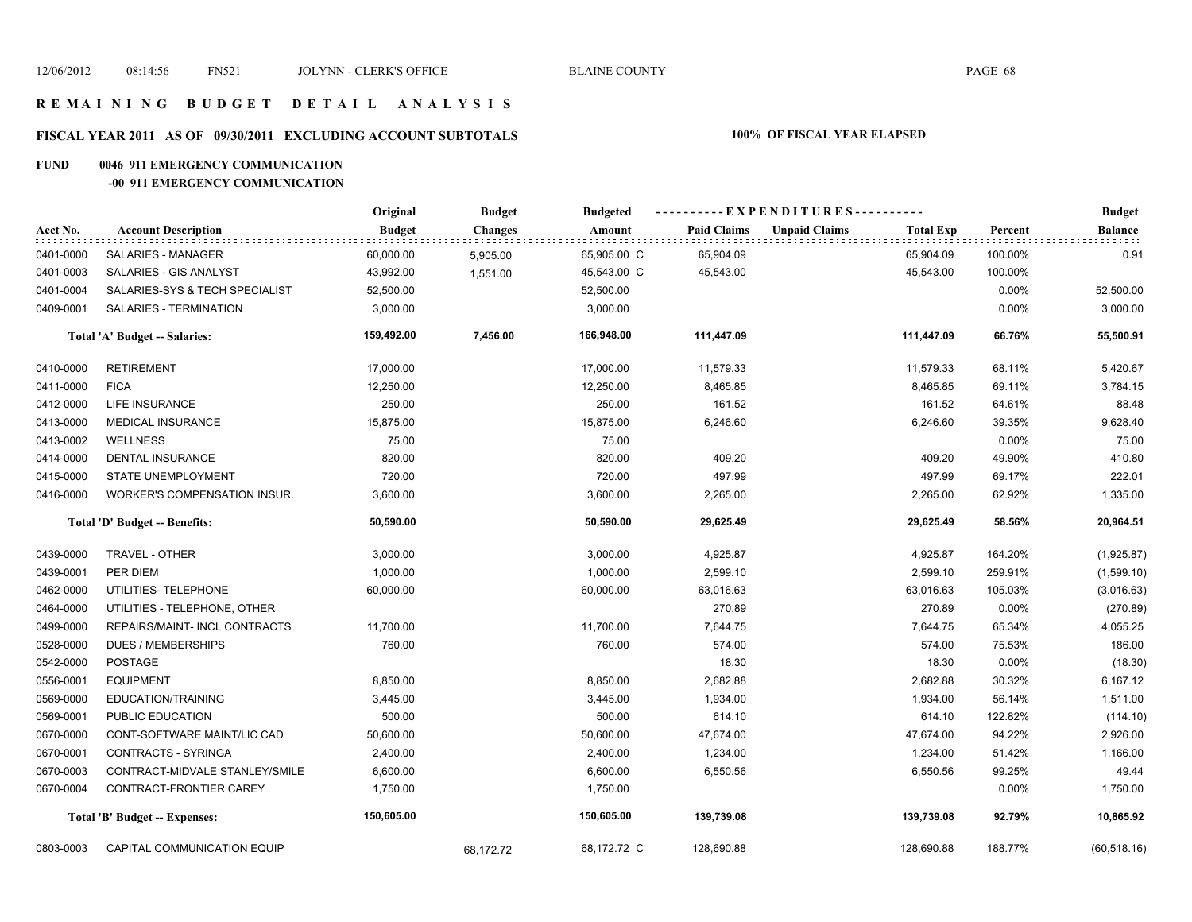### **FISCAL YEAR 2011 AS OF 09/30/2011 EXCLUDING ACCOUNT SUBTOTALS 100% OF FISCAL YEAR ELAPSED**

### **FUND 0046 911 EMERGENCY COMMUNICATION**

### **-00 911 EMERGENCY COMMUNICATION**

|           |                                     | Original      | <b>Budget</b>  | <b>Budgeted</b> |                    | ----------EXPENDITURES---------- |                  |         | <b>Budget</b>  |
|-----------|-------------------------------------|---------------|----------------|-----------------|--------------------|----------------------------------|------------------|---------|----------------|
| Acct No.  | <b>Account Description</b>          | <b>Budget</b> | <b>Changes</b> | Amount          | <b>Paid Claims</b> | <b>Unpaid Claims</b>             | <b>Total Exp</b> | Percent | <b>Balance</b> |
| 0401-0000 | SALARIES - MANAGER                  | 60,000.00     | 5,905.00       | 65,905.00 C     | 65,904.09          |                                  | 65,904.09        | 100.00% | 0.91           |
| 0401-0003 | SALARIES - GIS ANALYST              | 43,992.00     | 1,551.00       | 45,543.00 C     | 45,543.00          |                                  | 45,543.00        | 100.00% |                |
| 0401-0004 | SALARIES-SYS & TECH SPECIALIST      | 52,500.00     |                | 52,500.00       |                    |                                  |                  | 0.00%   | 52,500.00      |
| 0409-0001 | SALARIES - TERMINATION              | 3,000.00      |                | 3,000.00        |                    |                                  |                  | 0.00%   | 3,000.00       |
|           | Total 'A' Budget -- Salaries:       | 159,492.00    | 7,456.00       | 166,948.00      | 111,447.09         |                                  | 111,447.09       | 66.76%  | 55,500.91      |
| 0410-0000 | <b>RETIREMENT</b>                   | 17,000.00     |                | 17,000.00       | 11,579.33          |                                  | 11,579.33        | 68.11%  | 5,420.67       |
| 0411-0000 | <b>FICA</b>                         | 12,250.00     |                | 12,250.00       | 8,465.85           |                                  | 8,465.85         | 69.11%  | 3,784.15       |
| 0412-0000 | LIFE INSURANCE                      | 250.00        |                | 250.00          | 161.52             |                                  | 161.52           | 64.61%  | 88.48          |
| 0413-0000 | <b>MEDICAL INSURANCE</b>            | 15,875.00     |                | 15,875.00       | 6,246.60           |                                  | 6,246.60         | 39.35%  | 9,628.40       |
| 0413-0002 | <b>WELLNESS</b>                     | 75.00         |                | 75.00           |                    |                                  |                  | 0.00%   | 75.00          |
| 0414-0000 | DENTAL INSURANCE                    | 820.00        |                | 820.00          | 409.20             |                                  | 409.20           | 49.90%  | 410.80         |
| 0415-0000 | STATE UNEMPLOYMENT                  | 720.00        |                | 720.00          | 497.99             |                                  | 497.99           | 69.17%  | 222.01         |
| 0416-0000 | <b>WORKER'S COMPENSATION INSUR.</b> | 3,600.00      |                | 3,600.00        | 2,265.00           |                                  | 2,265.00         | 62.92%  | 1,335.00       |
|           | Total 'D' Budget -- Benefits:       | 50,590.00     |                | 50,590.00       | 29,625.49          |                                  | 29,625.49        | 58.56%  | 20,964.51      |
| 0439-0000 | TRAVEL - OTHER                      | 3,000.00      |                | 3,000.00        | 4,925.87           |                                  | 4,925.87         | 164.20% | (1,925.87)     |
| 0439-0001 | PER DIEM                            | 1,000.00      |                | 1,000.00        | 2,599.10           |                                  | 2,599.10         | 259.91% | (1,599.10)     |
| 0462-0000 | UTILITIES- TELEPHONE                | 60,000.00     |                | 60,000.00       | 63,016.63          |                                  | 63,016.63        | 105.03% | (3,016.63)     |
| 0464-0000 | UTILITIES - TELEPHONE, OTHER        |               |                |                 | 270.89             |                                  | 270.89           | 0.00%   | (270.89)       |
| 0499-0000 | REPAIRS/MAINT- INCL CONTRACTS       | 11,700.00     |                | 11,700.00       | 7,644.75           |                                  | 7,644.75         | 65.34%  | 4,055.25       |
| 0528-0000 | <b>DUES / MEMBERSHIPS</b>           | 760.00        |                | 760.00          | 574.00             |                                  | 574.00           | 75.53%  | 186.00         |
| 0542-0000 | <b>POSTAGE</b>                      |               |                |                 | 18.30              |                                  | 18.30            | 0.00%   | (18.30)        |
| 0556-0001 | <b>EQUIPMENT</b>                    | 8,850.00      |                | 8,850.00        | 2,682.88           |                                  | 2,682.88         | 30.32%  | 6,167.12       |
| 0569-0000 | EDUCATION/TRAINING                  | 3,445.00      |                | 3,445.00        | 1,934.00           |                                  | 1,934.00         | 56.14%  | 1,511.00       |
| 0569-0001 | PUBLIC EDUCATION                    | 500.00        |                | 500.00          | 614.10             |                                  | 614.10           | 122.82% | (114.10)       |
| 0670-0000 | CONT-SOFTWARE MAINT/LIC CAD         | 50,600.00     |                | 50,600.00       | 47,674.00          |                                  | 47,674.00        | 94.22%  | 2,926.00       |
| 0670-0001 | CONTRACTS - SYRINGA                 | 2,400.00      |                | 2,400.00        | 1,234.00           |                                  | 1,234.00         | 51.42%  | 1,166.00       |
| 0670-0003 | CONTRACT-MIDVALE STANLEY/SMILE      | 6,600.00      |                | 6,600.00        | 6,550.56           |                                  | 6,550.56         | 99.25%  | 49.44          |
| 0670-0004 | CONTRACT-FRONTIER CAREY             | 1,750.00      |                | 1,750.00        |                    |                                  |                  | 0.00%   | 1,750.00       |
|           | Total 'B' Budget -- Expenses:       | 150,605.00    |                | 150,605.00      | 139,739.08         |                                  | 139,739.08       | 92.79%  | 10,865.92      |
| 0803-0003 | CAPITAL COMMUNICATION EQUIP         |               | 68,172.72      | 68,172.72 C     | 128,690.88         |                                  | 128,690.88       | 188.77% | (60, 518.16)   |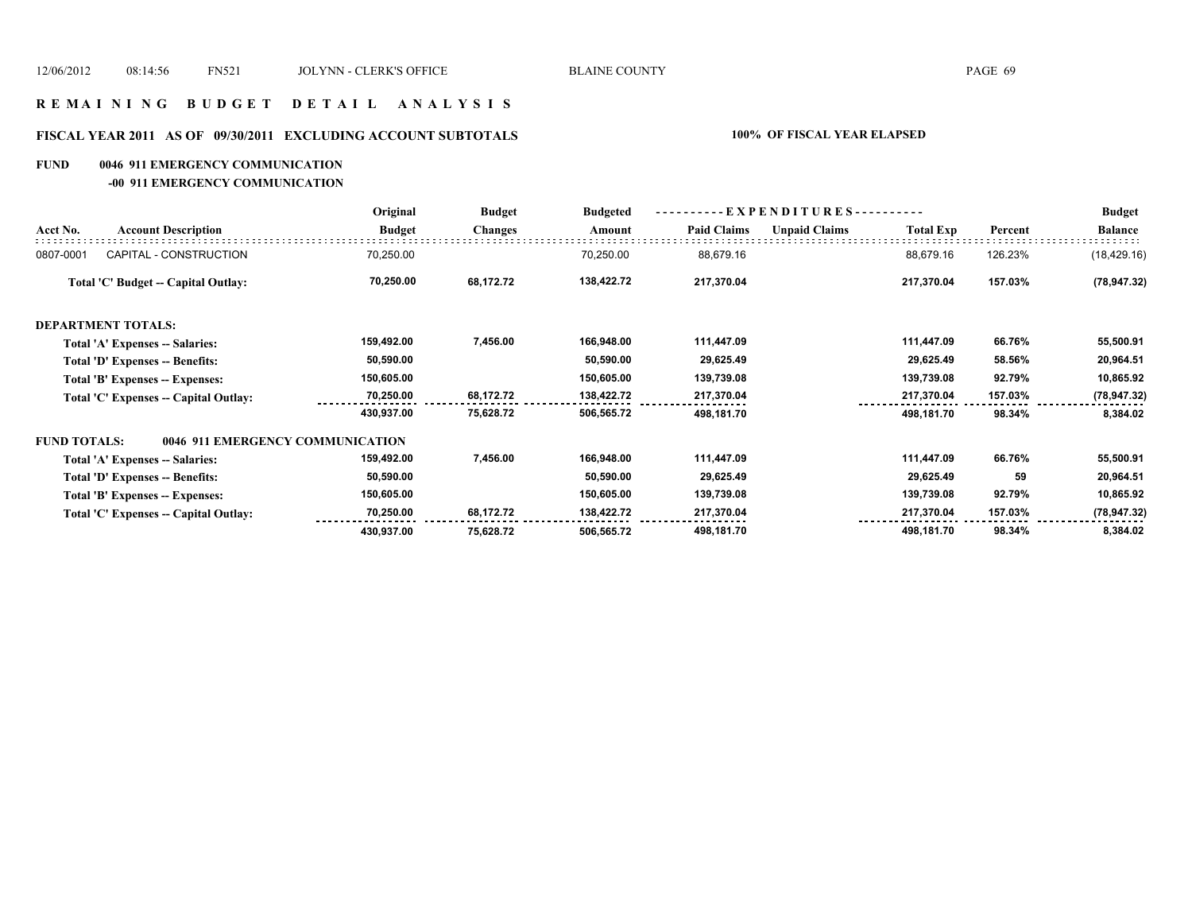### **R E M A I N I N G B U D G E T D E T A I L A N A L Y S I S**

# **FISCAL YEAR 2011 AS OF 09/30/2011 EXCLUDING ACCOUNT SUBTOTALS 100% OF FISCAL YEAR ELAPSED**

### **FUND 0046 911 EMERGENCY COMMUNICATION**

**-00 911 EMERGENCY COMMUNICATION**

|                     |                                       | Original      | <b>Budget</b><br><b>Changes</b> | <b>Budgeted</b><br>Amount | EXPENDITURES---------- |                      |                  |         | <b>Budget</b>  |
|---------------------|---------------------------------------|---------------|---------------------------------|---------------------------|------------------------|----------------------|------------------|---------|----------------|
| Acct No.            | <b>Account Description</b>            | <b>Budget</b> |                                 |                           | <b>Paid Claims</b>     | <b>Unpaid Claims</b> | <b>Total Exp</b> | Percent | <b>Balance</b> |
| 0807-0001           | CAPITAL - CONSTRUCTION                | 70,250.00     |                                 | 70,250.00                 | 88,679.16              |                      | 88,679.16        | 126.23% | (18, 429.16)   |
|                     | Total 'C' Budget -- Capital Outlay:   | 70,250.00     | 68,172.72                       | 138,422.72                | 217,370.04             |                      | 217,370.04       | 157.03% | (78, 947.32)   |
|                     | <b>DEPARTMENT TOTALS:</b>             |               |                                 |                           |                        |                      |                  |         |                |
|                     | Total 'A' Expenses -- Salaries:       | 159,492.00    | 7,456.00                        | 166,948.00                | 111,447.09             |                      | 111,447.09       | 66.76%  | 55,500.91      |
|                     | Total 'D' Expenses -- Benefits:       | 50,590.00     |                                 | 50,590.00                 | 29,625.49              |                      | 29,625.49        | 58.56%  | 20,964.51      |
|                     | Total 'B' Expenses -- Expenses:       | 150,605.00    |                                 | 150,605.00                | 139,739.08             |                      | 139,739.08       | 92.79%  | 10,865.92      |
|                     | Total 'C' Expenses -- Capital Outlay: | 70,250.00     | 68,172.72                       | 138,422.72                | 217,370.04             |                      | 217,370.04       | 157.03% | (78, 947.32)   |
|                     |                                       | 430,937.00    | 75,628.72                       | 506,565.72                | 498,181.70             |                      | 498,181.70       | 98.34%  | 8,384.02       |
| <b>FUND TOTALS:</b> | 0046 911 EMERGENCY COMMUNICATION      |               |                                 |                           |                        |                      |                  |         |                |
|                     | Total 'A' Expenses -- Salaries:       | 159,492.00    | 7,456.00                        | 166,948.00                | 111,447.09             |                      | 111,447.09       | 66.76%  | 55,500.91      |
|                     | Total 'D' Expenses -- Benefits:       | 50,590.00     |                                 | 50,590.00                 | 29,625.49              |                      | 29,625.49        | 59      | 20,964.51      |
|                     | Total 'B' Expenses -- Expenses:       | 150,605.00    |                                 | 150,605.00                | 139,739.08             |                      | 139,739.08       | 92.79%  | 10,865.92      |
|                     | Total 'C' Expenses -- Capital Outlay: | 70,250.00     | 68,172.72                       | 138,422.72                | 217,370.04             |                      | 217,370.04       | 157.03% | (78, 947.32)   |
|                     |                                       | 430,937.00    | 75,628.72                       | 506,565.72                | 498,181.70             |                      | 498,181.70       | 98.34%  | 8,384.02       |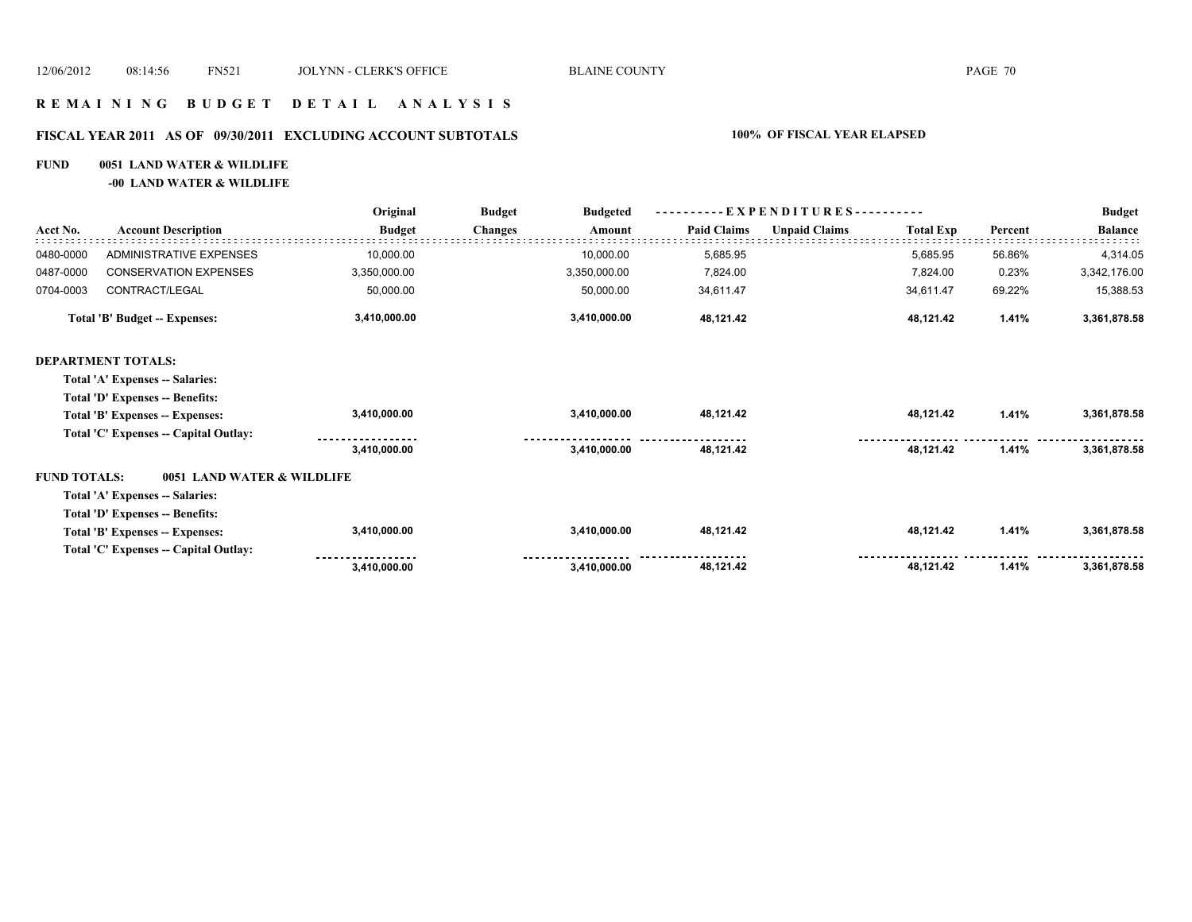### **R E M A I N I N G B U D G E T D E T A I L A N A L Y S I S**

# **FISCAL YEAR 2011 AS OF 09/30/2011 EXCLUDING ACCOUNT SUBTOTALS 100% OF FISCAL YEAR ELAPSED**

### **FUND 0051 LAND WATER & WILDLIFE**

**-00 LAND WATER & WILDLIFE**

|                     | <b>Account Description</b>            | Original      | <b>Budget</b><br><b>Budgeted</b> | $-EXPENDITURES$ --------- |                      |                  |         | <b>Budget</b>  |
|---------------------|---------------------------------------|---------------|----------------------------------|---------------------------|----------------------|------------------|---------|----------------|
| Acct No.            |                                       | <b>Budget</b> | Changes<br>Amount                | <b>Paid Claims</b>        | <b>Unpaid Claims</b> | <b>Total Exp</b> | Percent | <b>Balance</b> |
| 0480-0000           | ADMINISTRATIVE EXPENSES               | 10,000.00     | 10,000.00                        | 5,685.95                  |                      | 5,685.95         | 56.86%  | 4,314.05       |
| 0487-0000           | <b>CONSERVATION EXPENSES</b>          | 3,350,000.00  | 3,350,000.00                     | 7,824.00                  |                      | 7,824.00         | 0.23%   | 3,342,176.00   |
| 0704-0003           | CONTRACT/LEGAL                        | 50,000.00     | 50,000.00                        | 34,611.47                 |                      | 34,611.47        | 69.22%  | 15,388.53      |
|                     | Total 'B' Budget -- Expenses:         | 3,410,000.00  | 3,410,000.00                     | 48,121.42                 |                      | 48,121.42        | 1.41%   | 3,361,878.58   |
|                     | <b>DEPARTMENT TOTALS:</b>             |               |                                  |                           |                      |                  |         |                |
|                     | Total 'A' Expenses -- Salaries:       |               |                                  |                           |                      |                  |         |                |
|                     | Total 'D' Expenses -- Benefits:       |               |                                  |                           |                      |                  |         |                |
|                     | Total 'B' Expenses -- Expenses:       | 3,410,000.00  | 3,410,000.00                     | 48,121.42                 |                      | 48,121.42        | 1.41%   | 3,361,878.58   |
|                     | Total 'C' Expenses -- Capital Outlay: |               |                                  |                           |                      |                  |         |                |
|                     |                                       | 3,410,000.00  | 3,410,000.00                     | 48,121.42                 |                      | 48,121.42        | 1.41%   | 3,361,878.58   |
| <b>FUND TOTALS:</b> | 0051 LAND WATER & WILDLIFE            |               |                                  |                           |                      |                  |         |                |
|                     | Total 'A' Expenses -- Salaries:       |               |                                  |                           |                      |                  |         |                |
|                     | Total 'D' Expenses -- Benefits:       |               |                                  |                           |                      |                  |         |                |
|                     | Total 'B' Expenses -- Expenses:       | 3,410,000.00  | 3,410,000.00                     | 48,121.42                 |                      | 48,121.42        | 1.41%   | 3,361,878.58   |
|                     | Total 'C' Expenses -- Capital Outlay: |               |                                  |                           |                      |                  |         |                |
|                     |                                       | 3,410,000.00  | 3,410,000.00                     | 48,121.42                 |                      | 48,121.42        | 1.41%   | 3,361,878.58   |